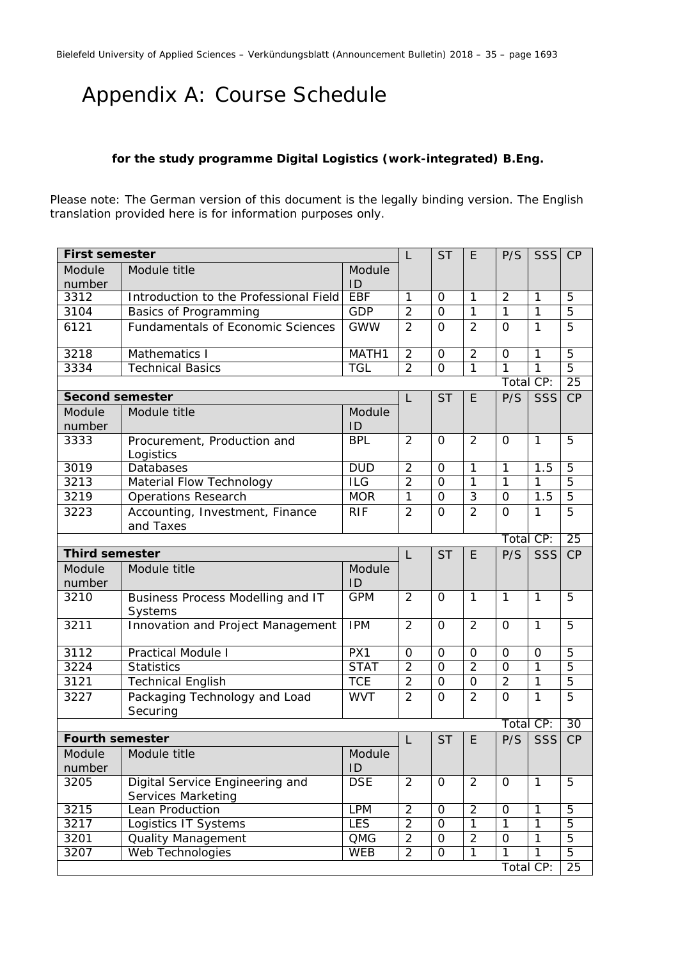## Appendix A: Course Schedule

## **for the study programme Digital Logistics (work-integrated) B.Eng.**

Please note: The German version of this document is the legally binding version. The English translation provided here is for information purposes only.

| <b>First semester</b>  |                                                              | L                 | <b>ST</b>      | E                   | P/S            | <b>SSS</b>     | CP             |                 |
|------------------------|--------------------------------------------------------------|-------------------|----------------|---------------------|----------------|----------------|----------------|-----------------|
| Module                 | Module title<br>Module                                       |                   |                |                     |                |                |                |                 |
| number                 |                                                              | ID                |                |                     |                |                |                |                 |
| 3312                   | Introduction to the Professional Field                       | <b>EBF</b>        | $\overline{1}$ | $\Omega$            | $\overline{1}$ | $\overline{2}$ | $\mathbf{1}$   | 5               |
| 3104                   | Basics of Programming                                        | <b>GDP</b>        | $\overline{2}$ | $\Omega$            | $\mathbf{1}$   | $\mathbf{1}$   | $\mathbf{1}$   | 5               |
| 6121                   | <b>Fundamentals of Economic Sciences</b>                     | <b>GWW</b>        | $\overline{2}$ | $\overline{0}$      | $\overline{2}$ | $\Omega$       | $\mathbf{1}$   | 5               |
| 3218                   | Mathematics I                                                | MATH <sub>1</sub> | $\overline{2}$ | $\mathbf 0$         | $\overline{2}$ | $\Omega$       | 1              | $\overline{5}$  |
| 3334                   | <b>Technical Basics</b>                                      | TGL               | $\overline{2}$ | $\overline{0}$      | $\overline{1}$ | $\overline{1}$ | $\overline{1}$ | $\overline{5}$  |
|                        |                                                              |                   |                |                     |                | Total CP:      |                | 25              |
| <b>Second semester</b> |                                                              |                   | L              | <b>ST</b>           | E              | P/S            | SSS            | CP              |
| Module<br>number       | Module title                                                 | Module<br>ID      |                |                     |                |                |                |                 |
| 3333                   | Procurement, Production and                                  | <b>BPL</b>        | $\overline{2}$ | $\Omega$            | $\overline{2}$ | $\Omega$       | $\mathbf{1}$   | 5               |
|                        | Logistics                                                    |                   |                |                     |                |                |                |                 |
| 3019                   | Databases                                                    | <b>DUD</b>        | $\overline{2}$ | $\Omega$            | $\overline{1}$ | $\mathbf{1}$   | 1.5            | $\overline{5}$  |
| 3213                   | Material Flow Technology                                     | ILG               | $\overline{2}$ | $\Omega$            | $\overline{1}$ | $\mathbf{1}$   | 1              | $\overline{5}$  |
| 3219                   | <b>Operations Research</b>                                   | <b>MOR</b>        | $\overline{1}$ | $\overline{0}$      | $\overline{3}$ | $\overline{0}$ | 1.5            | $\overline{5}$  |
| 3223                   | Accounting, Investment, Finance<br>and Taxes                 | <b>RIF</b>        | $\overline{2}$ | $\overline{O}$      | $\overline{2}$ | $\Omega$       | 1              | 5               |
|                        |                                                              |                   |                |                     |                | Total CP:      |                | $\overline{25}$ |
| <b>Third semester</b>  |                                                              |                   | L              | <b>ST</b>           | E              | P/S            | SSS            | CP              |
| Module<br>number       | Module title                                                 | Module<br>ID      |                |                     |                |                |                |                 |
| 3210                   | Business Process Modelling and IT<br>Systems                 | <b>GPM</b>        | $\overline{2}$ | $\Omega$            | $\mathbf{1}$   | $\mathbf{1}$   | $\mathbf{1}$   | 5               |
| 3211                   | Innovation and Project Management                            | <b>IPM</b>        | $\overline{2}$ | $\Omega$            | $\overline{2}$ | $\Omega$       | $\mathbf{1}$   | 5               |
| 3112                   | <b>Practical Module I</b>                                    | PX1               | $\Omega$       | $\Omega$            | $\Omega$       | $\Omega$       | $\Omega$       | $\overline{5}$  |
| 3224                   | <b>Statistics</b>                                            | <b>STAT</b>       | $\overline{2}$ | $\Omega$            | $\overline{2}$ | $\mathbf 0$    | $\mathbf{1}$   | 5               |
| 3121                   | <b>Technical English</b>                                     | <b>TCE</b>        | $\overline{2}$ | $\overline{0}$      | $\mathbf 0$    | $\overline{2}$ | $\overline{1}$ | 5               |
| 3227                   | Packaging Technology and Load<br>Securing                    | <b>WVT</b>        | $\overline{2}$ | $\Omega$            | $\overline{2}$ | $\overline{O}$ | $\mathbf{1}$   | 5               |
|                        |                                                              |                   |                |                     |                | Total CP:      |                | $\overline{30}$ |
| <b>Fourth semester</b> |                                                              |                   | L              | <b>ST</b>           | E              | P/S            | SSS            | CP              |
| Module<br>number       | Module title                                                 | Module<br>ID      |                |                     |                |                |                |                 |
| 3205                   | Digital Service Engineering and<br><b>Services Marketing</b> | <b>DSE</b>        | $\overline{2}$ | 0                   | $\overline{2}$ | 0              | 1              | 5               |
| 3215                   | Lean Production                                              | <b>LPM</b>        | $\overline{2}$ | $\mathbf 0$         | $\overline{2}$ | $\mathbf 0$    | $\mathbf{1}$   | 5               |
| 3217                   | Logistics IT Systems                                         | <b>LES</b>        | $\overline{2}$ | $\Omega$            | $\mathbf{1}$   | $\mathbf{1}$   | $\mathbf{1}$   | 5               |
| 3201                   | <b>Quality Management</b>                                    | $\overline{OMG}$  | $\overline{2}$ | $\mathsf{O}\xspace$ | $\overline{2}$ | $\overline{0}$ | $\mathbf{1}$   | 5               |
| 3207                   | <b>Web Technologies</b>                                      | <b>WEB</b>        | $\overline{2}$ | $\overline{0}$      | $\overline{1}$ | $\mathbf{1}$   | $\overline{1}$ | $\overline{5}$  |
|                        |                                                              |                   |                |                     |                | Total CP:      |                | 25              |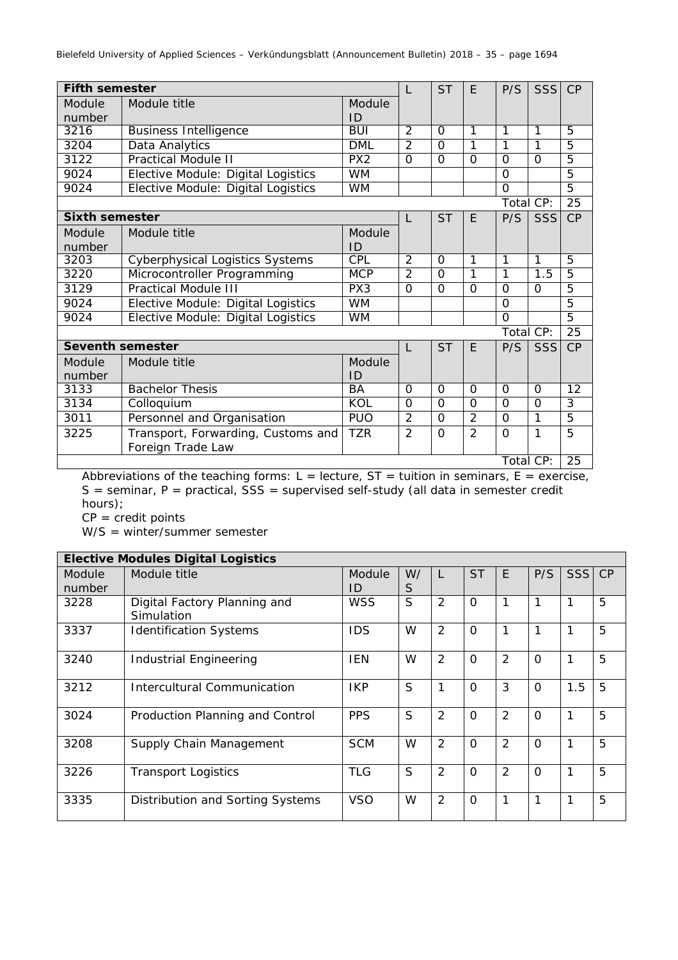| <b>Fifth semester</b>   |                                        |                 |                | <b>ST</b> | F              | P/S       | <b>SSS</b> | CP              |
|-------------------------|----------------------------------------|-----------------|----------------|-----------|----------------|-----------|------------|-----------------|
| Module                  | Module title                           | Module          |                |           |                |           |            |                 |
| number                  |                                        | ID              |                |           |                |           |            |                 |
| 3216                    | <b>Business Intelligence</b>           | <b>BUI</b>      | 2              | $\Omega$  | 1              | 1         | 1          | $\overline{5}$  |
| 3204                    | Data Analytics                         | <b>DML</b>      | $\overline{2}$ | $\Omega$  | 1              | 1         | 1          | $\overline{5}$  |
| 3122                    | <b>Practical Module II</b>             | PX <sub>2</sub> | $\Omega$       | $\Omega$  | $\Omega$       | $\Omega$  | $\Omega$   | $\overline{5}$  |
| 9024                    | Elective Module: Digital Logistics     | <b>WM</b>       |                |           |                | $\Omega$  |            | $\overline{5}$  |
| 9024                    | Elective Module: Digital Logistics     | <b>WM</b>       |                |           |                | $\Omega$  |            | $\overline{5}$  |
|                         |                                        |                 |                |           |                | Total CP: |            | $\overline{25}$ |
| <b>Sixth semester</b>   |                                        |                 | L              | <b>ST</b> | E              | P/S       | <b>SSS</b> | CP              |
| Module                  | Module title                           | Module          |                |           |                |           |            |                 |
| number                  |                                        | ID              |                |           |                |           |            |                 |
| 3203                    | <b>Cyberphysical Logistics Systems</b> | <b>CPL</b>      | $\overline{2}$ | $\Omega$  | 1              | 1         | 1          | $\overline{5}$  |
| 3220                    | Microcontroller Programming            | <b>MCP</b>      | $\mathcal{P}$  | $\Omega$  | 1              | 1         | 1.5        | 5               |
| 3129                    | <b>Practical Module III</b>            | PX <sub>3</sub> | $\Omega$       | $\Omega$  | $\Omega$       | $\Omega$  | $\Omega$   | $\overline{5}$  |
| 9024                    | Elective Module: Digital Logistics     | <b>WM</b>       |                |           |                | $\Omega$  |            | $\overline{5}$  |
| 9024                    | Elective Module: Digital Logistics     | <b>WM</b>       |                |           |                | $\Omega$  |            | $\overline{5}$  |
|                         |                                        |                 |                |           |                | Total CP: |            | 25              |
| <b>Seventh semester</b> |                                        |                 | $\mathbf{L}$   | <b>ST</b> | F              | P/S       | SSS        | CP              |
| Module                  | Module title                           | Module          |                |           |                |           |            |                 |
| number                  |                                        | ID              |                |           |                |           |            |                 |
| 3133                    | <b>Bachelor Thesis</b>                 | <b>BA</b>       | $\Omega$       | $\Omega$  | $\Omega$       | $\Omega$  | $\Omega$   | 12              |
| 3134                    | Colloquium                             | KOL             | $\Omega$       | $\Omega$  | $\Omega$       | $\Omega$  | $\Omega$   | 3               |
| 3011                    | Personnel and Organisation             | <b>PUO</b>      | $\overline{2}$ | $\Omega$  | $\overline{2}$ | $\Omega$  | 1          | $\overline{5}$  |
| 3225                    | Transport, Forwarding, Customs and     | <b>TZR</b>      | $\overline{2}$ | $\Omega$  | $\overline{2}$ | $\Omega$  | 1          | 5               |
|                         | Foreign Trade Law                      |                 |                |           |                |           |            |                 |
|                         |                                        |                 |                |           |                | Total CP: |            | $\overline{25}$ |

Abbreviations of the teaching forms:  $L =$  lecture,  $ST =$  tuition in seminars,  $E =$  exercise,  $S =$  seminar,  $P =$  practical,  $SS =$  supervised self-study (all data in semester credit hours);

 $CP = credit points$ 

W/S = winter/summer semester

|                  | <b>Elective Modules Digital Logistics</b>  |              |         |                |           |                |          |            |    |
|------------------|--------------------------------------------|--------------|---------|----------------|-----------|----------------|----------|------------|----|
| Module<br>number | Module title                               | Module<br>ID | W/<br>S | L              | <b>ST</b> | F              | P/S      | <b>SSS</b> | CP |
| 3228             | Digital Factory Planning and<br>Simulation | <b>WSS</b>   | S       | $\overline{2}$ | $\Omega$  |                |          | 1          | 5  |
| 3337             | <b>Identification Systems</b>              | <b>IDS</b>   | W       | $\overline{2}$ | $\Omega$  | 1              |          |            | 5  |
| 3240             | <b>Industrial Engineering</b>              | <b>IEN</b>   | W       | $\overline{2}$ | $\Omega$  | 2              | $\Omega$ |            | 5  |
| 3212             | Intercultural Communication                | <b>IKP</b>   | S       | 1              | $\Omega$  | 3              | $\Omega$ | 1.5        | 5  |
| 3024             | Production Planning and Control            | <b>PPS</b>   | S       | $\overline{2}$ | $\Omega$  | 2              | $\Omega$ | 1          | 5  |
| 3208             | Supply Chain Management                    | <b>SCM</b>   | W       | $\overline{2}$ | $\Omega$  | $\overline{2}$ | $\Omega$ | 1          | 5  |
| 3226             | <b>Transport Logistics</b>                 | <b>TLG</b>   | S       | $\overline{2}$ | $\Omega$  | 2              | $\Omega$ | 1          | 5  |
| 3335             | Distribution and Sorting Systems           | <b>VSO</b>   | W       | $\overline{2}$ | $\Omega$  | 1              |          | 1          | 5  |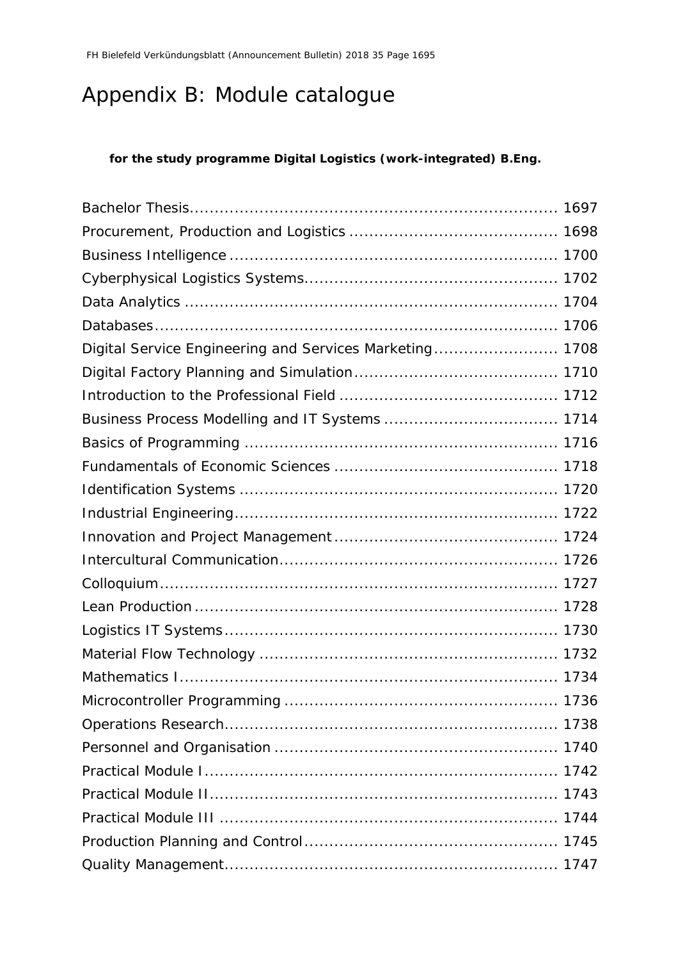## Appendix B: Module catalogue

## **for the study programme Digital Logistics (work-integrated) B.Eng.**

| Digital Service Engineering and Services Marketing 1708 |  |
|---------------------------------------------------------|--|
|                                                         |  |
|                                                         |  |
|                                                         |  |
|                                                         |  |
|                                                         |  |
|                                                         |  |
|                                                         |  |
|                                                         |  |
|                                                         |  |
|                                                         |  |
|                                                         |  |
|                                                         |  |
|                                                         |  |
|                                                         |  |
|                                                         |  |
|                                                         |  |
|                                                         |  |
|                                                         |  |
|                                                         |  |
|                                                         |  |
|                                                         |  |
|                                                         |  |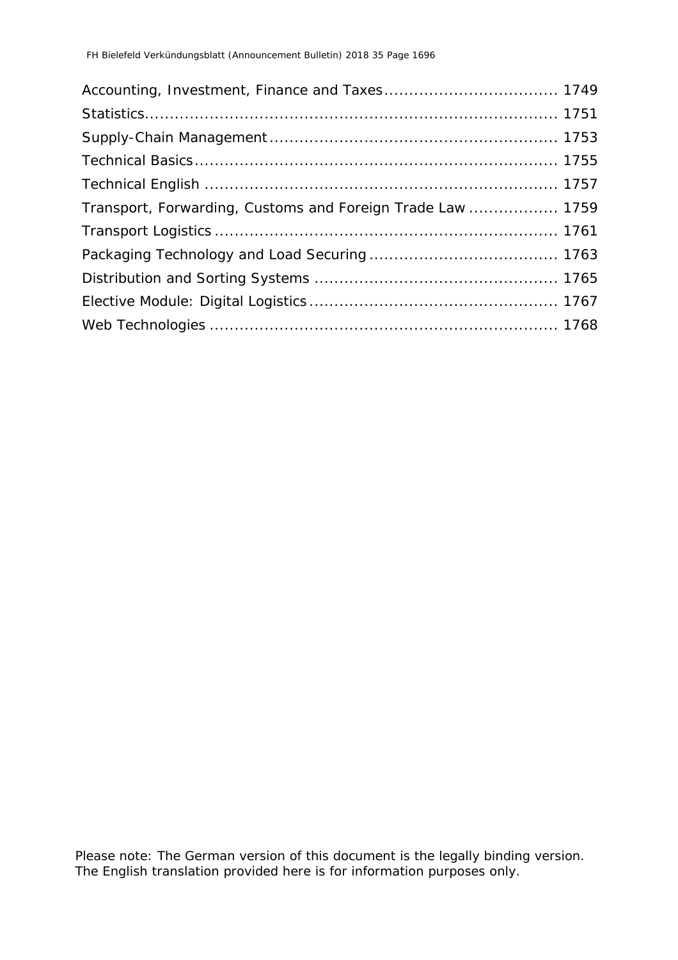| Transport, Forwarding, Customs and Foreign Trade Law  1759 |  |
|------------------------------------------------------------|--|
|                                                            |  |
|                                                            |  |
|                                                            |  |
|                                                            |  |
|                                                            |  |

Please note: The German version of this document is the legally binding version. The English translation provided here is for information purposes only.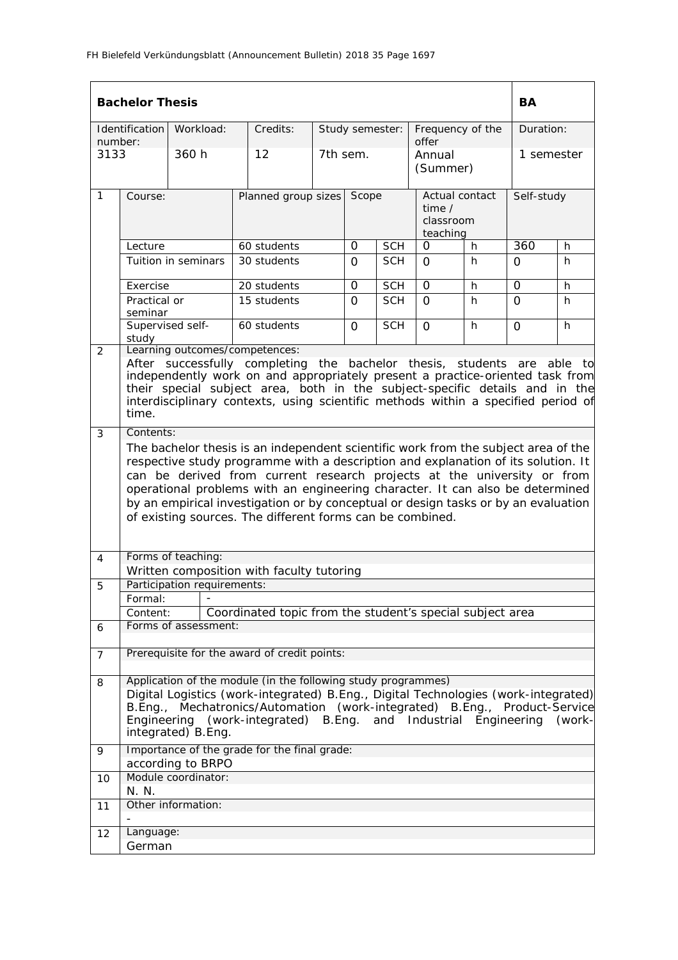|                | <b>Bachelor Thesis</b>                                                                                                                                                                                                                                                                                                                                                                                                                                                                 |                                                                                                                                                                           |  |                                                                                        |        |                 |            |                                                     |   | BA             |        |
|----------------|----------------------------------------------------------------------------------------------------------------------------------------------------------------------------------------------------------------------------------------------------------------------------------------------------------------------------------------------------------------------------------------------------------------------------------------------------------------------------------------|---------------------------------------------------------------------------------------------------------------------------------------------------------------------------|--|----------------------------------------------------------------------------------------|--------|-----------------|------------|-----------------------------------------------------|---|----------------|--------|
| number:        | Identification                                                                                                                                                                                                                                                                                                                                                                                                                                                                         | Workload:                                                                                                                                                                 |  | Credits:                                                                               |        | Study semester: |            | Frequency of the<br>offer                           |   | Duration:      |        |
| 3133           |                                                                                                                                                                                                                                                                                                                                                                                                                                                                                        | 360 h                                                                                                                                                                     |  | 12                                                                                     |        | 7th sem.        |            | Annual<br>(Summer)                                  |   | 1 semester     |        |
| $\mathbf{1}$   | Course:                                                                                                                                                                                                                                                                                                                                                                                                                                                                                |                                                                                                                                                                           |  | Planned group sizes                                                                    |        | Scope           |            | Actual contact<br>time $/$<br>classroom<br>teaching |   | Self-study     |        |
|                | Lecture                                                                                                                                                                                                                                                                                                                                                                                                                                                                                |                                                                                                                                                                           |  | 60 students                                                                            |        | 0               | <b>SCH</b> | 0                                                   | h | 360            | h.     |
|                |                                                                                                                                                                                                                                                                                                                                                                                                                                                                                        | Tuition in seminars                                                                                                                                                       |  | 30 students                                                                            |        | $\Omega$        | <b>SCH</b> | $\Omega$                                            | h | $\Omega$       | h      |
|                | Exercise                                                                                                                                                                                                                                                                                                                                                                                                                                                                               |                                                                                                                                                                           |  | 20 students                                                                            |        | 0               | <b>SCH</b> | 0                                                   | h | $\Omega$       | h      |
|                | Practical or<br>seminar                                                                                                                                                                                                                                                                                                                                                                                                                                                                |                                                                                                                                                                           |  | 15 students                                                                            |        | $\Omega$        | <b>SCH</b> | $\Omega$                                            | h | $\Omega$       | h      |
|                | Supervised self-<br>study                                                                                                                                                                                                                                                                                                                                                                                                                                                              |                                                                                                                                                                           |  | 60 students                                                                            |        | $\overline{O}$  | <b>SCH</b> | $\Omega$                                            | h | $\overline{O}$ | h      |
| 2              | Learning outcomes/competences:<br>After successfully completing the bachelor thesis, students are<br>able to<br>independently work on and appropriately present a practice-oriented task from<br>their special subject area, both in the subject-specific details and in the<br>interdisciplinary contexts, using scientific methods within a specified period of<br>time.                                                                                                             |                                                                                                                                                                           |  |                                                                                        |        |                 |            |                                                     |   |                |        |
| 3              | Contents:                                                                                                                                                                                                                                                                                                                                                                                                                                                                              |                                                                                                                                                                           |  |                                                                                        |        |                 |            |                                                     |   |                |        |
|                | The bachelor thesis is an independent scientific work from the subject area of the<br>respective study programme with a description and explanation of its solution. It<br>can be derived from current research projects at the university or from<br>operational problems with an engineering character. It can also be determined<br>by an empirical investigation or by conceptual or design tasks or by an evaluation<br>of existing sources. The different forms can be combined. |                                                                                                                                                                           |  |                                                                                        |        |                 |            |                                                     |   |                |        |
| 4              |                                                                                                                                                                                                                                                                                                                                                                                                                                                                                        | Forms of teaching:                                                                                                                                                        |  |                                                                                        |        |                 |            |                                                     |   |                |        |
| 5              |                                                                                                                                                                                                                                                                                                                                                                                                                                                                                        | Written composition with faculty tutoring<br>Participation requirements:                                                                                                  |  |                                                                                        |        |                 |            |                                                     |   |                |        |
|                | Formal:                                                                                                                                                                                                                                                                                                                                                                                                                                                                                |                                                                                                                                                                           |  |                                                                                        |        |                 |            |                                                     |   |                |        |
|                | Content:                                                                                                                                                                                                                                                                                                                                                                                                                                                                               |                                                                                                                                                                           |  | Coordinated topic from the student's special subject area                              |        |                 |            |                                                     |   |                |        |
| 6              |                                                                                                                                                                                                                                                                                                                                                                                                                                                                                        | Forms of assessment:                                                                                                                                                      |  |                                                                                        |        |                 |            |                                                     |   |                |        |
| $\overline{7}$ |                                                                                                                                                                                                                                                                                                                                                                                                                                                                                        | Prerequisite for the award of credit points:                                                                                                                              |  |                                                                                        |        |                 |            |                                                     |   |                |        |
| 8              | B.Enq.<br>Engineering                                                                                                                                                                                                                                                                                                                                                                                                                                                                  | Application of the module (in the following study programmes)<br>Digital Logistics (work-integrated) B.Eng., Digital Technologies (work-integrated)<br>integrated) B.Eng. |  | Mechatronics/Automation (work-integrated) B.Eng., Product-Service<br>(work-integrated) | B.Eng. |                 |            | and Industrial                                      |   | Engineering    | (work- |
| 9              |                                                                                                                                                                                                                                                                                                                                                                                                                                                                                        | Importance of the grade for the final grade:                                                                                                                              |  |                                                                                        |        |                 |            |                                                     |   |                |        |
| 10             |                                                                                                                                                                                                                                                                                                                                                                                                                                                                                        | according to BRPO<br>Module coordinator:                                                                                                                                  |  |                                                                                        |        |                 |            |                                                     |   |                |        |
|                | N. N.                                                                                                                                                                                                                                                                                                                                                                                                                                                                                  |                                                                                                                                                                           |  |                                                                                        |        |                 |            |                                                     |   |                |        |
| 11             |                                                                                                                                                                                                                                                                                                                                                                                                                                                                                        | Other information:                                                                                                                                                        |  |                                                                                        |        |                 |            |                                                     |   |                |        |
| 12             | Language:                                                                                                                                                                                                                                                                                                                                                                                                                                                                              |                                                                                                                                                                           |  |                                                                                        |        |                 |            |                                                     |   |                |        |
|                | German                                                                                                                                                                                                                                                                                                                                                                                                                                                                                 |                                                                                                                                                                           |  |                                                                                        |        |                 |            |                                                     |   |                |        |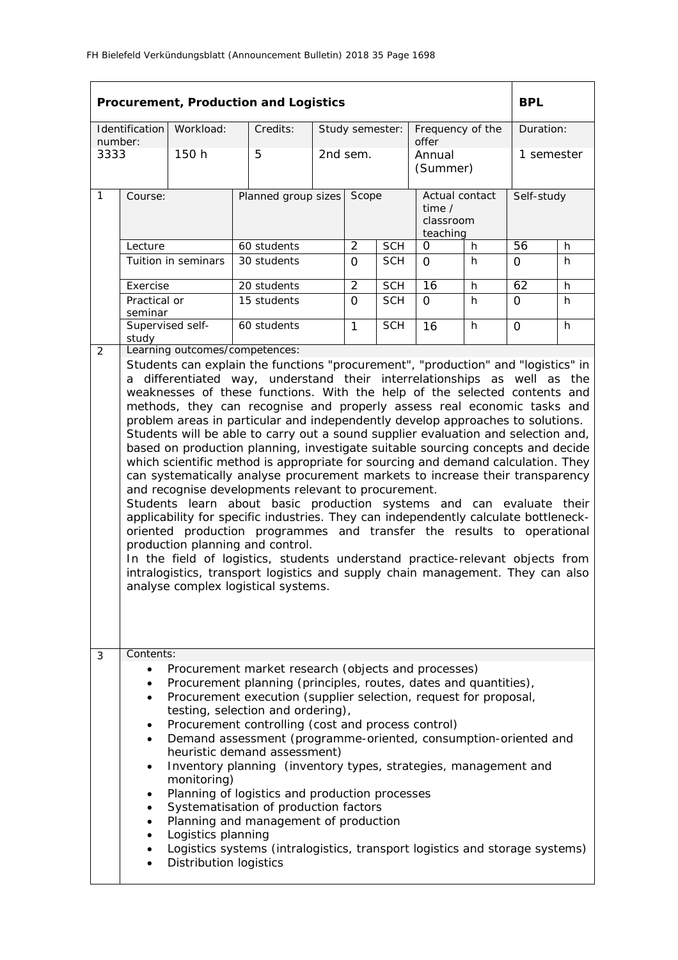|                 |                                                                                                                                                                                                                                                                                                                                                                                                                                                                                                                                                                                                                                                                                                                                                                                                                                                                                                                                                                                                                                                                                                                                                                                                                                                                                                                                           |                                                                    | Procurement, Production and Logistics                                                                                                                                                                                                                                                                                                                                                                                                                                                                                                                                                                                                                                           |          |                 |            |                                                     |    | <b>BPL</b>      |    |  |
|-----------------|-------------------------------------------------------------------------------------------------------------------------------------------------------------------------------------------------------------------------------------------------------------------------------------------------------------------------------------------------------------------------------------------------------------------------------------------------------------------------------------------------------------------------------------------------------------------------------------------------------------------------------------------------------------------------------------------------------------------------------------------------------------------------------------------------------------------------------------------------------------------------------------------------------------------------------------------------------------------------------------------------------------------------------------------------------------------------------------------------------------------------------------------------------------------------------------------------------------------------------------------------------------------------------------------------------------------------------------------|--------------------------------------------------------------------|---------------------------------------------------------------------------------------------------------------------------------------------------------------------------------------------------------------------------------------------------------------------------------------------------------------------------------------------------------------------------------------------------------------------------------------------------------------------------------------------------------------------------------------------------------------------------------------------------------------------------------------------------------------------------------|----------|-----------------|------------|-----------------------------------------------------|----|-----------------|----|--|
|                 | Identification                                                                                                                                                                                                                                                                                                                                                                                                                                                                                                                                                                                                                                                                                                                                                                                                                                                                                                                                                                                                                                                                                                                                                                                                                                                                                                                            | Workload:                                                          | Credits:                                                                                                                                                                                                                                                                                                                                                                                                                                                                                                                                                                                                                                                                        |          | Study semester: |            | Frequency of the                                    |    | Duration:       |    |  |
| number:<br>3333 |                                                                                                                                                                                                                                                                                                                                                                                                                                                                                                                                                                                                                                                                                                                                                                                                                                                                                                                                                                                                                                                                                                                                                                                                                                                                                                                                           | 150 h                                                              | 5                                                                                                                                                                                                                                                                                                                                                                                                                                                                                                                                                                                                                                                                               |          | 2nd sem.        |            | offer<br>Annual<br>(Summer)                         |    | 1 semester      |    |  |
| $\mathbf{1}$    | Course:                                                                                                                                                                                                                                                                                                                                                                                                                                                                                                                                                                                                                                                                                                                                                                                                                                                                                                                                                                                                                                                                                                                                                                                                                                                                                                                                   |                                                                    | Planned group sizes                                                                                                                                                                                                                                                                                                                                                                                                                                                                                                                                                                                                                                                             |          | Scope           |            | Actual contact<br>time $/$<br>classroom<br>teaching |    | Self-study      |    |  |
|                 | Lecture                                                                                                                                                                                                                                                                                                                                                                                                                                                                                                                                                                                                                                                                                                                                                                                                                                                                                                                                                                                                                                                                                                                                                                                                                                                                                                                                   |                                                                    | 60 students                                                                                                                                                                                                                                                                                                                                                                                                                                                                                                                                                                                                                                                                     |          | $\overline{2}$  | <b>SCH</b> | 0                                                   | h  | $\overline{56}$ | h. |  |
|                 |                                                                                                                                                                                                                                                                                                                                                                                                                                                                                                                                                                                                                                                                                                                                                                                                                                                                                                                                                                                                                                                                                                                                                                                                                                                                                                                                           | Tuition in seminars                                                | 30 students                                                                                                                                                                                                                                                                                                                                                                                                                                                                                                                                                                                                                                                                     |          | $\Omega$        | <b>SCH</b> | $\Omega$                                            | h. | $\Omega$        | h  |  |
|                 | Exercise                                                                                                                                                                                                                                                                                                                                                                                                                                                                                                                                                                                                                                                                                                                                                                                                                                                                                                                                                                                                                                                                                                                                                                                                                                                                                                                                  |                                                                    | 20 students                                                                                                                                                                                                                                                                                                                                                                                                                                                                                                                                                                                                                                                                     |          | $\overline{2}$  | <b>SCH</b> | 16                                                  | h. | 62              | h  |  |
|                 | Practical or<br>seminar                                                                                                                                                                                                                                                                                                                                                                                                                                                                                                                                                                                                                                                                                                                                                                                                                                                                                                                                                                                                                                                                                                                                                                                                                                                                                                                   |                                                                    | 15 students                                                                                                                                                                                                                                                                                                                                                                                                                                                                                                                                                                                                                                                                     | $\Omega$ |                 | <b>SCH</b> | $\Omega$                                            | h  | $\overline{O}$  | h  |  |
|                 | study                                                                                                                                                                                                                                                                                                                                                                                                                                                                                                                                                                                                                                                                                                                                                                                                                                                                                                                                                                                                                                                                                                                                                                                                                                                                                                                                     | Supervised self-                                                   | 60 students                                                                                                                                                                                                                                                                                                                                                                                                                                                                                                                                                                                                                                                                     |          | $\mathbf{1}$    | <b>SCH</b> | 16                                                  | h. | $\overline{O}$  | h. |  |
|                 | Learning outcomes/competences:<br>2<br>Students can explain the functions "procurement", "production" and "logistics" in<br>a differentiated way, understand their interrelationships as well as the<br>weaknesses of these functions. With the help of the selected contents and<br>methods, they can recognise and properly assess real economic tasks and<br>problem areas in particular and independently develop approaches to solutions.<br>Students will be able to carry out a sound supplier evaluation and selection and,<br>based on production planning, investigate suitable sourcing concepts and decide<br>which scientific method is appropriate for sourcing and demand calculation. They<br>can systematically analyse procurement markets to increase their transparency<br>and recognise developments relevant to procurement.<br>Students learn about basic production systems and can evaluate their<br>applicability for specific industries. They can independently calculate bottleneck-<br>oriented production programmes and transfer the results to operational<br>production planning and control.<br>In the field of logistics, students understand practice-relevant objects from<br>intralogistics, transport logistics and supply chain management. They can also<br>analyse complex logistical systems. |                                                                    |                                                                                                                                                                                                                                                                                                                                                                                                                                                                                                                                                                                                                                                                                 |          |                 |            |                                                     |    |                 |    |  |
| 3               | Contents:                                                                                                                                                                                                                                                                                                                                                                                                                                                                                                                                                                                                                                                                                                                                                                                                                                                                                                                                                                                                                                                                                                                                                                                                                                                                                                                                 |                                                                    |                                                                                                                                                                                                                                                                                                                                                                                                                                                                                                                                                                                                                                                                                 |          |                 |            |                                                     |    |                 |    |  |
|                 | $\bullet$<br>٠<br>$\bullet$<br>$\bullet$<br>$\bullet$                                                                                                                                                                                                                                                                                                                                                                                                                                                                                                                                                                                                                                                                                                                                                                                                                                                                                                                                                                                                                                                                                                                                                                                                                                                                                     | monitoring)<br>Logistics planning<br><b>Distribution logistics</b> | Procurement market research (objects and processes)<br>Procurement planning (principles, routes, dates and quantities),<br>Procurement execution (supplier selection, request for proposal,<br>testing, selection and ordering),<br>Procurement controlling (cost and process control)<br>Demand assessment (programme-oriented, consumption-oriented and<br>heuristic demand assessment)<br>Inventory planning (inventory types, strategies, management and<br>Planning of logistics and production processes<br>Systematisation of production factors<br>Planning and management of production<br>Logistics systems (intralogistics, transport logistics and storage systems) |          |                 |            |                                                     |    |                 |    |  |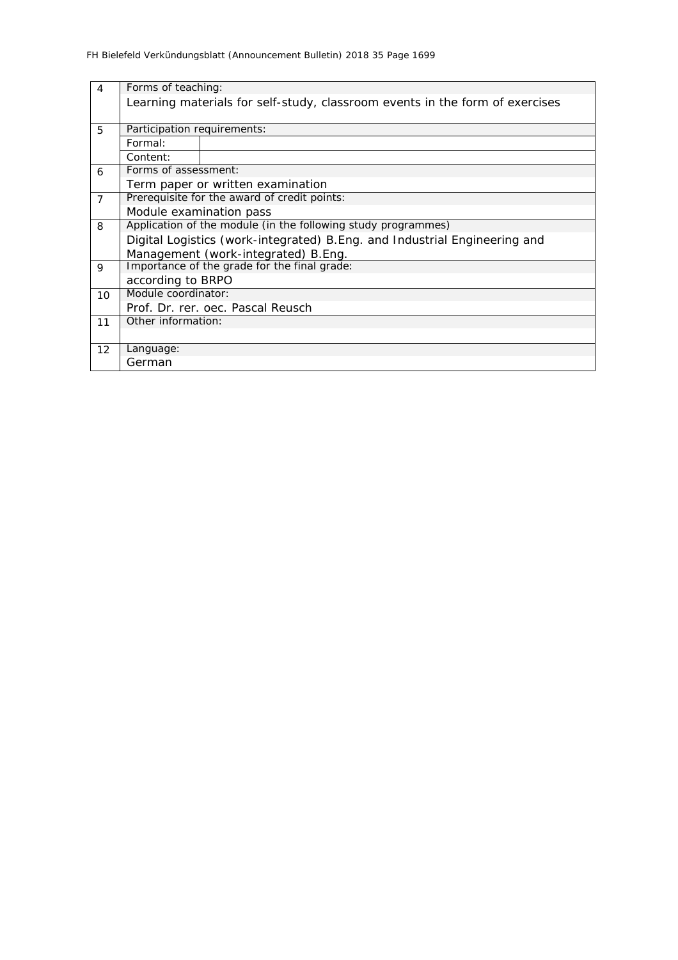| $\overline{4}$ | Forms of teaching:                                                         |                                                                              |  |  |  |  |  |  |
|----------------|----------------------------------------------------------------------------|------------------------------------------------------------------------------|--|--|--|--|--|--|
|                |                                                                            | Learning materials for self-study, classroom events in the form of exercises |  |  |  |  |  |  |
|                |                                                                            |                                                                              |  |  |  |  |  |  |
| 5              | Participation requirements:                                                |                                                                              |  |  |  |  |  |  |
|                | Formal:                                                                    |                                                                              |  |  |  |  |  |  |
|                | Content:                                                                   |                                                                              |  |  |  |  |  |  |
| 6              | Forms of assessment:                                                       |                                                                              |  |  |  |  |  |  |
|                |                                                                            | Term paper or written examination                                            |  |  |  |  |  |  |
| $\overline{7}$ | Prerequisite for the award of credit points:                               |                                                                              |  |  |  |  |  |  |
|                | Module examination pass                                                    |                                                                              |  |  |  |  |  |  |
| 8              | Application of the module (in the following study programmes)              |                                                                              |  |  |  |  |  |  |
|                | Digital Logistics (work-integrated) B. Eng. and Industrial Engineering and |                                                                              |  |  |  |  |  |  |
|                |                                                                            | Management (work-integrated) B.Eng.                                          |  |  |  |  |  |  |
| 9              |                                                                            | Importance of the grade for the final grade:                                 |  |  |  |  |  |  |
|                | according to BRPO                                                          |                                                                              |  |  |  |  |  |  |
| 10             | Module coordinator:                                                        |                                                                              |  |  |  |  |  |  |
|                |                                                                            | Prof. Dr. rer. oec. Pascal Reusch                                            |  |  |  |  |  |  |
| 11             | Other information:                                                         |                                                                              |  |  |  |  |  |  |
|                |                                                                            |                                                                              |  |  |  |  |  |  |
| 12             | Language:                                                                  |                                                                              |  |  |  |  |  |  |
|                | German                                                                     |                                                                              |  |  |  |  |  |  |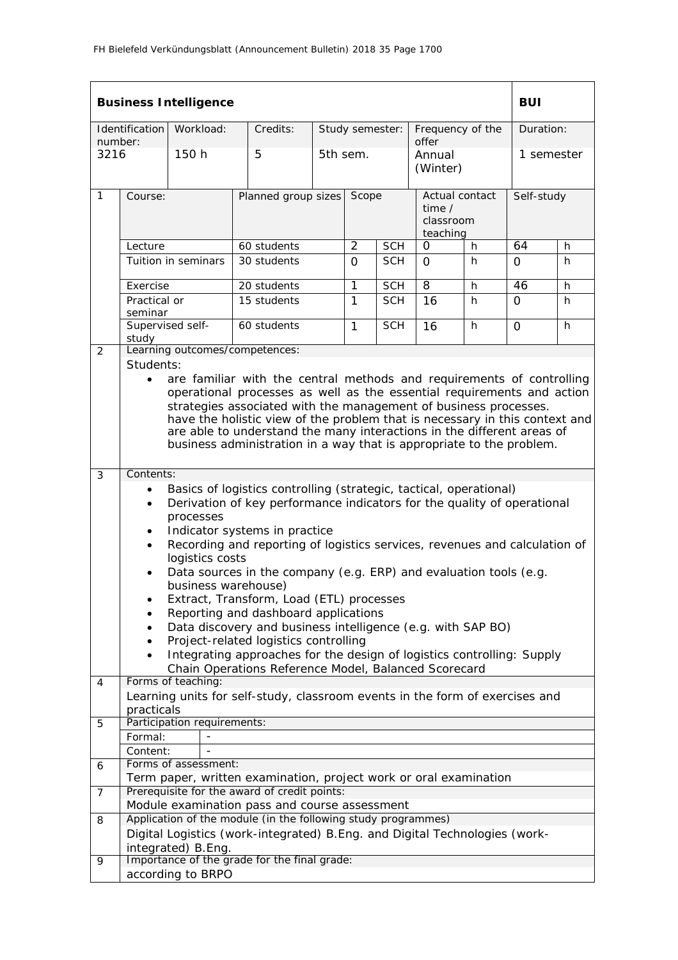|         |                                                                                                                                                                                                                                                                                                                                                                                                                                                                                                                                                                                    | <b>Business Intelligence</b> |                                                                                                                 |  |              |                 |                                                          |    | <b>BUI</b> |            |  |  |  |
|---------|------------------------------------------------------------------------------------------------------------------------------------------------------------------------------------------------------------------------------------------------------------------------------------------------------------------------------------------------------------------------------------------------------------------------------------------------------------------------------------------------------------------------------------------------------------------------------------|------------------------------|-----------------------------------------------------------------------------------------------------------------|--|--------------|-----------------|----------------------------------------------------------|----|------------|------------|--|--|--|
| number: | Identification                                                                                                                                                                                                                                                                                                                                                                                                                                                                                                                                                                     | Workload:                    | Credits:                                                                                                        |  |              | Study semester: | Frequency of the<br>offer                                |    | Duration:  |            |  |  |  |
| 3216    |                                                                                                                                                                                                                                                                                                                                                                                                                                                                                                                                                                                    | 150 h                        | 5                                                                                                               |  | 5th sem.     |                 | Annual<br>(Winter)                                       |    | 1 semester |            |  |  |  |
| 1       | Course:                                                                                                                                                                                                                                                                                                                                                                                                                                                                                                                                                                            |                              | Planned group sizes                                                                                             |  | Scope        |                 | Actual contact<br>time $\prime$<br>classroom<br>teaching |    |            | Self-study |  |  |  |
|         | Lecture                                                                                                                                                                                                                                                                                                                                                                                                                                                                                                                                                                            |                              | 60 students                                                                                                     |  | 2            | <b>SCH</b>      | O                                                        | h  | 64         | h          |  |  |  |
|         |                                                                                                                                                                                                                                                                                                                                                                                                                                                                                                                                                                                    | Tuition in seminars          | 30 students                                                                                                     |  | 0            | <b>SCH</b>      | 0                                                        | h. | 0          | h          |  |  |  |
|         | Exercise                                                                                                                                                                                                                                                                                                                                                                                                                                                                                                                                                                           |                              | 20 students                                                                                                     |  | 1            | <b>SCH</b>      | 8                                                        | h  | 46         | h          |  |  |  |
|         | Practical or<br>seminar                                                                                                                                                                                                                                                                                                                                                                                                                                                                                                                                                            |                              | 15 students                                                                                                     |  | 1            | <b>SCH</b>      | 16                                                       | h. | 0          | h.         |  |  |  |
|         | Supervised self-<br>study                                                                                                                                                                                                                                                                                                                                                                                                                                                                                                                                                          |                              | 60 students                                                                                                     |  | $\mathbf{1}$ | <b>SCH</b>      | 16                                                       | h  | $\Omega$   | h          |  |  |  |
| 2       |                                                                                                                                                                                                                                                                                                                                                                                                                                                                                                                                                                                    |                              | Learning outcomes/competences:                                                                                  |  |              |                 |                                                          |    |            |            |  |  |  |
|         | Students:<br>are familiar with the central methods and requirements of controlling<br>$\bullet$<br>operational processes as well as the essential requirements and action<br>strategies associated with the management of business processes.<br>have the holistic view of the problem that is necessary in this context and<br>are able to understand the many interactions in the different areas of<br>business administration in a way that is appropriate to the problem.                                                                                                     |                              |                                                                                                                 |  |              |                 |                                                          |    |            |            |  |  |  |
| 3       | Contents:                                                                                                                                                                                                                                                                                                                                                                                                                                                                                                                                                                          |                              |                                                                                                                 |  |              |                 |                                                          |    |            |            |  |  |  |
|         | Basics of logistics controlling (strategic, tactical, operational)<br>$\bullet$<br>Derivation of key performance indicators for the quality of operational<br>$\bullet$<br>processes<br>Indicator systems in practice<br>Recording and reporting of logistics services, revenues and calculation of<br>$\bullet$<br>logistics costs<br>Data sources in the company (e.g. ERP) and evaluation tools (e.g.<br>business warehouse)<br>Extract, Transform, Load (ETL) processes<br>Reporting and dashboard applications<br>Data discovery and business intelligence (e.g. with SAP BO) |                              |                                                                                                                 |  |              |                 |                                                          |    |            |            |  |  |  |
|         |                                                                                                                                                                                                                                                                                                                                                                                                                                                                                                                                                                                    |                              | Project-related logistics controlling<br>Integrating approaches for the design of logistics controlling: Supply |  |              |                 |                                                          |    |            |            |  |  |  |
|         |                                                                                                                                                                                                                                                                                                                                                                                                                                                                                                                                                                                    |                              | Chain Operations Reference Model, Balanced Scorecard                                                            |  |              |                 |                                                          |    |            |            |  |  |  |
| 4       |                                                                                                                                                                                                                                                                                                                                                                                                                                                                                                                                                                                    | Forms of teaching:           |                                                                                                                 |  |              |                 |                                                          |    |            |            |  |  |  |
|         | practicals                                                                                                                                                                                                                                                                                                                                                                                                                                                                                                                                                                         |                              | Learning units for self-study, classroom events in the form of exercises and                                    |  |              |                 |                                                          |    |            |            |  |  |  |
| 5       |                                                                                                                                                                                                                                                                                                                                                                                                                                                                                                                                                                                    | Participation requirements:  |                                                                                                                 |  |              |                 |                                                          |    |            |            |  |  |  |
|         | Formal:<br>Content:                                                                                                                                                                                                                                                                                                                                                                                                                                                                                                                                                                |                              |                                                                                                                 |  |              |                 |                                                          |    |            |            |  |  |  |
| 6       |                                                                                                                                                                                                                                                                                                                                                                                                                                                                                                                                                                                    | Forms of assessment:         |                                                                                                                 |  |              |                 |                                                          |    |            |            |  |  |  |
|         |                                                                                                                                                                                                                                                                                                                                                                                                                                                                                                                                                                                    |                              | Term paper, written examination, project work or oral examination                                               |  |              |                 |                                                          |    |            |            |  |  |  |
| 7       |                                                                                                                                                                                                                                                                                                                                                                                                                                                                                                                                                                                    |                              | Prerequisite for the award of credit points:<br>Module examination pass and course assessment                   |  |              |                 |                                                          |    |            |            |  |  |  |
| 8       |                                                                                                                                                                                                                                                                                                                                                                                                                                                                                                                                                                                    |                              | Application of the module (in the following study programmes)                                                   |  |              |                 |                                                          |    |            |            |  |  |  |
|         |                                                                                                                                                                                                                                                                                                                                                                                                                                                                                                                                                                                    | integrated) B.Eng.           | Digital Logistics (work-integrated) B. Eng. and Digital Technologies (work-                                     |  |              |                 |                                                          |    |            |            |  |  |  |
| 9       |                                                                                                                                                                                                                                                                                                                                                                                                                                                                                                                                                                                    | according to BRPO            | Importance of the grade for the final grade:                                                                    |  |              |                 |                                                          |    |            |            |  |  |  |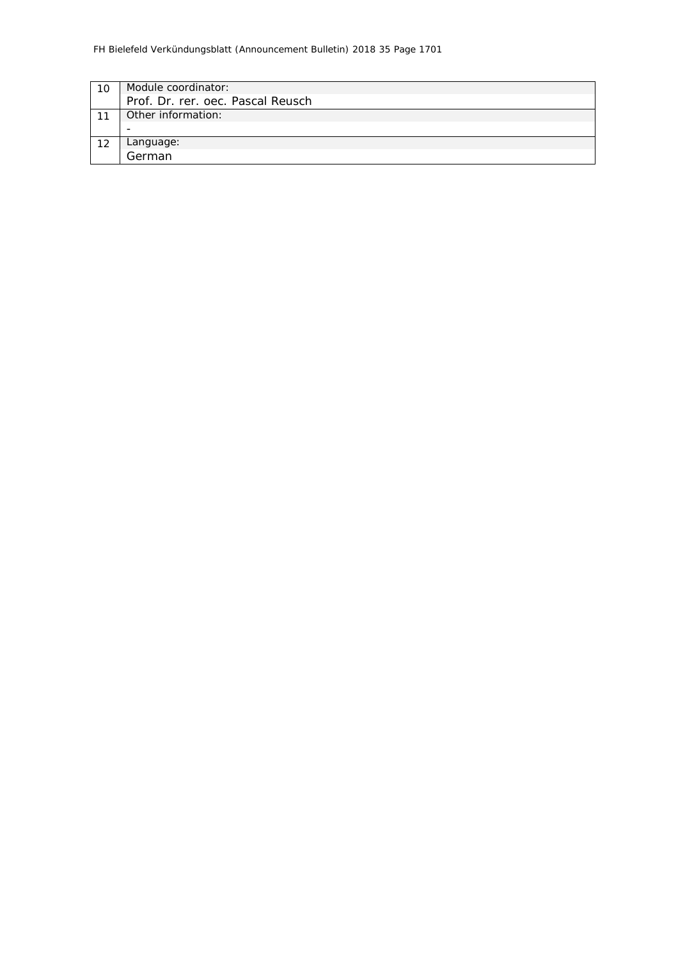| Module coordinator:               |
|-----------------------------------|
| Prof. Dr. rer. oec. Pascal Reusch |
| Other information:                |
|                                   |
| Language:                         |
| German                            |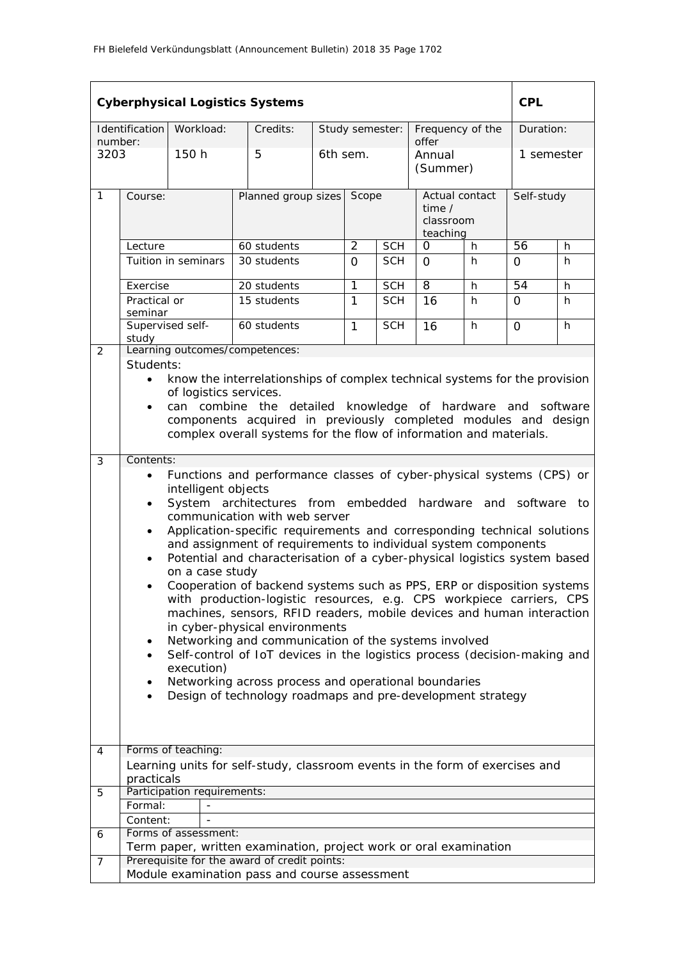|                | <b>Cyberphysical Logistics Systems</b><br><b>CPL</b>                                                                                 |                             |                                                                                                                                                |  |                |                 |                           |    |                 |    |
|----------------|--------------------------------------------------------------------------------------------------------------------------------------|-----------------------------|------------------------------------------------------------------------------------------------------------------------------------------------|--|----------------|-----------------|---------------------------|----|-----------------|----|
| number:        | Identification                                                                                                                       | Workload:                   | Credits:                                                                                                                                       |  |                | Study semester: | Frequency of the<br>offer |    | Duration:       |    |
| 3203           |                                                                                                                                      | 150 h                       | 5                                                                                                                                              |  | 6th sem.       |                 | Annual<br>(Summer)        |    | 1 semester      |    |
| $\mathbf{1}$   | Course:                                                                                                                              |                             | Planned group sizes<br>Scope<br>Actual contact<br>time $/$<br>classroom<br>teaching                                                            |  |                | Self-study      |                           |    |                 |    |
|                | Lecture                                                                                                                              |                             | 60 students                                                                                                                                    |  | $\overline{2}$ | <b>SCH</b>      | $\overline{O}$            | h  | $\overline{56}$ | h  |
|                |                                                                                                                                      | Tuition in seminars         | 30 students                                                                                                                                    |  | $\Omega$       | <b>SCH</b>      | $\Omega$                  | h. | 0               | h. |
|                | Exercise                                                                                                                             |                             | 20 students                                                                                                                                    |  | 1              | <b>SCH</b>      | 8                         | h  | $\overline{54}$ | h  |
|                | Practical or<br>seminar                                                                                                              |                             | 15 students                                                                                                                                    |  | 1              | <b>SCH</b>      | 16                        | h  | 0               | h. |
|                | Supervised self-<br>study                                                                                                            |                             | 60 students                                                                                                                                    |  | 1              | <b>SCH</b>      | 16                        | h  | $\Omega$        | h  |
| 2              |                                                                                                                                      |                             | Learning outcomes/competences:                                                                                                                 |  |                |                 |                           |    |                 |    |
|                | Students:<br>$\bullet$                                                                                                               |                             |                                                                                                                                                |  |                |                 |                           |    |                 |    |
|                |                                                                                                                                      | of logistics services.      | know the interrelationships of complex technical systems for the provision                                                                     |  |                |                 |                           |    |                 |    |
|                | $\bullet$                                                                                                                            |                             | can combine the detailed knowledge of hardware and software                                                                                    |  |                |                 |                           |    |                 |    |
|                | components acquired in previously completed modules and design<br>complex overall systems for the flow of information and materials. |                             |                                                                                                                                                |  |                |                 |                           |    |                 |    |
|                |                                                                                                                                      |                             |                                                                                                                                                |  |                |                 |                           |    |                 |    |
| 3              | Contents:                                                                                                                            |                             |                                                                                                                                                |  |                |                 |                           |    |                 |    |
|                | Functions and performance classes of cyber-physical systems (CPS) or<br>$\bullet$<br>intelligent objects                             |                             |                                                                                                                                                |  |                |                 |                           |    |                 |    |
|                | $\bullet$                                                                                                                            |                             | System architectures from embedded hardware and software to                                                                                    |  |                |                 |                           |    |                 |    |
|                |                                                                                                                                      |                             | communication with web server                                                                                                                  |  |                |                 |                           |    |                 |    |
|                | $\bullet$                                                                                                                            |                             | Application-specific requirements and corresponding technical solutions<br>and assignment of requirements to individual system components      |  |                |                 |                           |    |                 |    |
|                | $\bullet$                                                                                                                            |                             | Potential and characterisation of a cyber-physical logistics system based                                                                      |  |                |                 |                           |    |                 |    |
|                |                                                                                                                                      | on a case study             |                                                                                                                                                |  |                |                 |                           |    |                 |    |
|                |                                                                                                                                      |                             | Cooperation of backend systems such as PPS, ERP or disposition systems<br>with production-logistic resources, e.g. CPS workpiece carriers, CPS |  |                |                 |                           |    |                 |    |
|                |                                                                                                                                      |                             | machines, sensors, RFID readers, mobile devices and human interaction                                                                          |  |                |                 |                           |    |                 |    |
|                |                                                                                                                                      |                             | in cyber-physical environments                                                                                                                 |  |                |                 |                           |    |                 |    |
|                | $\bullet$<br>$\bullet$                                                                                                               |                             | Networking and communication of the systems involved<br>Self-control of IoT devices in the logistics process (decision-making and              |  |                |                 |                           |    |                 |    |
|                |                                                                                                                                      | execution)                  |                                                                                                                                                |  |                |                 |                           |    |                 |    |
|                |                                                                                                                                      |                             | Networking across process and operational boundaries                                                                                           |  |                |                 |                           |    |                 |    |
|                | $\bullet$                                                                                                                            |                             | Design of technology roadmaps and pre-development strategy                                                                                     |  |                |                 |                           |    |                 |    |
|                |                                                                                                                                      |                             |                                                                                                                                                |  |                |                 |                           |    |                 |    |
| 4              |                                                                                                                                      | Forms of teaching:          |                                                                                                                                                |  |                |                 |                           |    |                 |    |
|                |                                                                                                                                      |                             | Learning units for self-study, classroom events in the form of exercises and                                                                   |  |                |                 |                           |    |                 |    |
|                | practicals                                                                                                                           |                             |                                                                                                                                                |  |                |                 |                           |    |                 |    |
| 5              |                                                                                                                                      | Participation requirements: |                                                                                                                                                |  |                |                 |                           |    |                 |    |
|                | Formal:<br>Content:                                                                                                                  |                             |                                                                                                                                                |  |                |                 |                           |    |                 |    |
| 6              |                                                                                                                                      | Forms of assessment:        |                                                                                                                                                |  |                |                 |                           |    |                 |    |
|                |                                                                                                                                      |                             | Term paper, written examination, project work or oral examination                                                                              |  |                |                 |                           |    |                 |    |
| $\overline{7}$ |                                                                                                                                      |                             | Prerequisite for the award of credit points:<br>Module examination pass and course assessment                                                  |  |                |                 |                           |    |                 |    |
|                |                                                                                                                                      |                             |                                                                                                                                                |  |                |                 |                           |    |                 |    |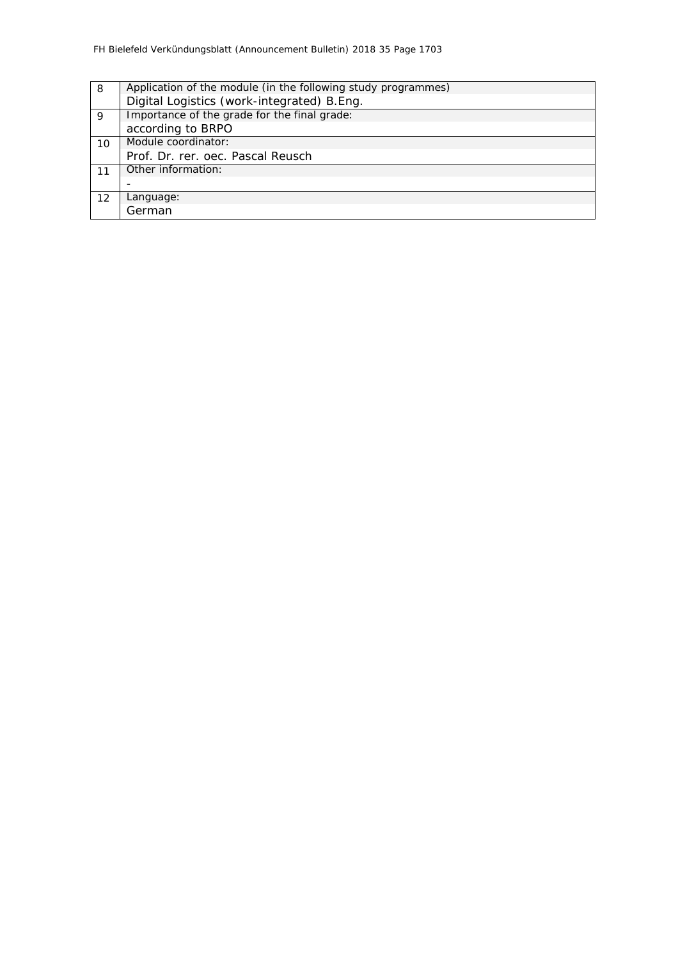| 8  | Application of the module (in the following study programmes) |
|----|---------------------------------------------------------------|
|    | Digital Logistics (work-integrated) B.Eng.                    |
| 9  | Importance of the grade for the final grade:                  |
|    | according to BRPO                                             |
| 10 | Module coordinator:                                           |
|    | Prof. Dr. rer. oec. Pascal Reusch                             |
| 11 | Other information:                                            |
|    |                                                               |
| 12 | Language:                                                     |
|    | German                                                        |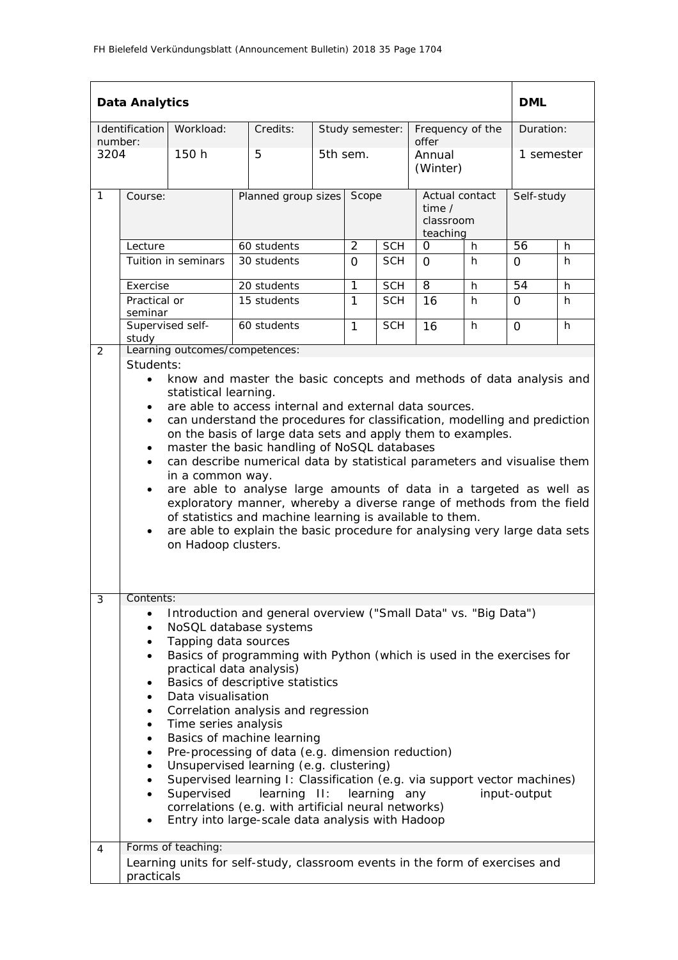|                     | <b>Data Analytics</b>                                                                                                                                                                                                                                                                                                                                                                                                                                                                                                                                                                                                                                                                                                                                                                                                                                |                     |                                                                              |                     |                 |            |                                                          |    | <b>DML</b> |            |  |
|---------------------|------------------------------------------------------------------------------------------------------------------------------------------------------------------------------------------------------------------------------------------------------------------------------------------------------------------------------------------------------------------------------------------------------------------------------------------------------------------------------------------------------------------------------------------------------------------------------------------------------------------------------------------------------------------------------------------------------------------------------------------------------------------------------------------------------------------------------------------------------|---------------------|------------------------------------------------------------------------------|---------------------|-----------------|------------|----------------------------------------------------------|----|------------|------------|--|
|                     | Identification                                                                                                                                                                                                                                                                                                                                                                                                                                                                                                                                                                                                                                                                                                                                                                                                                                       | Workload:           | Credits:                                                                     |                     | Study semester: |            | Frequency of the                                         |    | Duration:  |            |  |
| number:<br>3204     |                                                                                                                                                                                                                                                                                                                                                                                                                                                                                                                                                                                                                                                                                                                                                                                                                                                      | 150 h               | 5                                                                            |                     | 5th sem.        |            | offer<br>Annual<br>(Winter)                              |    | 1 semester |            |  |
| $\mathbf{1}$        | Course:                                                                                                                                                                                                                                                                                                                                                                                                                                                                                                                                                                                                                                                                                                                                                                                                                                              |                     |                                                                              | Planned group sizes |                 | Scope      | Actual contact<br>time $\prime$<br>classroom<br>teaching |    |            | Self-study |  |
|                     | Lecture                                                                                                                                                                                                                                                                                                                                                                                                                                                                                                                                                                                                                                                                                                                                                                                                                                              |                     | 60 students                                                                  |                     | $\overline{2}$  | <b>SCH</b> | $\Omega$                                                 | h  | 56         | h.         |  |
|                     |                                                                                                                                                                                                                                                                                                                                                                                                                                                                                                                                                                                                                                                                                                                                                                                                                                                      | Tuition in seminars | 30 students                                                                  |                     | $\Omega$        | <b>SCH</b> | $\Omega$                                                 | h. | 0          | h.         |  |
|                     | Exercise                                                                                                                                                                                                                                                                                                                                                                                                                                                                                                                                                                                                                                                                                                                                                                                                                                             |                     | 20 students                                                                  |                     | $\mathbf{1}$    | <b>SCH</b> | $\overline{8}$                                           | h  | 54         | h          |  |
|                     | Practical or<br>seminar                                                                                                                                                                                                                                                                                                                                                                                                                                                                                                                                                                                                                                                                                                                                                                                                                              |                     | 15 students                                                                  |                     | $\mathbf{1}$    | <b>SCH</b> | 16                                                       | h  | 0          | h          |  |
|                     | Supervised self-<br>60 students<br>study                                                                                                                                                                                                                                                                                                                                                                                                                                                                                                                                                                                                                                                                                                                                                                                                             |                     | $\mathbf{1}$                                                                 | <b>SCH</b>          | 16              | h          | 0                                                        | h. |            |            |  |
| 2                   | Students:                                                                                                                                                                                                                                                                                                                                                                                                                                                                                                                                                                                                                                                                                                                                                                                                                                            |                     | Learning outcomes/competences:                                               |                     |                 |            |                                                          |    |            |            |  |
|                     | are able to access internal and external data sources.<br>$\bullet$<br>can understand the procedures for classification, modelling and prediction<br>$\bullet$<br>on the basis of large data sets and apply them to examples.<br>master the basic handling of NoSQL databases<br>$\bullet$<br>can describe numerical data by statistical parameters and visualise them<br>$\bullet$<br>in a common way.<br>are able to analyse large amounts of data in a targeted as well as<br>$\bullet$<br>exploratory manner, whereby a diverse range of methods from the field<br>of statistics and machine learning is available to them.<br>are able to explain the basic procedure for analysing very large data sets<br>$\bullet$<br>on Hadoop clusters.                                                                                                    |                     |                                                                              |                     |                 |            |                                                          |    |            |            |  |
| $\mathfrak{Z}$<br>4 | Contents:<br>Introduction and general overview ("Small Data" vs. "Big Data")<br>NoSQL database systems<br>$\bullet$<br>Tapping data sources<br>٠<br>Basics of programming with Python (which is used in the exercises for<br>$\bullet$<br>practical data analysis)<br>Basics of descriptive statistics<br>٠<br>Data visualisation<br>٠<br>Correlation analysis and regression<br>٠<br>Time series analysis<br>٠<br>Basics of machine learning<br>٠<br>Pre-processing of data (e.g. dimension reduction)<br>٠<br>Unsupervised learning (e.g. clustering)<br>٠<br>Supervised learning I: Classification (e.g. via support vector machines)<br>Supervised<br>learning II:<br>input-output<br>learning any<br>correlations (e.g. with artificial neural networks)<br>Entry into large-scale data analysis with Hadoop<br>$\bullet$<br>Forms of teaching: |                     |                                                                              |                     |                 |            |                                                          |    |            |            |  |
|                     | practicals                                                                                                                                                                                                                                                                                                                                                                                                                                                                                                                                                                                                                                                                                                                                                                                                                                           |                     | Learning units for self-study, classroom events in the form of exercises and |                     |                 |            |                                                          |    |            |            |  |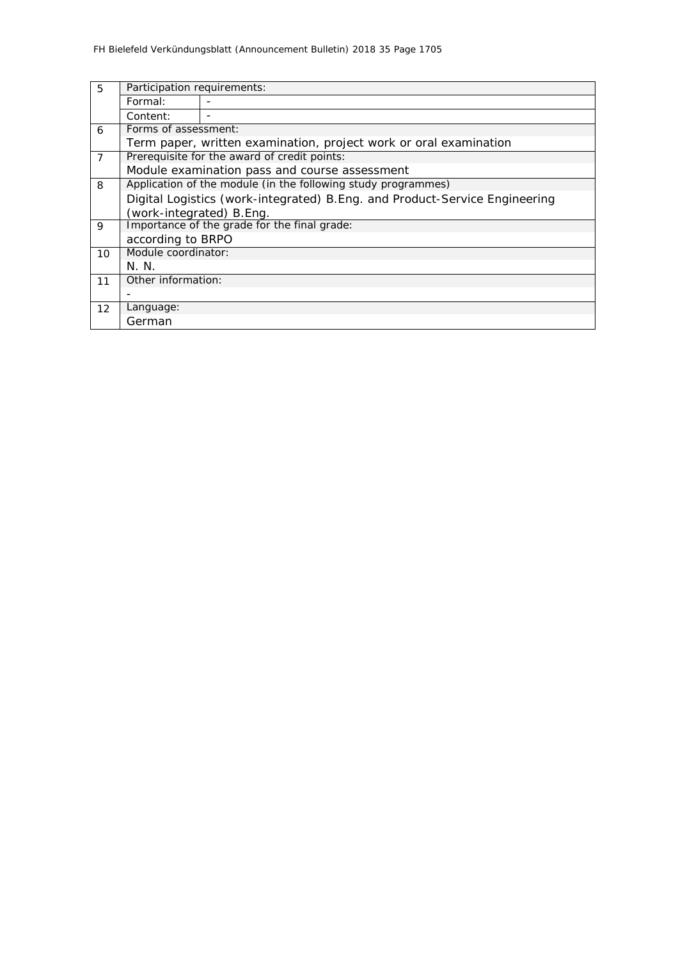| 5              | Participation requirements:                                                 |                                               |  |  |  |  |  |  |  |
|----------------|-----------------------------------------------------------------------------|-----------------------------------------------|--|--|--|--|--|--|--|
|                | Formal:                                                                     |                                               |  |  |  |  |  |  |  |
|                | Content:                                                                    |                                               |  |  |  |  |  |  |  |
| 6              | Forms of assessment:                                                        |                                               |  |  |  |  |  |  |  |
|                | Term paper, written examination, project work or oral examination           |                                               |  |  |  |  |  |  |  |
| $\overline{7}$ |                                                                             | Prerequisite for the award of credit points:  |  |  |  |  |  |  |  |
|                |                                                                             | Module examination pass and course assessment |  |  |  |  |  |  |  |
| 8              | Application of the module (in the following study programmes)               |                                               |  |  |  |  |  |  |  |
|                | Digital Logistics (work-integrated) B. Eng. and Product-Service Engineering |                                               |  |  |  |  |  |  |  |
|                | (work-integrated) B.Eng.                                                    |                                               |  |  |  |  |  |  |  |
| 9              |                                                                             | Importance of the grade for the final grade:  |  |  |  |  |  |  |  |
|                | according to BRPO                                                           |                                               |  |  |  |  |  |  |  |
| 10             | Module coordinator:                                                         |                                               |  |  |  |  |  |  |  |
|                | N.N.                                                                        |                                               |  |  |  |  |  |  |  |
| 11             | Other information:                                                          |                                               |  |  |  |  |  |  |  |
|                |                                                                             |                                               |  |  |  |  |  |  |  |
| 12             | Language:                                                                   |                                               |  |  |  |  |  |  |  |
|                | German                                                                      |                                               |  |  |  |  |  |  |  |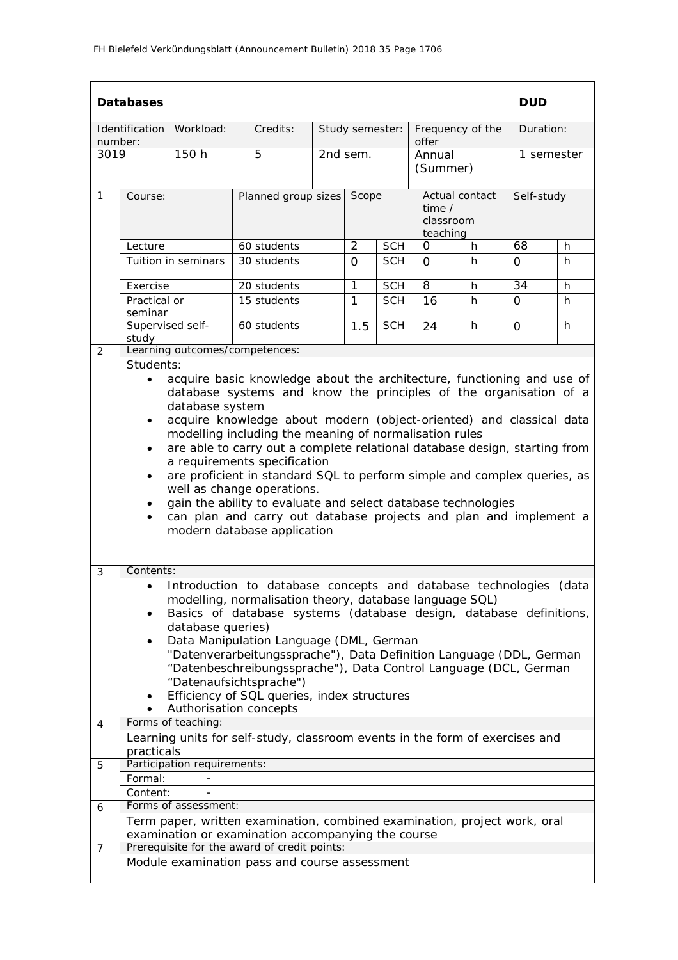|                 | <b>Databases</b>                                                                                                                                                                                                                                                                                                                                                                                                                                                                                                                                                                                                                                                                                                                                                           |                             |                                                                                                                                                                                                                                                                                                                                                                                                                                                                                        |                     |                 |            |                                                     |    | <b>DUD</b> |            |  |
|-----------------|----------------------------------------------------------------------------------------------------------------------------------------------------------------------------------------------------------------------------------------------------------------------------------------------------------------------------------------------------------------------------------------------------------------------------------------------------------------------------------------------------------------------------------------------------------------------------------------------------------------------------------------------------------------------------------------------------------------------------------------------------------------------------|-----------------------------|----------------------------------------------------------------------------------------------------------------------------------------------------------------------------------------------------------------------------------------------------------------------------------------------------------------------------------------------------------------------------------------------------------------------------------------------------------------------------------------|---------------------|-----------------|------------|-----------------------------------------------------|----|------------|------------|--|
|                 | Identification                                                                                                                                                                                                                                                                                                                                                                                                                                                                                                                                                                                                                                                                                                                                                             | Workload:                   | Credits:                                                                                                                                                                                                                                                                                                                                                                                                                                                                               |                     | Study semester: |            | Frequency of the<br>offer                           |    |            | Duration:  |  |
| number:<br>3019 |                                                                                                                                                                                                                                                                                                                                                                                                                                                                                                                                                                                                                                                                                                                                                                            | 150 h                       | 5                                                                                                                                                                                                                                                                                                                                                                                                                                                                                      |                     | 2nd sem.        |            | Annual<br>(Summer)                                  |    |            | 1 semester |  |
| $\mathbf{1}$    | Course:                                                                                                                                                                                                                                                                                                                                                                                                                                                                                                                                                                                                                                                                                                                                                                    |                             |                                                                                                                                                                                                                                                                                                                                                                                                                                                                                        | Planned group sizes |                 | Scope      | Actual contact<br>time $/$<br>classroom<br>teaching |    |            | Self-study |  |
|                 | Lecture                                                                                                                                                                                                                                                                                                                                                                                                                                                                                                                                                                                                                                                                                                                                                                    |                             | 60 students                                                                                                                                                                                                                                                                                                                                                                                                                                                                            |                     | $\overline{2}$  | <b>SCH</b> | O                                                   | h. | 68         | h          |  |
|                 |                                                                                                                                                                                                                                                                                                                                                                                                                                                                                                                                                                                                                                                                                                                                                                            | Tuition in seminars         | 30 students                                                                                                                                                                                                                                                                                                                                                                                                                                                                            |                     | $\Omega$        | <b>SCH</b> | $\Omega$                                            | h. | $\Omega$   | h          |  |
|                 | Exercise                                                                                                                                                                                                                                                                                                                                                                                                                                                                                                                                                                                                                                                                                                                                                                   |                             | 20 students                                                                                                                                                                                                                                                                                                                                                                                                                                                                            |                     | 1               | <b>SCH</b> | $\overline{8}$                                      | h  | 34         | h          |  |
|                 | Practical or<br>seminar                                                                                                                                                                                                                                                                                                                                                                                                                                                                                                                                                                                                                                                                                                                                                    |                             | 15 students                                                                                                                                                                                                                                                                                                                                                                                                                                                                            |                     | 1               | <b>SCH</b> | 16                                                  | h. | $\Omega$   | h.         |  |
|                 | Supervised self-<br>study                                                                                                                                                                                                                                                                                                                                                                                                                                                                                                                                                                                                                                                                                                                                                  |                             | 60 students                                                                                                                                                                                                                                                                                                                                                                                                                                                                            |                     | 1.5             | <b>SCH</b> | 24                                                  | h  | 0          | h          |  |
| 2               |                                                                                                                                                                                                                                                                                                                                                                                                                                                                                                                                                                                                                                                                                                                                                                            |                             | Learning outcomes/competences:                                                                                                                                                                                                                                                                                                                                                                                                                                                         |                     |                 |            |                                                     |    |            |            |  |
|                 | Students:<br>acquire basic knowledge about the architecture, functioning and use of<br>$\bullet$<br>database systems and know the principles of the organisation of a<br>database system<br>acquire knowledge about modern (object-oriented) and classical data<br>$\bullet$<br>modelling including the meaning of normalisation rules<br>are able to carry out a complete relational database design, starting from<br>$\bullet$<br>a requirements specification<br>are proficient in standard SQL to perform simple and complex queries, as<br>$\bullet$<br>well as change operations.<br>gain the ability to evaluate and select database technologies<br>can plan and carry out database projects and plan and implement a<br>$\bullet$<br>modern database application |                             |                                                                                                                                                                                                                                                                                                                                                                                                                                                                                        |                     |                 |            |                                                     |    |            |            |  |
| 3               | Contents:<br>$\bullet$<br>$\bullet$                                                                                                                                                                                                                                                                                                                                                                                                                                                                                                                                                                                                                                                                                                                                        | database queries)           | Introduction to database concepts and database technologies<br>modelling, normalisation theory, database language SQL)<br>Basics of database systems (database design, database definitions,<br>Data Manipulation Language (DML, German<br>"Datenverarbeitungssprache"), Data Definition Language (DDL, German<br>"Datenbeschreibungssprache"), Data Control Language (DCL, German<br>"Datenaufsichtsprache")<br>Efficiency of SQL queries, index structures<br>Authorisation concepts |                     |                 |            |                                                     |    |            | (data      |  |
| 4               |                                                                                                                                                                                                                                                                                                                                                                                                                                                                                                                                                                                                                                                                                                                                                                            | Forms of teaching:          |                                                                                                                                                                                                                                                                                                                                                                                                                                                                                        |                     |                 |            |                                                     |    |            |            |  |
|                 | practicals                                                                                                                                                                                                                                                                                                                                                                                                                                                                                                                                                                                                                                                                                                                                                                 |                             | Learning units for self-study, classroom events in the form of exercises and                                                                                                                                                                                                                                                                                                                                                                                                           |                     |                 |            |                                                     |    |            |            |  |
| 5               |                                                                                                                                                                                                                                                                                                                                                                                                                                                                                                                                                                                                                                                                                                                                                                            | Participation requirements: |                                                                                                                                                                                                                                                                                                                                                                                                                                                                                        |                     |                 |            |                                                     |    |            |            |  |
|                 | Formal:                                                                                                                                                                                                                                                                                                                                                                                                                                                                                                                                                                                                                                                                                                                                                                    |                             |                                                                                                                                                                                                                                                                                                                                                                                                                                                                                        |                     |                 |            |                                                     |    |            |            |  |
| 6               | Content:                                                                                                                                                                                                                                                                                                                                                                                                                                                                                                                                                                                                                                                                                                                                                                   | Forms of assessment:        |                                                                                                                                                                                                                                                                                                                                                                                                                                                                                        |                     |                 |            |                                                     |    |            |            |  |
|                 |                                                                                                                                                                                                                                                                                                                                                                                                                                                                                                                                                                                                                                                                                                                                                                            |                             | Term paper, written examination, combined examination, project work, oral<br>examination or examination accompanying the course                                                                                                                                                                                                                                                                                                                                                        |                     |                 |            |                                                     |    |            |            |  |
| $\overline{7}$  |                                                                                                                                                                                                                                                                                                                                                                                                                                                                                                                                                                                                                                                                                                                                                                            |                             | Prerequisite for the award of credit points:<br>Module examination pass and course assessment                                                                                                                                                                                                                                                                                                                                                                                          |                     |                 |            |                                                     |    |            |            |  |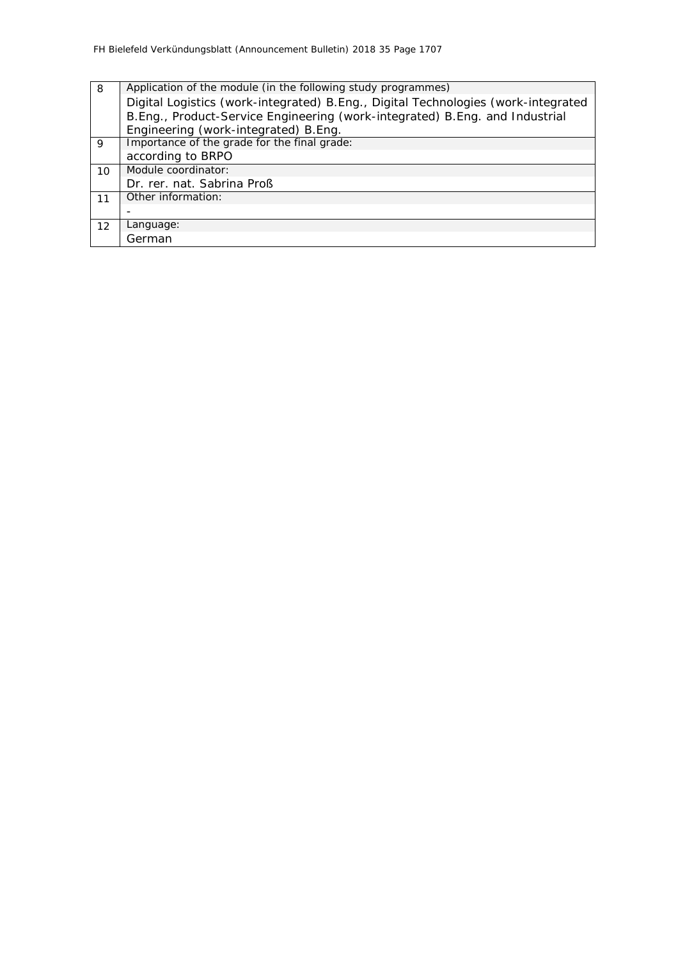| 8  | Application of the module (in the following study programmes)                     |  |  |  |  |  |  |  |  |
|----|-----------------------------------------------------------------------------------|--|--|--|--|--|--|--|--|
|    | Digital Logistics (work-integrated) B.Eng., Digital Technologies (work-integrated |  |  |  |  |  |  |  |  |
|    | B.Eng., Product-Service Engineering (work-integrated) B.Eng. and Industrial       |  |  |  |  |  |  |  |  |
|    | Engineering (work-integrated) B.Eng.                                              |  |  |  |  |  |  |  |  |
| 9  | Importance of the grade for the final grade:                                      |  |  |  |  |  |  |  |  |
|    | according to BRPO                                                                 |  |  |  |  |  |  |  |  |
| 10 | Module coordinator:                                                               |  |  |  |  |  |  |  |  |
|    | Dr. rer. nat. Sabrina Proß                                                        |  |  |  |  |  |  |  |  |
| 11 | Other information:                                                                |  |  |  |  |  |  |  |  |
|    |                                                                                   |  |  |  |  |  |  |  |  |
| 12 | Language:                                                                         |  |  |  |  |  |  |  |  |
|    | German                                                                            |  |  |  |  |  |  |  |  |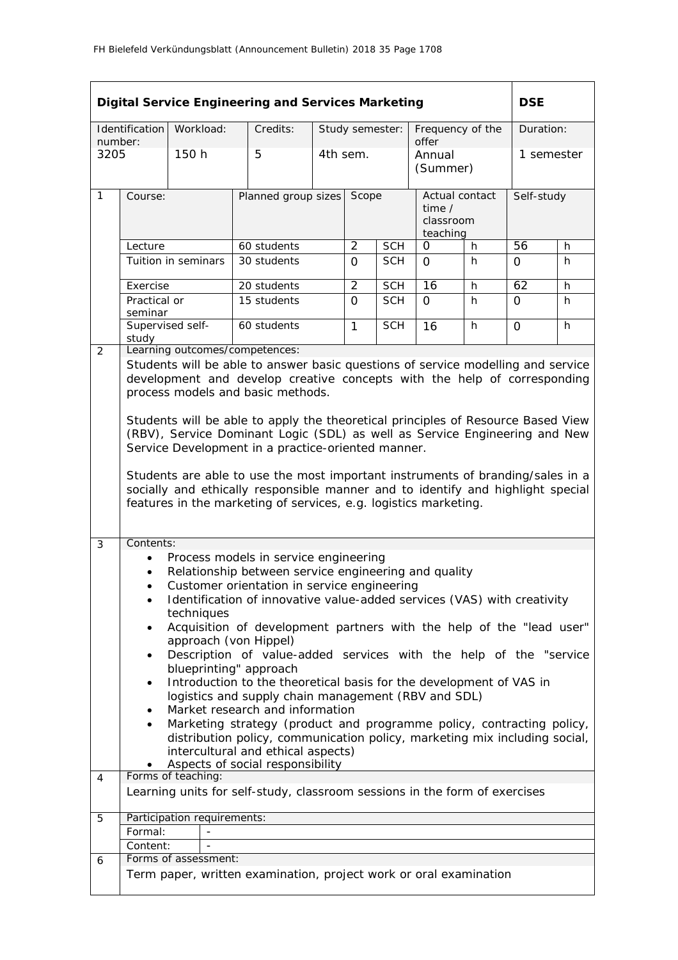|                                          |                                                                                                                                                     |                             | <b>Digital Service Engineering and Services Marketing</b>                                                     |                     |                 |            |                                                     |   | <b>DSE</b> |            |  |
|------------------------------------------|-----------------------------------------------------------------------------------------------------------------------------------------------------|-----------------------------|---------------------------------------------------------------------------------------------------------------|---------------------|-----------------|------------|-----------------------------------------------------|---|------------|------------|--|
| number:                                  | Identification                                                                                                                                      | Workload:                   | Credits:                                                                                                      |                     | Study semester: |            | Frequency of the<br>offer                           |   |            | Duration:  |  |
| 3205                                     |                                                                                                                                                     | 150 h                       | 5                                                                                                             |                     | 4th sem.        |            | Annual<br>(Summer)                                  |   |            | 1 semester |  |
| $\mathbf{1}$                             | Course:                                                                                                                                             |                             |                                                                                                               | Planned group sizes |                 | Scope      | Actual contact<br>time $/$<br>classroom<br>teaching |   |            | Self-study |  |
|                                          | Lecture                                                                                                                                             |                             | 60 students                                                                                                   |                     | $\overline{2}$  | <b>SCH</b> | O                                                   | h | 56         | h          |  |
|                                          |                                                                                                                                                     | Tuition in seminars         | 30 students                                                                                                   |                     | $\Omega$        | <b>SCH</b> | $\Omega$                                            | h | $\Omega$   | h          |  |
|                                          | Exercise                                                                                                                                            |                             | 20 students                                                                                                   |                     | $\overline{2}$  | <b>SCH</b> | 16                                                  | h | 62         | h          |  |
|                                          | Practical or<br>seminar                                                                                                                             |                             | 15 students                                                                                                   |                     | $\Omega$        | <b>SCH</b> | $\Omega$                                            | h | $\Omega$   | h          |  |
| Supervised self-<br>60 students<br>study |                                                                                                                                                     | $\mathbf{1}$                | <b>SCH</b>                                                                                                    | 16                  | h               | $\Omega$   | h                                                   |   |            |            |  |
| $\overline{2}$                           |                                                                                                                                                     |                             | Learning outcomes/competences:                                                                                |                     |                 |            |                                                     |   |            |            |  |
|                                          |                                                                                                                                                     |                             | Students will be able to answer basic questions of service modelling and service                              |                     |                 |            |                                                     |   |            |            |  |
|                                          |                                                                                                                                                     |                             | development and develop creative concepts with the help of corresponding<br>process models and basic methods. |                     |                 |            |                                                     |   |            |            |  |
|                                          |                                                                                                                                                     |                             |                                                                                                               |                     |                 |            |                                                     |   |            |            |  |
|                                          | Students will be able to apply the theoretical principles of Resource Based View                                                                    |                             |                                                                                                               |                     |                 |            |                                                     |   |            |            |  |
|                                          | (RBV), Service Dominant Logic (SDL) as well as Service Engineering and New                                                                          |                             |                                                                                                               |                     |                 |            |                                                     |   |            |            |  |
|                                          | Service Development in a practice-oriented manner.                                                                                                  |                             |                                                                                                               |                     |                 |            |                                                     |   |            |            |  |
|                                          | Students are able to use the most important instruments of branding/sales in a                                                                      |                             |                                                                                                               |                     |                 |            |                                                     |   |            |            |  |
|                                          | socially and ethically responsible manner and to identify and highlight special                                                                     |                             |                                                                                                               |                     |                 |            |                                                     |   |            |            |  |
|                                          | features in the marketing of services, e.g. logistics marketing.                                                                                    |                             |                                                                                                               |                     |                 |            |                                                     |   |            |            |  |
|                                          |                                                                                                                                                     |                             |                                                                                                               |                     |                 |            |                                                     |   |            |            |  |
| 3                                        | Contents:                                                                                                                                           |                             | Process models in service engineering                                                                         |                     |                 |            |                                                     |   |            |            |  |
|                                          |                                                                                                                                                     |                             | Relationship between service engineering and quality                                                          |                     |                 |            |                                                     |   |            |            |  |
|                                          |                                                                                                                                                     |                             | Customer orientation in service engineering                                                                   |                     |                 |            |                                                     |   |            |            |  |
|                                          | ٠                                                                                                                                                   |                             | Identification of innovative value-added services (VAS) with creativity                                       |                     |                 |            |                                                     |   |            |            |  |
|                                          | ٠                                                                                                                                                   | techniques                  | Acquisition of development partners with the help of the "lead user"                                          |                     |                 |            |                                                     |   |            |            |  |
|                                          |                                                                                                                                                     |                             | approach (von Hippel)                                                                                         |                     |                 |            |                                                     |   |            |            |  |
|                                          | $\bullet$                                                                                                                                           |                             | Description of value-added services with the help of the "service                                             |                     |                 |            |                                                     |   |            |            |  |
|                                          | $\bullet$                                                                                                                                           |                             | blueprinting" approach<br>Introduction to the theoretical basis for the development of VAS in                 |                     |                 |            |                                                     |   |            |            |  |
|                                          |                                                                                                                                                     |                             | logistics and supply chain management (RBV and SDL)                                                           |                     |                 |            |                                                     |   |            |            |  |
|                                          |                                                                                                                                                     |                             | Market research and information                                                                               |                     |                 |            |                                                     |   |            |            |  |
|                                          | Marketing strategy (product and programme policy, contracting policy,<br>distribution policy, communication policy, marketing mix including social, |                             |                                                                                                               |                     |                 |            |                                                     |   |            |            |  |
|                                          | intercultural and ethical aspects)                                                                                                                  |                             |                                                                                                               |                     |                 |            |                                                     |   |            |            |  |
|                                          |                                                                                                                                                     |                             | Aspects of social responsibility                                                                              |                     |                 |            |                                                     |   |            |            |  |
| 4                                        |                                                                                                                                                     | Forms of teaching:          | Learning units for self-study, classroom sessions in the form of exercises                                    |                     |                 |            |                                                     |   |            |            |  |
|                                          |                                                                                                                                                     |                             |                                                                                                               |                     |                 |            |                                                     |   |            |            |  |
| 5                                        | Formal:                                                                                                                                             | Participation requirements: |                                                                                                               |                     |                 |            |                                                     |   |            |            |  |
|                                          | Content:                                                                                                                                            |                             |                                                                                                               |                     |                 |            |                                                     |   |            |            |  |
| 6                                        |                                                                                                                                                     | Forms of assessment:        |                                                                                                               |                     |                 |            |                                                     |   |            |            |  |
|                                          |                                                                                                                                                     |                             | Term paper, written examination, project work or oral examination                                             |                     |                 |            |                                                     |   |            |            |  |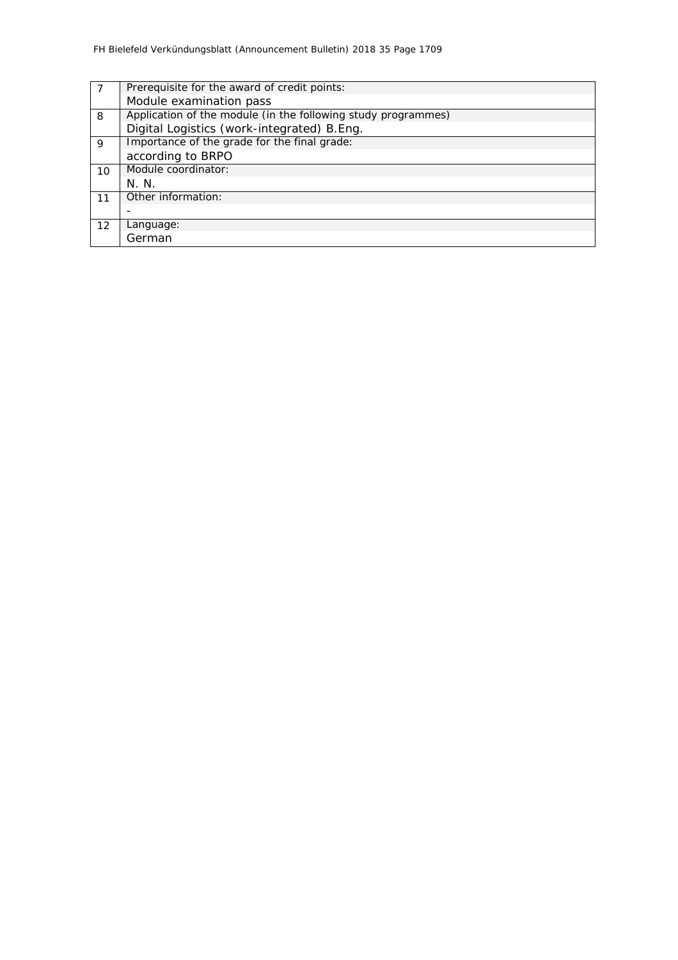|         | Prerequisite for the award of credit points:                  |  |  |  |  |  |  |
|---------|---------------------------------------------------------------|--|--|--|--|--|--|
|         | Module examination pass                                       |  |  |  |  |  |  |
| 8       | Application of the module (in the following study programmes) |  |  |  |  |  |  |
|         | Digital Logistics (work-integrated) B.Eng.                    |  |  |  |  |  |  |
| 9       | Importance of the grade for the final grade:                  |  |  |  |  |  |  |
|         | according to BRPO                                             |  |  |  |  |  |  |
| $10 \,$ | Module coordinator:                                           |  |  |  |  |  |  |
|         | N. N.                                                         |  |  |  |  |  |  |
| 11      | Other information:                                            |  |  |  |  |  |  |
|         |                                                               |  |  |  |  |  |  |
| 12      | Language:                                                     |  |  |  |  |  |  |
|         | German                                                        |  |  |  |  |  |  |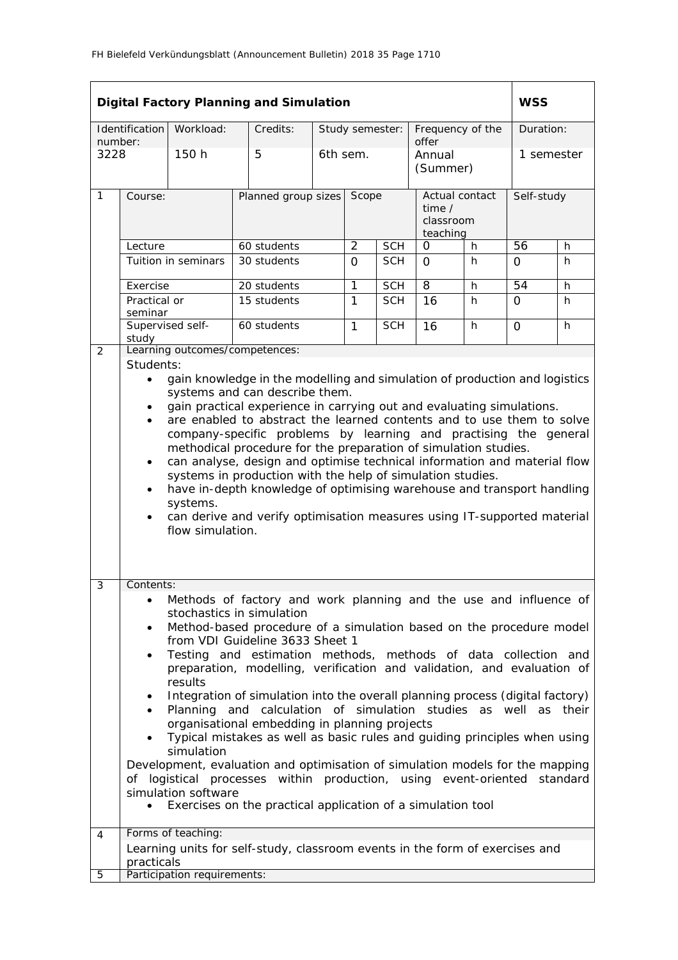|                 |                                                                                                                                                                                                                                                                                                                                                                                                                                                                                                                                                                                                                                                                                                                                                                                                                                                                                                                                                      |                             | <b>Digital Factory Planning and Simulation</b>                               |                     |                 |            |                                                     |   | <b>WSS</b>      |            |  |
|-----------------|------------------------------------------------------------------------------------------------------------------------------------------------------------------------------------------------------------------------------------------------------------------------------------------------------------------------------------------------------------------------------------------------------------------------------------------------------------------------------------------------------------------------------------------------------------------------------------------------------------------------------------------------------------------------------------------------------------------------------------------------------------------------------------------------------------------------------------------------------------------------------------------------------------------------------------------------------|-----------------------------|------------------------------------------------------------------------------|---------------------|-----------------|------------|-----------------------------------------------------|---|-----------------|------------|--|
|                 | Identification                                                                                                                                                                                                                                                                                                                                                                                                                                                                                                                                                                                                                                                                                                                                                                                                                                                                                                                                       | Workload:                   | Credits:                                                                     |                     | Study semester: |            | Frequency of the<br>offer                           |   |                 | Duration:  |  |
| number:<br>3228 |                                                                                                                                                                                                                                                                                                                                                                                                                                                                                                                                                                                                                                                                                                                                                                                                                                                                                                                                                      | 150 h                       | 5                                                                            |                     | 6th sem.        |            | Annual<br>(Summer)                                  |   | 1 semester      |            |  |
| $\mathbf{1}$    | Course:                                                                                                                                                                                                                                                                                                                                                                                                                                                                                                                                                                                                                                                                                                                                                                                                                                                                                                                                              |                             |                                                                              | Planned group sizes |                 | Scope      | Actual contact<br>time $/$<br>classroom<br>teaching |   |                 | Self-study |  |
|                 | Lecture                                                                                                                                                                                                                                                                                                                                                                                                                                                                                                                                                                                                                                                                                                                                                                                                                                                                                                                                              |                             | 60 students                                                                  |                     | $\overline{2}$  | <b>SCH</b> | O                                                   | h | $\overline{56}$ | h.         |  |
|                 |                                                                                                                                                                                                                                                                                                                                                                                                                                                                                                                                                                                                                                                                                                                                                                                                                                                                                                                                                      | Tuition in seminars         | 30 students                                                                  |                     | $\Omega$        | <b>SCH</b> | $\Omega$                                            | h | $\Omega$        | h          |  |
|                 | Exercise                                                                                                                                                                                                                                                                                                                                                                                                                                                                                                                                                                                                                                                                                                                                                                                                                                                                                                                                             |                             | 20 students                                                                  |                     | 1               | <b>SCH</b> | 8                                                   | h | 54              | h          |  |
|                 | Practical or<br>seminar                                                                                                                                                                                                                                                                                                                                                                                                                                                                                                                                                                                                                                                                                                                                                                                                                                                                                                                              |                             | 15 students                                                                  |                     | $\mathbf{1}$    | <b>SCH</b> | 16                                                  | h | $\Omega$        | h.         |  |
|                 | study                                                                                                                                                                                                                                                                                                                                                                                                                                                                                                                                                                                                                                                                                                                                                                                                                                                                                                                                                | Supervised self-            | 60 students                                                                  |                     | $\mathbf{1}$    | <b>SCH</b> | 16                                                  | h | $\Omega$        | h          |  |
| 2               | Learning outcomes/competences:<br>Students:<br>gain knowledge in the modelling and simulation of production and logistics<br>$\bullet$<br>systems and can describe them.<br>gain practical experience in carrying out and evaluating simulations.<br>$\bullet$<br>are enabled to abstract the learned contents and to use them to solve<br>company-specific problems by learning and practising the general<br>methodical procedure for the preparation of simulation studies.<br>can analyse, design and optimise technical information and material flow<br>$\bullet$<br>systems in production with the help of simulation studies.<br>have in-depth knowledge of optimising warehouse and transport handling<br>$\bullet$<br>systems.<br>can derive and verify optimisation measures using IT-supported material<br>$\bullet$<br>flow simulation.                                                                                                 |                             |                                                                              |                     |                 |            |                                                     |   |                 |            |  |
| 3               | Contents:<br>Methods of factory and work planning and the use and influence of<br>stochastics in simulation<br>Method-based procedure of a simulation based on the procedure model<br>٠<br>from VDI Guideline 3633 Sheet 1<br>Testing and estimation methods, methods of data collection and<br>$\bullet$<br>preparation, modelling, verification and validation, and evaluation of<br>results<br>Integration of simulation into the overall planning process (digital factory)<br>Planning and calculation of simulation studies as well as<br>their<br>organisational embedding in planning projects<br>Typical mistakes as well as basic rules and guiding principles when using<br>simulation<br>Development, evaluation and optimisation of simulation models for the mapping<br>of logistical processes within production, using event-oriented standard<br>simulation software<br>Exercises on the practical application of a simulation tool |                             |                                                                              |                     |                 |            |                                                     |   |                 |            |  |
| 4               | practicals                                                                                                                                                                                                                                                                                                                                                                                                                                                                                                                                                                                                                                                                                                                                                                                                                                                                                                                                           | Forms of teaching:          | Learning units for self-study, classroom events in the form of exercises and |                     |                 |            |                                                     |   |                 |            |  |
| 5               |                                                                                                                                                                                                                                                                                                                                                                                                                                                                                                                                                                                                                                                                                                                                                                                                                                                                                                                                                      | Participation requirements: |                                                                              |                     |                 |            |                                                     |   |                 |            |  |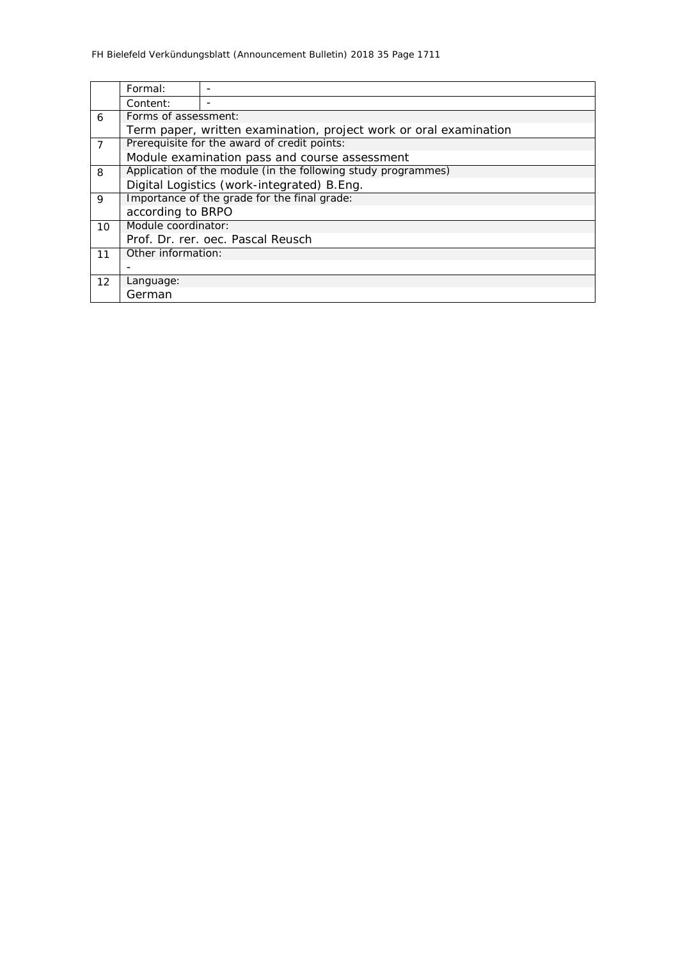|                   | Formal:                                                           |                                              |  |  |  |  |  |  |
|-------------------|-------------------------------------------------------------------|----------------------------------------------|--|--|--|--|--|--|
|                   | Content:                                                          |                                              |  |  |  |  |  |  |
| 6                 |                                                                   | Forms of assessment:                         |  |  |  |  |  |  |
|                   | Term paper, written examination, project work or oral examination |                                              |  |  |  |  |  |  |
| $\overline{7}$    |                                                                   | Prerequisite for the award of credit points: |  |  |  |  |  |  |
|                   | Module examination pass and course assessment                     |                                              |  |  |  |  |  |  |
| 8                 | Application of the module (in the following study programmes)     |                                              |  |  |  |  |  |  |
|                   | Digital Logistics (work-integrated) B.Eng.                        |                                              |  |  |  |  |  |  |
| 9                 | Importance of the grade for the final grade:                      |                                              |  |  |  |  |  |  |
|                   | according to BRPO                                                 |                                              |  |  |  |  |  |  |
| 10                | Module coordinator:                                               |                                              |  |  |  |  |  |  |
|                   | Prof. Dr. rer. oec. Pascal Reusch                                 |                                              |  |  |  |  |  |  |
| 11                | Other information:                                                |                                              |  |  |  |  |  |  |
|                   |                                                                   |                                              |  |  |  |  |  |  |
| $12 \overline{ }$ | Language:                                                         |                                              |  |  |  |  |  |  |
|                   | German                                                            |                                              |  |  |  |  |  |  |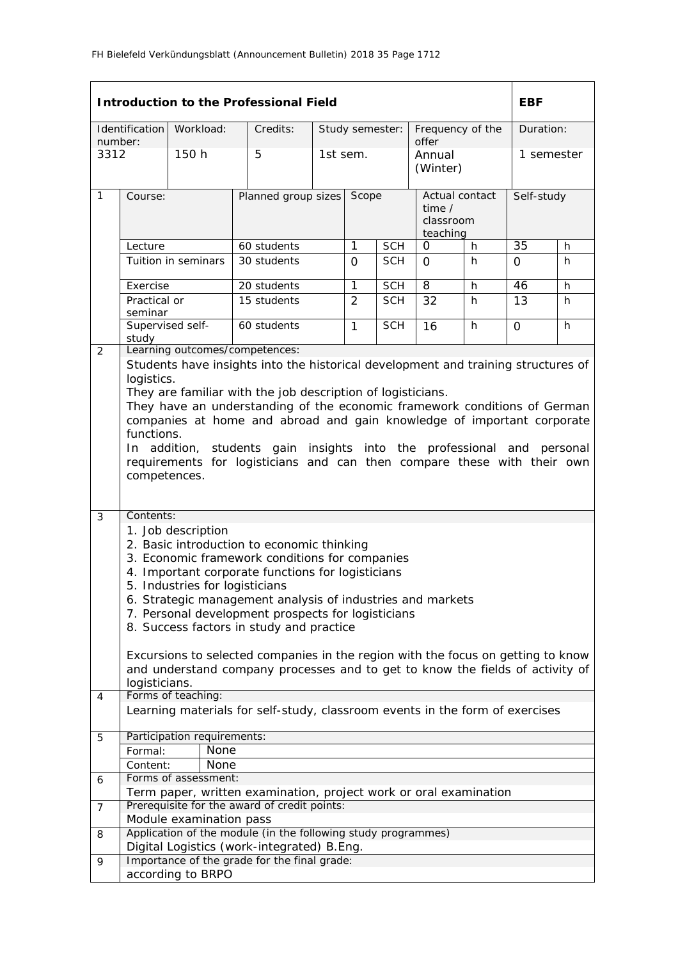|         |                             |                                | <b>Introduction to the Professional Field</b>                                                                                                       |                 |            |                  |   | <b>EBF</b>   |           |  |
|---------|-----------------------------|--------------------------------|-----------------------------------------------------------------------------------------------------------------------------------------------------|-----------------|------------|------------------|---|--------------|-----------|--|
|         | Identification              | Workload:                      | Credits:                                                                                                                                            | Study semester: |            | Frequency of the |   |              | Duration: |  |
| number: |                             |                                |                                                                                                                                                     |                 |            | offer            |   |              |           |  |
| 3312    |                             | 150 h                          | 5                                                                                                                                                   | 1st sem.        |            | Annual           |   | 1 semester   |           |  |
|         |                             |                                |                                                                                                                                                     |                 |            | (Winter)         |   |              |           |  |
| 1       | Course:                     |                                | Planned group sizes                                                                                                                                 | Scope           |            | Actual contact   |   | Self-study   |           |  |
|         |                             |                                |                                                                                                                                                     |                 |            | time $/$         |   |              |           |  |
|         |                             |                                |                                                                                                                                                     |                 |            | classroom        |   |              |           |  |
|         | Lecture                     |                                | 60 students                                                                                                                                         | $\mathbf{1}$    | <b>SCH</b> | teaching<br>0    | h | 35           | h         |  |
|         |                             | Tuition in seminars            | 30 students                                                                                                                                         | $\Omega$        | <b>SCH</b> | $\Omega$         | h | $\Omega$     | h         |  |
|         |                             |                                |                                                                                                                                                     |                 |            |                  |   |              |           |  |
|         | Exercise                    |                                | 20 students                                                                                                                                         | $\overline{1}$  | <b>SCH</b> | $\overline{8}$   | h | 46           | h         |  |
|         | Practical or                |                                | 15 students                                                                                                                                         | $\overline{2}$  | <b>SCH</b> | 32               | h | 13           | h         |  |
|         | seminar<br>Supervised self- |                                | 60 students                                                                                                                                         | $\mathbf{1}$    | <b>SCH</b> | 16               | h | 0            | h         |  |
|         | study                       |                                |                                                                                                                                                     |                 |            |                  |   |              |           |  |
| 2       |                             |                                | Learning outcomes/competences:                                                                                                                      |                 |            |                  |   |              |           |  |
|         |                             |                                | Students have insights into the historical development and training structures of                                                                   |                 |            |                  |   |              |           |  |
|         | logistics.                  |                                |                                                                                                                                                     |                 |            |                  |   |              |           |  |
|         |                             |                                | They are familiar with the job description of logisticians.                                                                                         |                 |            |                  |   |              |           |  |
|         |                             |                                | They have an understanding of the economic framework conditions of German<br>companies at home and abroad and gain knowledge of important corporate |                 |            |                  |   |              |           |  |
|         | functions.                  |                                |                                                                                                                                                     |                 |            |                  |   |              |           |  |
|         |                             |                                | In addition, students gain insights into the professional                                                                                           |                 |            |                  |   | and personal |           |  |
|         |                             |                                | requirements for logisticians and can then compare these with their own                                                                             |                 |            |                  |   |              |           |  |
|         | competences.                |                                |                                                                                                                                                     |                 |            |                  |   |              |           |  |
|         |                             |                                |                                                                                                                                                     |                 |            |                  |   |              |           |  |
| 3       | Contents:                   |                                |                                                                                                                                                     |                 |            |                  |   |              |           |  |
|         |                             | 1. Job description             |                                                                                                                                                     |                 |            |                  |   |              |           |  |
|         |                             |                                | 2. Basic introduction to economic thinking                                                                                                          |                 |            |                  |   |              |           |  |
|         |                             |                                | 3. Economic framework conditions for companies                                                                                                      |                 |            |                  |   |              |           |  |
|         |                             |                                | 4. Important corporate functions for logisticians                                                                                                   |                 |            |                  |   |              |           |  |
|         |                             | 5. Industries for logisticians |                                                                                                                                                     |                 |            |                  |   |              |           |  |
|         |                             |                                | 6. Strategic management analysis of industries and markets<br>7. Personal development prospects for logisticians                                    |                 |            |                  |   |              |           |  |
|         |                             |                                | 8. Success factors in study and practice                                                                                                            |                 |            |                  |   |              |           |  |
|         |                             |                                |                                                                                                                                                     |                 |            |                  |   |              |           |  |
|         |                             |                                | Excursions to selected companies in the region with the focus on getting to know                                                                    |                 |            |                  |   |              |           |  |
|         |                             |                                | and understand company processes and to get to know the fields of activity of                                                                       |                 |            |                  |   |              |           |  |
|         | logisticians.               |                                |                                                                                                                                                     |                 |            |                  |   |              |           |  |
| 4       |                             | Forms of teaching:             |                                                                                                                                                     |                 |            |                  |   |              |           |  |
|         |                             |                                | Learning materials for self-study, classroom events in the form of exercises                                                                        |                 |            |                  |   |              |           |  |
| 5       |                             | Participation requirements:    |                                                                                                                                                     |                 |            |                  |   |              |           |  |
|         | Formal:                     | None                           |                                                                                                                                                     |                 |            |                  |   |              |           |  |
|         | Content:                    | None                           |                                                                                                                                                     |                 |            |                  |   |              |           |  |
| 6       |                             | Forms of assessment:           |                                                                                                                                                     |                 |            |                  |   |              |           |  |
|         |                             |                                | Term paper, written examination, project work or oral examination<br>Prerequisite for the award of credit points:                                   |                 |            |                  |   |              |           |  |
| 7       |                             | Module examination pass        |                                                                                                                                                     |                 |            |                  |   |              |           |  |
| 8       |                             |                                | Application of the module (in the following study programmes)                                                                                       |                 |            |                  |   |              |           |  |
|         |                             |                                | Digital Logistics (work-integrated) B.Eng.                                                                                                          |                 |            |                  |   |              |           |  |
| 9       |                             |                                | Importance of the grade for the final grade:                                                                                                        |                 |            |                  |   |              |           |  |
|         |                             | according to BRPO              |                                                                                                                                                     |                 |            |                  |   |              |           |  |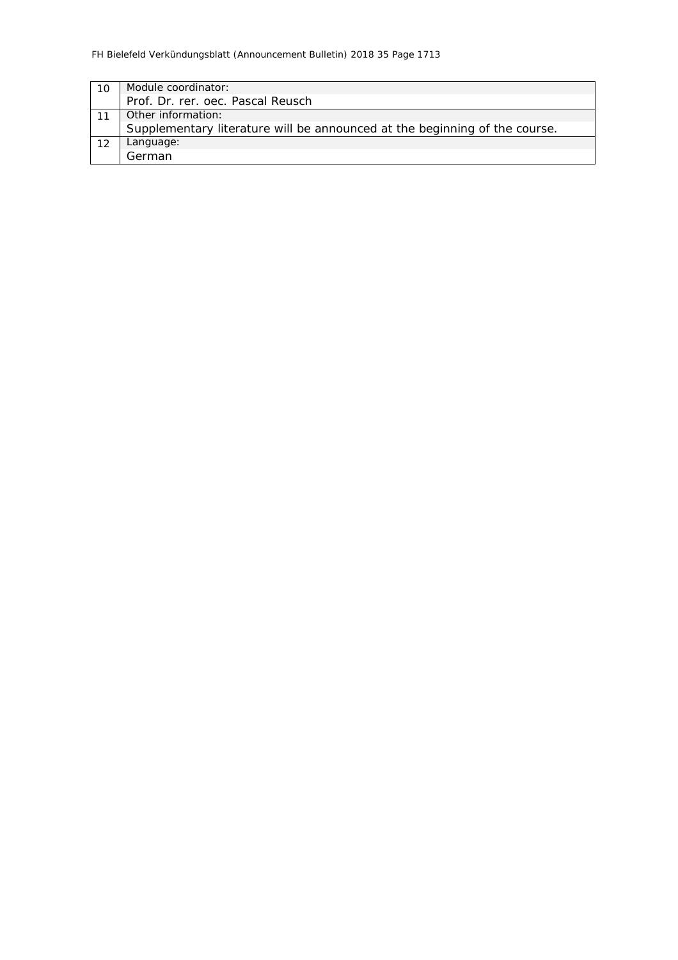|    | Module coordinator:                                                        |
|----|----------------------------------------------------------------------------|
|    | Prof. Dr. rer. oec. Pascal Reusch                                          |
|    | Other information:                                                         |
|    | Supplementary literature will be announced at the beginning of the course. |
| 12 | Language:                                                                  |
|    | German                                                                     |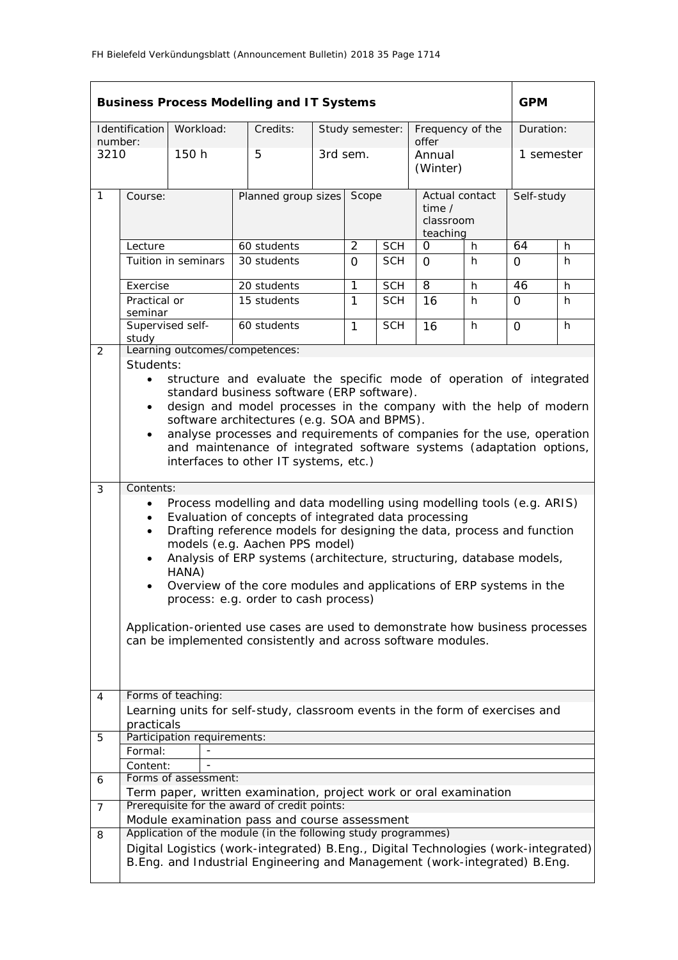|                 | <b>Business Process Modelling and IT Systems</b>                                                                                                                                                                                                                                                                                                                                                                                                                                                                                                              |                             |                                                                                                                                                                                                                                                                                                                                                                                                                                                                                                          |  |                 |            |                                                     | <b>GPM</b> |              |           |  |
|-----------------|---------------------------------------------------------------------------------------------------------------------------------------------------------------------------------------------------------------------------------------------------------------------------------------------------------------------------------------------------------------------------------------------------------------------------------------------------------------------------------------------------------------------------------------------------------------|-----------------------------|----------------------------------------------------------------------------------------------------------------------------------------------------------------------------------------------------------------------------------------------------------------------------------------------------------------------------------------------------------------------------------------------------------------------------------------------------------------------------------------------------------|--|-----------------|------------|-----------------------------------------------------|------------|--------------|-----------|--|
|                 | Identification                                                                                                                                                                                                                                                                                                                                                                                                                                                                                                                                                | Workload:                   | Credits:                                                                                                                                                                                                                                                                                                                                                                                                                                                                                                 |  | Study semester: |            | Frequency of the                                    |            |              | Duration: |  |
| number:<br>3210 |                                                                                                                                                                                                                                                                                                                                                                                                                                                                                                                                                               | 150 h                       | 5                                                                                                                                                                                                                                                                                                                                                                                                                                                                                                        |  | 3rd sem.        |            | offer<br>Annual<br>(Winter)                         |            | 1 semester   |           |  |
| $\mathbf{1}$    | Course:                                                                                                                                                                                                                                                                                                                                                                                                                                                                                                                                                       |                             | Planned group sizes                                                                                                                                                                                                                                                                                                                                                                                                                                                                                      |  | Scope           |            | Actual contact<br>time $/$<br>classroom<br>teaching |            | Self-study   |           |  |
|                 | Lecture                                                                                                                                                                                                                                                                                                                                                                                                                                                                                                                                                       |                             | 60 students                                                                                                                                                                                                                                                                                                                                                                                                                                                                                              |  | $\overline{2}$  | <b>SCH</b> | $\mathbf 0$                                         | h          | 64           | h         |  |
|                 |                                                                                                                                                                                                                                                                                                                                                                                                                                                                                                                                                               | Tuition in seminars         | 30 students                                                                                                                                                                                                                                                                                                                                                                                                                                                                                              |  | $\Omega$        | <b>SCH</b> | $\Omega$                                            | h.         | $\Omega$     | h.        |  |
|                 | Exercise                                                                                                                                                                                                                                                                                                                                                                                                                                                                                                                                                      |                             | 20 students                                                                                                                                                                                                                                                                                                                                                                                                                                                                                              |  | 1               | <b>SCH</b> | $\overline{8}$                                      | h          | 46           | h         |  |
|                 | Practical or<br>seminar                                                                                                                                                                                                                                                                                                                                                                                                                                                                                                                                       |                             | 15 students                                                                                                                                                                                                                                                                                                                                                                                                                                                                                              |  | 1               | <b>SCH</b> | 16                                                  | h          | $\Omega$     | h.        |  |
|                 | Supervised self-<br>study                                                                                                                                                                                                                                                                                                                                                                                                                                                                                                                                     |                             | 60 students                                                                                                                                                                                                                                                                                                                                                                                                                                                                                              |  | $\mathbf{1}$    | <b>SCH</b> | 16                                                  | h          | $\mathsf{O}$ | h         |  |
| 2               | Students:                                                                                                                                                                                                                                                                                                                                                                                                                                                                                                                                                     |                             | Learning outcomes/competences:                                                                                                                                                                                                                                                                                                                                                                                                                                                                           |  |                 |            |                                                     |            |              |           |  |
| 3               | structure and evaluate the specific mode of operation of integrated<br>$\bullet$<br>standard business software (ERP software).<br>design and model processes in the company with the help of modern<br>$\bullet$<br>software architectures (e.g. SOA and BPMS).<br>analyse processes and requirements of companies for the use, operation<br>$\bullet$<br>and maintenance of integrated software systems (adaptation options,<br>interfaces to other IT systems, etc.)<br>Contents:<br>Process modelling and data modelling using modelling tools (e.g. ARIS) |                             |                                                                                                                                                                                                                                                                                                                                                                                                                                                                                                          |  |                 |            |                                                     |            |              |           |  |
|                 | $\bullet$<br>$\bullet$<br>$\bullet$<br>$\bullet$                                                                                                                                                                                                                                                                                                                                                                                                                                                                                                              | HANA)                       | Evaluation of concepts of integrated data processing<br>Drafting reference models for designing the data, process and function<br>models (e.g. Aachen PPS model)<br>Analysis of ERP systems (architecture, structuring, database models,<br>Overview of the core modules and applications of ERP systems in the<br>process: e.g. order to cash process)<br>Application-oriented use cases are used to demonstrate how business processes<br>can be implemented consistently and across software modules. |  |                 |            |                                                     |            |              |           |  |
| 4               |                                                                                                                                                                                                                                                                                                                                                                                                                                                                                                                                                               | Forms of teaching:          |                                                                                                                                                                                                                                                                                                                                                                                                                                                                                                          |  |                 |            |                                                     |            |              |           |  |
|                 | practicals                                                                                                                                                                                                                                                                                                                                                                                                                                                                                                                                                    |                             | Learning units for self-study, classroom events in the form of exercises and                                                                                                                                                                                                                                                                                                                                                                                                                             |  |                 |            |                                                     |            |              |           |  |
| 5               |                                                                                                                                                                                                                                                                                                                                                                                                                                                                                                                                                               | Participation requirements: |                                                                                                                                                                                                                                                                                                                                                                                                                                                                                                          |  |                 |            |                                                     |            |              |           |  |
|                 | Formal:                                                                                                                                                                                                                                                                                                                                                                                                                                                                                                                                                       |                             |                                                                                                                                                                                                                                                                                                                                                                                                                                                                                                          |  |                 |            |                                                     |            |              |           |  |
|                 | Content:                                                                                                                                                                                                                                                                                                                                                                                                                                                                                                                                                      |                             |                                                                                                                                                                                                                                                                                                                                                                                                                                                                                                          |  |                 |            |                                                     |            |              |           |  |
| 6               |                                                                                                                                                                                                                                                                                                                                                                                                                                                                                                                                                               | Forms of assessment:        |                                                                                                                                                                                                                                                                                                                                                                                                                                                                                                          |  |                 |            |                                                     |            |              |           |  |
|                 |                                                                                                                                                                                                                                                                                                                                                                                                                                                                                                                                                               |                             | Term paper, written examination, project work or oral examination                                                                                                                                                                                                                                                                                                                                                                                                                                        |  |                 |            |                                                     |            |              |           |  |
| 7               |                                                                                                                                                                                                                                                                                                                                                                                                                                                                                                                                                               |                             | Prerequisite for the award of credit points:<br>Module examination pass and course assessment                                                                                                                                                                                                                                                                                                                                                                                                            |  |                 |            |                                                     |            |              |           |  |
| 8               |                                                                                                                                                                                                                                                                                                                                                                                                                                                                                                                                                               |                             | Application of the module (in the following study programmes)                                                                                                                                                                                                                                                                                                                                                                                                                                            |  |                 |            |                                                     |            |              |           |  |
|                 |                                                                                                                                                                                                                                                                                                                                                                                                                                                                                                                                                               |                             | Digital Logistics (work-integrated) B.Eng., Digital Technologies (work-integrated)<br>B.Eng. and Industrial Engineering and Management (work-integrated) B.Eng.                                                                                                                                                                                                                                                                                                                                          |  |                 |            |                                                     |            |              |           |  |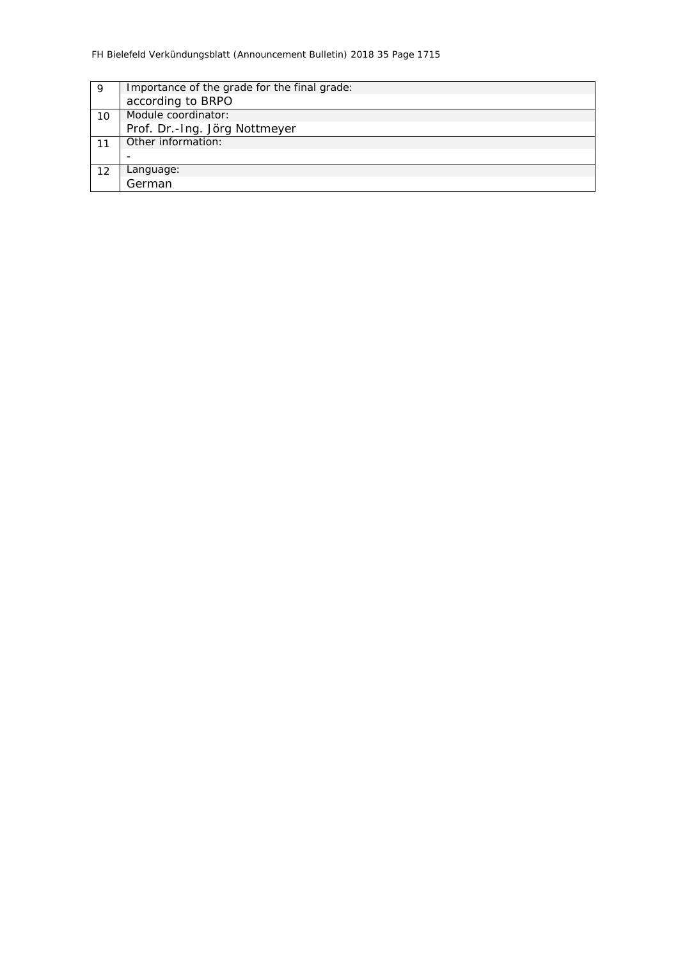| 9  | Importance of the grade for the final grade: |
|----|----------------------------------------------|
|    | according to BRPO                            |
| 10 | Module coordinator:                          |
|    | Prof. Dr.-Ing. Jörg Nottmeyer                |
|    | Other information:                           |
|    |                                              |
| 12 | Language:                                    |
|    | German                                       |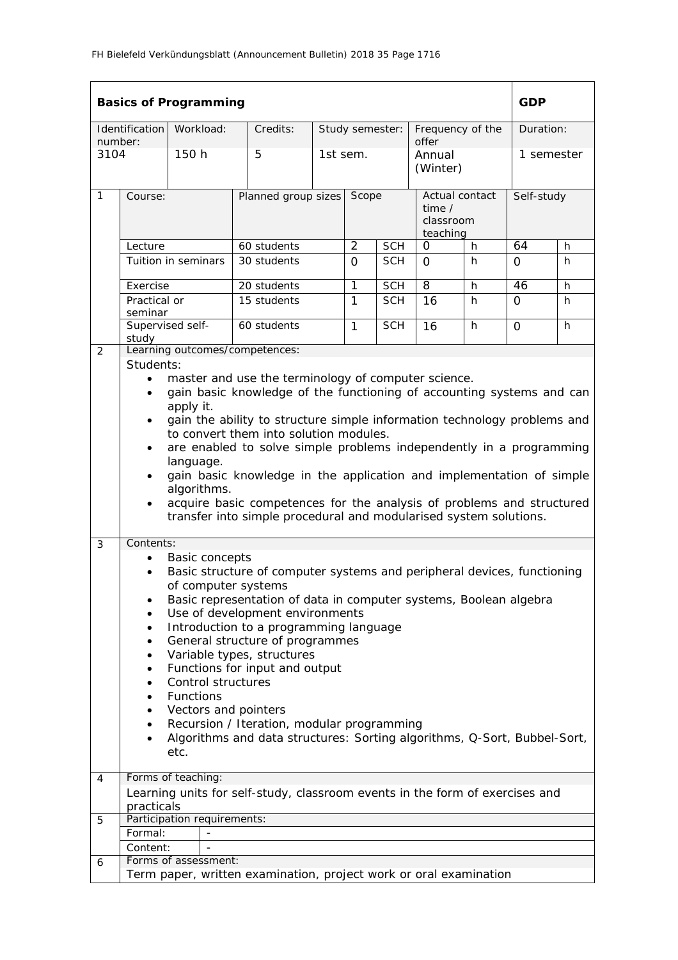|                 |                                                                                                                                                                                                                                                                                                                                                                                                                                                                                                                                                                                                                                                                        | <b>Basics of Programming</b> |                                                                              |                           |                 |             |                                                          |    | <b>GDP</b>   |   |
|-----------------|------------------------------------------------------------------------------------------------------------------------------------------------------------------------------------------------------------------------------------------------------------------------------------------------------------------------------------------------------------------------------------------------------------------------------------------------------------------------------------------------------------------------------------------------------------------------------------------------------------------------------------------------------------------------|------------------------------|------------------------------------------------------------------------------|---------------------------|-----------------|-------------|----------------------------------------------------------|----|--------------|---|
|                 | Identification                                                                                                                                                                                                                                                                                                                                                                                                                                                                                                                                                                                                                                                         | Workload:                    | Credits:                                                                     |                           | Study semester: |             | Frequency of the<br>offer                                |    | Duration:    |   |
| number:<br>3104 |                                                                                                                                                                                                                                                                                                                                                                                                                                                                                                                                                                                                                                                                        | 150 h                        | 5                                                                            | 1st sem.                  |                 |             | Annual<br>(Winter)                                       |    | 1 semester   |   |
| $\mathbf{1}$    | Course:                                                                                                                                                                                                                                                                                                                                                                                                                                                                                                                                                                                                                                                                |                              |                                                                              | Planned group sizes Scope |                 |             | Actual contact<br>time $\prime$<br>classroom<br>teaching |    | Self-study   |   |
|                 | Lecture                                                                                                                                                                                                                                                                                                                                                                                                                                                                                                                                                                                                                                                                |                              | 60 students                                                                  | $\overline{2}$            | <b>SCH</b>      | $\mathbf 0$ | h                                                        | 64 | h            |   |
|                 |                                                                                                                                                                                                                                                                                                                                                                                                                                                                                                                                                                                                                                                                        | Tuition in seminars          | 30 students                                                                  |                           | 0               | <b>SCH</b>  | $\Omega$                                                 | h  | 0            | h |
|                 | Exercise                                                                                                                                                                                                                                                                                                                                                                                                                                                                                                                                                                                                                                                               |                              | 20 students                                                                  |                           | 1               | <b>SCH</b>  | 8                                                        | h  | 46           | h |
|                 | Practical or<br>seminar                                                                                                                                                                                                                                                                                                                                                                                                                                                                                                                                                                                                                                                |                              | 15 students                                                                  |                           | 1               | <b>SCH</b>  | 16                                                       | h  | 0            | h |
|                 | study                                                                                                                                                                                                                                                                                                                                                                                                                                                                                                                                                                                                                                                                  | Supervised self-             | 60 students                                                                  |                           | $\mathbf{1}$    | <b>SCH</b>  | 16                                                       | h  | $\mathsf{O}$ | h |
| $\overline{2}$  |                                                                                                                                                                                                                                                                                                                                                                                                                                                                                                                                                                                                                                                                        |                              | Learning outcomes/competences:                                               |                           |                 |             |                                                          |    |              |   |
|                 | Students:<br>master and use the terminology of computer science.<br>$\bullet$<br>gain basic knowledge of the functioning of accounting systems and can<br>$\bullet$<br>apply it.<br>gain the ability to structure simple information technology problems and<br>$\bullet$<br>to convert them into solution modules.<br>are enabled to solve simple problems independently in a programming<br>language.<br>gain basic knowledge in the application and implementation of simple<br>$\bullet$<br>algorithms.<br>acquire basic competences for the analysis of problems and structured<br>$\bullet$<br>transfer into simple procedural and modularised system solutions. |                              |                                                                              |                           |                 |             |                                                          |    |              |   |
| 3               | Contents:                                                                                                                                                                                                                                                                                                                                                                                                                                                                                                                                                                                                                                                              |                              |                                                                              |                           |                 |             |                                                          |    |              |   |
|                 | <b>Basic concepts</b><br>Basic structure of computer systems and peripheral devices, functioning<br>$\bullet$<br>of computer systems<br>Basic representation of data in computer systems, Boolean algebra<br>Use of development environments<br>Introduction to a programming language<br>General structure of programmes<br>$\bullet$<br>Variable types, structures<br>$\bullet$<br>Functions for input and output<br>٠<br>Control structures<br>$\bullet$<br>Functions<br>$\bullet$<br>Vectors and pointers<br>Recursion / Iteration, modular programming<br>Algorithms and data structures: Sorting algorithms, Q-Sort, Bubbel-Sort,<br>$\bullet$<br>etc.           |                              |                                                                              |                           |                 |             |                                                          |    |              |   |
| 4               |                                                                                                                                                                                                                                                                                                                                                                                                                                                                                                                                                                                                                                                                        | Forms of teaching:           |                                                                              |                           |                 |             |                                                          |    |              |   |
|                 |                                                                                                                                                                                                                                                                                                                                                                                                                                                                                                                                                                                                                                                                        |                              | Learning units for self-study, classroom events in the form of exercises and |                           |                 |             |                                                          |    |              |   |
|                 | practicals                                                                                                                                                                                                                                                                                                                                                                                                                                                                                                                                                                                                                                                             |                              |                                                                              |                           |                 |             |                                                          |    |              |   |
| 5               |                                                                                                                                                                                                                                                                                                                                                                                                                                                                                                                                                                                                                                                                        | Participation requirements:  |                                                                              |                           |                 |             |                                                          |    |              |   |
|                 | Formal:                                                                                                                                                                                                                                                                                                                                                                                                                                                                                                                                                                                                                                                                |                              |                                                                              |                           |                 |             |                                                          |    |              |   |
|                 | Content:                                                                                                                                                                                                                                                                                                                                                                                                                                                                                                                                                                                                                                                               | Forms of assessment:         |                                                                              |                           |                 |             |                                                          |    |              |   |
| 6               |                                                                                                                                                                                                                                                                                                                                                                                                                                                                                                                                                                                                                                                                        |                              | Term paper, written examination, project work or oral examination            |                           |                 |             |                                                          |    |              |   |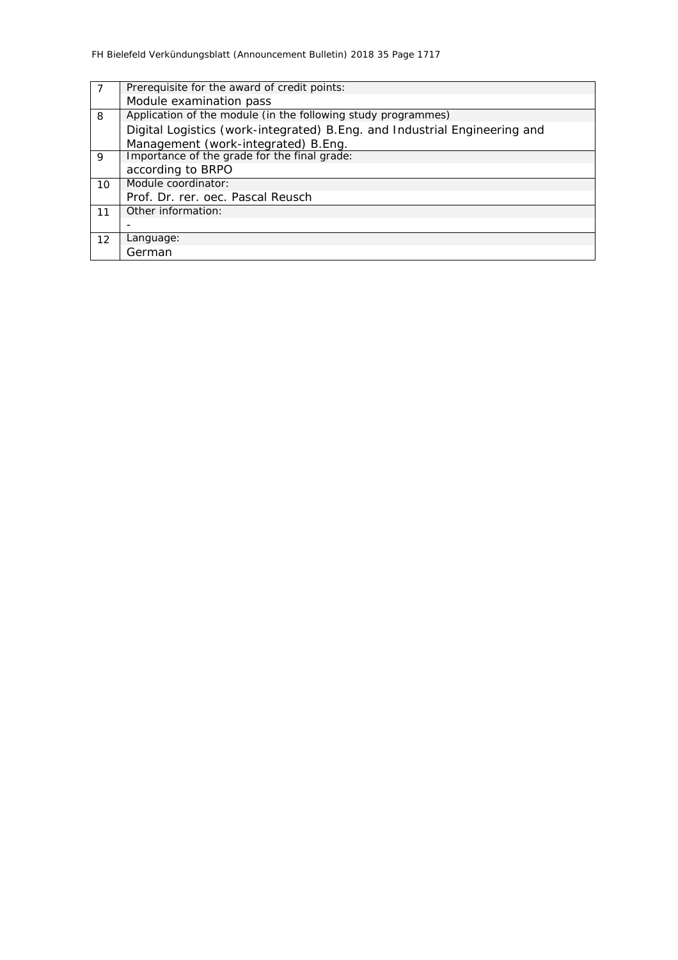|    | Prerequisite for the award of credit points:                               |
|----|----------------------------------------------------------------------------|
|    | Module examination pass                                                    |
| 8  | Application of the module (in the following study programmes)              |
|    | Digital Logistics (work-integrated) B. Eng. and Industrial Engineering and |
|    | Management (work-integrated) B.Eng.                                        |
| 9  | Importance of the grade for the final grade:                               |
|    | according to BRPO                                                          |
| 10 | Module coordinator:                                                        |
|    | Prof. Dr. rer. oec. Pascal Reusch                                          |
| 11 | Other information:                                                         |
|    |                                                                            |
| 12 | Language:                                                                  |
|    | German                                                                     |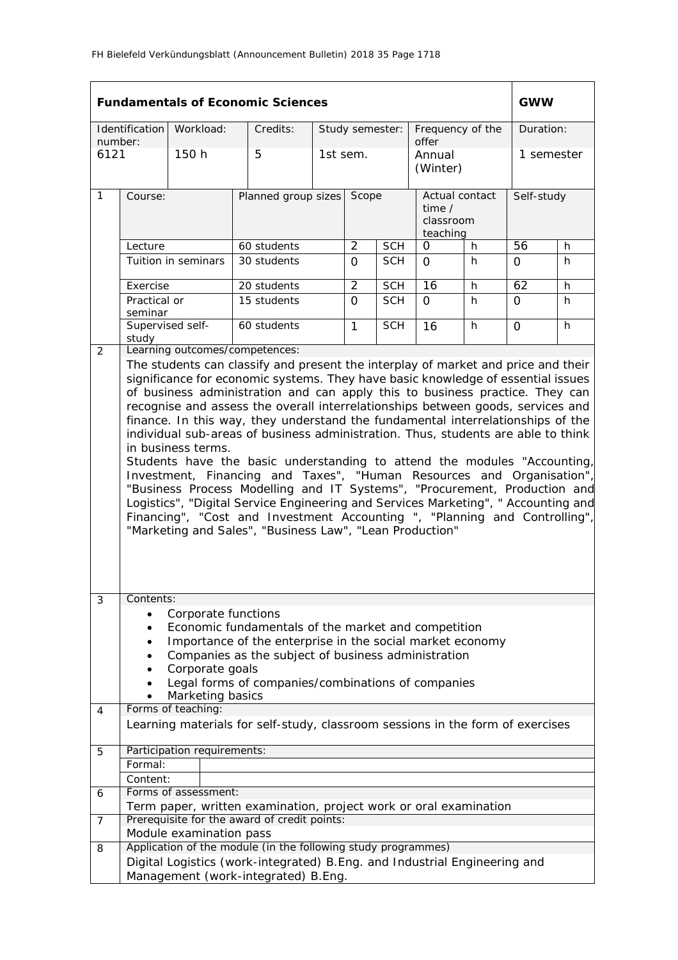|                |                                                                                                                                                                                                                                                                                                                                                                                                                                                                                                                                                                                                                                                                                                                                                                                                                                                                                                                    |                                                                                  | <b>Fundamentals of Economic Sciences</b>                                                                                                                                                                                      |                     |                |                 |                                                     |    | <b>GWW</b>     |    |
|----------------|--------------------------------------------------------------------------------------------------------------------------------------------------------------------------------------------------------------------------------------------------------------------------------------------------------------------------------------------------------------------------------------------------------------------------------------------------------------------------------------------------------------------------------------------------------------------------------------------------------------------------------------------------------------------------------------------------------------------------------------------------------------------------------------------------------------------------------------------------------------------------------------------------------------------|----------------------------------------------------------------------------------|-------------------------------------------------------------------------------------------------------------------------------------------------------------------------------------------------------------------------------|---------------------|----------------|-----------------|-----------------------------------------------------|----|----------------|----|
| number:        | Identification                                                                                                                                                                                                                                                                                                                                                                                                                                                                                                                                                                                                                                                                                                                                                                                                                                                                                                     | Workload:                                                                        | Credits:                                                                                                                                                                                                                      |                     |                | Study semester: | Frequency of the<br>offer                           |    | Duration:      |    |
| 6121           |                                                                                                                                                                                                                                                                                                                                                                                                                                                                                                                                                                                                                                                                                                                                                                                                                                                                                                                    | 150h                                                                             | 5                                                                                                                                                                                                                             |                     | 1st sem.       |                 | Annual<br>(Winter)                                  |    | 1 semester     |    |
| $\mathbf{1}$   | Course:                                                                                                                                                                                                                                                                                                                                                                                                                                                                                                                                                                                                                                                                                                                                                                                                                                                                                                            |                                                                                  |                                                                                                                                                                                                                               | Planned group sizes |                |                 | Actual contact<br>time $/$<br>classroom<br>teaching |    | Self-study     |    |
|                | Lecture                                                                                                                                                                                                                                                                                                                                                                                                                                                                                                                                                                                                                                                                                                                                                                                                                                                                                                            |                                                                                  | 60 students                                                                                                                                                                                                                   |                     | $\overline{2}$ | <b>SCH</b>      | 0                                                   | h. | 56             | h. |
|                |                                                                                                                                                                                                                                                                                                                                                                                                                                                                                                                                                                                                                                                                                                                                                                                                                                                                                                                    | Tuition in seminars                                                              | 30 students                                                                                                                                                                                                                   |                     | $\Omega$       | <b>SCH</b>      | $\Omega$                                            | h. | $\Omega$       | h  |
|                | Exercise                                                                                                                                                                                                                                                                                                                                                                                                                                                                                                                                                                                                                                                                                                                                                                                                                                                                                                           |                                                                                  | 20 students                                                                                                                                                                                                                   |                     | $\overline{2}$ | <b>SCH</b>      | $\overline{16}$                                     | h. | 62             | h  |
|                | Practical or<br>seminar                                                                                                                                                                                                                                                                                                                                                                                                                                                                                                                                                                                                                                                                                                                                                                                                                                                                                            |                                                                                  | 15 students                                                                                                                                                                                                                   |                     | $\Omega$       | <b>SCH</b>      | $\Omega$                                            | h. | $\overline{O}$ | h  |
| 2              | Supervised self-<br>study                                                                                                                                                                                                                                                                                                                                                                                                                                                                                                                                                                                                                                                                                                                                                                                                                                                                                          |                                                                                  | 60 students<br>Learning outcomes/competences:                                                                                                                                                                                 |                     | $\mathbf{1}$   | <b>SCH</b>      | 16                                                  | h. | $\Omega$       | h  |
|                | significance for economic systems. They have basic knowledge of essential issues<br>of business administration and can apply this to business practice. They can<br>recognise and assess the overall interrelationships between goods, services and<br>finance. In this way, they understand the fundamental interrelationships of the<br>individual sub-areas of business administration. Thus, students are able to think<br>in business terms.<br>Students have the basic understanding to attend the modules "Accounting,<br>Investment, Financing and Taxes", "Human Resources and Organisation",<br>"Business Process Modelling and IT Systems", "Procurement, Production and<br>Logistics", "Digital Service Engineering and Services Marketing", "Accounting and<br>Financing", "Cost and Investment Accounting ", "Planning and Controlling",<br>"Marketing and Sales", "Business Law", "Lean Production" |                                                                                  |                                                                                                                                                                                                                               |                     |                |                 |                                                     |    |                |    |
| 3<br>4         | Contents:                                                                                                                                                                                                                                                                                                                                                                                                                                                                                                                                                                                                                                                                                                                                                                                                                                                                                                          | Corporate functions<br>Corporate goals<br>Marketing basics<br>Forms of teaching: | Economic fundamentals of the market and competition<br>Importance of the enterprise in the social market economy<br>Companies as the subject of business administration<br>Legal forms of companies/combinations of companies |                     |                |                 |                                                     |    |                |    |
|                |                                                                                                                                                                                                                                                                                                                                                                                                                                                                                                                                                                                                                                                                                                                                                                                                                                                                                                                    |                                                                                  | Learning materials for self-study, classroom sessions in the form of exercises                                                                                                                                                |                     |                |                 |                                                     |    |                |    |
| 5              | Formal:                                                                                                                                                                                                                                                                                                                                                                                                                                                                                                                                                                                                                                                                                                                                                                                                                                                                                                            | Participation requirements:                                                      |                                                                                                                                                                                                                               |                     |                |                 |                                                     |    |                |    |
|                | Content:                                                                                                                                                                                                                                                                                                                                                                                                                                                                                                                                                                                                                                                                                                                                                                                                                                                                                                           |                                                                                  |                                                                                                                                                                                                                               |                     |                |                 |                                                     |    |                |    |
| 6              |                                                                                                                                                                                                                                                                                                                                                                                                                                                                                                                                                                                                                                                                                                                                                                                                                                                                                                                    | Forms of assessment:                                                             |                                                                                                                                                                                                                               |                     |                |                 |                                                     |    |                |    |
| $\overline{7}$ |                                                                                                                                                                                                                                                                                                                                                                                                                                                                                                                                                                                                                                                                                                                                                                                                                                                                                                                    |                                                                                  | Term paper, written examination, project work or oral examination<br>Prerequisite for the award of credit points:                                                                                                             |                     |                |                 |                                                     |    |                |    |
|                |                                                                                                                                                                                                                                                                                                                                                                                                                                                                                                                                                                                                                                                                                                                                                                                                                                                                                                                    | Module examination pass                                                          |                                                                                                                                                                                                                               |                     |                |                 |                                                     |    |                |    |
| 8              |                                                                                                                                                                                                                                                                                                                                                                                                                                                                                                                                                                                                                                                                                                                                                                                                                                                                                                                    |                                                                                  | Application of the module (in the following study programmes)                                                                                                                                                                 |                     |                |                 |                                                     |    |                |    |
|                |                                                                                                                                                                                                                                                                                                                                                                                                                                                                                                                                                                                                                                                                                                                                                                                                                                                                                                                    |                                                                                  | Digital Logistics (work-integrated) B. Eng. and Industrial Engineering and<br>Management (work-integrated) B.Eng.                                                                                                             |                     |                |                 |                                                     |    |                |    |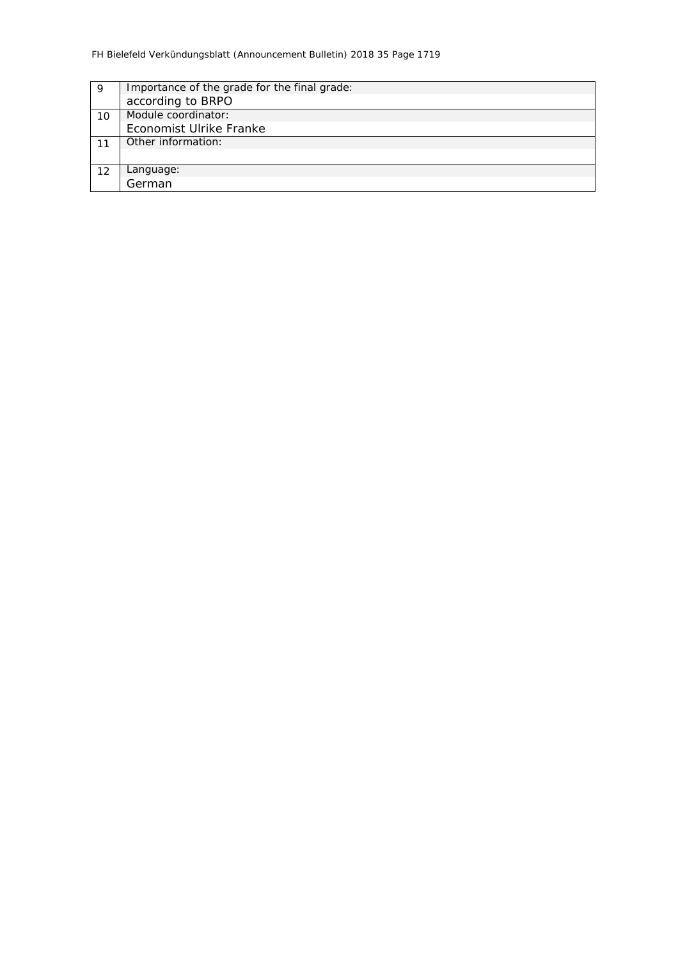| 9  | Importance of the grade for the final grade: |
|----|----------------------------------------------|
|    | according to BRPO                            |
| 10 | Module coordinator:                          |
|    | Economist Ulrike Franke                      |
|    | Other information:                           |
|    |                                              |
| 12 | Language:                                    |
|    | German                                       |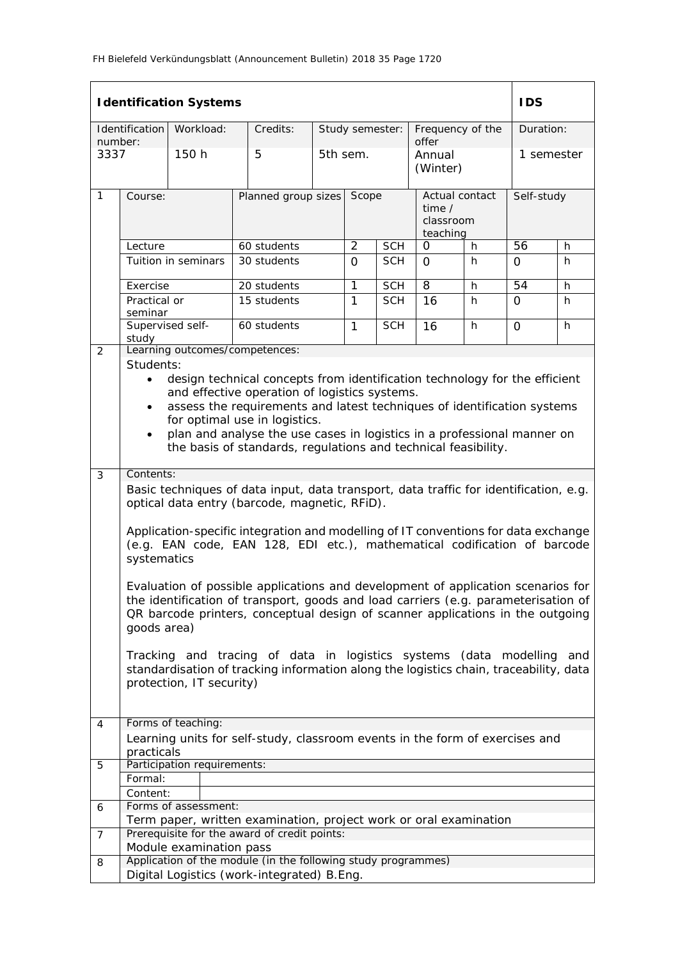|                 |                                                                                                                                                                                                                                                                                                                                                                                                                                          | <b>Identification Systems</b> |                                                                                                                                                                                                                                                          |                              |              |                 |                                                   |    | <b>IDS</b>      |     |  |
|-----------------|------------------------------------------------------------------------------------------------------------------------------------------------------------------------------------------------------------------------------------------------------------------------------------------------------------------------------------------------------------------------------------------------------------------------------------------|-------------------------------|----------------------------------------------------------------------------------------------------------------------------------------------------------------------------------------------------------------------------------------------------------|------------------------------|--------------|-----------------|---------------------------------------------------|----|-----------------|-----|--|
|                 | Identification                                                                                                                                                                                                                                                                                                                                                                                                                           | Workload:                     | Credits:                                                                                                                                                                                                                                                 |                              |              | Study semester: | Frequency of the                                  |    | Duration:       |     |  |
| number:<br>3337 |                                                                                                                                                                                                                                                                                                                                                                                                                                          | 150 h                         | 5                                                                                                                                                                                                                                                        |                              | 5th sem.     |                 | offer<br>Annual<br>(Winter)                       |    | 1 semester      |     |  |
| 1               | Course:                                                                                                                                                                                                                                                                                                                                                                                                                                  |                               |                                                                                                                                                                                                                                                          | Planned group sizes<br>Scope |              |                 | Actual contact<br>time /<br>classroom<br>teaching |    | Self-study      |     |  |
|                 | Lecture                                                                                                                                                                                                                                                                                                                                                                                                                                  |                               | 60 students                                                                                                                                                                                                                                              | $\overline{2}$               | <b>SCH</b>   | 0               | h                                                 | 56 | h               |     |  |
|                 |                                                                                                                                                                                                                                                                                                                                                                                                                                          | Tuition in seminars           | 30 students                                                                                                                                                                                                                                              |                              | $\Omega$     | <b>SCH</b>      | $\Omega$                                          | h  | $\Omega$        | h   |  |
|                 | Exercise                                                                                                                                                                                                                                                                                                                                                                                                                                 |                               | 20 students                                                                                                                                                                                                                                              |                              | 1            | <b>SCH</b>      | $\overline{8}$                                    | h  | $\overline{54}$ | h   |  |
|                 | Practical or<br>seminar                                                                                                                                                                                                                                                                                                                                                                                                                  |                               | 15 students                                                                                                                                                                                                                                              |                              | $\mathbf{1}$ | <b>SCH</b>      | 16                                                | h. | $\Omega$        | h   |  |
|                 | Supervised self-<br>study                                                                                                                                                                                                                                                                                                                                                                                                                |                               | 60 students                                                                                                                                                                                                                                              |                              | $\mathbf{1}$ | <b>SCH</b>      | 16                                                | h  | 0               | h   |  |
| 2               |                                                                                                                                                                                                                                                                                                                                                                                                                                          |                               | Learning outcomes/competences:                                                                                                                                                                                                                           |                              |              |                 |                                                   |    |                 |     |  |
|                 | Students:<br>design technical concepts from identification technology for the efficient<br>$\bullet$<br>and effective operation of logistics systems.<br>assess the requirements and latest techniques of identification systems<br>$\bullet$<br>for optimal use in logistics.<br>plan and analyse the use cases in logistics in a professional manner on<br>$\bullet$<br>the basis of standards, regulations and technical feasibility. |                               |                                                                                                                                                                                                                                                          |                              |              |                 |                                                   |    |                 |     |  |
| 3               | Contents:                                                                                                                                                                                                                                                                                                                                                                                                                                |                               |                                                                                                                                                                                                                                                          |                              |              |                 |                                                   |    |                 |     |  |
|                 | Basic techniques of data input, data transport, data traffic for identification, e.g.<br>optical data entry (barcode, magnetic, RFiD).                                                                                                                                                                                                                                                                                                   |                               |                                                                                                                                                                                                                                                          |                              |              |                 |                                                   |    |                 |     |  |
|                 | systematics                                                                                                                                                                                                                                                                                                                                                                                                                              |                               | Application-specific integration and modelling of IT conventions for data exchange<br>(e.g. EAN code, EAN 128, EDI etc.), mathematical codification of barcode                                                                                           |                              |              |                 |                                                   |    |                 |     |  |
|                 | goods area)                                                                                                                                                                                                                                                                                                                                                                                                                              |                               | Evaluation of possible applications and development of application scenarios for<br>the identification of transport, goods and load carriers (e.g. parameterisation of<br>QR barcode printers, conceptual design of scanner applications in the outgoing |                              |              |                 |                                                   |    |                 |     |  |
|                 |                                                                                                                                                                                                                                                                                                                                                                                                                                          | protection, IT security)      | Tracking and tracing of data in logistics systems (data modelling<br>standardisation of tracking information along the logistics chain, traceability, data                                                                                               |                              |              |                 |                                                   |    |                 | and |  |
| 4               |                                                                                                                                                                                                                                                                                                                                                                                                                                          | Forms of teaching:            |                                                                                                                                                                                                                                                          |                              |              |                 |                                                   |    |                 |     |  |
|                 | practicals                                                                                                                                                                                                                                                                                                                                                                                                                               |                               | Learning units for self-study, classroom events in the form of exercises and                                                                                                                                                                             |                              |              |                 |                                                   |    |                 |     |  |
| 5               |                                                                                                                                                                                                                                                                                                                                                                                                                                          | Participation requirements:   |                                                                                                                                                                                                                                                          |                              |              |                 |                                                   |    |                 |     |  |
|                 | Formal:                                                                                                                                                                                                                                                                                                                                                                                                                                  |                               |                                                                                                                                                                                                                                                          |                              |              |                 |                                                   |    |                 |     |  |
|                 | Content:                                                                                                                                                                                                                                                                                                                                                                                                                                 |                               |                                                                                                                                                                                                                                                          |                              |              |                 |                                                   |    |                 |     |  |
| 6               |                                                                                                                                                                                                                                                                                                                                                                                                                                          | Forms of assessment:          |                                                                                                                                                                                                                                                          |                              |              |                 |                                                   |    |                 |     |  |
| $\overline{7}$  |                                                                                                                                                                                                                                                                                                                                                                                                                                          |                               | Term paper, written examination, project work or oral examination<br>Prerequisite for the award of credit points:                                                                                                                                        |                              |              |                 |                                                   |    |                 |     |  |
|                 |                                                                                                                                                                                                                                                                                                                                                                                                                                          | Module examination pass       |                                                                                                                                                                                                                                                          |                              |              |                 |                                                   |    |                 |     |  |
| 8               |                                                                                                                                                                                                                                                                                                                                                                                                                                          |                               | Application of the module (in the following study programmes)<br>Digital Logistics (work-integrated) B.Eng.                                                                                                                                              |                              |              |                 |                                                   |    |                 |     |  |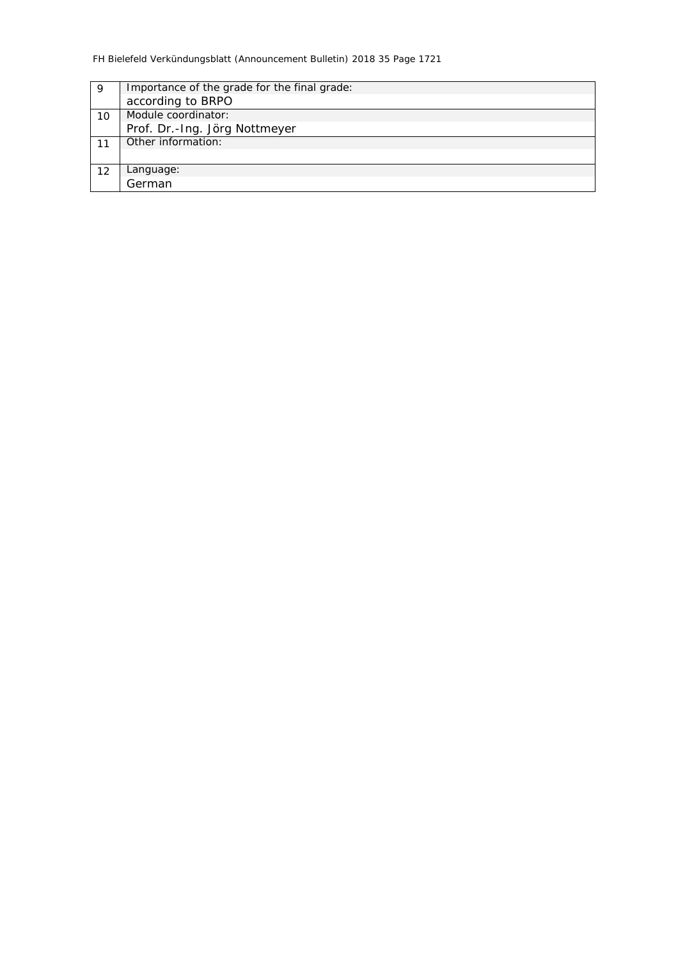| 9  | Importance of the grade for the final grade: |
|----|----------------------------------------------|
|    | according to BRPO                            |
| 10 | Module coordinator:                          |
|    | Prof. Dr.-Ing. Jörg Nottmeyer                |
|    | Other information:                           |
|    |                                              |
| 12 | Language:                                    |
|    | German                                       |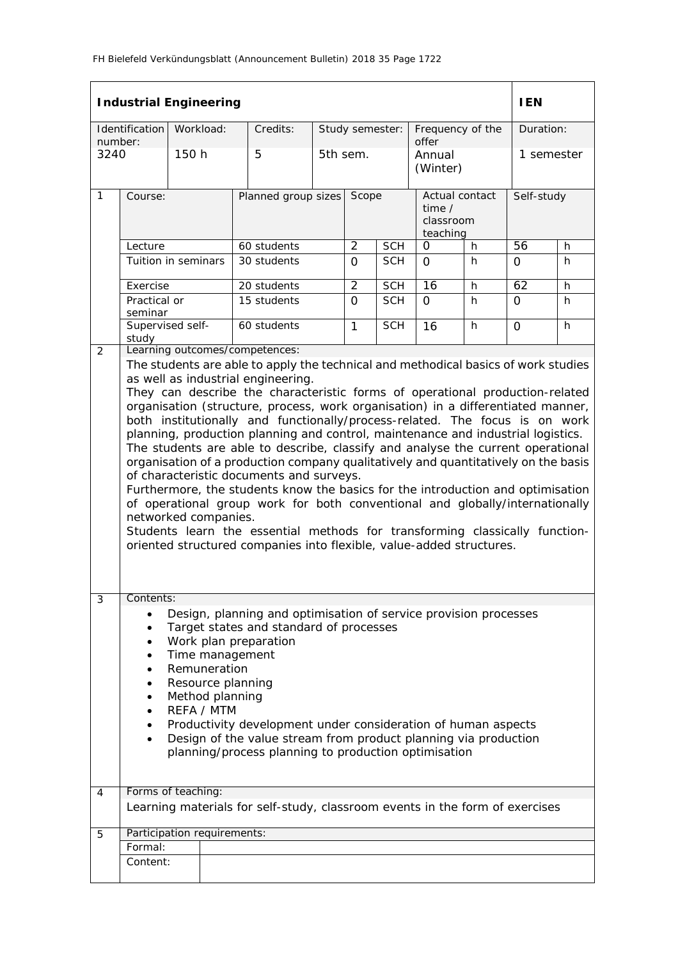|                 |                                                                                                                                                                                                                                                                                                                                                                                                                                                                                                                                                                                                                                           | <b>Industrial Engineering</b> |  |                                                                                                                                                                                                                                                                                                                                                                                                                                                                                                                                                                                                                                                                                                                                                                                                                                                                                                                                                                                                                                                  |       |                 |                                                          |                             |            | <b>IEN</b>      |    |
|-----------------|-------------------------------------------------------------------------------------------------------------------------------------------------------------------------------------------------------------------------------------------------------------------------------------------------------------------------------------------------------------------------------------------------------------------------------------------------------------------------------------------------------------------------------------------------------------------------------------------------------------------------------------------|-------------------------------|--|--------------------------------------------------------------------------------------------------------------------------------------------------------------------------------------------------------------------------------------------------------------------------------------------------------------------------------------------------------------------------------------------------------------------------------------------------------------------------------------------------------------------------------------------------------------------------------------------------------------------------------------------------------------------------------------------------------------------------------------------------------------------------------------------------------------------------------------------------------------------------------------------------------------------------------------------------------------------------------------------------------------------------------------------------|-------|-----------------|----------------------------------------------------------|-----------------------------|------------|-----------------|----|
|                 | Identification                                                                                                                                                                                                                                                                                                                                                                                                                                                                                                                                                                                                                            | Workload:                     |  | Credits:                                                                                                                                                                                                                                                                                                                                                                                                                                                                                                                                                                                                                                                                                                                                                                                                                                                                                                                                                                                                                                         |       | Study semester: |                                                          | Frequency of the            |            | Duration:       |    |
| number:<br>3240 |                                                                                                                                                                                                                                                                                                                                                                                                                                                                                                                                                                                                                                           | 150 h                         |  | 5                                                                                                                                                                                                                                                                                                                                                                                                                                                                                                                                                                                                                                                                                                                                                                                                                                                                                                                                                                                                                                                |       | 5th sem.        |                                                          | offer<br>Annual<br>(Winter) |            | 1 semester      |    |
| 1               | Course:                                                                                                                                                                                                                                                                                                                                                                                                                                                                                                                                                                                                                                   |                               |  | Planned group sizes                                                                                                                                                                                                                                                                                                                                                                                                                                                                                                                                                                                                                                                                                                                                                                                                                                                                                                                                                                                                                              | Scope |                 | Actual contact<br>time $\prime$<br>classroom<br>teaching |                             | Self-study |                 |    |
|                 | Lecture                                                                                                                                                                                                                                                                                                                                                                                                                                                                                                                                                                                                                                   |                               |  | 60 students                                                                                                                                                                                                                                                                                                                                                                                                                                                                                                                                                                                                                                                                                                                                                                                                                                                                                                                                                                                                                                      |       |                 | <b>SCH</b>                                               | $\Omega$                    | h          | $\overline{56}$ | h  |
|                 |                                                                                                                                                                                                                                                                                                                                                                                                                                                                                                                                                                                                                                           | Tuition in seminars           |  | 30 students                                                                                                                                                                                                                                                                                                                                                                                                                                                                                                                                                                                                                                                                                                                                                                                                                                                                                                                                                                                                                                      |       | $\Omega$        | <b>SCH</b>                                               | $\Omega$                    | h.         | 0               | h  |
|                 | Exercise                                                                                                                                                                                                                                                                                                                                                                                                                                                                                                                                                                                                                                  |                               |  | 20 students                                                                                                                                                                                                                                                                                                                                                                                                                                                                                                                                                                                                                                                                                                                                                                                                                                                                                                                                                                                                                                      |       | $\overline{2}$  | <b>SCH</b>                                               | 16                          | h          | 62              | h. |
|                 | Practical or<br>seminar                                                                                                                                                                                                                                                                                                                                                                                                                                                                                                                                                                                                                   |                               |  | 15 students                                                                                                                                                                                                                                                                                                                                                                                                                                                                                                                                                                                                                                                                                                                                                                                                                                                                                                                                                                                                                                      |       | $\Omega$        | <b>SCH</b>                                               | $\Omega$                    | h          | $\Omega$        | h. |
|                 | study                                                                                                                                                                                                                                                                                                                                                                                                                                                                                                                                                                                                                                     | Supervised self-              |  | 60 students                                                                                                                                                                                                                                                                                                                                                                                                                                                                                                                                                                                                                                                                                                                                                                                                                                                                                                                                                                                                                                      |       | $\mathbf{1}$    | <b>SCH</b>                                               | 16                          | h          | $\Omega$        | h  |
| 2               |                                                                                                                                                                                                                                                                                                                                                                                                                                                                                                                                                                                                                                           | networked companies.          |  | Learning outcomes/competences:<br>The students are able to apply the technical and methodical basics of work studies<br>as well as industrial engineering.<br>They can describe the characteristic forms of operational production-related<br>organisation (structure, process, work organisation) in a differentiated manner,<br>both institutionally and functionally/process-related. The focus is on work<br>planning, production planning and control, maintenance and industrial logistics.<br>The students are able to describe, classify and analyse the current operational<br>organisation of a production company qualitatively and quantitatively on the basis<br>of characteristic documents and surveys.<br>Furthermore, the students know the basics for the introduction and optimisation<br>of operational group work for both conventional and globally/internationally<br>Students learn the essential methods for transforming classically function-<br>oriented structured companies into flexible, value-added structures. |       |                 |                                                          |                             |            |                 |    |
| 4               | Contents:<br>3<br>Design, planning and optimisation of service provision processes<br>Target states and standard of processes<br>$\bullet$<br>Work plan preparation<br>$\bullet$<br>Time management<br>$\bullet$<br>Remuneration<br>٠<br>Resource planning<br>$\bullet$<br>Method planning<br>٠<br>REFA / MTM<br>$\bullet$<br>Productivity development under consideration of human aspects<br>Design of the value stream from product planning via production<br>$\bullet$<br>planning/process planning to production optimisation<br>Forms of teaching:<br>Learning materials for self-study, classroom events in the form of exercises |                               |  |                                                                                                                                                                                                                                                                                                                                                                                                                                                                                                                                                                                                                                                                                                                                                                                                                                                                                                                                                                                                                                                  |       |                 |                                                          |                             |            |                 |    |
| 5               | Formal:                                                                                                                                                                                                                                                                                                                                                                                                                                                                                                                                                                                                                                   | Participation requirements:   |  |                                                                                                                                                                                                                                                                                                                                                                                                                                                                                                                                                                                                                                                                                                                                                                                                                                                                                                                                                                                                                                                  |       |                 |                                                          |                             |            |                 |    |
|                 | Content:                                                                                                                                                                                                                                                                                                                                                                                                                                                                                                                                                                                                                                  |                               |  |                                                                                                                                                                                                                                                                                                                                                                                                                                                                                                                                                                                                                                                                                                                                                                                                                                                                                                                                                                                                                                                  |       |                 |                                                          |                             |            |                 |    |
|                 |                                                                                                                                                                                                                                                                                                                                                                                                                                                                                                                                                                                                                                           |                               |  |                                                                                                                                                                                                                                                                                                                                                                                                                                                                                                                                                                                                                                                                                                                                                                                                                                                                                                                                                                                                                                                  |       |                 |                                                          |                             |            |                 |    |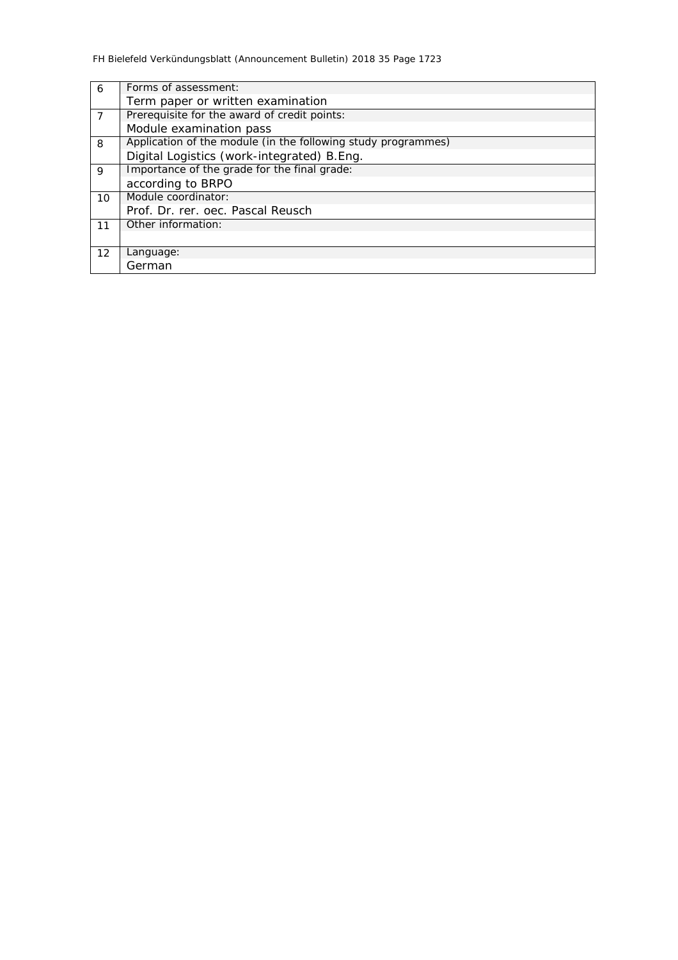| 6 <sup>6</sup> | Forms of assessment:                                          |
|----------------|---------------------------------------------------------------|
|                | Term paper or written examination                             |
| $\overline{7}$ | Prerequisite for the award of credit points:                  |
|                | Module examination pass                                       |
| 8              | Application of the module (in the following study programmes) |
|                | Digital Logistics (work-integrated) B.Eng.                    |
| $\mathsf{Q}$   | Importance of the grade for the final grade:                  |
|                | according to BRPO                                             |
| 10             | Module coordinator:                                           |
|                | Prof. Dr. rer. oec. Pascal Reusch                             |
| 11             | Other information:                                            |
|                |                                                               |
| 12             | Language:                                                     |
|                | German                                                        |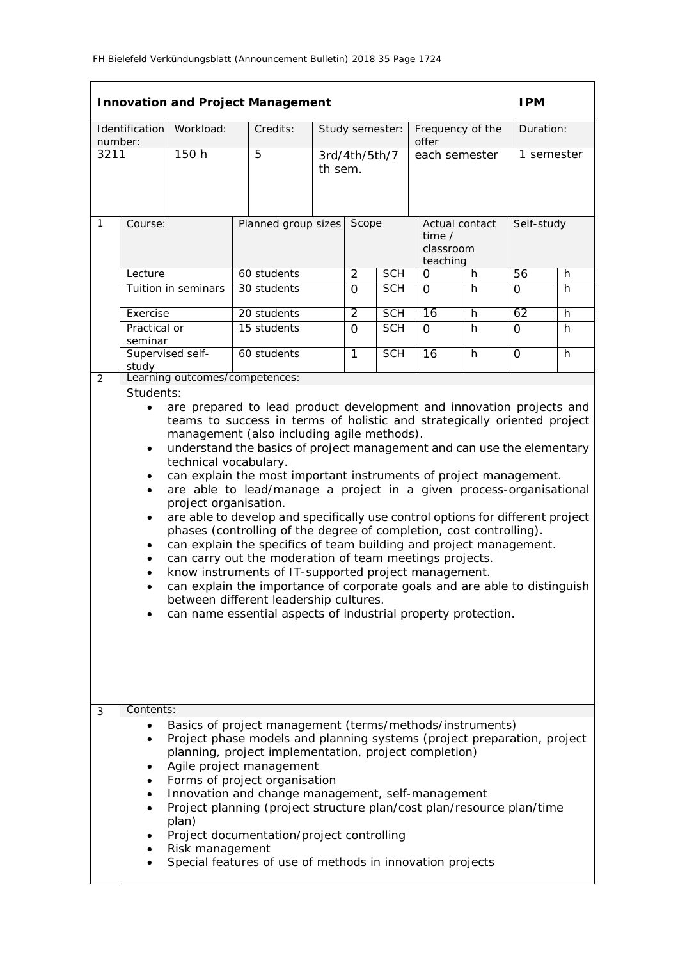|              |                                                                                                                                                                                                                                                                                                                                                                                                                                                                                                                                                                                                                                                                                                                                                                                                                                                                                                                                                                                                                                                                                                                                                    | <b>Innovation and Project Management</b>                                                                                                                                                                                                                                                                                                                                                                                                                                                                                      |  |                                    |                         |                            |                                                               |                             |                  |                  | <b>IPM</b>     |        |
|--------------|----------------------------------------------------------------------------------------------------------------------------------------------------------------------------------------------------------------------------------------------------------------------------------------------------------------------------------------------------------------------------------------------------------------------------------------------------------------------------------------------------------------------------------------------------------------------------------------------------------------------------------------------------------------------------------------------------------------------------------------------------------------------------------------------------------------------------------------------------------------------------------------------------------------------------------------------------------------------------------------------------------------------------------------------------------------------------------------------------------------------------------------------------|-------------------------------------------------------------------------------------------------------------------------------------------------------------------------------------------------------------------------------------------------------------------------------------------------------------------------------------------------------------------------------------------------------------------------------------------------------------------------------------------------------------------------------|--|------------------------------------|-------------------------|----------------------------|---------------------------------------------------------------|-----------------------------|------------------|------------------|----------------|--------|
| number:      | Identification                                                                                                                                                                                                                                                                                                                                                                                                                                                                                                                                                                                                                                                                                                                                                                                                                                                                                                                                                                                                                                                                                                                                     | Workload:                                                                                                                                                                                                                                                                                                                                                                                                                                                                                                                     |  | Credits:                           |                         |                            | Study semester:                                               | offer                       |                  | Frequency of the | Duration:      |        |
| 3211         |                                                                                                                                                                                                                                                                                                                                                                                                                                                                                                                                                                                                                                                                                                                                                                                                                                                                                                                                                                                                                                                                                                                                                    | 150 h                                                                                                                                                                                                                                                                                                                                                                                                                                                                                                                         |  | 5                                  |                         | 3rd/4th/5th/7<br>th sem.   |                                                               | each semester               |                  | 1 semester       |                |        |
| $\mathbf{1}$ | Course:<br>Lecture                                                                                                                                                                                                                                                                                                                                                                                                                                                                                                                                                                                                                                                                                                                                                                                                                                                                                                                                                                                                                                                                                                                                 |                                                                                                                                                                                                                                                                                                                                                                                                                                                                                                                               |  | Planned group sizes<br>60 students | Scope<br>$\overline{2}$ | <b>SCH</b>                 | Actual contact<br>time $/$<br>classroom<br>teaching<br>0<br>h |                             | Self-study<br>56 | h                |                |        |
|              |                                                                                                                                                                                                                                                                                                                                                                                                                                                                                                                                                                                                                                                                                                                                                                                                                                                                                                                                                                                                                                                                                                                                                    | Tuition in seminars                                                                                                                                                                                                                                                                                                                                                                                                                                                                                                           |  | 30 students                        |                         | $\Omega$                   | <b>SCH</b>                                                    | $\Omega$                    |                  | h                | $\mathbf 0$    | h      |
|              | Exercise<br>Practical or                                                                                                                                                                                                                                                                                                                                                                                                                                                                                                                                                                                                                                                                                                                                                                                                                                                                                                                                                                                                                                                                                                                           |                                                                                                                                                                                                                                                                                                                                                                                                                                                                                                                               |  | 20 students<br>15 students         |                         | $\overline{2}$<br>$\Omega$ | <b>SCH</b><br><b>SCH</b>                                      | $\overline{16}$<br>$\Omega$ |                  | h<br>h           | 62<br>$\Omega$ | h<br>h |
|              | seminar<br>study                                                                                                                                                                                                                                                                                                                                                                                                                                                                                                                                                                                                                                                                                                                                                                                                                                                                                                                                                                                                                                                                                                                                   | Supervised self-                                                                                                                                                                                                                                                                                                                                                                                                                                                                                                              |  | 60 students                        |                         | $\mathbf{1}$               | <b>SCH</b>                                                    | 16                          |                  | h                | $\Omega$       | h      |
| 2            |                                                                                                                                                                                                                                                                                                                                                                                                                                                                                                                                                                                                                                                                                                                                                                                                                                                                                                                                                                                                                                                                                                                                                    | Learning outcomes/competences:                                                                                                                                                                                                                                                                                                                                                                                                                                                                                                |  |                                    |                         |                            |                                                               |                             |                  |                  |                |        |
| 3            | Students:<br>are prepared to lead product development and innovation projects and<br>$\bullet$<br>teams to success in terms of holistic and strategically oriented project<br>management (also including agile methods).<br>understand the basics of project management and can use the elementary<br>$\bullet$<br>technical vocabulary.<br>can explain the most important instruments of project management.<br>$\bullet$<br>are able to lead/manage a project in a given process-organisational<br>$\bullet$<br>project organisation.<br>are able to develop and specifically use control options for different project<br>$\bullet$<br>phases (controlling of the degree of completion, cost controlling).<br>can explain the specifics of team building and project management.<br>$\bullet$<br>can carry out the moderation of team meetings projects.<br>$\bullet$<br>know instruments of IT-supported project management.<br>$\bullet$<br>can explain the importance of corporate goals and are able to distinguish<br>$\bullet$<br>between different leadership cultures.<br>can name essential aspects of industrial property protection. |                                                                                                                                                                                                                                                                                                                                                                                                                                                                                                                               |  |                                    |                         |                            |                                                               |                             |                  |                  |                |        |
|              | Contents:<br>٠<br>٠<br>$\bullet$                                                                                                                                                                                                                                                                                                                                                                                                                                                                                                                                                                                                                                                                                                                                                                                                                                                                                                                                                                                                                                                                                                                   | Basics of project management (terms/methods/instruments)<br>Project phase models and planning systems (project preparation, project<br>planning, project implementation, project completion)<br>Agile project management<br>Forms of project organisation<br>Innovation and change management, self-management<br>Project planning (project structure plan/cost plan/resource plan/time<br>plan)<br>Project documentation/project controlling<br>Risk management<br>Special features of use of methods in innovation projects |  |                                    |                         |                            |                                                               |                             |                  |                  |                |        |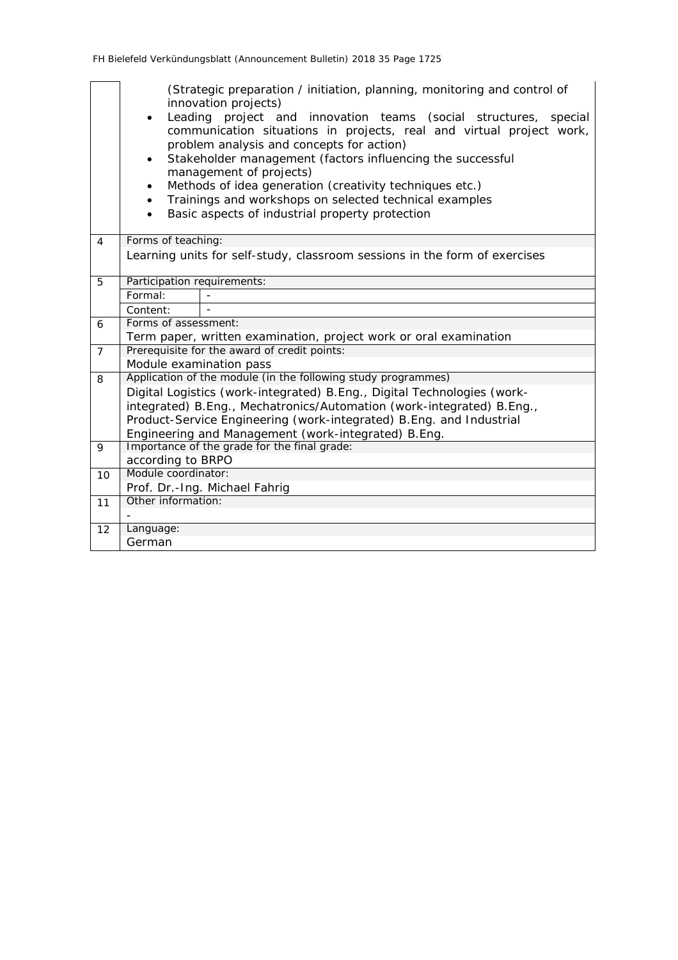|                | (Strategic preparation / initiation, planning, monitoring and control of<br>innovation projects)<br>Leading project and innovation teams (social structures, special<br>$\bullet$<br>communication situations in projects, real and virtual project work,<br>problem analysis and concepts for action)<br>Stakeholder management (factors influencing the successful<br>$\bullet$<br>management of projects)<br>Methods of idea generation (creativity techniques etc.)<br>Trainings and workshops on selected technical examples<br>Basic aspects of industrial property protection |  |  |  |  |  |  |  |  |  |
|----------------|--------------------------------------------------------------------------------------------------------------------------------------------------------------------------------------------------------------------------------------------------------------------------------------------------------------------------------------------------------------------------------------------------------------------------------------------------------------------------------------------------------------------------------------------------------------------------------------|--|--|--|--|--|--|--|--|--|
| $\overline{4}$ | Forms of teaching:                                                                                                                                                                                                                                                                                                                                                                                                                                                                                                                                                                   |  |  |  |  |  |  |  |  |  |
|                | Learning units for self-study, classroom sessions in the form of exercises                                                                                                                                                                                                                                                                                                                                                                                                                                                                                                           |  |  |  |  |  |  |  |  |  |
| 5              | Participation requirements:                                                                                                                                                                                                                                                                                                                                                                                                                                                                                                                                                          |  |  |  |  |  |  |  |  |  |
|                | Formal:                                                                                                                                                                                                                                                                                                                                                                                                                                                                                                                                                                              |  |  |  |  |  |  |  |  |  |
|                | Content:                                                                                                                                                                                                                                                                                                                                                                                                                                                                                                                                                                             |  |  |  |  |  |  |  |  |  |
| 6              | Forms of assessment:                                                                                                                                                                                                                                                                                                                                                                                                                                                                                                                                                                 |  |  |  |  |  |  |  |  |  |
|                | Term paper, written examination, project work or oral examination<br>Prerequisite for the award of credit points:                                                                                                                                                                                                                                                                                                                                                                                                                                                                    |  |  |  |  |  |  |  |  |  |
| $\overline{7}$ | Module examination pass                                                                                                                                                                                                                                                                                                                                                                                                                                                                                                                                                              |  |  |  |  |  |  |  |  |  |
| 8              | Application of the module (in the following study programmes)                                                                                                                                                                                                                                                                                                                                                                                                                                                                                                                        |  |  |  |  |  |  |  |  |  |
|                | Digital Logistics (work-integrated) B.Eng., Digital Technologies (work-                                                                                                                                                                                                                                                                                                                                                                                                                                                                                                              |  |  |  |  |  |  |  |  |  |
|                | integrated) B.Eng., Mechatronics/Automation (work-integrated) B.Eng.,                                                                                                                                                                                                                                                                                                                                                                                                                                                                                                                |  |  |  |  |  |  |  |  |  |
|                | Product-Service Engineering (work-integrated) B. Eng. and Industrial                                                                                                                                                                                                                                                                                                                                                                                                                                                                                                                 |  |  |  |  |  |  |  |  |  |
|                | Engineering and Management (work-integrated) B.Eng.                                                                                                                                                                                                                                                                                                                                                                                                                                                                                                                                  |  |  |  |  |  |  |  |  |  |
| 9              | Importance of the grade for the final grade:                                                                                                                                                                                                                                                                                                                                                                                                                                                                                                                                         |  |  |  |  |  |  |  |  |  |
|                | according to BRPO                                                                                                                                                                                                                                                                                                                                                                                                                                                                                                                                                                    |  |  |  |  |  |  |  |  |  |
| 10             | Module coordinator:                                                                                                                                                                                                                                                                                                                                                                                                                                                                                                                                                                  |  |  |  |  |  |  |  |  |  |
|                | Prof. Dr.-Ing. Michael Fahrig                                                                                                                                                                                                                                                                                                                                                                                                                                                                                                                                                        |  |  |  |  |  |  |  |  |  |
| 11             | Other information:                                                                                                                                                                                                                                                                                                                                                                                                                                                                                                                                                                   |  |  |  |  |  |  |  |  |  |
|                |                                                                                                                                                                                                                                                                                                                                                                                                                                                                                                                                                                                      |  |  |  |  |  |  |  |  |  |
| 12             | Language:                                                                                                                                                                                                                                                                                                                                                                                                                                                                                                                                                                            |  |  |  |  |  |  |  |  |  |
|                | German                                                                                                                                                                                                                                                                                                                                                                                                                                                                                                                                                                               |  |  |  |  |  |  |  |  |  |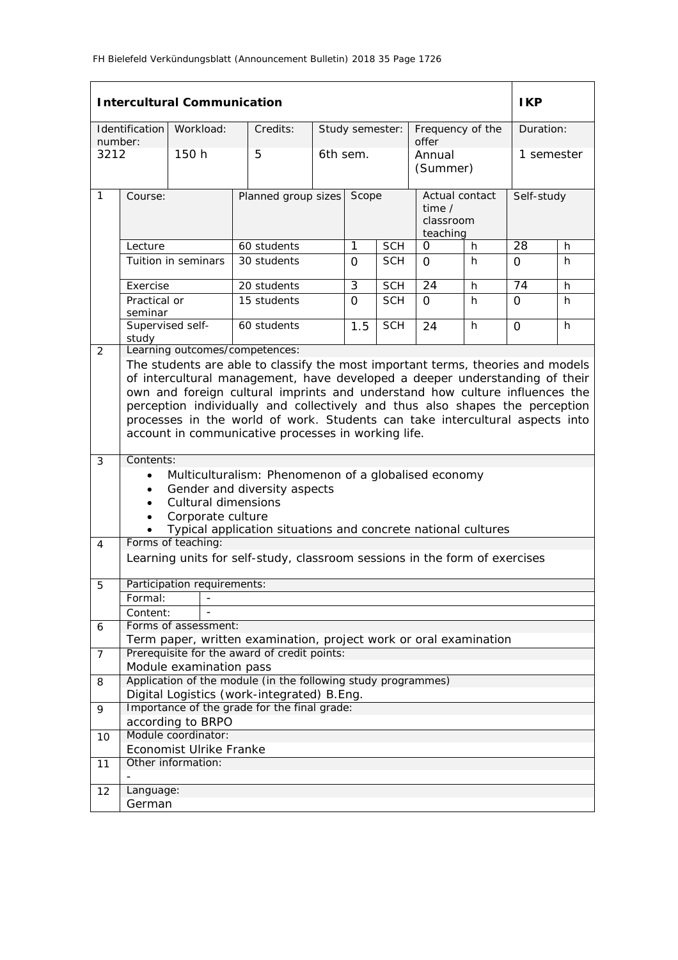|                 |                                                                                                                                                                                                                                                                                                                                                                                                                                                                      | <b>Intercultural Communication</b> |                                                                                                                   |                     |                 |            |                                 |    | <b>IKP</b>      |    |
|-----------------|----------------------------------------------------------------------------------------------------------------------------------------------------------------------------------------------------------------------------------------------------------------------------------------------------------------------------------------------------------------------------------------------------------------------------------------------------------------------|------------------------------------|-------------------------------------------------------------------------------------------------------------------|---------------------|-----------------|------------|---------------------------------|----|-----------------|----|
|                 | Identification                                                                                                                                                                                                                                                                                                                                                                                                                                                       | Workload:                          | Credits:                                                                                                          |                     | Study semester: |            | Frequency of the                |    | Duration:       |    |
| number:<br>3212 |                                                                                                                                                                                                                                                                                                                                                                                                                                                                      | 150h                               | 5                                                                                                                 | 6th sem.            |                 |            | offer<br>Annual                 |    | 1 semester      |    |
|                 |                                                                                                                                                                                                                                                                                                                                                                                                                                                                      |                                    |                                                                                                                   |                     |                 |            | (Summer)                        |    |                 |    |
| 1               | Course:                                                                                                                                                                                                                                                                                                                                                                                                                                                              |                                    |                                                                                                                   | Planned group sizes |                 |            | Actual contact<br>time $\prime$ |    | Self-study      |    |
|                 |                                                                                                                                                                                                                                                                                                                                                                                                                                                                      |                                    |                                                                                                                   |                     |                 |            | classroom<br>teaching           |    |                 |    |
|                 | Lecture                                                                                                                                                                                                                                                                                                                                                                                                                                                              |                                    | 60 students                                                                                                       |                     | 1               | <b>SCH</b> | 0                               | h  | 28              | h  |
|                 |                                                                                                                                                                                                                                                                                                                                                                                                                                                                      | Tuition in seminars                | 30 students                                                                                                       |                     | $\Omega$        | <b>SCH</b> | $\Omega$                        | h. | $\Omega$        | h. |
|                 | Exercise                                                                                                                                                                                                                                                                                                                                                                                                                                                             |                                    | 20 students                                                                                                       |                     | $\overline{3}$  | <b>SCH</b> | $\overline{24}$                 | h  | $\overline{74}$ | h  |
|                 | Practical or<br>seminar                                                                                                                                                                                                                                                                                                                                                                                                                                              |                                    | 15 students                                                                                                       |                     | $\Omega$        | <b>SCH</b> | $\Omega$                        | h  | $\Omega$        | h  |
|                 | Supervised self-<br>study                                                                                                                                                                                                                                                                                                                                                                                                                                            |                                    | 60 students                                                                                                       |                     | 1.5             | <b>SCH</b> | 24                              | h  | $\Omega$        | h  |
| 2               |                                                                                                                                                                                                                                                                                                                                                                                                                                                                      |                                    | Learning outcomes/competences:                                                                                    |                     |                 |            |                                 |    |                 |    |
|                 | The students are able to classify the most important terms, theories and models<br>of intercultural management, have developed a deeper understanding of their<br>own and foreign cultural imprints and understand how culture influences the<br>perception individually and collectively and thus also shapes the perception<br>processes in the world of work. Students can take intercultural aspects into<br>account in communicative processes in working life. |                                    |                                                                                                                   |                     |                 |            |                                 |    |                 |    |
| 3               | Contents:                                                                                                                                                                                                                                                                                                                                                                                                                                                            |                                    |                                                                                                                   |                     |                 |            |                                 |    |                 |    |
|                 | $\bullet$                                                                                                                                                                                                                                                                                                                                                                                                                                                            |                                    | Multiculturalism: Phenomenon of a globalised economy                                                              |                     |                 |            |                                 |    |                 |    |
|                 | $\bullet$<br>$\bullet$                                                                                                                                                                                                                                                                                                                                                                                                                                               | <b>Cultural dimensions</b>         | Gender and diversity aspects                                                                                      |                     |                 |            |                                 |    |                 |    |
|                 | $\bullet$                                                                                                                                                                                                                                                                                                                                                                                                                                                            | Corporate culture                  |                                                                                                                   |                     |                 |            |                                 |    |                 |    |
|                 |                                                                                                                                                                                                                                                                                                                                                                                                                                                                      |                                    | Typical application situations and concrete national cultures                                                     |                     |                 |            |                                 |    |                 |    |
| 4               |                                                                                                                                                                                                                                                                                                                                                                                                                                                                      | Forms of teaching:                 |                                                                                                                   |                     |                 |            |                                 |    |                 |    |
|                 |                                                                                                                                                                                                                                                                                                                                                                                                                                                                      |                                    | Learning units for self-study, classroom sessions in the form of exercises                                        |                     |                 |            |                                 |    |                 |    |
| 5               |                                                                                                                                                                                                                                                                                                                                                                                                                                                                      | Participation requirements:        |                                                                                                                   |                     |                 |            |                                 |    |                 |    |
|                 | Formal:                                                                                                                                                                                                                                                                                                                                                                                                                                                              |                                    |                                                                                                                   |                     |                 |            |                                 |    |                 |    |
|                 | Content:                                                                                                                                                                                                                                                                                                                                                                                                                                                             |                                    |                                                                                                                   |                     |                 |            |                                 |    |                 |    |
| 6               |                                                                                                                                                                                                                                                                                                                                                                                                                                                                      | Forms of assessment:               |                                                                                                                   |                     |                 |            |                                 |    |                 |    |
| $\overline{7}$  |                                                                                                                                                                                                                                                                                                                                                                                                                                                                      |                                    | Term paper, written examination, project work or oral examination<br>Prerequisite for the award of credit points: |                     |                 |            |                                 |    |                 |    |
|                 |                                                                                                                                                                                                                                                                                                                                                                                                                                                                      | Module examination pass            |                                                                                                                   |                     |                 |            |                                 |    |                 |    |
| 8               |                                                                                                                                                                                                                                                                                                                                                                                                                                                                      |                                    | Application of the module (in the following study programmes)                                                     |                     |                 |            |                                 |    |                 |    |
|                 |                                                                                                                                                                                                                                                                                                                                                                                                                                                                      |                                    | Digital Logistics (work-integrated) B.Eng.                                                                        |                     |                 |            |                                 |    |                 |    |
| 9               |                                                                                                                                                                                                                                                                                                                                                                                                                                                                      | according to BRPO                  | Importance of the grade for the final grade:                                                                      |                     |                 |            |                                 |    |                 |    |
| 10              |                                                                                                                                                                                                                                                                                                                                                                                                                                                                      | Module coordinator:                |                                                                                                                   |                     |                 |            |                                 |    |                 |    |
|                 |                                                                                                                                                                                                                                                                                                                                                                                                                                                                      | Economist Ulrike Franke            |                                                                                                                   |                     |                 |            |                                 |    |                 |    |
| 11              |                                                                                                                                                                                                                                                                                                                                                                                                                                                                      | Other information:                 |                                                                                                                   |                     |                 |            |                                 |    |                 |    |
| 12              | Language:                                                                                                                                                                                                                                                                                                                                                                                                                                                            |                                    |                                                                                                                   |                     |                 |            |                                 |    |                 |    |
|                 | German                                                                                                                                                                                                                                                                                                                                                                                                                                                               |                                    |                                                                                                                   |                     |                 |            |                                 |    |                 |    |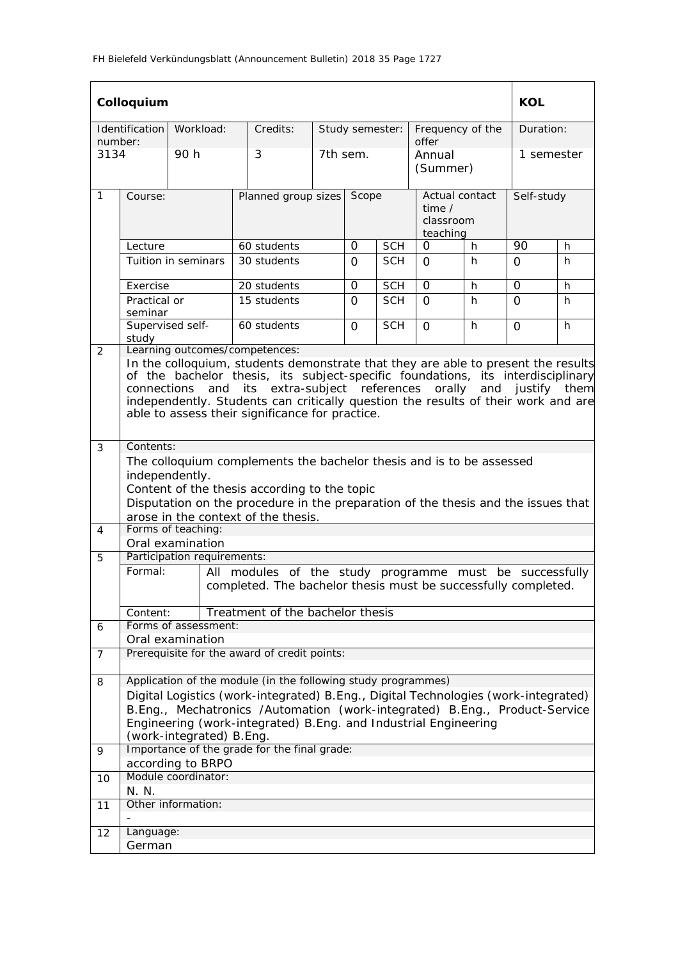|                | Colloquium                                                                                                                                                                                                                                                                                                                                                                                       |                                                 |                                                                                                                                                                                                                                                                                                       |                           |          |                 |                           |                             | <b>KOL</b> |            |
|----------------|--------------------------------------------------------------------------------------------------------------------------------------------------------------------------------------------------------------------------------------------------------------------------------------------------------------------------------------------------------------------------------------------------|-------------------------------------------------|-------------------------------------------------------------------------------------------------------------------------------------------------------------------------------------------------------------------------------------------------------------------------------------------------------|---------------------------|----------|-----------------|---------------------------|-----------------------------|------------|------------|
| number:        | <b>Identification</b>                                                                                                                                                                                                                                                                                                                                                                            | Workload:                                       | Credits:                                                                                                                                                                                                                                                                                              |                           |          | Study semester: | Frequency of the<br>offer |                             | Duration:  |            |
| 3134           |                                                                                                                                                                                                                                                                                                                                                                                                  | 90 h                                            | 3                                                                                                                                                                                                                                                                                                     |                           | 7th sem. |                 | Annual<br>(Summer)        |                             | 1 semester |            |
| $\mathbf{1}$   | Course:                                                                                                                                                                                                                                                                                                                                                                                          |                                                 |                                                                                                                                                                                                                                                                                                       | Planned group sizes Scope |          |                 | time $/$<br>teaching      | Actual contact<br>classroom |            | Self-study |
|                | Lecture                                                                                                                                                                                                                                                                                                                                                                                          |                                                 | 60 students                                                                                                                                                                                                                                                                                           |                           | $\Omega$ | <b>SCH</b>      | 0                         | h.                          | 90         | h.         |
|                |                                                                                                                                                                                                                                                                                                                                                                                                  | Tuition in seminars                             | 30 students                                                                                                                                                                                                                                                                                           |                           | $\Omega$ | <b>SCH</b>      | 0                         | h.                          | $\Omega$   | h          |
|                | Exercise                                                                                                                                                                                                                                                                                                                                                                                         |                                                 | 20 students                                                                                                                                                                                                                                                                                           |                           | 0        | <b>SCH</b>      | 0                         | h.                          | 0          | h.         |
|                | Practical or<br>seminar                                                                                                                                                                                                                                                                                                                                                                          |                                                 | 15 students                                                                                                                                                                                                                                                                                           |                           | 0        | <b>SCH</b>      | O                         | h.                          | 0          | h.         |
| 2              | Supervised self-<br>study                                                                                                                                                                                                                                                                                                                                                                        |                                                 | 60 students<br>Learning outcomes/competences:                                                                                                                                                                                                                                                         |                           | $\Omega$ | <b>SCH</b>      | $\Omega$                  | h                           | $\Omega$   | h.         |
|                | In the colloquium, students demonstrate that they are able to present the results<br>of the bachelor thesis, its subject-specific foundations, its interdisciplinary<br>and justify them<br>its extra-subject references<br>orally<br>connections<br>and<br>independently. Students can critically question the results of their work and are<br>able to assess their significance for practice. |                                                 |                                                                                                                                                                                                                                                                                                       |                           |          |                 |                           |                             |            |            |
| 3              | Contents:                                                                                                                                                                                                                                                                                                                                                                                        |                                                 |                                                                                                                                                                                                                                                                                                       |                           |          |                 |                           |                             |            |            |
|                | The colloquium complements the bachelor thesis and is to be assessed<br>independently.<br>Content of the thesis according to the topic<br>Disputation on the procedure in the preparation of the thesis and the issues that                                                                                                                                                                      |                                                 |                                                                                                                                                                                                                                                                                                       |                           |          |                 |                           |                             |            |            |
|                |                                                                                                                                                                                                                                                                                                                                                                                                  |                                                 | arose in the context of the thesis.                                                                                                                                                                                                                                                                   |                           |          |                 |                           |                             |            |            |
| $\overline{4}$ |                                                                                                                                                                                                                                                                                                                                                                                                  | Forms of teaching:                              |                                                                                                                                                                                                                                                                                                       |                           |          |                 |                           |                             |            |            |
| 5              |                                                                                                                                                                                                                                                                                                                                                                                                  | Oral examination<br>Participation requirements: |                                                                                                                                                                                                                                                                                                       |                           |          |                 |                           |                             |            |            |
|                | Formal:                                                                                                                                                                                                                                                                                                                                                                                          |                                                 | All modules of the study programme must be successfully<br>completed. The bachelor thesis must be successfully completed.                                                                                                                                                                             |                           |          |                 |                           |                             |            |            |
|                | Content:                                                                                                                                                                                                                                                                                                                                                                                         |                                                 | Treatment of the bachelor thesis                                                                                                                                                                                                                                                                      |                           |          |                 |                           |                             |            |            |
| 6              |                                                                                                                                                                                                                                                                                                                                                                                                  | Forms of assessment:                            |                                                                                                                                                                                                                                                                                                       |                           |          |                 |                           |                             |            |            |
|                |                                                                                                                                                                                                                                                                                                                                                                                                  | Oral examination                                |                                                                                                                                                                                                                                                                                                       |                           |          |                 |                           |                             |            |            |
| 7              |                                                                                                                                                                                                                                                                                                                                                                                                  |                                                 | Prerequisite for the award of credit points:                                                                                                                                                                                                                                                          |                           |          |                 |                           |                             |            |            |
| 8              |                                                                                                                                                                                                                                                                                                                                                                                                  | (work-integrated) B.Eng.                        | Application of the module (in the following study programmes)<br>Digital Logistics (work-integrated) B.Eng., Digital Technologies (work-integrated)<br>B.Eng., Mechatronics /Automation (work-integrated) B.Eng., Product-Service<br>Engineering (work-integrated) B. Eng. and Industrial Engineering |                           |          |                 |                           |                             |            |            |
| 9              |                                                                                                                                                                                                                                                                                                                                                                                                  |                                                 | Importance of the grade for the final grade:                                                                                                                                                                                                                                                          |                           |          |                 |                           |                             |            |            |
| 10             |                                                                                                                                                                                                                                                                                                                                                                                                  | according to BRPO<br>Module coordinator:        |                                                                                                                                                                                                                                                                                                       |                           |          |                 |                           |                             |            |            |
|                | N. N.                                                                                                                                                                                                                                                                                                                                                                                            |                                                 |                                                                                                                                                                                                                                                                                                       |                           |          |                 |                           |                             |            |            |
| 11             |                                                                                                                                                                                                                                                                                                                                                                                                  | Other information:                              |                                                                                                                                                                                                                                                                                                       |                           |          |                 |                           |                             |            |            |
| 12             | Language:                                                                                                                                                                                                                                                                                                                                                                                        |                                                 |                                                                                                                                                                                                                                                                                                       |                           |          |                 |                           |                             |            |            |
|                | German                                                                                                                                                                                                                                                                                                                                                                                           |                                                 |                                                                                                                                                                                                                                                                                                       |                           |          |                 |                           |                             |            |            |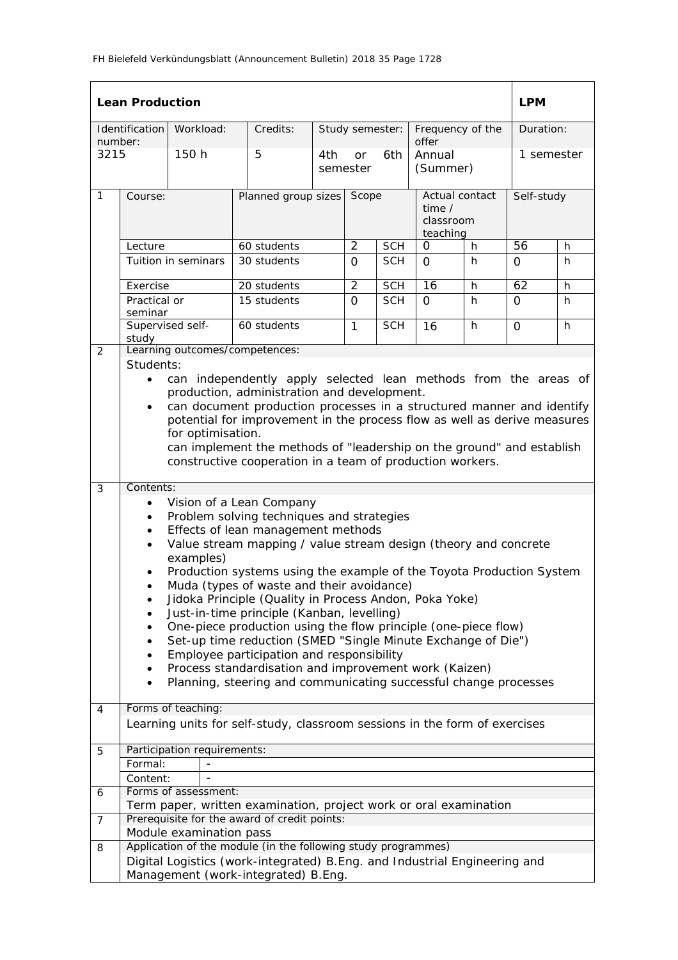| <b>Lean Production</b>                 |                                                                                                                                                                                                                                                                                                                                                                                                                                                                                                                                                                                                                                                                                                                                                                                                                                                                                                                                                                                                                                                                                                                                                                                                                                         |                     |                     |  |                              |                           |                                                     |           | <b>LPM</b>      |    |
|----------------------------------------|-----------------------------------------------------------------------------------------------------------------------------------------------------------------------------------------------------------------------------------------------------------------------------------------------------------------------------------------------------------------------------------------------------------------------------------------------------------------------------------------------------------------------------------------------------------------------------------------------------------------------------------------------------------------------------------------------------------------------------------------------------------------------------------------------------------------------------------------------------------------------------------------------------------------------------------------------------------------------------------------------------------------------------------------------------------------------------------------------------------------------------------------------------------------------------------------------------------------------------------------|---------------------|---------------------|--|------------------------------|---------------------------|-----------------------------------------------------|-----------|-----------------|----|
| Workload:<br>Identification<br>number: |                                                                                                                                                                                                                                                                                                                                                                                                                                                                                                                                                                                                                                                                                                                                                                                                                                                                                                                                                                                                                                                                                                                                                                                                                                         | Credits:            |                     |  | Study semester:              | Frequency of the<br>offer |                                                     | Duration: |                 |    |
| 3215<br>150 h                          |                                                                                                                                                                                                                                                                                                                                                                                                                                                                                                                                                                                                                                                                                                                                                                                                                                                                                                                                                                                                                                                                                                                                                                                                                                         |                     | 5<br>4th            |  | 6th<br>or<br>semester        |                           | Annual<br>(Summer)                                  |           | 1 semester      |    |
| $\mathbf{1}$                           | Course:                                                                                                                                                                                                                                                                                                                                                                                                                                                                                                                                                                                                                                                                                                                                                                                                                                                                                                                                                                                                                                                                                                                                                                                                                                 |                     | Planned group sizes |  | Scope                        |                           | Actual contact<br>time $/$<br>classroom<br>teaching |           | Self-study      |    |
|                                        | Lecture                                                                                                                                                                                                                                                                                                                                                                                                                                                                                                                                                                                                                                                                                                                                                                                                                                                                                                                                                                                                                                                                                                                                                                                                                                 |                     | 60 students         |  | $\overline{2}$<br><b>SCH</b> |                           | $\mathbf 0$<br>h                                    |           | $\overline{56}$ | h  |
|                                        |                                                                                                                                                                                                                                                                                                                                                                                                                                                                                                                                                                                                                                                                                                                                                                                                                                                                                                                                                                                                                                                                                                                                                                                                                                         | Tuition in seminars | 30 students         |  | $\Omega$                     | <b>SCH</b>                | $\Omega$                                            | h         | $\mathsf{O}$    | h  |
|                                        | Exercise                                                                                                                                                                                                                                                                                                                                                                                                                                                                                                                                                                                                                                                                                                                                                                                                                                                                                                                                                                                                                                                                                                                                                                                                                                |                     | 20 students         |  | $\overline{2}$               | <b>SCH</b>                | 16                                                  | h         | 62              | h  |
|                                        | Practical or<br>seminar                                                                                                                                                                                                                                                                                                                                                                                                                                                                                                                                                                                                                                                                                                                                                                                                                                                                                                                                                                                                                                                                                                                                                                                                                 |                     | 15 students         |  | $\Omega$                     | <b>SCH</b>                | $\Omega$                                            | h         | 0               | h. |
|                                        | Supervised self-<br>study                                                                                                                                                                                                                                                                                                                                                                                                                                                                                                                                                                                                                                                                                                                                                                                                                                                                                                                                                                                                                                                                                                                                                                                                               |                     | 60 students         |  | $\mathbf{1}$                 | <b>SCH</b>                | 16                                                  | h         | $\Omega$        | h. |
| 2                                      | Learning outcomes/competences:<br>Students:                                                                                                                                                                                                                                                                                                                                                                                                                                                                                                                                                                                                                                                                                                                                                                                                                                                                                                                                                                                                                                                                                                                                                                                             |                     |                     |  |                              |                           |                                                     |           |                 |    |
| 3                                      | can independently apply selected lean methods from the areas of<br>$\bullet$<br>production, administration and development.<br>can document production processes in a structured manner and identify<br>potential for improvement in the process flow as well as derive measures<br>for optimisation.<br>can implement the methods of "leadership on the ground" and establish<br>constructive cooperation in a team of production workers.<br>Contents:<br>Vision of a Lean Company<br>Problem solving techniques and strategies<br>$\bullet$<br>Effects of lean management methods<br>$\bullet$<br>Value stream mapping / value stream design (theory and concrete<br>$\bullet$<br>examples)<br>Production systems using the example of the Toyota Production System<br>Muda (types of waste and their avoidance)<br>Jidoka Principle (Quality in Process Andon, Poka Yoke)<br>Just-in-time principle (Kanban, levelling)<br>One-piece production using the flow principle (one-piece flow)<br>Set-up time reduction (SMED "Single Minute Exchange of Die")<br>Employee participation and responsibility<br>Process standardisation and improvement work (Kaizen)<br>Planning, steering and communicating successful change processes |                     |                     |  |                              |                           |                                                     |           |                 |    |
| 4                                      | Forms of teaching:<br>Learning units for self-study, classroom sessions in the form of exercises                                                                                                                                                                                                                                                                                                                                                                                                                                                                                                                                                                                                                                                                                                                                                                                                                                                                                                                                                                                                                                                                                                                                        |                     |                     |  |                              |                           |                                                     |           |                 |    |
|                                        |                                                                                                                                                                                                                                                                                                                                                                                                                                                                                                                                                                                                                                                                                                                                                                                                                                                                                                                                                                                                                                                                                                                                                                                                                                         |                     |                     |  |                              |                           |                                                     |           |                 |    |
| 5                                      | Participation requirements:                                                                                                                                                                                                                                                                                                                                                                                                                                                                                                                                                                                                                                                                                                                                                                                                                                                                                                                                                                                                                                                                                                                                                                                                             |                     |                     |  |                              |                           |                                                     |           |                 |    |
|                                        | Formal:                                                                                                                                                                                                                                                                                                                                                                                                                                                                                                                                                                                                                                                                                                                                                                                                                                                                                                                                                                                                                                                                                                                                                                                                                                 |                     |                     |  |                              |                           |                                                     |           |                 |    |
|                                        | Content:                                                                                                                                                                                                                                                                                                                                                                                                                                                                                                                                                                                                                                                                                                                                                                                                                                                                                                                                                                                                                                                                                                                                                                                                                                |                     |                     |  |                              |                           |                                                     |           |                 |    |
| 6                                      | Forms of assessment:                                                                                                                                                                                                                                                                                                                                                                                                                                                                                                                                                                                                                                                                                                                                                                                                                                                                                                                                                                                                                                                                                                                                                                                                                    |                     |                     |  |                              |                           |                                                     |           |                 |    |
| $\overline{7}$                         | Term paper, written examination, project work or oral examination<br>Prerequisite for the award of credit points:                                                                                                                                                                                                                                                                                                                                                                                                                                                                                                                                                                                                                                                                                                                                                                                                                                                                                                                                                                                                                                                                                                                       |                     |                     |  |                              |                           |                                                     |           |                 |    |
|                                        | Module examination pass                                                                                                                                                                                                                                                                                                                                                                                                                                                                                                                                                                                                                                                                                                                                                                                                                                                                                                                                                                                                                                                                                                                                                                                                                 |                     |                     |  |                              |                           |                                                     |           |                 |    |
| 8                                      | Application of the module (in the following study programmes)                                                                                                                                                                                                                                                                                                                                                                                                                                                                                                                                                                                                                                                                                                                                                                                                                                                                                                                                                                                                                                                                                                                                                                           |                     |                     |  |                              |                           |                                                     |           |                 |    |
|                                        | Digital Logistics (work-integrated) B. Eng. and Industrial Engineering and<br>Management (work-integrated) B.Eng.                                                                                                                                                                                                                                                                                                                                                                                                                                                                                                                                                                                                                                                                                                                                                                                                                                                                                                                                                                                                                                                                                                                       |                     |                     |  |                              |                           |                                                     |           |                 |    |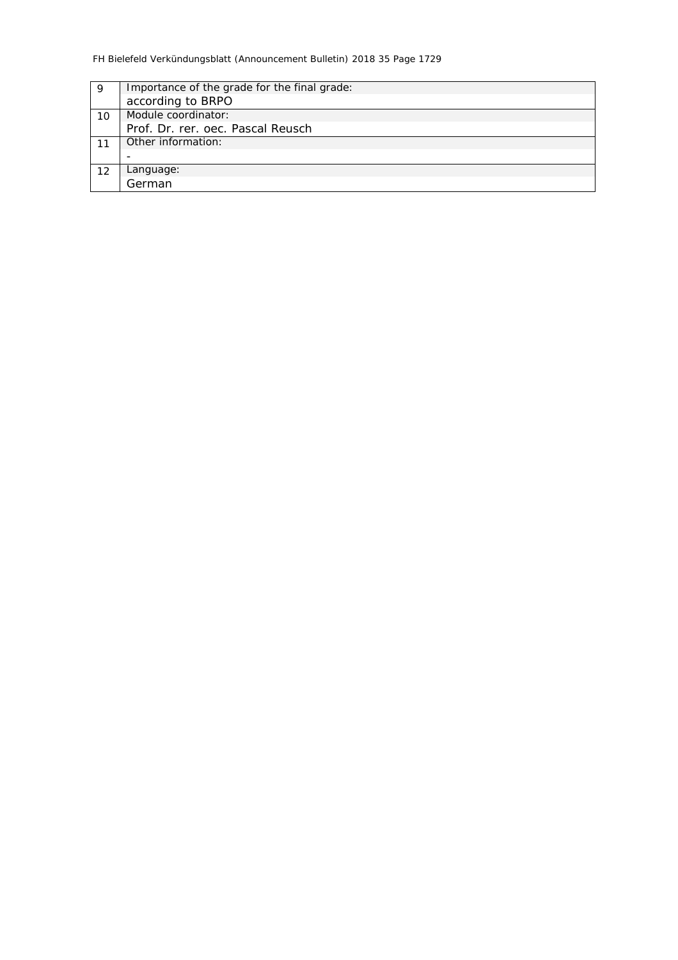| 9  | Importance of the grade for the final grade: |
|----|----------------------------------------------|
|    | according to BRPO                            |
| 10 | Module coordinator:                          |
|    | Prof. Dr. rer. oec. Pascal Reusch            |
|    | Other information:                           |
|    |                                              |
| 12 | Language:                                    |
|    | German                                       |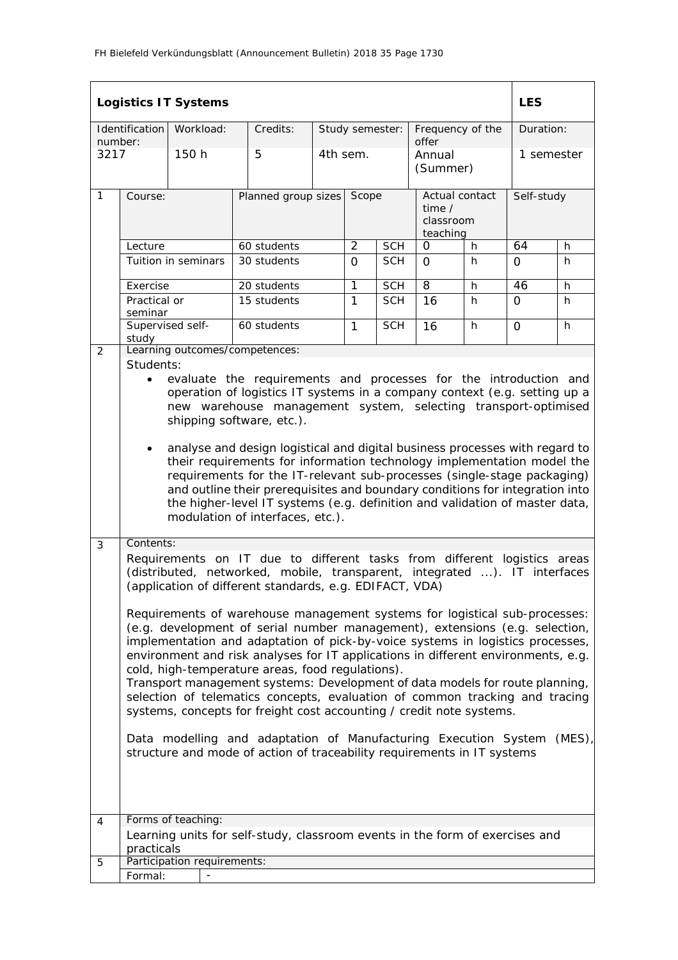|                 |                                                                                                                                                                                                                                                                                                                                                                                                                                                                                                                                                                                                                                                                                                                                                                                                                                                                                                                                                                                                                         | <b>Logistics IT Systems</b> |                                                                              |                           |                |                 |                                                     |   | <b>LES</b> |    |  |
|-----------------|-------------------------------------------------------------------------------------------------------------------------------------------------------------------------------------------------------------------------------------------------------------------------------------------------------------------------------------------------------------------------------------------------------------------------------------------------------------------------------------------------------------------------------------------------------------------------------------------------------------------------------------------------------------------------------------------------------------------------------------------------------------------------------------------------------------------------------------------------------------------------------------------------------------------------------------------------------------------------------------------------------------------------|-----------------------------|------------------------------------------------------------------------------|---------------------------|----------------|-----------------|-----------------------------------------------------|---|------------|----|--|
|                 | Identification                                                                                                                                                                                                                                                                                                                                                                                                                                                                                                                                                                                                                                                                                                                                                                                                                                                                                                                                                                                                          | Workload:                   | Credits:                                                                     |                           |                | Study semester: | Frequency of the<br>offer                           |   | Duration:  |    |  |
| number:<br>3217 |                                                                                                                                                                                                                                                                                                                                                                                                                                                                                                                                                                                                                                                                                                                                                                                                                                                                                                                                                                                                                         | 150 h                       | 5                                                                            |                           | 4th sem.       |                 | Annual<br>(Summer)                                  |   | 1 semester |    |  |
| $\mathbf{1}$    | Course:                                                                                                                                                                                                                                                                                                                                                                                                                                                                                                                                                                                                                                                                                                                                                                                                                                                                                                                                                                                                                 |                             |                                                                              | Planned group sizes Scope |                |                 | Actual contact<br>time $/$<br>classroom<br>teaching |   | Self-study |    |  |
|                 | Lecture                                                                                                                                                                                                                                                                                                                                                                                                                                                                                                                                                                                                                                                                                                                                                                                                                                                                                                                                                                                                                 |                             | 60 students                                                                  |                           | $\overline{2}$ | <b>SCH</b>      | 0                                                   | h | 64         | h  |  |
|                 |                                                                                                                                                                                                                                                                                                                                                                                                                                                                                                                                                                                                                                                                                                                                                                                                                                                                                                                                                                                                                         | Tuition in seminars         | 30 students                                                                  |                           | $\Omega$       | <b>SCH</b>      | $\Omega$                                            | h | $\Omega$   | h  |  |
|                 | Exercise                                                                                                                                                                                                                                                                                                                                                                                                                                                                                                                                                                                                                                                                                                                                                                                                                                                                                                                                                                                                                |                             | 20 students                                                                  |                           | 1              | <b>SCH</b>      | $\overline{8}$                                      | h | 46         | h. |  |
|                 | Practical or<br>seminar                                                                                                                                                                                                                                                                                                                                                                                                                                                                                                                                                                                                                                                                                                                                                                                                                                                                                                                                                                                                 |                             | 15 students                                                                  |                           | 1              | <b>SCH</b>      | 16                                                  | h | $\Omega$   | h. |  |
|                 | study                                                                                                                                                                                                                                                                                                                                                                                                                                                                                                                                                                                                                                                                                                                                                                                                                                                                                                                                                                                                                   | Supervised self-            | 60 students                                                                  |                           | $\mathbf{1}$   | <b>SCH</b>      | 16                                                  | h | 0          | h  |  |
| 2               |                                                                                                                                                                                                                                                                                                                                                                                                                                                                                                                                                                                                                                                                                                                                                                                                                                                                                                                                                                                                                         |                             | Learning outcomes/competences:                                               |                           |                |                 |                                                     |   |            |    |  |
|                 | Students:<br>evaluate the requirements and processes for the introduction and<br>$\bullet$<br>operation of logistics IT systems in a company context (e.g. setting up a<br>new warehouse management system, selecting transport-optimised<br>shipping software, etc.).<br>analyse and design logistical and digital business processes with regard to<br>their requirements for information technology implementation model the<br>requirements for the IT-relevant sub-processes (single-stage packaging)<br>and outline their prerequisites and boundary conditions for integration into<br>the higher-level IT systems (e.g. definition and validation of master data,<br>modulation of interfaces, etc.).                                                                                                                                                                                                                                                                                                           |                             |                                                                              |                           |                |                 |                                                     |   |            |    |  |
| 3               | Contents:<br>Requirements on IT due to different tasks from different logistics areas<br>(distributed, networked, mobile, transparent, integrated ). IT interfaces<br>(application of different standards, e.g. EDIFACT, VDA)<br>Requirements of warehouse management systems for logistical sub-processes:<br>(e.g. development of serial number management), extensions (e.g. selection,<br>implementation and adaptation of pick-by-voice systems in logistics processes,<br>environment and risk analyses for IT applications in different environments, e.g.<br>cold, high-temperature areas, food regulations).<br>Transport management systems: Development of data models for route planning,<br>selection of telematics concepts, evaluation of common tracking and tracing<br>systems, concepts for freight cost accounting / credit note systems.<br>$(MES)$ ,<br>Data modelling and adaptation of Manufacturing Execution System<br>structure and mode of action of traceability requirements in IT systems |                             |                                                                              |                           |                |                 |                                                     |   |            |    |  |
| 4               |                                                                                                                                                                                                                                                                                                                                                                                                                                                                                                                                                                                                                                                                                                                                                                                                                                                                                                                                                                                                                         | Forms of teaching:          | Learning units for self-study, classroom events in the form of exercises and |                           |                |                 |                                                     |   |            |    |  |
|                 | practicals                                                                                                                                                                                                                                                                                                                                                                                                                                                                                                                                                                                                                                                                                                                                                                                                                                                                                                                                                                                                              |                             |                                                                              |                           |                |                 |                                                     |   |            |    |  |
| 5               |                                                                                                                                                                                                                                                                                                                                                                                                                                                                                                                                                                                                                                                                                                                                                                                                                                                                                                                                                                                                                         | Participation requirements: |                                                                              |                           |                |                 |                                                     |   |            |    |  |
|                 | Formal:                                                                                                                                                                                                                                                                                                                                                                                                                                                                                                                                                                                                                                                                                                                                                                                                                                                                                                                                                                                                                 |                             |                                                                              |                           |                |                 |                                                     |   |            |    |  |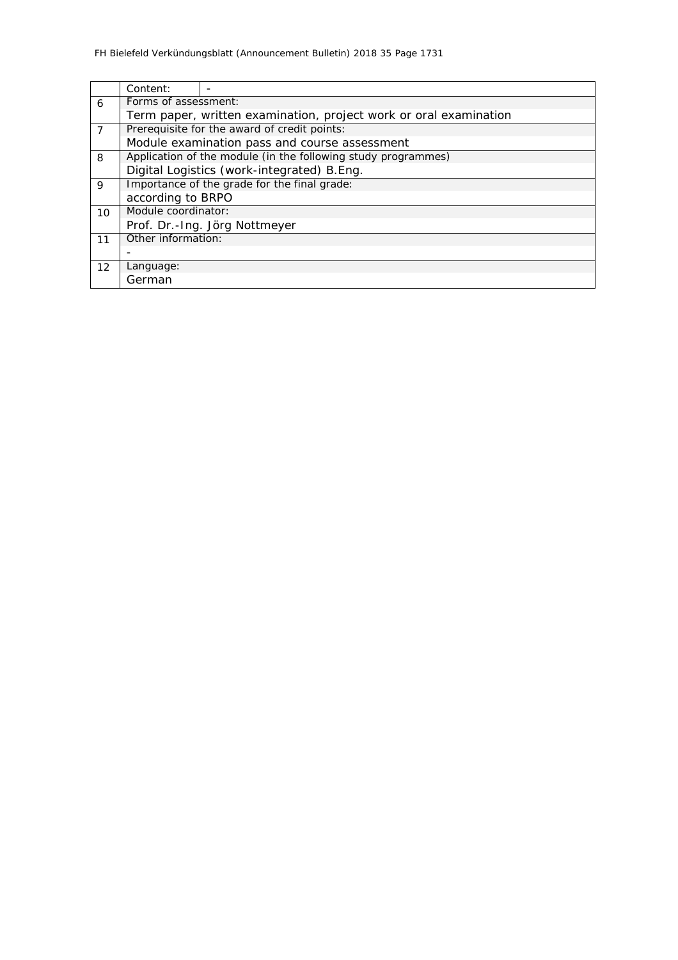|                   | Content:                                     |                                                                   |  |  |  |  |  |  |  |  |
|-------------------|----------------------------------------------|-------------------------------------------------------------------|--|--|--|--|--|--|--|--|
| 6                 | Forms of assessment:                         |                                                                   |  |  |  |  |  |  |  |  |
|                   |                                              | Term paper, written examination, project work or oral examination |  |  |  |  |  |  |  |  |
| $\overline{7}$    |                                              | Prerequisite for the award of credit points:                      |  |  |  |  |  |  |  |  |
|                   |                                              | Module examination pass and course assessment                     |  |  |  |  |  |  |  |  |
| 8                 |                                              | Application of the module (in the following study programmes)     |  |  |  |  |  |  |  |  |
|                   |                                              | Digital Logistics (work-integrated) B.Eng.                        |  |  |  |  |  |  |  |  |
| 9                 | Importance of the grade for the final grade: |                                                                   |  |  |  |  |  |  |  |  |
|                   | according to BRPO                            |                                                                   |  |  |  |  |  |  |  |  |
| 10                | Module coordinator:                          |                                                                   |  |  |  |  |  |  |  |  |
|                   |                                              | Prof. Dr.-Ing. Jörg Nottmeyer                                     |  |  |  |  |  |  |  |  |
| 11                | Other information:                           |                                                                   |  |  |  |  |  |  |  |  |
|                   |                                              |                                                                   |  |  |  |  |  |  |  |  |
| $12 \overline{ }$ | Language:                                    |                                                                   |  |  |  |  |  |  |  |  |
|                   | German                                       |                                                                   |  |  |  |  |  |  |  |  |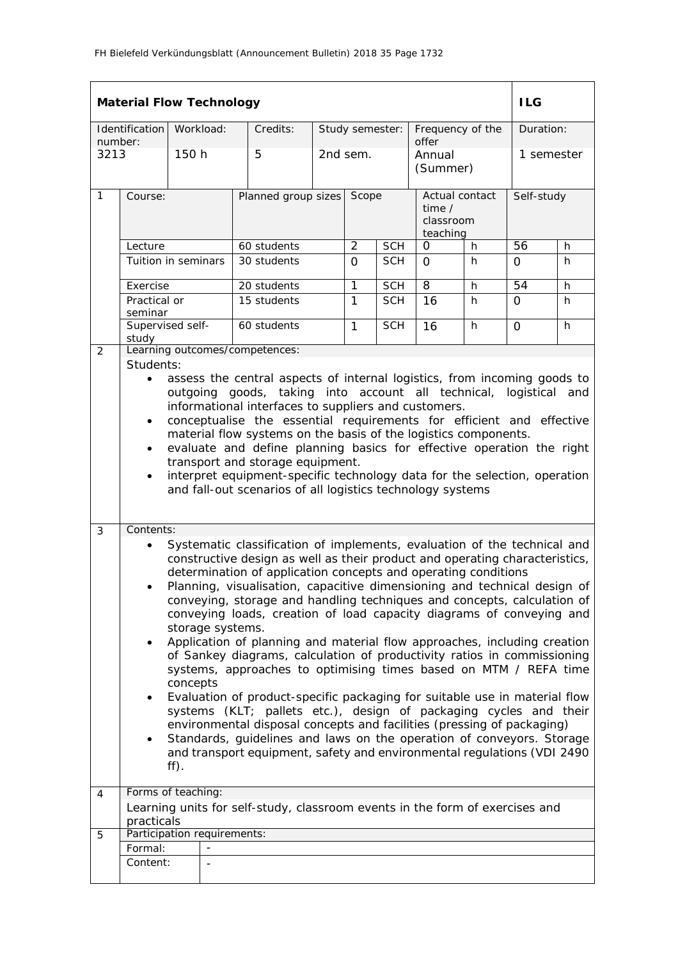|                 | <b>Material Flow Technology</b>                                                                                                                                                                                                                                                                                                                                                                                                                                                                                                                                                                                                                                                                                                                                                                                                                                                                                                                                                                                                                                                                                                                                |           |                          |                                                                              |                     |                 |            |                                                   |    | <b>ILG</b>      |            |  |
|-----------------|----------------------------------------------------------------------------------------------------------------------------------------------------------------------------------------------------------------------------------------------------------------------------------------------------------------------------------------------------------------------------------------------------------------------------------------------------------------------------------------------------------------------------------------------------------------------------------------------------------------------------------------------------------------------------------------------------------------------------------------------------------------------------------------------------------------------------------------------------------------------------------------------------------------------------------------------------------------------------------------------------------------------------------------------------------------------------------------------------------------------------------------------------------------|-----------|--------------------------|------------------------------------------------------------------------------|---------------------|-----------------|------------|---------------------------------------------------|----|-----------------|------------|--|
|                 | Identification                                                                                                                                                                                                                                                                                                                                                                                                                                                                                                                                                                                                                                                                                                                                                                                                                                                                                                                                                                                                                                                                                                                                                 | Workload: |                          | Credits:                                                                     |                     | Study semester: |            | Frequency of the<br>offer                         |    |                 | Duration:  |  |
| number:<br>3213 |                                                                                                                                                                                                                                                                                                                                                                                                                                                                                                                                                                                                                                                                                                                                                                                                                                                                                                                                                                                                                                                                                                                                                                | 150 h     |                          | 5                                                                            |                     | 2nd sem.        |            | Annual<br>(Summer)                                |    |                 | 1 semester |  |
| $\mathbf{1}$    | Course:                                                                                                                                                                                                                                                                                                                                                                                                                                                                                                                                                                                                                                                                                                                                                                                                                                                                                                                                                                                                                                                                                                                                                        |           |                          |                                                                              | Planned group sizes |                 | Scope      | Actual contact<br>time /<br>classroom<br>teaching |    | Self-study      |            |  |
|                 | Lecture                                                                                                                                                                                                                                                                                                                                                                                                                                                                                                                                                                                                                                                                                                                                                                                                                                                                                                                                                                                                                                                                                                                                                        |           |                          | 60 students                                                                  |                     | $\overline{2}$  | <b>SCH</b> | 0                                                 | h  | $\overline{56}$ | h          |  |
|                 | Tuition in seminars                                                                                                                                                                                                                                                                                                                                                                                                                                                                                                                                                                                                                                                                                                                                                                                                                                                                                                                                                                                                                                                                                                                                            |           |                          | 30 students                                                                  |                     | $\Omega$        | <b>SCH</b> | $\Omega$                                          | h. | 0               | h          |  |
|                 | Exercise                                                                                                                                                                                                                                                                                                                                                                                                                                                                                                                                                                                                                                                                                                                                                                                                                                                                                                                                                                                                                                                                                                                                                       |           |                          | 20 students                                                                  |                     | 1               | <b>SCH</b> | 8                                                 | h  | 54              | h          |  |
|                 | Practical or<br>seminar                                                                                                                                                                                                                                                                                                                                                                                                                                                                                                                                                                                                                                                                                                                                                                                                                                                                                                                                                                                                                                                                                                                                        |           |                          | 15 students                                                                  |                     | 1               | <b>SCH</b> | 16                                                | h  | $\Omega$        | h.         |  |
|                 | Supervised self-<br>study                                                                                                                                                                                                                                                                                                                                                                                                                                                                                                                                                                                                                                                                                                                                                                                                                                                                                                                                                                                                                                                                                                                                      |           |                          | 60 students                                                                  |                     | 1               | <b>SCH</b> | 16                                                | h  | $\Omega$        | h          |  |
| 2<br>3          | Learning outcomes/competences:<br>Students:<br>assess the central aspects of internal logistics, from incoming goods to<br>$\bullet$<br>outgoing goods, taking into account all technical,<br>logistical<br>and<br>informational interfaces to suppliers and customers.<br>conceptualise the essential requirements for efficient and effective<br>$\bullet$<br>material flow systems on the basis of the logistics components.<br>evaluate and define planning basics for effective operation the right<br>$\bullet$<br>transport and storage equipment.<br>interpret equipment-specific technology data for the selection, operation<br>$\bullet$<br>and fall-out scenarios of all logistics technology systems                                                                                                                                                                                                                                                                                                                                                                                                                                              |           |                          |                                                                              |                     |                 |            |                                                   |    |                 |            |  |
|                 | Systematic classification of implements, evaluation of the technical and<br>constructive design as well as their product and operating characteristics,<br>determination of application concepts and operating conditions<br>Planning, visualisation, capacitive dimensioning and technical design of<br>conveying, storage and handling techniques and concepts, calculation of<br>conveying loads, creation of load capacity diagrams of conveying and<br>storage systems.<br>Application of planning and material flow approaches, including creation<br>$\bullet$<br>of Sankey diagrams, calculation of productivity ratios in commissioning<br>systems, approaches to optimising times based on MTM / REFA time<br>concepts<br>Evaluation of product-specific packaging for suitable use in material flow<br>$\bullet$<br>systems (KLT; pallets etc.), design of packaging cycles and their<br>environmental disposal concepts and facilities (pressing of packaging)<br>Standards, guidelines and laws on the operation of conveyors. Storage<br>$\bullet$<br>and transport equipment, safety and environmental regulations (VDI 2490<br>$\mathsf{ff}$ . |           |                          |                                                                              |                     |                 |            |                                                   |    |                 |            |  |
| 4               | Forms of teaching:                                                                                                                                                                                                                                                                                                                                                                                                                                                                                                                                                                                                                                                                                                                                                                                                                                                                                                                                                                                                                                                                                                                                             |           |                          |                                                                              |                     |                 |            |                                                   |    |                 |            |  |
|                 | practicals                                                                                                                                                                                                                                                                                                                                                                                                                                                                                                                                                                                                                                                                                                                                                                                                                                                                                                                                                                                                                                                                                                                                                     |           |                          | Learning units for self-study, classroom events in the form of exercises and |                     |                 |            |                                                   |    |                 |            |  |
| 5               | Participation requirements:                                                                                                                                                                                                                                                                                                                                                                                                                                                                                                                                                                                                                                                                                                                                                                                                                                                                                                                                                                                                                                                                                                                                    |           |                          |                                                                              |                     |                 |            |                                                   |    |                 |            |  |
|                 | Formal:                                                                                                                                                                                                                                                                                                                                                                                                                                                                                                                                                                                                                                                                                                                                                                                                                                                                                                                                                                                                                                                                                                                                                        |           | $\overline{\phantom{a}}$ |                                                                              |                     |                 |            |                                                   |    |                 |            |  |
|                 | Content:                                                                                                                                                                                                                                                                                                                                                                                                                                                                                                                                                                                                                                                                                                                                                                                                                                                                                                                                                                                                                                                                                                                                                       |           |                          |                                                                              |                     |                 |            |                                                   |    |                 |            |  |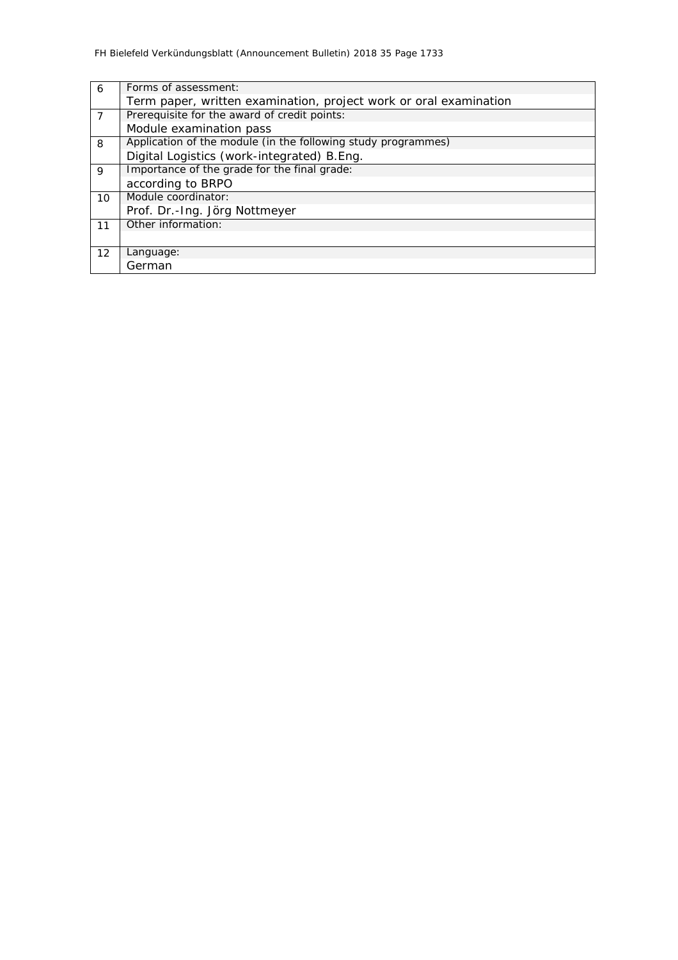| 6              | Forms of assessment:                                              |
|----------------|-------------------------------------------------------------------|
|                | Term paper, written examination, project work or oral examination |
| $\overline{7}$ | Prerequisite for the award of credit points:                      |
|                | Module examination pass                                           |
| 8              | Application of the module (in the following study programmes)     |
|                | Digital Logistics (work-integrated) B.Eng.                        |
| $\mathsf{Q}$   | Importance of the grade for the final grade:                      |
|                | according to BRPO                                                 |
| 10             | Module coordinator:                                               |
|                | Prof. Dr.-Ing. Jörg Nottmeyer                                     |
| 11             | Other information:                                                |
|                |                                                                   |
| 12             | Language:                                                         |
|                | German                                                            |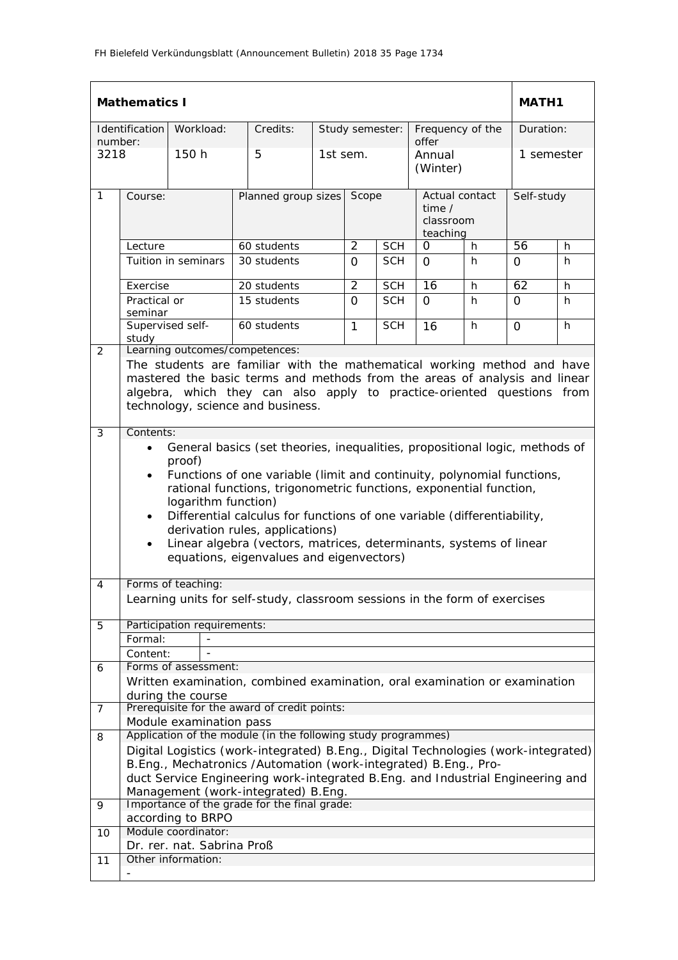|              | <b>Mathematics I</b><br><b>MATH1</b>                                                                                                                                                                                                                                                                                                                                                                                                                                                                                                                          |                                           |  |                                                                                                                                                                                                                                                                                                                                                 |          |                |                                                     |                           |            |            |           |  |
|--------------|---------------------------------------------------------------------------------------------------------------------------------------------------------------------------------------------------------------------------------------------------------------------------------------------------------------------------------------------------------------------------------------------------------------------------------------------------------------------------------------------------------------------------------------------------------------|-------------------------------------------|--|-------------------------------------------------------------------------------------------------------------------------------------------------------------------------------------------------------------------------------------------------------------------------------------------------------------------------------------------------|----------|----------------|-----------------------------------------------------|---------------------------|------------|------------|-----------|--|
| number:      | Identification                                                                                                                                                                                                                                                                                                                                                                                                                                                                                                                                                | Workload:                                 |  | Credits:                                                                                                                                                                                                                                                                                                                                        |          |                | Study semester:                                     | Frequency of the<br>offer |            |            | Duration: |  |
| 3218         |                                                                                                                                                                                                                                                                                                                                                                                                                                                                                                                                                               | 150 h                                     |  | 5                                                                                                                                                                                                                                                                                                                                               | 1st sem. |                |                                                     | Annual<br>(Winter)        |            | 1 semester |           |  |
| $\mathbf{1}$ | Course:                                                                                                                                                                                                                                                                                                                                                                                                                                                                                                                                                       |                                           |  | Planned group sizes                                                                                                                                                                                                                                                                                                                             | Scope    |                | Actual contact<br>time $/$<br>classroom<br>teaching |                           | Self-study |            |           |  |
|              | Lecture                                                                                                                                                                                                                                                                                                                                                                                                                                                                                                                                                       |                                           |  | 60 students                                                                                                                                                                                                                                                                                                                                     |          | 2              | <b>SCH</b>                                          | 0                         | h          | 56         | h         |  |
|              |                                                                                                                                                                                                                                                                                                                                                                                                                                                                                                                                                               | Tuition in seminars                       |  | 30 students                                                                                                                                                                                                                                                                                                                                     |          | $\Omega$       | <b>SCH</b>                                          | $\Omega$                  | h          | $\Omega$   | h         |  |
|              | Exercise                                                                                                                                                                                                                                                                                                                                                                                                                                                                                                                                                      |                                           |  | 20 students                                                                                                                                                                                                                                                                                                                                     |          | $\overline{2}$ | <b>SCH</b>                                          | 16                        | h          | 62         | h         |  |
|              | Practical or<br>seminar                                                                                                                                                                                                                                                                                                                                                                                                                                                                                                                                       |                                           |  | 15 students                                                                                                                                                                                                                                                                                                                                     |          | $\Omega$       | <b>SCH</b>                                          | $\Omega$                  | h          | $\Omega$   | h.        |  |
|              | Supervised self-<br>study                                                                                                                                                                                                                                                                                                                                                                                                                                                                                                                                     |                                           |  | 60 students                                                                                                                                                                                                                                                                                                                                     |          | $\mathbf{1}$   | <b>SCH</b>                                          | 16                        | h          | $\Omega$   | h.        |  |
| 2            | Learning outcomes/competences:<br>The students are familiar with the mathematical working method and have<br>mastered the basic terms and methods from the areas of analysis and linear<br>algebra, which they can also apply to practice-oriented questions from<br>technology, science and business.                                                                                                                                                                                                                                                        |                                           |  |                                                                                                                                                                                                                                                                                                                                                 |          |                |                                                     |                           |            |            |           |  |
|              | Contents:<br>General basics (set theories, inequalities, propositional logic, methods of<br>$\bullet$<br>proof)<br>Functions of one variable (limit and continuity, polynomial functions,<br>$\bullet$<br>rational functions, trigonometric functions, exponential function,<br>logarithm function)<br>Differential calculus for functions of one variable (differentiability,<br>$\bullet$<br>derivation rules, applications)<br>Linear algebra (vectors, matrices, determinants, systems of linear<br>$\bullet$<br>equations, eigenvalues and eigenvectors) |                                           |  |                                                                                                                                                                                                                                                                                                                                                 |          |                |                                                     |                           |            |            |           |  |
| 4            |                                                                                                                                                                                                                                                                                                                                                                                                                                                                                                                                                               | Forms of teaching:                        |  | Learning units for self-study, classroom sessions in the form of exercises                                                                                                                                                                                                                                                                      |          |                |                                                     |                           |            |            |           |  |
| 5            |                                                                                                                                                                                                                                                                                                                                                                                                                                                                                                                                                               | Participation requirements:               |  |                                                                                                                                                                                                                                                                                                                                                 |          |                |                                                     |                           |            |            |           |  |
|              | Formal:<br>Content:                                                                                                                                                                                                                                                                                                                                                                                                                                                                                                                                           |                                           |  |                                                                                                                                                                                                                                                                                                                                                 |          |                |                                                     |                           |            |            |           |  |
| 6            |                                                                                                                                                                                                                                                                                                                                                                                                                                                                                                                                                               | Forms of assessment:<br>during the course |  | Written examination, combined examination, oral examination or examination                                                                                                                                                                                                                                                                      |          |                |                                                     |                           |            |            |           |  |
| 7            |                                                                                                                                                                                                                                                                                                                                                                                                                                                                                                                                                               |                                           |  | Prerequisite for the award of credit points:                                                                                                                                                                                                                                                                                                    |          |                |                                                     |                           |            |            |           |  |
|              |                                                                                                                                                                                                                                                                                                                                                                                                                                                                                                                                                               | Module examination pass                   |  |                                                                                                                                                                                                                                                                                                                                                 |          |                |                                                     |                           |            |            |           |  |
| 8            |                                                                                                                                                                                                                                                                                                                                                                                                                                                                                                                                                               |                                           |  | Application of the module (in the following study programmes)<br>Digital Logistics (work-integrated) B.Eng., Digital Technologies (work-integrated)<br>B.Eng., Mechatronics /Automation (work-integrated) B.Eng., Pro-<br>duct Service Engineering work-integrated B.Eng. and Industrial Engineering and<br>Management (work-integrated) B.Eng. |          |                |                                                     |                           |            |            |           |  |
| 9            |                                                                                                                                                                                                                                                                                                                                                                                                                                                                                                                                                               |                                           |  | Importance of the grade for the final grade:                                                                                                                                                                                                                                                                                                    |          |                |                                                     |                           |            |            |           |  |
|              |                                                                                                                                                                                                                                                                                                                                                                                                                                                                                                                                                               | according to BRPO<br>Module coordinator:  |  |                                                                                                                                                                                                                                                                                                                                                 |          |                |                                                     |                           |            |            |           |  |
| 10           |                                                                                                                                                                                                                                                                                                                                                                                                                                                                                                                                                               | Dr. rer. nat. Sabrina Proß                |  |                                                                                                                                                                                                                                                                                                                                                 |          |                |                                                     |                           |            |            |           |  |
| 11           |                                                                                                                                                                                                                                                                                                                                                                                                                                                                                                                                                               | Other information:                        |  |                                                                                                                                                                                                                                                                                                                                                 |          |                |                                                     |                           |            |            |           |  |
|              |                                                                                                                                                                                                                                                                                                                                                                                                                                                                                                                                                               |                                           |  |                                                                                                                                                                                                                                                                                                                                                 |          |                |                                                     |                           |            |            |           |  |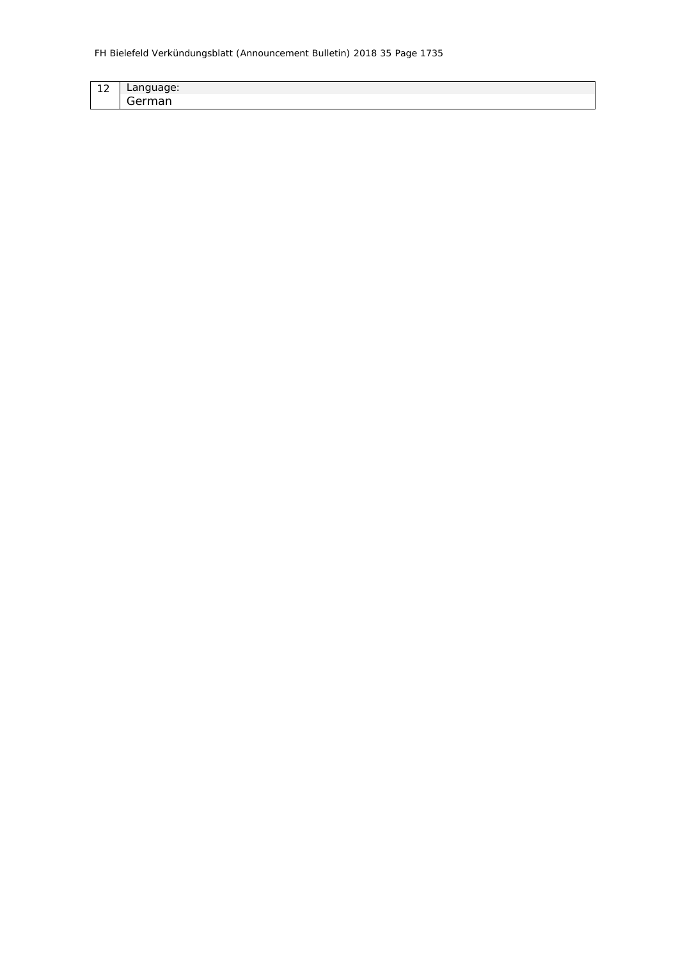| $\sim$<br>$\sim$ | $\sim$ $\sim$<br>.<br>Language:<br>◡ |
|------------------|--------------------------------------|
|                  | --<br>--<br>. .                      |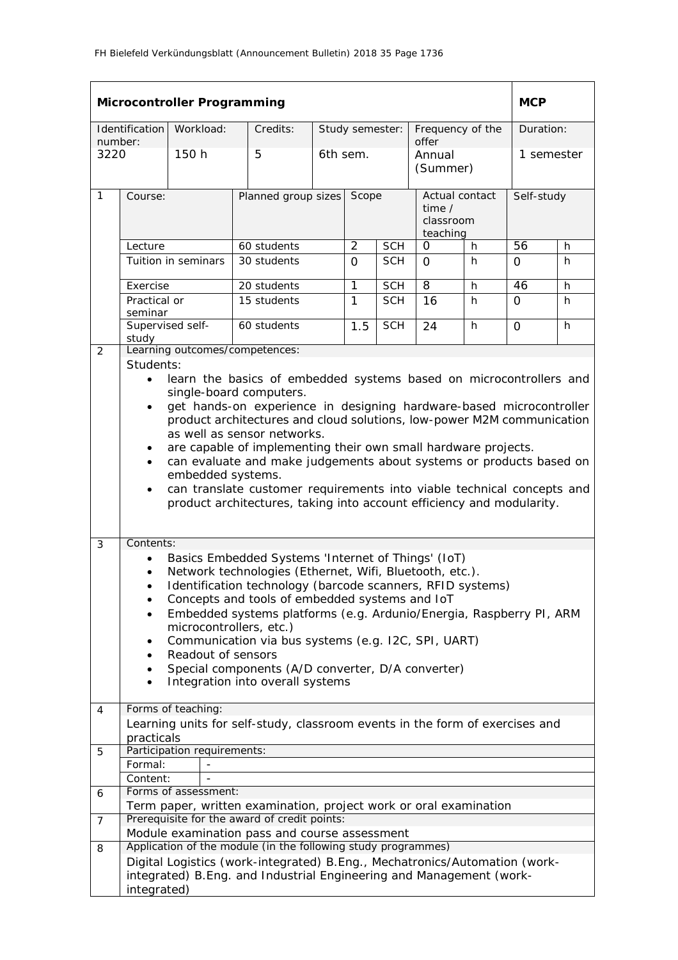|                 |                                                                                                                                                                                                                                                                                                                                                                                                                                                                                                                                                                                                                                                                      | <b>Microcontroller Programming</b> |                                                                                                                                                   |  |                |                 |                                                     |   | <b>MCP</b> |   |
|-----------------|----------------------------------------------------------------------------------------------------------------------------------------------------------------------------------------------------------------------------------------------------------------------------------------------------------------------------------------------------------------------------------------------------------------------------------------------------------------------------------------------------------------------------------------------------------------------------------------------------------------------------------------------------------------------|------------------------------------|---------------------------------------------------------------------------------------------------------------------------------------------------|--|----------------|-----------------|-----------------------------------------------------|---|------------|---|
|                 | Identification                                                                                                                                                                                                                                                                                                                                                                                                                                                                                                                                                                                                                                                       | Workload:                          | Credits:                                                                                                                                          |  |                | Study semester: | Frequency of the                                    |   | Duration:  |   |
| number:<br>3220 |                                                                                                                                                                                                                                                                                                                                                                                                                                                                                                                                                                                                                                                                      | 150 h                              | 5                                                                                                                                                 |  | 6th sem.       |                 | offer<br>Annual<br>(Summer)                         |   | 1 semester |   |
| $\mathbf{1}$    | Course:                                                                                                                                                                                                                                                                                                                                                                                                                                                                                                                                                                                                                                                              |                                    | Planned group sizes                                                                                                                               |  | Scope          |                 | Actual contact<br>time $/$<br>classroom<br>teaching |   | Self-study |   |
|                 | Lecture                                                                                                                                                                                                                                                                                                                                                                                                                                                                                                                                                                                                                                                              |                                    | 60 students                                                                                                                                       |  | $\overline{2}$ | <b>SCH</b>      | 0                                                   | h | 56         | h |
|                 |                                                                                                                                                                                                                                                                                                                                                                                                                                                                                                                                                                                                                                                                      | Tuition in seminars                | 30 students                                                                                                                                       |  | $\Omega$       | <b>SCH</b>      | $\Omega$                                            | h | 0          | h |
|                 | Exercise                                                                                                                                                                                                                                                                                                                                                                                                                                                                                                                                                                                                                                                             |                                    | 20 students                                                                                                                                       |  | 1              | <b>SCH</b>      | 8                                                   | h | 46         | h |
|                 | Practical or<br>seminar                                                                                                                                                                                                                                                                                                                                                                                                                                                                                                                                                                                                                                              |                                    | 15 students                                                                                                                                       |  | $\mathbf{1}$   | <b>SCH</b>      | 16                                                  | h | $\Omega$   | h |
|                 | study                                                                                                                                                                                                                                                                                                                                                                                                                                                                                                                                                                                                                                                                | Supervised self-                   | 60 students                                                                                                                                       |  | 1.5            | <b>SCH</b>      | 24                                                  | h | $\Omega$   | h |
| 2               |                                                                                                                                                                                                                                                                                                                                                                                                                                                                                                                                                                                                                                                                      |                                    | Learning outcomes/competences:                                                                                                                    |  |                |                 |                                                     |   |            |   |
| 3               | Students:<br>learn the basics of embedded systems based on microcontrollers and<br>$\bullet$<br>single-board computers.<br>get hands-on experience in designing hardware-based microcontroller<br>$\bullet$<br>product architectures and cloud solutions, low-power M2M communication<br>as well as sensor networks.<br>are capable of implementing their own small hardware projects.<br>٠<br>can evaluate and make judgements about systems or products based on<br>$\bullet$<br>embedded systems.<br>can translate customer requirements into viable technical concepts and<br>$\bullet$<br>product architectures, taking into account efficiency and modularity. |                                    |                                                                                                                                                   |  |                |                 |                                                     |   |            |   |
|                 | Contents:<br>Basics Embedded Systems 'Internet of Things' (IoT)<br>$\bullet$<br>Network technologies (Ethernet, Wifi, Bluetooth, etc.).<br>$\bullet$<br>Identification technology (barcode scanners, RFID systems)<br>$\bullet$<br>Concepts and tools of embedded systems and IoT<br>Embedded systems platforms (e.g. Ardunio/Energia, Raspberry PI, ARM<br>microcontrollers, etc.)<br>Communication via bus systems (e.g. I2C, SPI, UART)<br>Readout of sensors<br>Special components (A/D converter, D/A converter)<br>Integration into overall systems<br>$\bullet$                                                                                               |                                    |                                                                                                                                                   |  |                |                 |                                                     |   |            |   |
| 4               | practicals                                                                                                                                                                                                                                                                                                                                                                                                                                                                                                                                                                                                                                                           | Forms of teaching:                 | Learning units for self-study, classroom events in the form of exercises and                                                                      |  |                |                 |                                                     |   |            |   |
| 5               |                                                                                                                                                                                                                                                                                                                                                                                                                                                                                                                                                                                                                                                                      | Participation requirements:        |                                                                                                                                                   |  |                |                 |                                                     |   |            |   |
|                 | Formal:                                                                                                                                                                                                                                                                                                                                                                                                                                                                                                                                                                                                                                                              |                                    |                                                                                                                                                   |  |                |                 |                                                     |   |            |   |
|                 | Content:                                                                                                                                                                                                                                                                                                                                                                                                                                                                                                                                                                                                                                                             |                                    |                                                                                                                                                   |  |                |                 |                                                     |   |            |   |
| 6               |                                                                                                                                                                                                                                                                                                                                                                                                                                                                                                                                                                                                                                                                      | Forms of assessment:               |                                                                                                                                                   |  |                |                 |                                                     |   |            |   |
|                 |                                                                                                                                                                                                                                                                                                                                                                                                                                                                                                                                                                                                                                                                      |                                    | Term paper, written examination, project work or oral examination                                                                                 |  |                |                 |                                                     |   |            |   |
| $\overline{7}$  |                                                                                                                                                                                                                                                                                                                                                                                                                                                                                                                                                                                                                                                                      |                                    | Prerequisite for the award of credit points:<br>Module examination pass and course assessment                                                     |  |                |                 |                                                     |   |            |   |
| 8               |                                                                                                                                                                                                                                                                                                                                                                                                                                                                                                                                                                                                                                                                      |                                    | Application of the module (in the following study programmes)                                                                                     |  |                |                 |                                                     |   |            |   |
|                 | integrated)                                                                                                                                                                                                                                                                                                                                                                                                                                                                                                                                                                                                                                                          |                                    | Digital Logistics (work-integrated) B.Eng., Mechatronics/Automation (work-<br>integrated) B.Eng. and Industrial Engineering and Management (work- |  |                |                 |                                                     |   |            |   |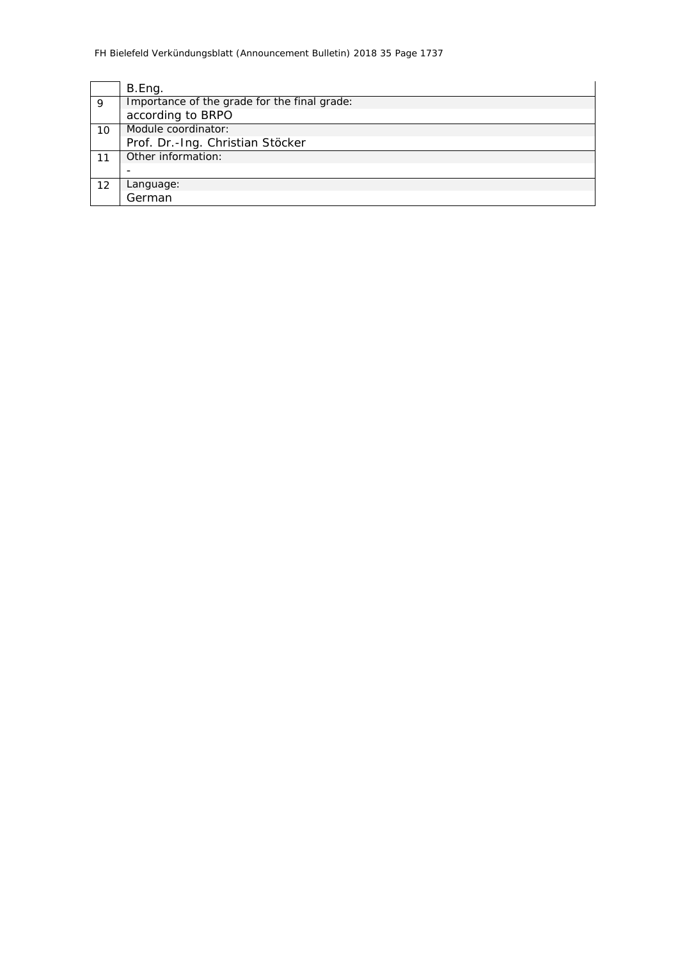|    | B.Eng.                                       |
|----|----------------------------------------------|
| 9  | Importance of the grade for the final grade: |
|    | according to BRPO                            |
| 10 | Module coordinator:                          |
|    | Prof. Dr.-Ing. Christian Stöcker             |
| 11 | Other information:                           |
|    |                                              |
| 12 | Language:                                    |
|    | German                                       |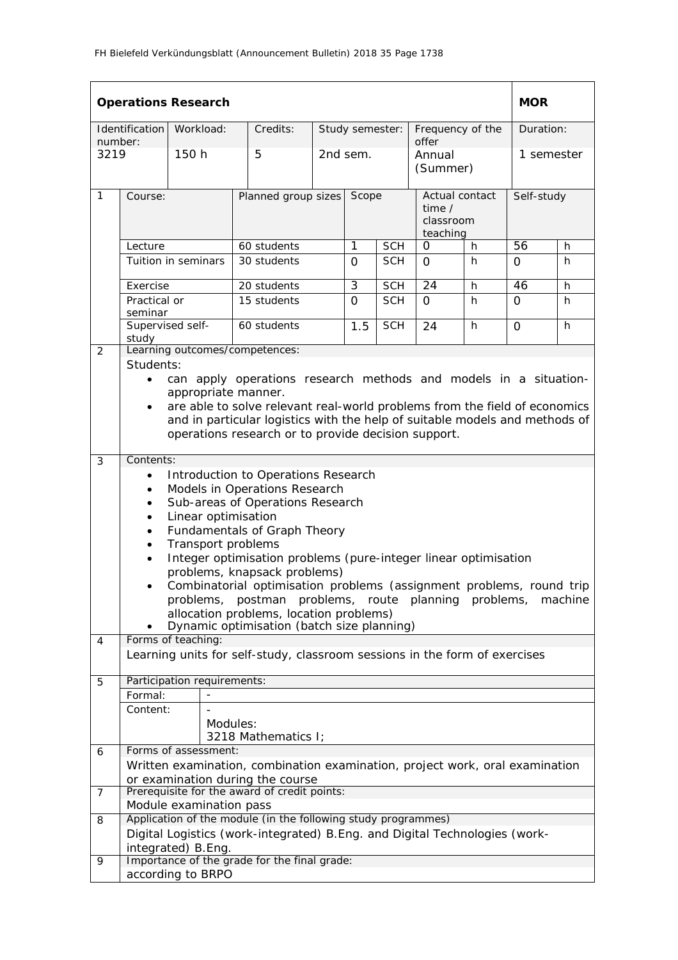|                |                                                  | <b>Operations Research</b>  |          |                                                                                       |       |          |                                                     |                           |            | <b>MOR</b> |            |  |
|----------------|--------------------------------------------------|-----------------------------|----------|---------------------------------------------------------------------------------------|-------|----------|-----------------------------------------------------|---------------------------|------------|------------|------------|--|
| number:        | Identification                                   | Workload:                   |          | Credits:                                                                              |       |          | Study semester:                                     | Frequency of the<br>offer |            |            | Duration:  |  |
| 3219           |                                                  | 150 h                       |          | 5                                                                                     |       | 2nd sem. |                                                     | Annual<br>(Summer)        |            |            | 1 semester |  |
| $\mathbf{1}$   | Course:                                          |                             |          | Planned group sizes                                                                   | Scope |          | Actual contact<br>time $/$<br>classroom<br>teaching |                           | Self-study |            |            |  |
|                | Lecture                                          |                             |          | 60 students                                                                           |       | 1        | <b>SCH</b>                                          | 0<br>h                    |            | 56         | h          |  |
|                |                                                  | Tuition in seminars         |          | 30 students                                                                           |       | $\Omega$ | <b>SCH</b>                                          | $\Omega$                  | h          | $\Omega$   | h          |  |
|                | Exercise                                         |                             |          | 20 students                                                                           |       | 3        | <b>SCH</b>                                          | 24                        | h          | 46         | h          |  |
|                | Practical or<br>seminar                          |                             |          | 15 students                                                                           |       | $\Omega$ | <b>SCH</b>                                          | $\Omega$                  | h          | $\Omega$   | h          |  |
|                | Supervised self-<br>study                        |                             |          | 60 students                                                                           |       | 1.5      | <b>SCH</b>                                          | 24                        | h          | $\Omega$   | h          |  |
| 2              |                                                  |                             |          | Learning outcomes/competences:                                                        |       |          |                                                     |                           |            |            |            |  |
|                | Students:                                        |                             |          |                                                                                       |       |          |                                                     |                           |            |            |            |  |
|                | $\bullet$                                        |                             |          | can apply operations research methods and models in a situation-                      |       |          |                                                     |                           |            |            |            |  |
|                |                                                  | appropriate manner.         |          | are able to solve relevant real-world problems from the field of economics            |       |          |                                                     |                           |            |            |            |  |
|                |                                                  |                             |          | and in particular logistics with the help of suitable models and methods of           |       |          |                                                     |                           |            |            |            |  |
|                |                                                  |                             |          | operations research or to provide decision support.                                   |       |          |                                                     |                           |            |            |            |  |
|                |                                                  |                             |          |                                                                                       |       |          |                                                     |                           |            |            |            |  |
| 3              | Contents:<br>Introduction to Operations Research |                             |          |                                                                                       |       |          |                                                     |                           |            |            |            |  |
|                | Models in Operations Research<br>$\bullet$       |                             |          |                                                                                       |       |          |                                                     |                           |            |            |            |  |
|                | $\bullet$                                        |                             |          | Sub-areas of Operations Research                                                      |       |          |                                                     |                           |            |            |            |  |
|                | $\bullet$                                        | Linear optimisation         |          |                                                                                       |       |          |                                                     |                           |            |            |            |  |
|                | $\bullet$                                        |                             |          | Fundamentals of Graph Theory                                                          |       |          |                                                     |                           |            |            |            |  |
|                | $\bullet$                                        | Transport problems          |          | Integer optimisation problems (pure-integer linear optimisation                       |       |          |                                                     |                           |            |            |            |  |
|                |                                                  |                             |          | problems, knapsack problems)                                                          |       |          |                                                     |                           |            |            |            |  |
|                |                                                  |                             |          | Combinatorial optimisation problems (assignment problems, round trip                  |       |          |                                                     |                           |            |            |            |  |
|                |                                                  |                             |          | problems, postman problems, route planning problems,                                  |       |          |                                                     |                           |            |            | machine    |  |
|                |                                                  |                             |          | allocation problems, location problems)<br>Dynamic optimisation (batch size planning) |       |          |                                                     |                           |            |            |            |  |
| 4              |                                                  | Forms of teaching:          |          |                                                                                       |       |          |                                                     |                           |            |            |            |  |
|                |                                                  |                             |          | Learning units for self-study, classroom sessions in the form of exercises            |       |          |                                                     |                           |            |            |            |  |
|                |                                                  |                             |          |                                                                                       |       |          |                                                     |                           |            |            |            |  |
| 5              | Formal:                                          | Participation requirements: |          |                                                                                       |       |          |                                                     |                           |            |            |            |  |
|                | Content:                                         |                             |          |                                                                                       |       |          |                                                     |                           |            |            |            |  |
|                |                                                  |                             | Modules: |                                                                                       |       |          |                                                     |                           |            |            |            |  |
|                |                                                  |                             |          | 3218 Mathematics I;                                                                   |       |          |                                                     |                           |            |            |            |  |
| 6              |                                                  | Forms of assessment:        |          |                                                                                       |       |          |                                                     |                           |            |            |            |  |
|                |                                                  |                             |          | Written examination, combination examination, project work, oral examination          |       |          |                                                     |                           |            |            |            |  |
| $\overline{7}$ |                                                  |                             |          | or examination during the course<br>Prerequisite for the award of credit points:      |       |          |                                                     |                           |            |            |            |  |
|                |                                                  | Module examination pass     |          |                                                                                       |       |          |                                                     |                           |            |            |            |  |
| 8              |                                                  |                             |          | Application of the module (in the following study programmes)                         |       |          |                                                     |                           |            |            |            |  |
|                |                                                  |                             |          | Digital Logistics (work-integrated) B. Eng. and Digital Technologies (work-           |       |          |                                                     |                           |            |            |            |  |
| 9              |                                                  | integrated) B.Eng.          |          | Importance of the grade for the final grade:                                          |       |          |                                                     |                           |            |            |            |  |
|                |                                                  | according to BRPO           |          |                                                                                       |       |          |                                                     |                           |            |            |            |  |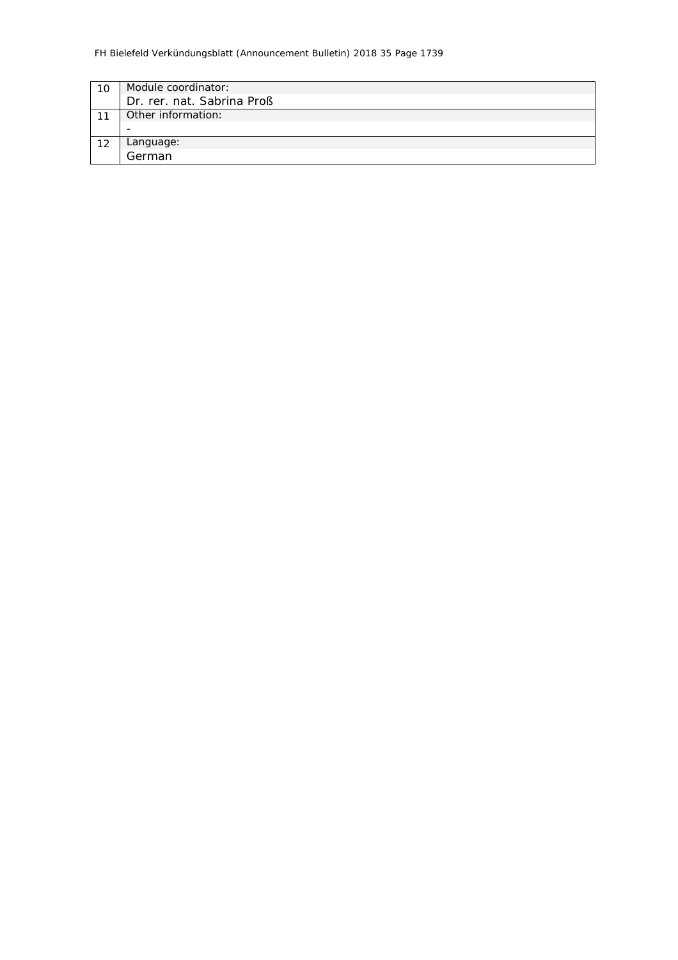| Module coordinator:        |
|----------------------------|
| Dr. rer. nat. Sabrina Proß |
| Other information:         |
|                            |
|                            |
| Language:<br>German        |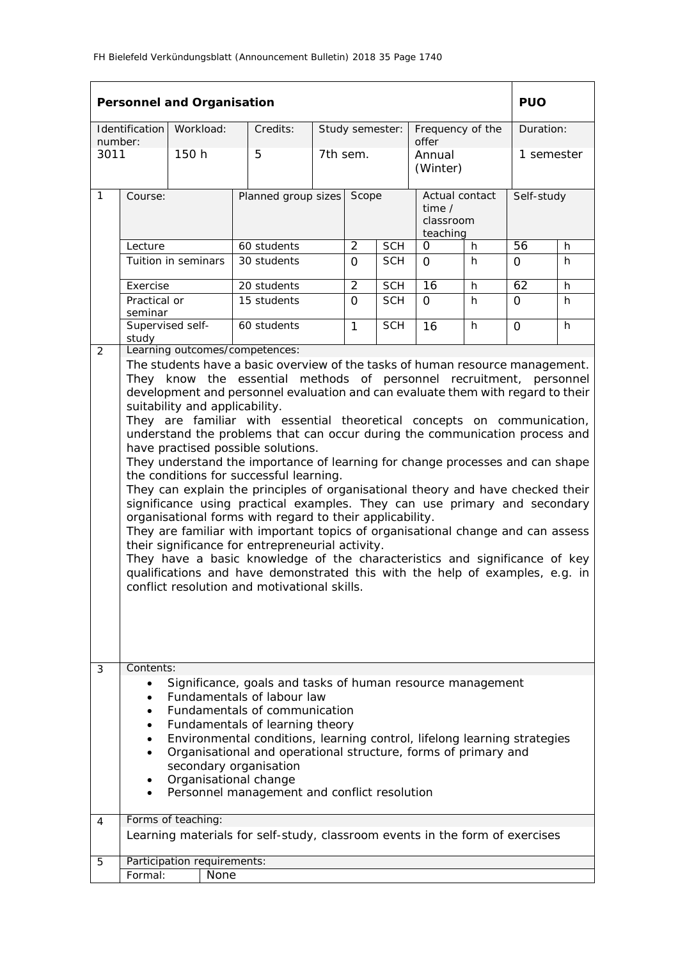|                 | <b>Personnel and Organisation</b>                                                                                                                                                                                                                                                                                                                                                                                                                                                                                                                                                                                                                                                                                                                                                                                                                                                                                                                                                                                                                                                                                                                                                                                             |                                     |                                                                              |                     |                              |                 |                                                     |   |                 |            |  |
|-----------------|-------------------------------------------------------------------------------------------------------------------------------------------------------------------------------------------------------------------------------------------------------------------------------------------------------------------------------------------------------------------------------------------------------------------------------------------------------------------------------------------------------------------------------------------------------------------------------------------------------------------------------------------------------------------------------------------------------------------------------------------------------------------------------------------------------------------------------------------------------------------------------------------------------------------------------------------------------------------------------------------------------------------------------------------------------------------------------------------------------------------------------------------------------------------------------------------------------------------------------|-------------------------------------|------------------------------------------------------------------------------|---------------------|------------------------------|-----------------|-----------------------------------------------------|---|-----------------|------------|--|
|                 | Identification                                                                                                                                                                                                                                                                                                                                                                                                                                                                                                                                                                                                                                                                                                                                                                                                                                                                                                                                                                                                                                                                                                                                                                                                                | Workload:                           | Credits:                                                                     |                     |                              | Study semester: | Frequency of the                                    |   |                 | Duration:  |  |
| number:<br>3011 |                                                                                                                                                                                                                                                                                                                                                                                                                                                                                                                                                                                                                                                                                                                                                                                                                                                                                                                                                                                                                                                                                                                                                                                                                               | 150 h                               | 5                                                                            |                     | 7th sem.                     |                 | offer<br>Annual<br>(Winter)                         |   |                 | 1 semester |  |
| $\mathbf{1}$    | Course:                                                                                                                                                                                                                                                                                                                                                                                                                                                                                                                                                                                                                                                                                                                                                                                                                                                                                                                                                                                                                                                                                                                                                                                                                       |                                     |                                                                              | Planned group sizes |                              | Scope           | Actual contact<br>time $/$<br>classroom<br>teaching |   | Self-study      |            |  |
|                 | Lecture                                                                                                                                                                                                                                                                                                                                                                                                                                                                                                                                                                                                                                                                                                                                                                                                                                                                                                                                                                                                                                                                                                                                                                                                                       |                                     | 60 students                                                                  |                     | $\overline{2}$<br><b>SCH</b> |                 | 0<br>h                                              |   | $\overline{56}$ | h.         |  |
|                 |                                                                                                                                                                                                                                                                                                                                                                                                                                                                                                                                                                                                                                                                                                                                                                                                                                                                                                                                                                                                                                                                                                                                                                                                                               | Tuition in seminars                 | 30 students                                                                  |                     | $\Omega$                     | <b>SCH</b>      | $\Omega$                                            | h | 0               | h.         |  |
|                 | Exercise                                                                                                                                                                                                                                                                                                                                                                                                                                                                                                                                                                                                                                                                                                                                                                                                                                                                                                                                                                                                                                                                                                                                                                                                                      |                                     | 20 students                                                                  |                     | $\overline{2}$               | <b>SCH</b>      | 16                                                  | h | 62              | h.         |  |
|                 | Practical or<br>seminar                                                                                                                                                                                                                                                                                                                                                                                                                                                                                                                                                                                                                                                                                                                                                                                                                                                                                                                                                                                                                                                                                                                                                                                                       |                                     | 15 students                                                                  |                     | $\Omega$                     | <b>SCH</b>      | $\Omega$                                            | h | $\Omega$        | h          |  |
|                 | Supervised self-<br>study                                                                                                                                                                                                                                                                                                                                                                                                                                                                                                                                                                                                                                                                                                                                                                                                                                                                                                                                                                                                                                                                                                                                                                                                     |                                     | 60 students                                                                  |                     | $\mathbf{1}$                 | <b>SCH</b>      | 16                                                  | h | $\Omega$        | h          |  |
| 3               | Learning outcomes/competences:<br>2<br>The students have a basic overview of the tasks of human resource management.<br>They know the essential methods of personnel recruitment, personnel<br>development and personnel evaluation and can evaluate them with regard to their<br>suitability and applicability.<br>They are familiar with essential theoretical concepts on communication,<br>understand the problems that can occur during the communication process and<br>have practised possible solutions.<br>They understand the importance of learning for change processes and can shape<br>the conditions for successful learning.<br>They can explain the principles of organisational theory and have checked their<br>significance using practical examples. They can use primary and secondary<br>organisational forms with regard to their applicability.<br>They are familiar with important topics of organisational change and can assess<br>their significance for entrepreneurial activity.<br>They have a basic knowledge of the characteristics and significance of key<br>qualifications and have demonstrated this with the help of examples, e.g. in<br>conflict resolution and motivational skills. |                                     |                                                                              |                     |                              |                 |                                                     |   |                 |            |  |
|                 | Contents:<br>Significance, goals and tasks of human resource management<br>Fundamentals of labour law<br>Fundamentals of communication<br>Fundamentals of learning theory<br>Environmental conditions, learning control, lifelong learning strategies<br>Organisational and operational structure, forms of primary and<br>secondary organisation<br>Organisational change<br>Personnel management and conflict resolution                                                                                                                                                                                                                                                                                                                                                                                                                                                                                                                                                                                                                                                                                                                                                                                                    |                                     |                                                                              |                     |                              |                 |                                                     |   |                 |            |  |
| 4               |                                                                                                                                                                                                                                                                                                                                                                                                                                                                                                                                                                                                                                                                                                                                                                                                                                                                                                                                                                                                                                                                                                                                                                                                                               | Forms of teaching:                  | Learning materials for self-study, classroom events in the form of exercises |                     |                              |                 |                                                     |   |                 |            |  |
|                 |                                                                                                                                                                                                                                                                                                                                                                                                                                                                                                                                                                                                                                                                                                                                                                                                                                                                                                                                                                                                                                                                                                                                                                                                                               |                                     |                                                                              |                     |                              |                 |                                                     |   |                 |            |  |
| 5               | Formal:                                                                                                                                                                                                                                                                                                                                                                                                                                                                                                                                                                                                                                                                                                                                                                                                                                                                                                                                                                                                                                                                                                                                                                                                                       | Participation requirements:<br>None |                                                                              |                     |                              |                 |                                                     |   |                 |            |  |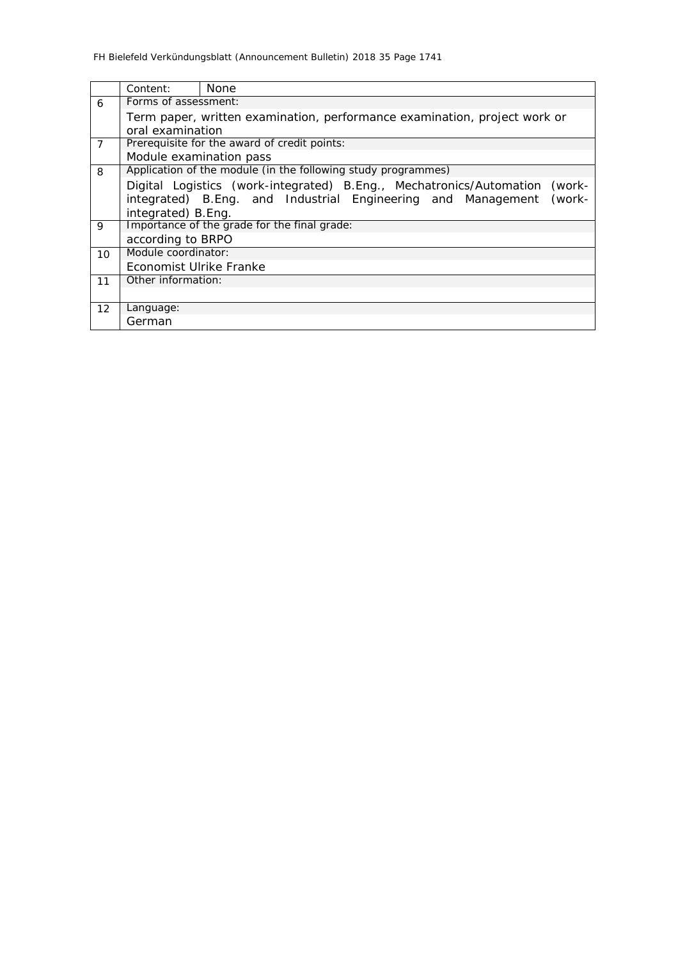|                | Content:                                                               | None                                                                          |  |  |  |  |  |  |  |
|----------------|------------------------------------------------------------------------|-------------------------------------------------------------------------------|--|--|--|--|--|--|--|
| 6              | Forms of assessment:                                                   |                                                                               |  |  |  |  |  |  |  |
|                |                                                                        | Term paper, written examination, performance examination, project work or     |  |  |  |  |  |  |  |
|                | oral examination                                                       |                                                                               |  |  |  |  |  |  |  |
| $\overline{7}$ |                                                                        | Prerequisite for the award of credit points:                                  |  |  |  |  |  |  |  |
|                | Module examination pass                                                |                                                                               |  |  |  |  |  |  |  |
| 8              |                                                                        | Application of the module (in the following study programmes)                 |  |  |  |  |  |  |  |
|                |                                                                        | Digital Logistics (work-integrated) B.Eng., Mechatronics/Automation<br>(work- |  |  |  |  |  |  |  |
|                | integrated) B.Eng. and Industrial Engineering and Management<br>(work- |                                                                               |  |  |  |  |  |  |  |
|                | integrated) B.Eng.                                                     |                                                                               |  |  |  |  |  |  |  |
| 9              |                                                                        | Importance of the grade for the final grade:                                  |  |  |  |  |  |  |  |
|                | according to BRPO                                                      |                                                                               |  |  |  |  |  |  |  |
| 10             | Module coordinator:                                                    |                                                                               |  |  |  |  |  |  |  |
|                | Economist Ulrike Franke                                                |                                                                               |  |  |  |  |  |  |  |
| 11             | Other information:                                                     |                                                                               |  |  |  |  |  |  |  |
|                |                                                                        |                                                                               |  |  |  |  |  |  |  |
| 12             | Language:                                                              |                                                                               |  |  |  |  |  |  |  |
|                | German                                                                 |                                                                               |  |  |  |  |  |  |  |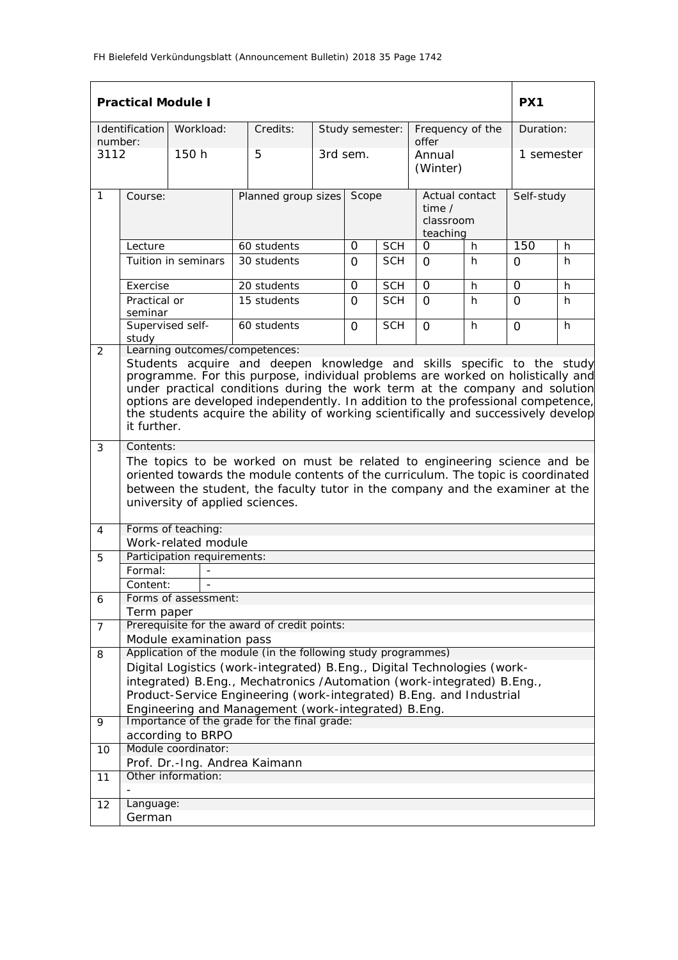|                  | <b>Practical Module I</b>                                                                                                                                                                                                                                                                                                                                                                                                          |                             |                                                                          |          |            |                 |                                                          |          | PX <sub>1</sub> |   |
|------------------|------------------------------------------------------------------------------------------------------------------------------------------------------------------------------------------------------------------------------------------------------------------------------------------------------------------------------------------------------------------------------------------------------------------------------------|-----------------------------|--------------------------------------------------------------------------|----------|------------|-----------------|----------------------------------------------------------|----------|-----------------|---|
|                  | <b>Identification</b>                                                                                                                                                                                                                                                                                                                                                                                                              | Workload:                   | Credits:                                                                 |          |            | Study semester: | Frequency of the                                         |          | Duration:       |   |
| number:<br>3112  |                                                                                                                                                                                                                                                                                                                                                                                                                                    | 150h                        | 5                                                                        | 3rd sem. |            |                 | offer<br>Annual<br>(Winter)                              |          | 1 semester      |   |
| $\mathbf{1}$     | Course:                                                                                                                                                                                                                                                                                                                                                                                                                            |                             | Planned group sizes                                                      |          | Scope      |                 | Actual contact<br>time $\prime$<br>classroom<br>teaching |          | Self-study      |   |
|                  | Lecture                                                                                                                                                                                                                                                                                                                                                                                                                            |                             | 60 students                                                              |          | $\Omega$   | <b>SCH</b>      | $\Omega$                                                 | h.       | 150             | h |
|                  | Tuition in seminars<br>30 students                                                                                                                                                                                                                                                                                                                                                                                                 |                             |                                                                          | $\Omega$ | <b>SCH</b> | $\Omega$        | h                                                        | $\Omega$ | h               |   |
|                  | Exercise                                                                                                                                                                                                                                                                                                                                                                                                                           |                             | 20 students                                                              |          | 0          | <b>SCH</b>      | 0                                                        | h.       | 0               | h |
|                  | Practical or<br>15 students<br>seminar<br>Supervised self-<br>60 students<br>study<br>Learning outcomes/competences:                                                                                                                                                                                                                                                                                                               |                             |                                                                          | 0        | <b>SCH</b> | $\Omega$        | h.                                                       | 0        | h.              |   |
| 2                |                                                                                                                                                                                                                                                                                                                                                                                                                                    |                             |                                                                          | $\Omega$ | <b>SCH</b> | $\Omega$        | h                                                        | $\Omega$ | h.              |   |
|                  | Students acquire and deepen knowledge and skills specific to the study<br>programme. For this purpose, individual problems are worked on holistically and<br>under practical conditions during the work term at the company and solution<br>options are developed independently. In addition to the professional competence,<br>the students acquire the ability of working scientifically and successively develop<br>it further. |                             |                                                                          |          |            |                 |                                                          |          |                 |   |
| 3                | Contents:<br>The topics to be worked on must be related to engineering science and be<br>oriented towards the module contents of the curriculum. The topic is coordinated<br>between the student, the faculty tutor in the company and the examiner at the<br>university of applied sciences.                                                                                                                                      |                             |                                                                          |          |            |                 |                                                          |          |                 |   |
| 4                |                                                                                                                                                                                                                                                                                                                                                                                                                                    | Forms of teaching:          |                                                                          |          |            |                 |                                                          |          |                 |   |
|                  |                                                                                                                                                                                                                                                                                                                                                                                                                                    | Work-related module         |                                                                          |          |            |                 |                                                          |          |                 |   |
| 5                |                                                                                                                                                                                                                                                                                                                                                                                                                                    | Participation requirements: |                                                                          |          |            |                 |                                                          |          |                 |   |
|                  | Formal:                                                                                                                                                                                                                                                                                                                                                                                                                            |                             |                                                                          |          |            |                 |                                                          |          |                 |   |
| $\boldsymbol{6}$ | Content:                                                                                                                                                                                                                                                                                                                                                                                                                           | Forms of assessment:        |                                                                          |          |            |                 |                                                          |          |                 |   |
|                  | Term paper                                                                                                                                                                                                                                                                                                                                                                                                                         |                             |                                                                          |          |            |                 |                                                          |          |                 |   |
| $\overline{7}$   |                                                                                                                                                                                                                                                                                                                                                                                                                                    |                             | Prerequisite for the award of credit points:                             |          |            |                 |                                                          |          |                 |   |
|                  |                                                                                                                                                                                                                                                                                                                                                                                                                                    | Module examination pass     |                                                                          |          |            |                 |                                                          |          |                 |   |
| 8                |                                                                                                                                                                                                                                                                                                                                                                                                                                    |                             | Application of the module (in the following study programmes)            |          |            |                 |                                                          |          |                 |   |
|                  |                                                                                                                                                                                                                                                                                                                                                                                                                                    |                             | Digital Logistics (work-integrated) B. Eng., Digital Technologies (work- |          |            |                 |                                                          |          |                 |   |
|                  | integrated) B.Eng., Mechatronics /Automation (work-integrated) B.Eng.,<br>Product-Service Engineering (work-integrated) B. Eng. and Industrial                                                                                                                                                                                                                                                                                     |                             |                                                                          |          |            |                 |                                                          |          |                 |   |
|                  | Engineering and Management (work-integrated) B.Eng.                                                                                                                                                                                                                                                                                                                                                                                |                             |                                                                          |          |            |                 |                                                          |          |                 |   |
| 9                |                                                                                                                                                                                                                                                                                                                                                                                                                                    |                             | Importance of the grade for the final grade:                             |          |            |                 |                                                          |          |                 |   |
|                  |                                                                                                                                                                                                                                                                                                                                                                                                                                    | according to BRPO           |                                                                          |          |            |                 |                                                          |          |                 |   |
| 10               |                                                                                                                                                                                                                                                                                                                                                                                                                                    | Module coordinator:         |                                                                          |          |            |                 |                                                          |          |                 |   |
|                  |                                                                                                                                                                                                                                                                                                                                                                                                                                    |                             | Prof. Dr.-Ing. Andrea Kaimann                                            |          |            |                 |                                                          |          |                 |   |
| 11               |                                                                                                                                                                                                                                                                                                                                                                                                                                    | Other information:          |                                                                          |          |            |                 |                                                          |          |                 |   |
| 12               | Language:                                                                                                                                                                                                                                                                                                                                                                                                                          |                             |                                                                          |          |            |                 |                                                          |          |                 |   |
|                  |                                                                                                                                                                                                                                                                                                                                                                                                                                    |                             |                                                                          |          |            |                 |                                                          |          |                 |   |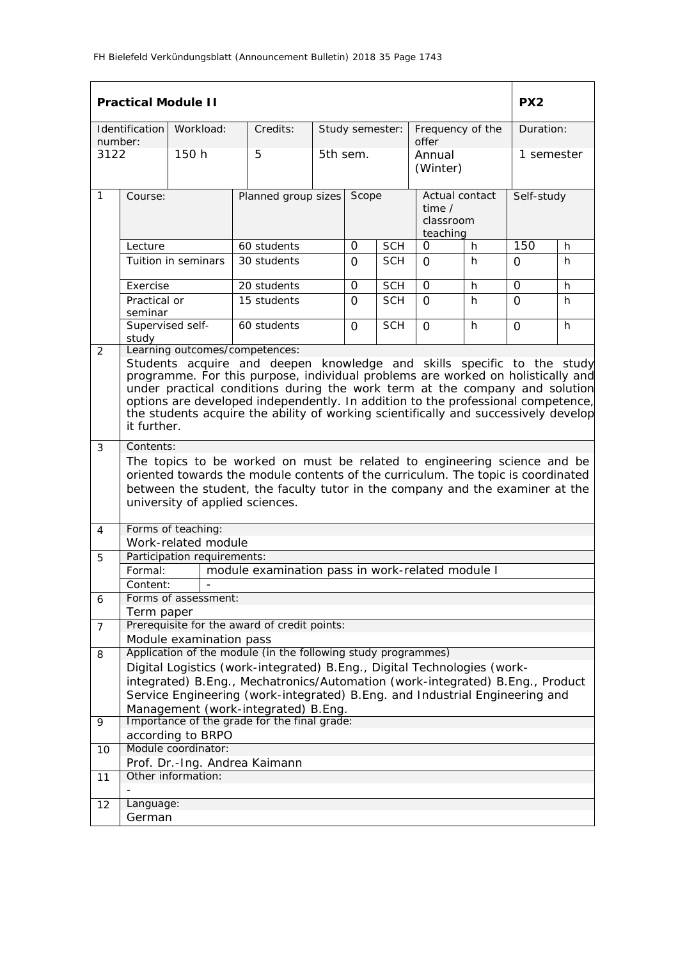|                  |                                                                                                                                                                                                                                                                                                                                                                                                                                    | <b>Practical Module II</b>                         |                                                                         |            |            |                 |                                                          |          | PX <sub>2</sub> |    |
|------------------|------------------------------------------------------------------------------------------------------------------------------------------------------------------------------------------------------------------------------------------------------------------------------------------------------------------------------------------------------------------------------------------------------------------------------------|----------------------------------------------------|-------------------------------------------------------------------------|------------|------------|-----------------|----------------------------------------------------------|----------|-----------------|----|
| number:          | <b>Identification</b>                                                                                                                                                                                                                                                                                                                                                                                                              | Workload:                                          | Credits:                                                                |            |            | Study semester: | Frequency of the<br>offer                                |          | Duration:       |    |
| 3122             |                                                                                                                                                                                                                                                                                                                                                                                                                                    | 150h                                               | 5                                                                       | 5th sem.   |            |                 | Annual<br>(Winter)                                       |          | 1 semester      |    |
| $\mathbf{1}$     | Course:                                                                                                                                                                                                                                                                                                                                                                                                                            |                                                    | Planned group sizes                                                     |            | Scope      |                 | Actual contact<br>time $\prime$<br>classroom<br>teaching |          | Self-study      |    |
|                  | Lecture                                                                                                                                                                                                                                                                                                                                                                                                                            |                                                    | 60 students                                                             |            | $\Omega$   | <b>SCH</b>      | $\Omega$                                                 | h.       | 150             | h  |
|                  | Tuition in seminars<br>30 students                                                                                                                                                                                                                                                                                                                                                                                                 |                                                    |                                                                         | $\Omega$   | <b>SCH</b> | $\Omega$        | h                                                        | $\Omega$ | h               |    |
|                  | Exercise                                                                                                                                                                                                                                                                                                                                                                                                                           |                                                    | 20 students                                                             |            | 0          | <b>SCH</b>      | 0                                                        | h.       | 0               | h  |
|                  | Practical or<br>seminar<br>Supervised self-                                                                                                                                                                                                                                                                                                                                                                                        |                                                    | 15 students                                                             |            | 0          | <b>SCH</b>      | $\Omega$                                                 | h.       | 0               | h. |
| 2                | 60 students<br>study<br>Learning outcomes/competences:                                                                                                                                                                                                                                                                                                                                                                             |                                                    | $\Omega$                                                                | <b>SCH</b> | $\Omega$   | h               | $\Omega$                                                 | h.       |                 |    |
|                  | Students acquire and deepen knowledge and skills specific to the study<br>programme. For this purpose, individual problems are worked on holistically and<br>under practical conditions during the work term at the company and solution<br>options are developed independently. In addition to the professional competence,<br>the students acquire the ability of working scientifically and successively develop<br>it further. |                                                    |                                                                         |            |            |                 |                                                          |          |                 |    |
| 3                | Contents:                                                                                                                                                                                                                                                                                                                                                                                                                          |                                                    |                                                                         |            |            |                 |                                                          |          |                 |    |
|                  | The topics to be worked on must be related to engineering science and be<br>oriented towards the module contents of the curriculum. The topic is coordinated<br>between the student, the faculty tutor in the company and the examiner at the<br>university of applied sciences.                                                                                                                                                   |                                                    |                                                                         |            |            |                 |                                                          |          |                 |    |
| 4                |                                                                                                                                                                                                                                                                                                                                                                                                                                    | Forms of teaching:                                 |                                                                         |            |            |                 |                                                          |          |                 |    |
|                  |                                                                                                                                                                                                                                                                                                                                                                                                                                    | Work-related module<br>Participation requirements: |                                                                         |            |            |                 |                                                          |          |                 |    |
| 5                | Formal:                                                                                                                                                                                                                                                                                                                                                                                                                            |                                                    | module examination pass in work-related module I                        |            |            |                 |                                                          |          |                 |    |
|                  | Content:                                                                                                                                                                                                                                                                                                                                                                                                                           |                                                    |                                                                         |            |            |                 |                                                          |          |                 |    |
| $\boldsymbol{6}$ |                                                                                                                                                                                                                                                                                                                                                                                                                                    | Forms of assessment:                               |                                                                         |            |            |                 |                                                          |          |                 |    |
|                  | Term paper                                                                                                                                                                                                                                                                                                                                                                                                                         |                                                    |                                                                         |            |            |                 |                                                          |          |                 |    |
| $\overline{7}$   |                                                                                                                                                                                                                                                                                                                                                                                                                                    |                                                    | Prerequisite for the award of credit points:                            |            |            |                 |                                                          |          |                 |    |
|                  |                                                                                                                                                                                                                                                                                                                                                                                                                                    | Module examination pass                            |                                                                         |            |            |                 |                                                          |          |                 |    |
| 8                |                                                                                                                                                                                                                                                                                                                                                                                                                                    |                                                    | Application of the module (in the following study programmes)           |            |            |                 |                                                          |          |                 |    |
|                  |                                                                                                                                                                                                                                                                                                                                                                                                                                    |                                                    | Digital Logistics (work-integrated) B.Eng., Digital Technologies (work- |            |            |                 |                                                          |          |                 |    |
|                  | integrated) B.Eng., Mechatronics/Automation (work-integrated) B.Eng., Product<br>Service Engineering (work-integrated) B.Eng. and Industrial Engineering and                                                                                                                                                                                                                                                                       |                                                    |                                                                         |            |            |                 |                                                          |          |                 |    |
|                  |                                                                                                                                                                                                                                                                                                                                                                                                                                    |                                                    | Management (work-integrated) B.Eng.                                     |            |            |                 |                                                          |          |                 |    |
| 9                |                                                                                                                                                                                                                                                                                                                                                                                                                                    |                                                    | Importance of the grade for the final grade:                            |            |            |                 |                                                          |          |                 |    |
|                  |                                                                                                                                                                                                                                                                                                                                                                                                                                    | according to BRPO                                  |                                                                         |            |            |                 |                                                          |          |                 |    |
| 10               |                                                                                                                                                                                                                                                                                                                                                                                                                                    | Module coordinator:                                |                                                                         |            |            |                 |                                                          |          |                 |    |
|                  |                                                                                                                                                                                                                                                                                                                                                                                                                                    |                                                    | Prof. Dr.-Ing. Andrea Kaimann                                           |            |            |                 |                                                          |          |                 |    |
| 11               |                                                                                                                                                                                                                                                                                                                                                                                                                                    | Other information:                                 |                                                                         |            |            |                 |                                                          |          |                 |    |
| 12               | Language:                                                                                                                                                                                                                                                                                                                                                                                                                          |                                                    |                                                                         |            |            |                 |                                                          |          |                 |    |
|                  | German                                                                                                                                                                                                                                                                                                                                                                                                                             |                                                    |                                                                         |            |            |                 |                                                          |          |                 |    |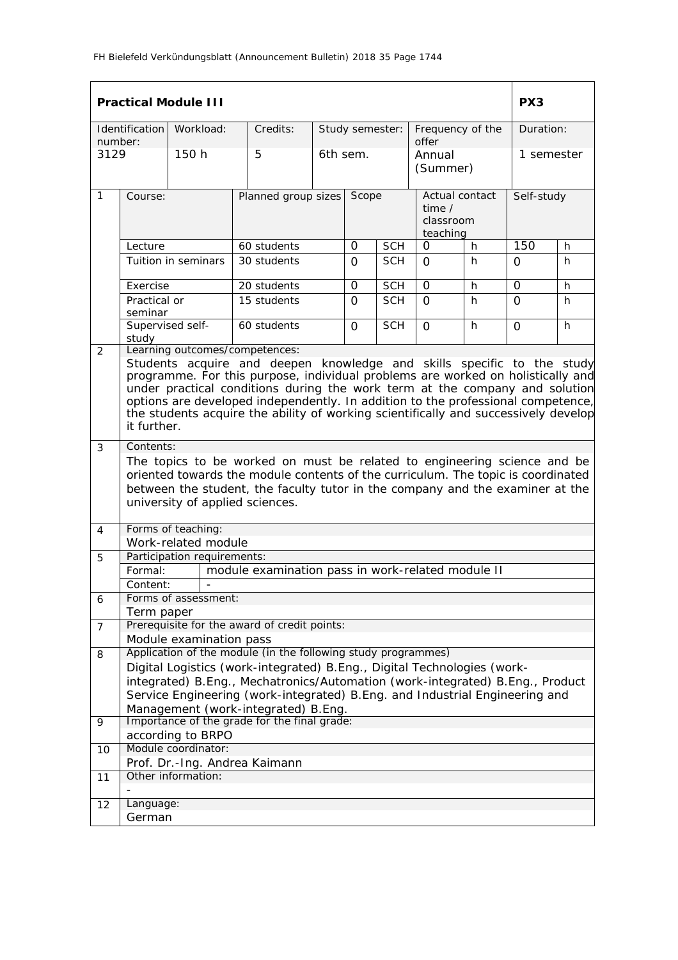|              |                                                                                                                                                                                                                                                                                                                                                                                                                                    | <b>Practical Module III</b>                                       |                                                                                                                                                                                                                                               |          |            |                                                          |                           |            | PX <sub>3</sub> |    |
|--------------|------------------------------------------------------------------------------------------------------------------------------------------------------------------------------------------------------------------------------------------------------------------------------------------------------------------------------------------------------------------------------------------------------------------------------------|-------------------------------------------------------------------|-----------------------------------------------------------------------------------------------------------------------------------------------------------------------------------------------------------------------------------------------|----------|------------|----------------------------------------------------------|---------------------------|------------|-----------------|----|
| number:      | Identification                                                                                                                                                                                                                                                                                                                                                                                                                     | Workload:                                                         | Credits:                                                                                                                                                                                                                                      |          |            | Study semester:                                          | Frequency of the<br>offer |            | Duration:       |    |
| 3129         |                                                                                                                                                                                                                                                                                                                                                                                                                                    | 150h                                                              | 5                                                                                                                                                                                                                                             | 6th sem. |            | Annual<br>(Summer)                                       |                           | 1 semester |                 |    |
| $\mathbf{1}$ | Course:                                                                                                                                                                                                                                                                                                                                                                                                                            |                                                                   | Planned group sizes                                                                                                                                                                                                                           | Scope    |            | Actual contact<br>time $\prime$<br>classroom<br>teaching |                           |            | Self-study      |    |
|              | Lecture                                                                                                                                                                                                                                                                                                                                                                                                                            |                                                                   | 60 students                                                                                                                                                                                                                                   |          | 0          | <b>SCH</b>                                               | 0                         | h          | 150             | h  |
|              |                                                                                                                                                                                                                                                                                                                                                                                                                                    | Tuition in seminars                                               | 30 students                                                                                                                                                                                                                                   |          | $\Omega$   | <b>SCH</b>                                               | $\Omega$                  | h          | $\Omega$        | h  |
|              | Exercise                                                                                                                                                                                                                                                                                                                                                                                                                           |                                                                   | 20 students                                                                                                                                                                                                                                   | $\Omega$ |            | <b>SCH</b>                                               | $\Omega$                  | h          | 0               | h  |
|              | Practical or<br>seminar                                                                                                                                                                                                                                                                                                                                                                                                            |                                                                   | 15 students                                                                                                                                                                                                                                   |          | $\Omega$   | <b>SCH</b>                                               | $\Omega$                  | h          | $\Omega$        | h. |
| 2            | study                                                                                                                                                                                                                                                                                                                                                                                                                              | Supervised self-<br>60 students<br>Learning outcomes/competences: |                                                                                                                                                                                                                                               | $\Omega$ | <b>SCH</b> | $\Omega$                                                 | h                         | $\Omega$   | h               |    |
|              | Students acquire and deepen knowledge and skills specific to the study<br>programme. For this purpose, individual problems are worked on holistically and<br>under practical conditions during the work term at the company and solution<br>options are developed independently. In addition to the professional competence,<br>the students acquire the ability of working scientifically and successively develop<br>it further. |                                                                   |                                                                                                                                                                                                                                               |          |            |                                                          |                           |            |                 |    |
| 3            | Contents:                                                                                                                                                                                                                                                                                                                                                                                                                          |                                                                   |                                                                                                                                                                                                                                               |          |            |                                                          |                           |            |                 |    |
|              |                                                                                                                                                                                                                                                                                                                                                                                                                                    | university of applied sciences.                                   | The topics to be worked on must be related to engineering science and be<br>oriented towards the module contents of the curriculum. The topic is coordinated<br>between the student, the faculty tutor in the company and the examiner at the |          |            |                                                          |                           |            |                 |    |
| 4            |                                                                                                                                                                                                                                                                                                                                                                                                                                    | Forms of teaching:                                                |                                                                                                                                                                                                                                               |          |            |                                                          |                           |            |                 |    |
|              |                                                                                                                                                                                                                                                                                                                                                                                                                                    | Work-related module                                               |                                                                                                                                                                                                                                               |          |            |                                                          |                           |            |                 |    |
| 5            |                                                                                                                                                                                                                                                                                                                                                                                                                                    | Participation requirements:                                       |                                                                                                                                                                                                                                               |          |            |                                                          |                           |            |                 |    |
|              | Formal:                                                                                                                                                                                                                                                                                                                                                                                                                            |                                                                   | module examination pass in work-related module II                                                                                                                                                                                             |          |            |                                                          |                           |            |                 |    |
|              | Content:                                                                                                                                                                                                                                                                                                                                                                                                                           | Forms of assessment:                                              |                                                                                                                                                                                                                                               |          |            |                                                          |                           |            |                 |    |
| 6            | Term paper                                                                                                                                                                                                                                                                                                                                                                                                                         |                                                                   |                                                                                                                                                                                                                                               |          |            |                                                          |                           |            |                 |    |
| 7            |                                                                                                                                                                                                                                                                                                                                                                                                                                    |                                                                   | Prerequisite for the award of credit points:                                                                                                                                                                                                  |          |            |                                                          |                           |            |                 |    |
|              |                                                                                                                                                                                                                                                                                                                                                                                                                                    | Module examination pass                                           |                                                                                                                                                                                                                                               |          |            |                                                          |                           |            |                 |    |
| 8            |                                                                                                                                                                                                                                                                                                                                                                                                                                    |                                                                   | Application of the module (in the following study programmes)                                                                                                                                                                                 |          |            |                                                          |                           |            |                 |    |
|              |                                                                                                                                                                                                                                                                                                                                                                                                                                    |                                                                   | Digital Logistics (work-integrated) B.Eng., Digital Technologies (work-                                                                                                                                                                       |          |            |                                                          |                           |            |                 |    |
|              | integrated) B.Eng., Mechatronics/Automation (work-integrated) B.Eng., Product<br>Service Engineering (work-integrated) B.Eng. and Industrial Engineering and                                                                                                                                                                                                                                                                       |                                                                   |                                                                                                                                                                                                                                               |          |            |                                                          |                           |            |                 |    |
|              |                                                                                                                                                                                                                                                                                                                                                                                                                                    |                                                                   | Management (work-integrated) B.Eng.                                                                                                                                                                                                           |          |            |                                                          |                           |            |                 |    |
| 9            |                                                                                                                                                                                                                                                                                                                                                                                                                                    |                                                                   | Importance of the grade for the final grade:                                                                                                                                                                                                  |          |            |                                                          |                           |            |                 |    |
|              |                                                                                                                                                                                                                                                                                                                                                                                                                                    | according to BRPO                                                 |                                                                                                                                                                                                                                               |          |            |                                                          |                           |            |                 |    |
| 10           |                                                                                                                                                                                                                                                                                                                                                                                                                                    | Module coordinator:                                               |                                                                                                                                                                                                                                               |          |            |                                                          |                           |            |                 |    |
|              |                                                                                                                                                                                                                                                                                                                                                                                                                                    |                                                                   | Prof. Dr.-Ing. Andrea Kaimann                                                                                                                                                                                                                 |          |            |                                                          |                           |            |                 |    |
| 11           |                                                                                                                                                                                                                                                                                                                                                                                                                                    | Other information:                                                |                                                                                                                                                                                                                                               |          |            |                                                          |                           |            |                 |    |
| 12           | Language:                                                                                                                                                                                                                                                                                                                                                                                                                          |                                                                   |                                                                                                                                                                                                                                               |          |            |                                                          |                           |            |                 |    |
|              | German                                                                                                                                                                                                                                                                                                                                                                                                                             |                                                                   |                                                                                                                                                                                                                                               |          |            |                                                          |                           |            |                 |    |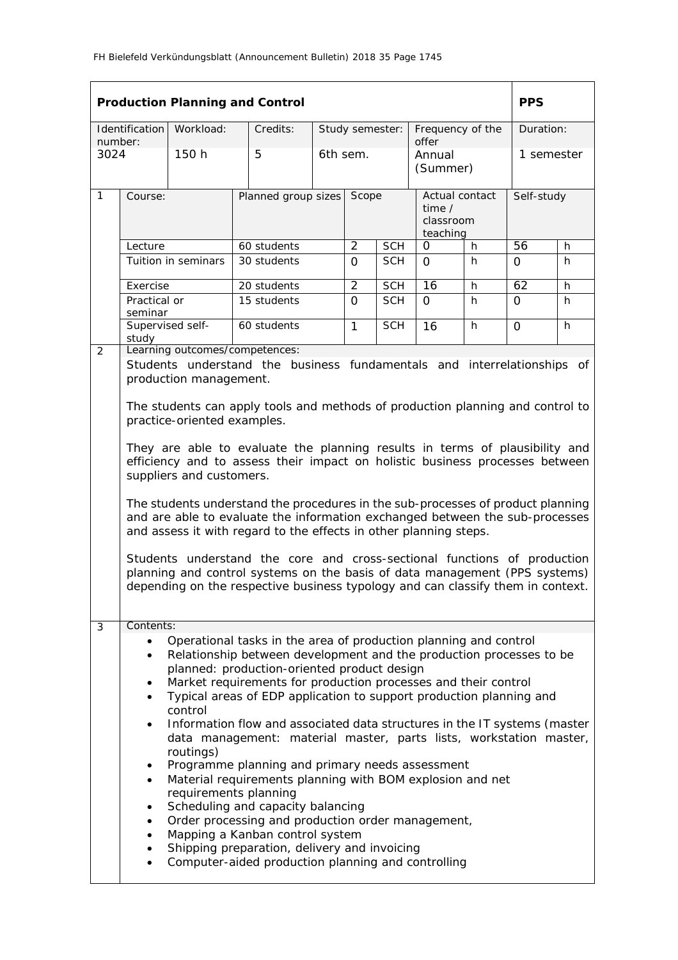|                 |                                                                                                                                                                                                                                                      |                                               | <b>Production Planning and Control</b>                                                                                                                                                                                                                                                                                                                                                                                                                                                                                                                                                                                                                                                                                                                                                                                                |  |                                          |            |                                                     |    | <b>PPS</b>     |   |
|-----------------|------------------------------------------------------------------------------------------------------------------------------------------------------------------------------------------------------------------------------------------------------|-----------------------------------------------|---------------------------------------------------------------------------------------------------------------------------------------------------------------------------------------------------------------------------------------------------------------------------------------------------------------------------------------------------------------------------------------------------------------------------------------------------------------------------------------------------------------------------------------------------------------------------------------------------------------------------------------------------------------------------------------------------------------------------------------------------------------------------------------------------------------------------------------|--|------------------------------------------|------------|-----------------------------------------------------|----|----------------|---|
|                 | Identification                                                                                                                                                                                                                                       | Workload:                                     | Credits:                                                                                                                                                                                                                                                                                                                                                                                                                                                                                                                                                                                                                                                                                                                                                                                                                              |  | Study semester:                          |            | Frequency of the                                    |    | Duration:      |   |
| number:<br>3024 |                                                                                                                                                                                                                                                      | 150 h                                         | 5                                                                                                                                                                                                                                                                                                                                                                                                                                                                                                                                                                                                                                                                                                                                                                                                                                     |  | 6th sem.                                 |            | offer<br>Annual<br>(Summer)                         |    | 1 semester     |   |
| $\mathbf{1}$    | Course:                                                                                                                                                                                                                                              |                                               | Planned group sizes                                                                                                                                                                                                                                                                                                                                                                                                                                                                                                                                                                                                                                                                                                                                                                                                                   |  |                                          | Scope      | Actual contact<br>time $/$<br>classroom<br>teaching |    | Self-study     |   |
|                 | Lecture                                                                                                                                                                                                                                              |                                               | 60 students                                                                                                                                                                                                                                                                                                                                                                                                                                                                                                                                                                                                                                                                                                                                                                                                                           |  | $\overline{2}$                           | <b>SCH</b> | 0                                                   | h  | 56             | h |
|                 |                                                                                                                                                                                                                                                      | Tuition in seminars                           | 30 students                                                                                                                                                                                                                                                                                                                                                                                                                                                                                                                                                                                                                                                                                                                                                                                                                           |  | $\Omega$                                 | <b>SCH</b> | $\Omega$                                            | h. | $\Omega$       | h |
|                 | Exercise                                                                                                                                                                                                                                             |                                               | 20 students                                                                                                                                                                                                                                                                                                                                                                                                                                                                                                                                                                                                                                                                                                                                                                                                                           |  | $\overline{2}$                           | <b>SCH</b> | 16                                                  | h  | 62             | h |
|                 | Practical or<br>seminar                                                                                                                                                                                                                              |                                               | 15 students                                                                                                                                                                                                                                                                                                                                                                                                                                                                                                                                                                                                                                                                                                                                                                                                                           |  | $\Omega$<br><b>SCH</b><br>$\Omega$<br>h. |            | $\Omega$                                            | h  |                |   |
|                 | study                                                                                                                                                                                                                                                | Supervised self-                              | 60 students                                                                                                                                                                                                                                                                                                                                                                                                                                                                                                                                                                                                                                                                                                                                                                                                                           |  | $\mathbf{1}$                             | <b>SCH</b> | 16                                                  | h. | $\overline{O}$ | h |
| $\overline{2}$  | Learning outcomes/competences:<br>Students understand the business fundamentals and interrelationships of<br>production management.<br>The students can apply tools and methods of production planning and control to<br>practice-oriented examples. |                                               |                                                                                                                                                                                                                                                                                                                                                                                                                                                                                                                                                                                                                                                                                                                                                                                                                                       |  |                                          |            |                                                     |    |                |   |
|                 |                                                                                                                                                                                                                                                      | suppliers and customers.                      | They are able to evaluate the planning results in terms of plausibility and<br>efficiency and to assess their impact on holistic business processes between<br>The students understand the procedures in the sub-processes of product planning<br>and are able to evaluate the information exchanged between the sub-processes<br>and assess it with regard to the effects in other planning steps.<br>Students understand the core and cross-sectional functions of production<br>planning and control systems on the basis of data management (PPS systems)<br>depending on the respective business typology and can classify them in context.                                                                                                                                                                                      |  |                                          |            |                                                     |    |                |   |
| 3               | Contents:                                                                                                                                                                                                                                            |                                               |                                                                                                                                                                                                                                                                                                                                                                                                                                                                                                                                                                                                                                                                                                                                                                                                                                       |  |                                          |            |                                                     |    |                |   |
|                 | $\bullet$<br>$\bullet$<br>$\bullet$<br>٠<br>٠<br>٠                                                                                                                                                                                                   | control<br>routings)<br>requirements planning | Operational tasks in the area of production planning and control<br>Relationship between development and the production processes to be<br>planned: production-oriented product design<br>Market requirements for production processes and their control<br>Typical areas of EDP application to support production planning and<br>Information flow and associated data structures in the IT systems (master<br>data management: material master, parts lists, workstation master,<br>Programme planning and primary needs assessment<br>Material requirements planning with BOM explosion and net<br>Scheduling and capacity balancing<br>Order processing and production order management,<br>Mapping a Kanban control system<br>Shipping preparation, delivery and invoicing<br>Computer-aided production planning and controlling |  |                                          |            |                                                     |    |                |   |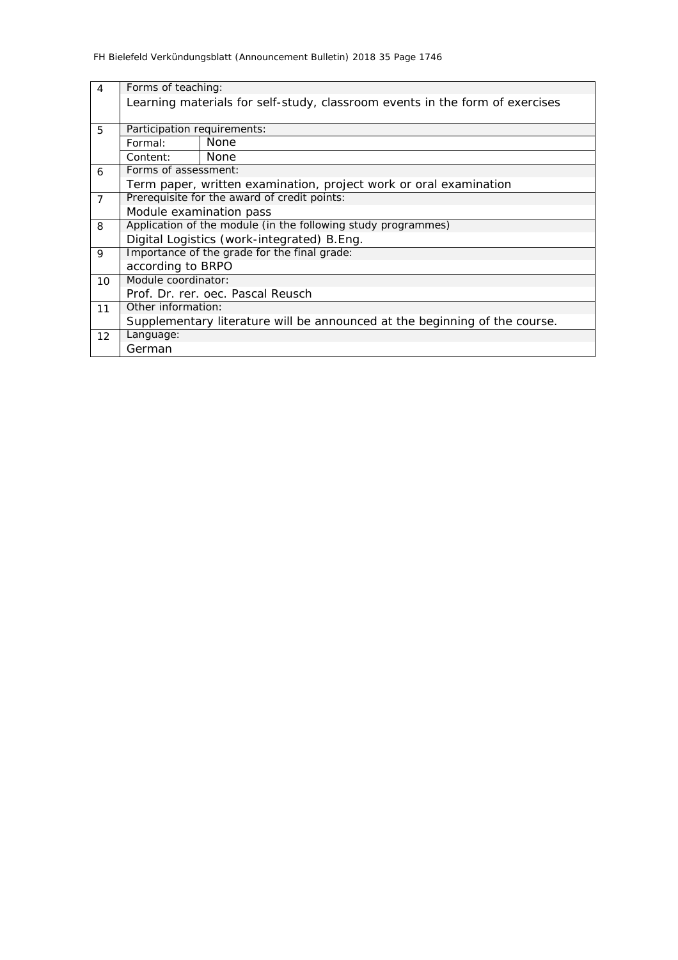| $\overline{4}$ | Forms of teaching:                                            |                                                                              |  |  |  |  |  |  |
|----------------|---------------------------------------------------------------|------------------------------------------------------------------------------|--|--|--|--|--|--|
|                |                                                               | Learning materials for self-study, classroom events in the form of exercises |  |  |  |  |  |  |
|                |                                                               |                                                                              |  |  |  |  |  |  |
| 5              | Participation requirements:                                   |                                                                              |  |  |  |  |  |  |
|                | Formal:                                                       | None                                                                         |  |  |  |  |  |  |
|                | Content:                                                      | None                                                                         |  |  |  |  |  |  |
| 6              | Forms of assessment:                                          |                                                                              |  |  |  |  |  |  |
|                |                                                               | Term paper, written examination, project work or oral examination            |  |  |  |  |  |  |
| $\overline{7}$ |                                                               | Prerequisite for the award of credit points:                                 |  |  |  |  |  |  |
|                | Module examination pass                                       |                                                                              |  |  |  |  |  |  |
| 8              | Application of the module (in the following study programmes) |                                                                              |  |  |  |  |  |  |
|                |                                                               | Digital Logistics (work-integrated) B.Eng.                                   |  |  |  |  |  |  |
| 9              |                                                               | Importance of the grade for the final grade:                                 |  |  |  |  |  |  |
|                | according to BRPO                                             |                                                                              |  |  |  |  |  |  |
| 10             | Module coordinator:                                           |                                                                              |  |  |  |  |  |  |
|                |                                                               | Prof. Dr. rer. oec. Pascal Reusch                                            |  |  |  |  |  |  |
| 11             | Other information:                                            |                                                                              |  |  |  |  |  |  |
|                |                                                               | Supplementary literature will be announced at the beginning of the course.   |  |  |  |  |  |  |
| 12             | Language:                                                     |                                                                              |  |  |  |  |  |  |
|                | German                                                        |                                                                              |  |  |  |  |  |  |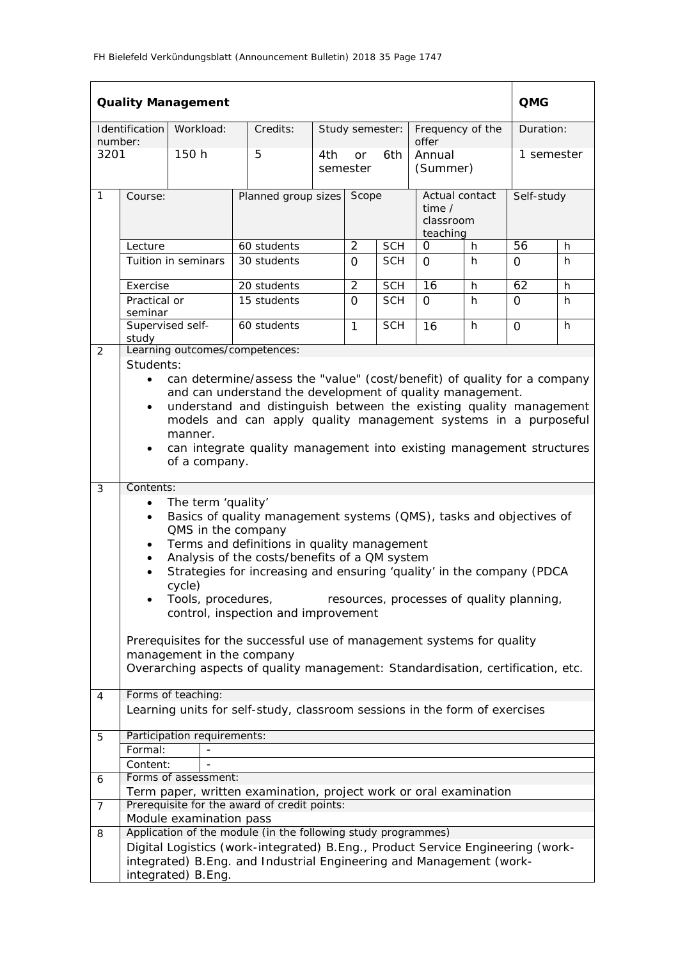|                 |                                                                                                                                                                                                                                                                                                                                                                                                                           | <b>Quality Management</b>   |                                                                                                                                                           |       |                |                                                          |                             |            | <b>QMG</b> |   |
|-----------------|---------------------------------------------------------------------------------------------------------------------------------------------------------------------------------------------------------------------------------------------------------------------------------------------------------------------------------------------------------------------------------------------------------------------------|-----------------------------|-----------------------------------------------------------------------------------------------------------------------------------------------------------|-------|----------------|----------------------------------------------------------|-----------------------------|------------|------------|---|
|                 | Identification                                                                                                                                                                                                                                                                                                                                                                                                            | Workload:                   | Credits:                                                                                                                                                  |       |                | Study semester:                                          | Frequency of the            |            | Duration:  |   |
| number:<br>3201 |                                                                                                                                                                                                                                                                                                                                                                                                                           | 150 h                       | 5                                                                                                                                                         | 4th   | or<br>semester | 6th                                                      | offer<br>Annual<br>(Summer) |            | 1 semester |   |
| 1               | Course:                                                                                                                                                                                                                                                                                                                                                                                                                   |                             | Planned group sizes                                                                                                                                       | Scope |                | Actual contact<br>time $\prime$<br>classroom<br>teaching |                             | Self-study |            |   |
|                 | Lecture                                                                                                                                                                                                                                                                                                                                                                                                                   |                             | 60 students                                                                                                                                               |       | $\overline{2}$ | <b>SCH</b>                                               | 0                           | h          | 56         | h |
|                 |                                                                                                                                                                                                                                                                                                                                                                                                                           | Tuition in seminars         | 30 students                                                                                                                                               |       | $\Omega$       | <b>SCH</b>                                               | $\Omega$                    | h.         | $\Omega$   | h |
|                 | Exercise                                                                                                                                                                                                                                                                                                                                                                                                                  |                             | 20 students                                                                                                                                               |       | $\overline{2}$ | <b>SCH</b>                                               | $\overline{16}$             | h          | 62         | h |
|                 | Practical or<br>seminar                                                                                                                                                                                                                                                                                                                                                                                                   |                             | 15 students                                                                                                                                               |       | $\Omega$       | <b>SCH</b>                                               | $\Omega$                    | h          | $\Omega$   | h |
|                 | Supervised self-<br>study                                                                                                                                                                                                                                                                                                                                                                                                 |                             | 60 students                                                                                                                                               |       | $\mathbf{1}$   | <b>SCH</b>                                               | 16                          | h          | $\Omega$   | h |
| 2               | Students:                                                                                                                                                                                                                                                                                                                                                                                                                 |                             | Learning outcomes/competences:                                                                                                                            |       |                |                                                          |                             |            |            |   |
|                 | can determine/assess the "value" (cost/benefit) of quality for a company<br>$\bullet$<br>and can understand the development of quality management.<br>understand and distinguish between the existing quality management<br>$\bullet$<br>models and can apply quality management systems in a purposeful<br>manner.<br>can integrate quality management into existing management structures<br>of a company.              |                             |                                                                                                                                                           |       |                |                                                          |                             |            |            |   |
| 3               | Contents:                                                                                                                                                                                                                                                                                                                                                                                                                 |                             |                                                                                                                                                           |       |                |                                                          |                             |            |            |   |
|                 | The term 'quality'<br>Basics of quality management systems (QMS), tasks and objectives of<br>$\bullet$<br>QMS in the company<br>Terms and definitions in quality management<br>Analysis of the costs/benefits of a QM system<br>Strategies for increasing and ensuring 'quality' in the company (PDCA<br>cycle)<br>Tools, procedures,<br>resources, processes of quality planning,<br>control, inspection and improvement |                             |                                                                                                                                                           |       |                |                                                          |                             |            |            |   |
|                 |                                                                                                                                                                                                                                                                                                                                                                                                                           | management in the company   | Prerequisites for the successful use of management systems for quality<br>Overarching aspects of quality management: Standardisation, certification, etc. |       |                |                                                          |                             |            |            |   |
| 4               |                                                                                                                                                                                                                                                                                                                                                                                                                           | Forms of teaching:          |                                                                                                                                                           |       |                |                                                          |                             |            |            |   |
|                 |                                                                                                                                                                                                                                                                                                                                                                                                                           |                             | Learning units for self-study, classroom sessions in the form of exercises                                                                                |       |                |                                                          |                             |            |            |   |
| 5               |                                                                                                                                                                                                                                                                                                                                                                                                                           | Participation requirements: |                                                                                                                                                           |       |                |                                                          |                             |            |            |   |
|                 | Formal:                                                                                                                                                                                                                                                                                                                                                                                                                   |                             |                                                                                                                                                           |       |                |                                                          |                             |            |            |   |
|                 | Content:                                                                                                                                                                                                                                                                                                                                                                                                                  |                             |                                                                                                                                                           |       |                |                                                          |                             |            |            |   |
| 6               |                                                                                                                                                                                                                                                                                                                                                                                                                           | Forms of assessment:        |                                                                                                                                                           |       |                |                                                          |                             |            |            |   |
|                 |                                                                                                                                                                                                                                                                                                                                                                                                                           |                             | Term paper, written examination, project work or oral examination                                                                                         |       |                |                                                          |                             |            |            |   |
| 7               |                                                                                                                                                                                                                                                                                                                                                                                                                           | Module examination pass     | Prerequisite for the award of credit points:                                                                                                              |       |                |                                                          |                             |            |            |   |
| 8               |                                                                                                                                                                                                                                                                                                                                                                                                                           |                             | Application of the module (in the following study programmes)                                                                                             |       |                |                                                          |                             |            |            |   |
|                 |                                                                                                                                                                                                                                                                                                                                                                                                                           | integrated) B.Eng.          | Digital Logistics (work-integrated) B.Eng., Product Service Engineering (work-<br>integrated) B.Eng. and Industrial Engineering and Management (work-     |       |                |                                                          |                             |            |            |   |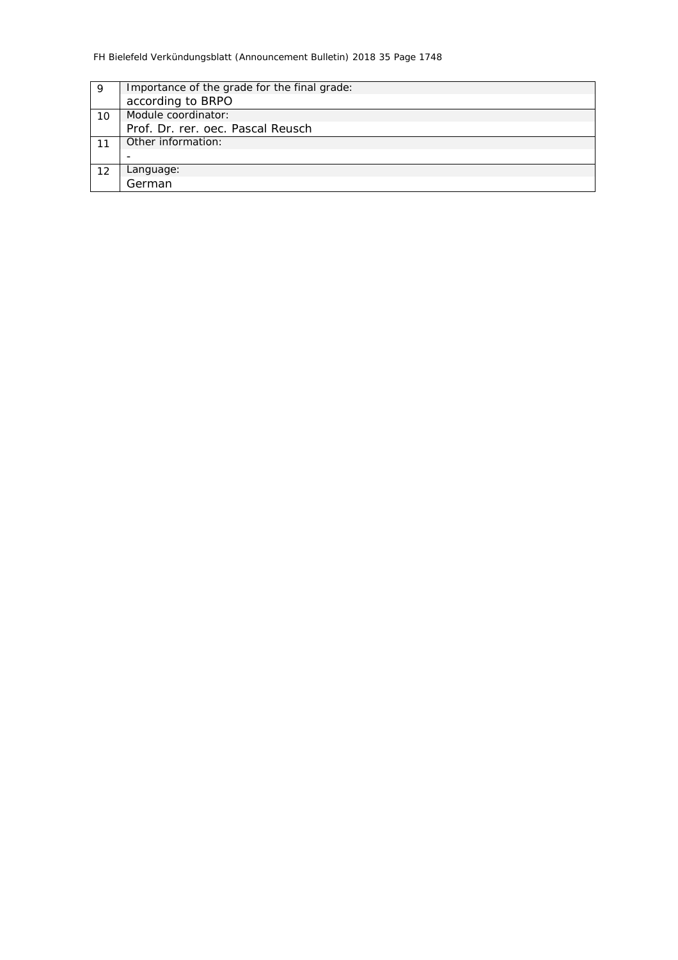| 9  | Importance of the grade for the final grade: |
|----|----------------------------------------------|
|    | according to BRPO                            |
| 10 | Module coordinator:                          |
|    | Prof. Dr. rer. oec. Pascal Reusch            |
|    | Other information:                           |
|    |                                              |
| 12 | Language:                                    |
|    | German                                       |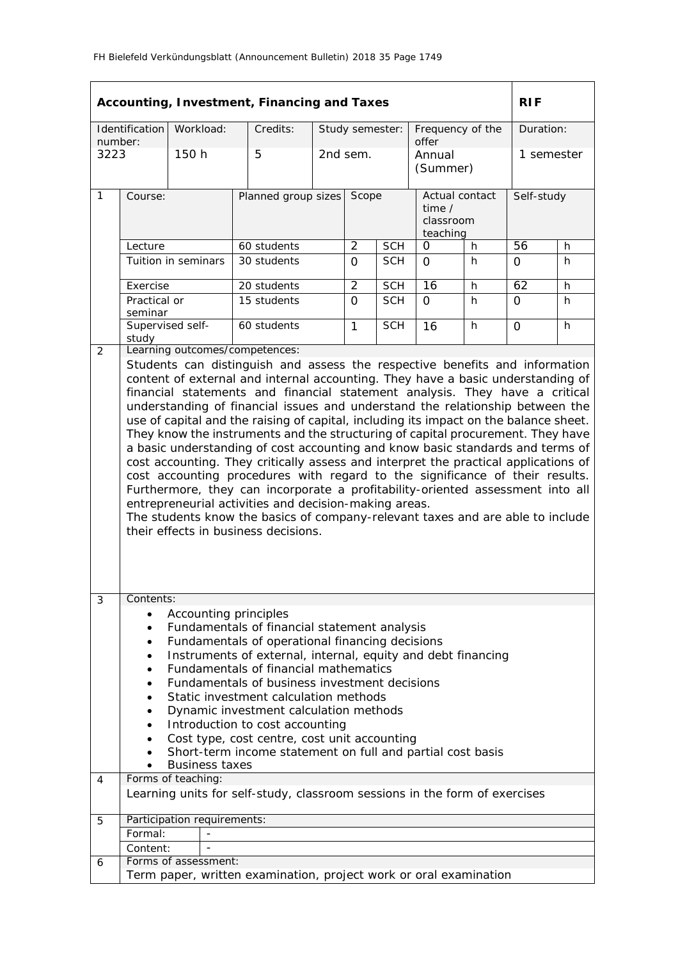|             |                                                                                                                                                                                                                                                                                                                                                                                                                                                                                                                                                                                                                                                                                                                                                                                                                                                                                                                                                                                                                                          |                                                                                                     | Accounting, Investment, Financing and Taxes                                                                                                                                                                                                                                                                                                                                                                                                                                                                                                                                 |       |                                |                                                   |                           |            | <b>RIF</b> |   |
|-------------|------------------------------------------------------------------------------------------------------------------------------------------------------------------------------------------------------------------------------------------------------------------------------------------------------------------------------------------------------------------------------------------------------------------------------------------------------------------------------------------------------------------------------------------------------------------------------------------------------------------------------------------------------------------------------------------------------------------------------------------------------------------------------------------------------------------------------------------------------------------------------------------------------------------------------------------------------------------------------------------------------------------------------------------|-----------------------------------------------------------------------------------------------------|-----------------------------------------------------------------------------------------------------------------------------------------------------------------------------------------------------------------------------------------------------------------------------------------------------------------------------------------------------------------------------------------------------------------------------------------------------------------------------------------------------------------------------------------------------------------------------|-------|--------------------------------|---------------------------------------------------|---------------------------|------------|------------|---|
| number:     | Identification                                                                                                                                                                                                                                                                                                                                                                                                                                                                                                                                                                                                                                                                                                                                                                                                                                                                                                                                                                                                                           | Workload:                                                                                           | Credits:                                                                                                                                                                                                                                                                                                                                                                                                                                                                                                                                                                    |       | Study semester:                |                                                   | Frequency of the<br>offer |            | Duration:  |   |
| 3223        |                                                                                                                                                                                                                                                                                                                                                                                                                                                                                                                                                                                                                                                                                                                                                                                                                                                                                                                                                                                                                                          | 150 h                                                                                               | 5                                                                                                                                                                                                                                                                                                                                                                                                                                                                                                                                                                           |       | 2nd sem.<br>Annual<br>(Summer) |                                                   |                           |            | 1 semester |   |
| 1           | Course:                                                                                                                                                                                                                                                                                                                                                                                                                                                                                                                                                                                                                                                                                                                                                                                                                                                                                                                                                                                                                                  |                                                                                                     | Planned group sizes                                                                                                                                                                                                                                                                                                                                                                                                                                                                                                                                                         | Scope |                                | Actual contact<br>time /<br>classroom<br>teaching |                           | Self-study |            |   |
|             | Lecture                                                                                                                                                                                                                                                                                                                                                                                                                                                                                                                                                                                                                                                                                                                                                                                                                                                                                                                                                                                                                                  |                                                                                                     | 60 students                                                                                                                                                                                                                                                                                                                                                                                                                                                                                                                                                                 |       | 2                              | <b>SCH</b>                                        | 0                         | h          | 56         | h |
|             |                                                                                                                                                                                                                                                                                                                                                                                                                                                                                                                                                                                                                                                                                                                                                                                                                                                                                                                                                                                                                                          | Tuition in seminars                                                                                 | 30 students                                                                                                                                                                                                                                                                                                                                                                                                                                                                                                                                                                 |       | $\Omega$<br>$\overline{2}$     | <b>SCH</b>                                        | $\Omega$                  | h          | $\Omega$   | h |
|             | Exercise                                                                                                                                                                                                                                                                                                                                                                                                                                                                                                                                                                                                                                                                                                                                                                                                                                                                                                                                                                                                                                 |                                                                                                     | 20 students                                                                                                                                                                                                                                                                                                                                                                                                                                                                                                                                                                 |       |                                | <b>SCH</b>                                        | $\overline{16}$           | h          | 62         | h |
|             | Practical or<br>seminar                                                                                                                                                                                                                                                                                                                                                                                                                                                                                                                                                                                                                                                                                                                                                                                                                                                                                                                                                                                                                  |                                                                                                     | 15 students                                                                                                                                                                                                                                                                                                                                                                                                                                                                                                                                                                 |       | $\Omega$                       | <b>SCH</b>                                        | $\Omega$                  | h          | $\Omega$   | h |
| 2           | study                                                                                                                                                                                                                                                                                                                                                                                                                                                                                                                                                                                                                                                                                                                                                                                                                                                                                                                                                                                                                                    | Supervised self-                                                                                    | 60 students<br>Learning outcomes/competences:                                                                                                                                                                                                                                                                                                                                                                                                                                                                                                                               |       | $\mathbf{1}$                   | <b>SCH</b>                                        | 16                        | h          | $\Omega$   | h |
|             | Students can distinguish and assess the respective benefits and information<br>content of external and internal accounting. They have a basic understanding of<br>financial statements and financial statement analysis. They have a critical<br>understanding of financial issues and understand the relationship between the<br>use of capital and the raising of capital, including its impact on the balance sheet.<br>They know the instruments and the structuring of capital procurement. They have<br>a basic understanding of cost accounting and know basic standards and terms of<br>cost accounting. They critically assess and interpret the practical applications of<br>cost accounting procedures with regard to the significance of their results.<br>Furthermore, they can incorporate a profitability-oriented assessment into all<br>entrepreneurial activities and decision-making areas.<br>The students know the basics of company-relevant taxes and are able to include<br>their effects in business decisions. |                                                                                                     |                                                                                                                                                                                                                                                                                                                                                                                                                                                                                                                                                                             |       |                                |                                                   |                           |            |            |   |
| 3<br>4<br>5 | Contents:<br>$\bullet$<br>$\bullet$<br>٠<br>$\bullet$<br>$\bullet$<br>٠<br>$\bullet$<br>٠<br>Formal:                                                                                                                                                                                                                                                                                                                                                                                                                                                                                                                                                                                                                                                                                                                                                                                                                                                                                                                                     | Accounting principles<br><b>Business taxes</b><br>Forms of teaching:<br>Participation requirements: | Fundamentals of financial statement analysis<br>Fundamentals of operational financing decisions<br>Instruments of external, internal, equity and debt financing<br>Fundamentals of financial mathematics<br>Fundamentals of business investment decisions<br>Static investment calculation methods<br>Dynamic investment calculation methods<br>Introduction to cost accounting<br>Cost type, cost centre, cost unit accounting<br>Short-term income statement on full and partial cost basis<br>Learning units for self-study, classroom sessions in the form of exercises |       |                                |                                                   |                           |            |            |   |
|             | Content:                                                                                                                                                                                                                                                                                                                                                                                                                                                                                                                                                                                                                                                                                                                                                                                                                                                                                                                                                                                                                                 |                                                                                                     |                                                                                                                                                                                                                                                                                                                                                                                                                                                                                                                                                                             |       |                                |                                                   |                           |            |            |   |
| 6           |                                                                                                                                                                                                                                                                                                                                                                                                                                                                                                                                                                                                                                                                                                                                                                                                                                                                                                                                                                                                                                          | Forms of assessment:                                                                                | Term paper, written examination, project work or oral examination                                                                                                                                                                                                                                                                                                                                                                                                                                                                                                           |       |                                |                                                   |                           |            |            |   |
|             |                                                                                                                                                                                                                                                                                                                                                                                                                                                                                                                                                                                                                                                                                                                                                                                                                                                                                                                                                                                                                                          |                                                                                                     |                                                                                                                                                                                                                                                                                                                                                                                                                                                                                                                                                                             |       |                                |                                                   |                           |            |            |   |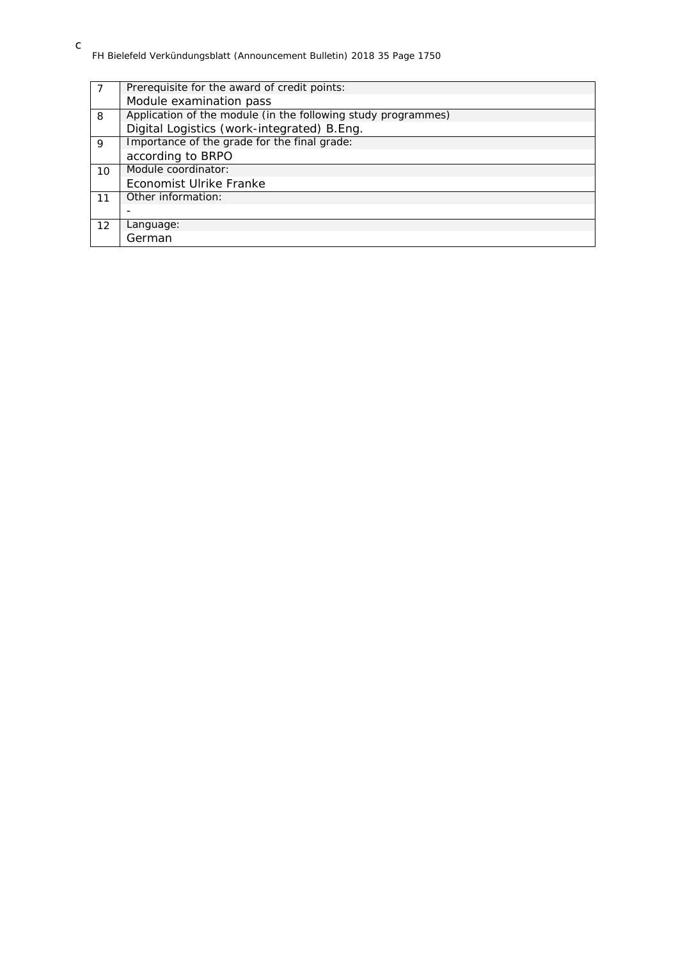| Prerequisite for the award of credit points:                  |
|---------------------------------------------------------------|
| Module examination pass                                       |
| Application of the module (in the following study programmes) |
| Digital Logistics (work-integrated) B.Eng.                    |
| Importance of the grade for the final grade:                  |
| according to BRPO                                             |
| Module coordinator:                                           |
| Economist Ulrike Franke                                       |
| Other information:                                            |
| $\overline{\phantom{0}}$                                      |
| Language:                                                     |
| German                                                        |
|                                                               |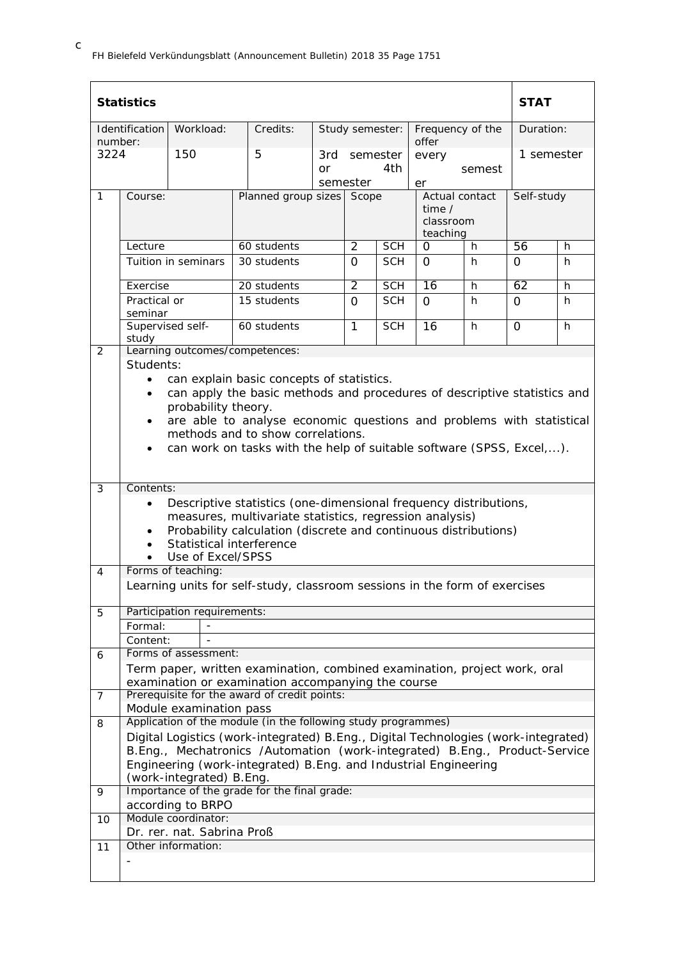|         | <b>Statistics</b>                                                                                                                                                                                                                                                                                                                                                        |                                          |                                                                                                                                                                                                                                     |           |                             |                 |                           |                                                          | <b>STAT</b> |            |
|---------|--------------------------------------------------------------------------------------------------------------------------------------------------------------------------------------------------------------------------------------------------------------------------------------------------------------------------------------------------------------------------|------------------------------------------|-------------------------------------------------------------------------------------------------------------------------------------------------------------------------------------------------------------------------------------|-----------|-----------------------------|-----------------|---------------------------|----------------------------------------------------------|-------------|------------|
| number: | Identification                                                                                                                                                                                                                                                                                                                                                           | Workload:                                | Credits:                                                                                                                                                                                                                            |           |                             | Study semester: | Frequency of the<br>offer |                                                          | Duration:   |            |
| 3224    |                                                                                                                                                                                                                                                                                                                                                                          | 150                                      | 5                                                                                                                                                                                                                                   | 3rd<br>or | semester<br>4th<br>semester |                 | every<br>er               | semest                                                   | 1 semester  |            |
| 1       | Course:                                                                                                                                                                                                                                                                                                                                                                  |                                          |                                                                                                                                                                                                                                     |           | Planned group sizes Scope   |                 |                           | Actual contact<br>time $\prime$<br>classroom<br>teaching |             | Self-study |
|         | Lecture                                                                                                                                                                                                                                                                                                                                                                  |                                          | 60 students                                                                                                                                                                                                                         |           | $\overline{2}$              | <b>SCH</b>      | O                         | h                                                        | 56          | h          |
|         |                                                                                                                                                                                                                                                                                                                                                                          | Tuition in seminars                      | 30 students                                                                                                                                                                                                                         |           | $\Omega$                    | <b>SCH</b>      | $\Omega$                  | h                                                        | $\Omega$    | h          |
|         | Exercise                                                                                                                                                                                                                                                                                                                                                                 |                                          | 20 students                                                                                                                                                                                                                         |           | $\overline{2}$              | <b>SCH</b>      | $\overline{16}$           | h                                                        | 62          | h          |
|         | Practical or<br>seminar                                                                                                                                                                                                                                                                                                                                                  |                                          | 15 students                                                                                                                                                                                                                         |           | $\Omega$                    | <b>SCH</b>      | $\Omega$                  | h.                                                       | $\Omega$    | h          |
|         | Supervised self-<br>study                                                                                                                                                                                                                                                                                                                                                |                                          | 60 students                                                                                                                                                                                                                         |           | $\mathbf{1}$                | <b>SCH</b>      | 16                        | h                                                        | $\Omega$    | h.         |
| 2       |                                                                                                                                                                                                                                                                                                                                                                          |                                          | Learning outcomes/competences:                                                                                                                                                                                                      |           |                             |                 |                           |                                                          |             |            |
|         | Students:<br>can explain basic concepts of statistics.<br>$\bullet$<br>can apply the basic methods and procedures of descriptive statistics and<br>$\bullet$<br>probability theory.<br>are able to analyse economic questions and problems with statistical<br>methods and to show correlations.<br>can work on tasks with the help of suitable software (SPSS, Excel,). |                                          |                                                                                                                                                                                                                                     |           |                             |                 |                           |                                                          |             |            |
| 3       | Contents:<br>Descriptive statistics (one-dimensional frequency distributions,<br>measures, multivariate statistics, regression analysis)<br>Probability calculation (discrete and continuous distributions)<br>$\bullet$<br>Statistical interference<br>Use of Excel/SPSS                                                                                                |                                          |                                                                                                                                                                                                                                     |           |                             |                 |                           |                                                          |             |            |
| 4       |                                                                                                                                                                                                                                                                                                                                                                          | Forms of teaching:                       | Learning units for self-study, classroom sessions in the form of exercises                                                                                                                                                          |           |                             |                 |                           |                                                          |             |            |
|         |                                                                                                                                                                                                                                                                                                                                                                          |                                          |                                                                                                                                                                                                                                     |           |                             |                 |                           |                                                          |             |            |
| 5       |                                                                                                                                                                                                                                                                                                                                                                          | Participation requirements:              |                                                                                                                                                                                                                                     |           |                             |                 |                           |                                                          |             |            |
|         | Formal:                                                                                                                                                                                                                                                                                                                                                                  |                                          |                                                                                                                                                                                                                                     |           |                             |                 |                           |                                                          |             |            |
|         | Content:                                                                                                                                                                                                                                                                                                                                                                 |                                          |                                                                                                                                                                                                                                     |           |                             |                 |                           |                                                          |             |            |
| 6       |                                                                                                                                                                                                                                                                                                                                                                          | Forms of assessment:                     |                                                                                                                                                                                                                                     |           |                             |                 |                           |                                                          |             |            |
|         |                                                                                                                                                                                                                                                                                                                                                                          |                                          | Term paper, written examination, combined examination, project work, oral<br>examination or examination accompanying the course                                                                                                     |           |                             |                 |                           |                                                          |             |            |
| 7       |                                                                                                                                                                                                                                                                                                                                                                          |                                          | Prerequisite for the award of credit points:                                                                                                                                                                                        |           |                             |                 |                           |                                                          |             |            |
|         |                                                                                                                                                                                                                                                                                                                                                                          | Module examination pass                  |                                                                                                                                                                                                                                     |           |                             |                 |                           |                                                          |             |            |
| 8       |                                                                                                                                                                                                                                                                                                                                                                          |                                          | Application of the module (in the following study programmes)                                                                                                                                                                       |           |                             |                 |                           |                                                          |             |            |
|         |                                                                                                                                                                                                                                                                                                                                                                          | (work-integrated) B.Eng.                 | Digital Logistics (work-integrated) B.Eng., Digital Technologies (work-integrated)<br>B.Eng., Mechatronics /Automation (work-integrated) B.Eng., Product-Service<br>Engineering (work-integrated) B.Eng. and Industrial Engineering |           |                             |                 |                           |                                                          |             |            |
| 9       |                                                                                                                                                                                                                                                                                                                                                                          |                                          | Importance of the grade for the final grade:                                                                                                                                                                                        |           |                             |                 |                           |                                                          |             |            |
|         |                                                                                                                                                                                                                                                                                                                                                                          | according to BRPO<br>Module coordinator: |                                                                                                                                                                                                                                     |           |                             |                 |                           |                                                          |             |            |
| 10      |                                                                                                                                                                                                                                                                                                                                                                          | Dr. rer. nat. Sabrina Proß               |                                                                                                                                                                                                                                     |           |                             |                 |                           |                                                          |             |            |
| 11      |                                                                                                                                                                                                                                                                                                                                                                          | Other information:                       |                                                                                                                                                                                                                                     |           |                             |                 |                           |                                                          |             |            |
|         |                                                                                                                                                                                                                                                                                                                                                                          |                                          |                                                                                                                                                                                                                                     |           |                             |                 |                           |                                                          |             |            |

c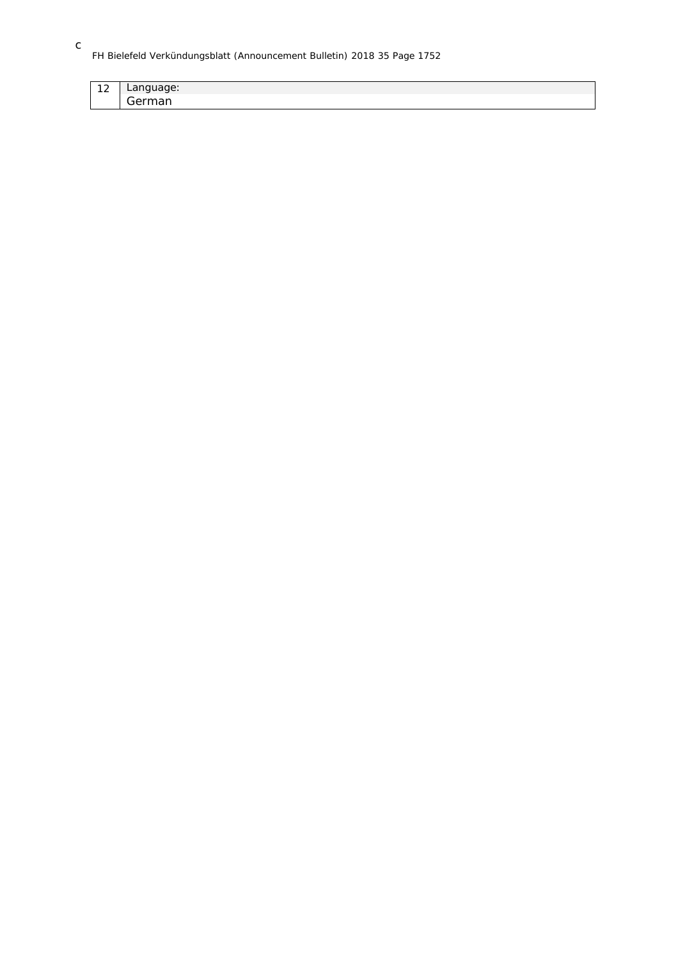## FH Bielefeld Verkündungsblatt (Announcement Bulletin) 2018 35 Page 1752

| $\sim$<br>$-$ | $\sim$<br>lage:<br>Lany<br>ັ |
|---------------|------------------------------|
|               | ∽<br>.<br>- -<br>.<br>ו וסי  |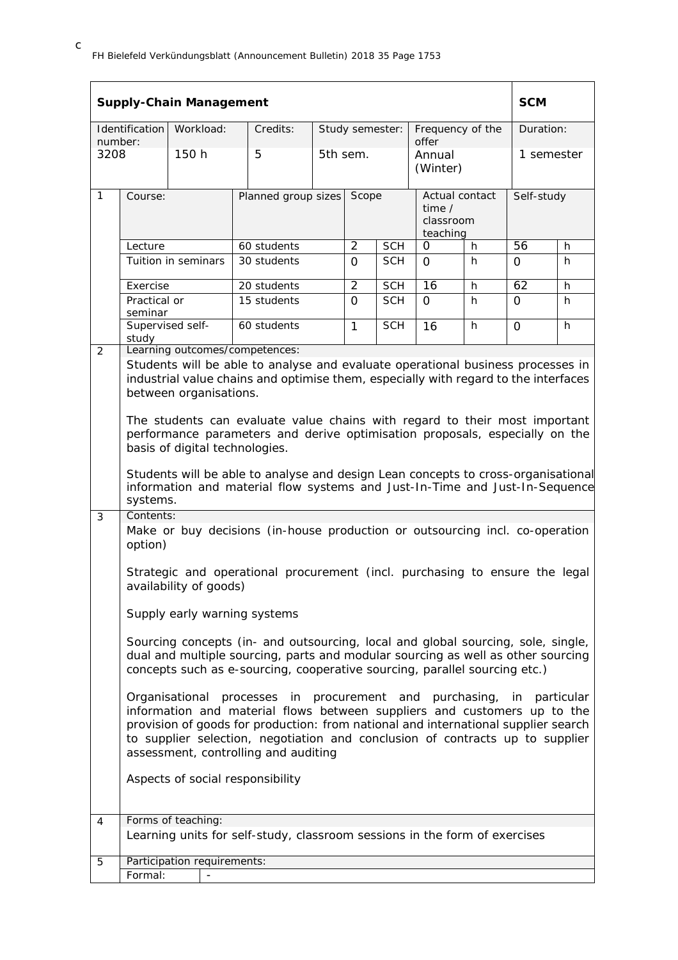|                 |                                  | <b>Supply-Chain Management</b>                                                     |                                                                                                                                                                                                                                                                                                                                                                                                                                                                                                                                                                                                                                                                                                                                                                                                                                                                                                                                                                                                                                                                                                                                                                                                                                                                                                                                  |                     |                          |                          |                                                   |    | <b>SCM</b>      |            |  |
|-----------------|----------------------------------|------------------------------------------------------------------------------------|----------------------------------------------------------------------------------------------------------------------------------------------------------------------------------------------------------------------------------------------------------------------------------------------------------------------------------------------------------------------------------------------------------------------------------------------------------------------------------------------------------------------------------------------------------------------------------------------------------------------------------------------------------------------------------------------------------------------------------------------------------------------------------------------------------------------------------------------------------------------------------------------------------------------------------------------------------------------------------------------------------------------------------------------------------------------------------------------------------------------------------------------------------------------------------------------------------------------------------------------------------------------------------------------------------------------------------|---------------------|--------------------------|--------------------------|---------------------------------------------------|----|-----------------|------------|--|
|                 | Identification                   | Workload:                                                                          | Credits:                                                                                                                                                                                                                                                                                                                                                                                                                                                                                                                                                                                                                                                                                                                                                                                                                                                                                                                                                                                                                                                                                                                                                                                                                                                                                                                         |                     | Study semester:          |                          | Frequency of the                                  |    |                 | Duration:  |  |
| number:<br>3208 |                                  | 150 h                                                                              | 5                                                                                                                                                                                                                                                                                                                                                                                                                                                                                                                                                                                                                                                                                                                                                                                                                                                                                                                                                                                                                                                                                                                                                                                                                                                                                                                                |                     | 5th sem.                 |                          | offer<br>Annual<br>(Winter)                       |    |                 | 1 semester |  |
| $\mathbf{1}$    | Course:                          |                                                                                    |                                                                                                                                                                                                                                                                                                                                                                                                                                                                                                                                                                                                                                                                                                                                                                                                                                                                                                                                                                                                                                                                                                                                                                                                                                                                                                                                  | Planned group sizes |                          | Scope                    | Actual contact<br>time /<br>classroom<br>teaching |    |                 | Self-study |  |
|                 | Lecture                          |                                                                                    | 60 students                                                                                                                                                                                                                                                                                                                                                                                                                                                                                                                                                                                                                                                                                                                                                                                                                                                                                                                                                                                                                                                                                                                                                                                                                                                                                                                      |                     | $\overline{2}$           | <b>SCH</b>               | 0                                                 | h. | $\overline{56}$ | h.         |  |
|                 |                                  | Tuition in seminars                                                                | 30 students                                                                                                                                                                                                                                                                                                                                                                                                                                                                                                                                                                                                                                                                                                                                                                                                                                                                                                                                                                                                                                                                                                                                                                                                                                                                                                                      |                     | $\Omega$                 | <b>SCH</b>               | $\Omega$                                          | h  | 0               | h.         |  |
|                 | Exercise                         |                                                                                    | 20 students                                                                                                                                                                                                                                                                                                                                                                                                                                                                                                                                                                                                                                                                                                                                                                                                                                                                                                                                                                                                                                                                                                                                                                                                                                                                                                                      |                     | $\overline{2}$           | <b>SCH</b>               | 16                                                | h  | 62              | h.         |  |
|                 | Practical or<br>seminar          |                                                                                    | 15 students                                                                                                                                                                                                                                                                                                                                                                                                                                                                                                                                                                                                                                                                                                                                                                                                                                                                                                                                                                                                                                                                                                                                                                                                                                                                                                                      |                     | $\Omega$<br>$\mathbf{1}$ | <b>SCH</b><br><b>SCH</b> | $\Omega$                                          | h  | $\Omega$        | h.         |  |
| 2               | Supervised self-<br>study        |                                                                                    | 60 students<br>Learning outcomes/competences:                                                                                                                                                                                                                                                                                                                                                                                                                                                                                                                                                                                                                                                                                                                                                                                                                                                                                                                                                                                                                                                                                                                                                                                                                                                                                    |                     |                          |                          | 16                                                | h  | $\Omega$        | h          |  |
| 3               | systems.<br>Contents:<br>option) | between organisations.<br>basis of digital technologies.<br>availability of goods) | Students will be able to analyse and evaluate operational business processes in<br>industrial value chains and optimise them, especially with regard to the interfaces<br>The students can evaluate value chains with regard to their most important<br>performance parameters and derive optimisation proposals, especially on the<br>Students will be able to analyse and design Lean concepts to cross-organisational<br>information and material flow systems and Just-In-Time and Just-In-Sequence<br>Make or buy decisions (in-house production or outsourcing incl. co-operation<br>Strategic and operational procurement (incl. purchasing to ensure the legal<br>Supply early warning systems<br>Sourcing concepts (in- and outsourcing, local and global sourcing, sole, single,<br>dual and multiple sourcing, parts and modular sourcing as well as other sourcing<br>concepts such as e-sourcing, cooperative sourcing, parallel sourcing etc.)<br>Organisational processes in procurement and purchasing, in particular<br>information and material flows between suppliers and customers up to the<br>provision of goods for production: from national and international supplier search<br>to supplier selection, negotiation and conclusion of contracts up to supplier<br>assessment, controlling and auditing |                     |                          |                          |                                                   |    |                 |            |  |
| $\overline{4}$  |                                  | Forms of teaching:                                                                 | Aspects of social responsibility                                                                                                                                                                                                                                                                                                                                                                                                                                                                                                                                                                                                                                                                                                                                                                                                                                                                                                                                                                                                                                                                                                                                                                                                                                                                                                 |                     |                          |                          |                                                   |    |                 |            |  |
|                 |                                  |                                                                                    | Learning units for self-study, classroom sessions in the form of exercises                                                                                                                                                                                                                                                                                                                                                                                                                                                                                                                                                                                                                                                                                                                                                                                                                                                                                                                                                                                                                                                                                                                                                                                                                                                       |                     |                          |                          |                                                   |    |                 |            |  |
| 5               |                                  | Participation requirements:                                                        |                                                                                                                                                                                                                                                                                                                                                                                                                                                                                                                                                                                                                                                                                                                                                                                                                                                                                                                                                                                                                                                                                                                                                                                                                                                                                                                                  |                     |                          |                          |                                                   |    |                 |            |  |
|                 | Formal:                          |                                                                                    |                                                                                                                                                                                                                                                                                                                                                                                                                                                                                                                                                                                                                                                                                                                                                                                                                                                                                                                                                                                                                                                                                                                                                                                                                                                                                                                                  |                     |                          |                          |                                                   |    |                 |            |  |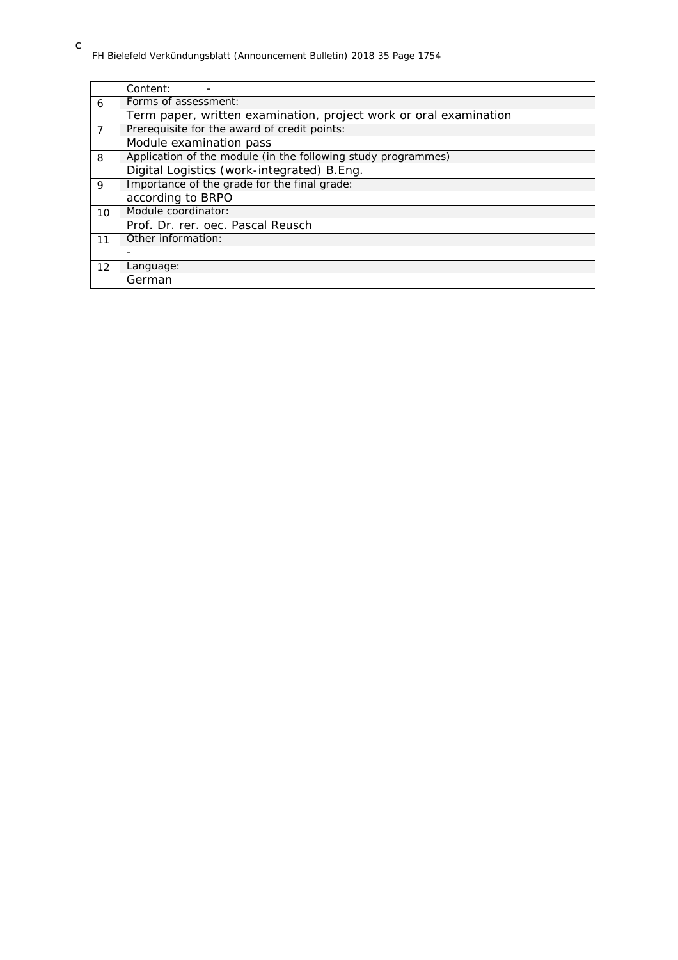|                | Content:                                                          |                                            |  |  |  |  |  |
|----------------|-------------------------------------------------------------------|--------------------------------------------|--|--|--|--|--|
| 6              | Forms of assessment:                                              |                                            |  |  |  |  |  |
|                | Term paper, written examination, project work or oral examination |                                            |  |  |  |  |  |
| $\overline{7}$ | Prerequisite for the award of credit points:                      |                                            |  |  |  |  |  |
|                | Module examination pass                                           |                                            |  |  |  |  |  |
| 8              | Application of the module (in the following study programmes)     |                                            |  |  |  |  |  |
|                |                                                                   | Digital Logistics (work-integrated) B.Eng. |  |  |  |  |  |
| 9              | Importance of the grade for the final grade:                      |                                            |  |  |  |  |  |
|                | according to BRPO                                                 |                                            |  |  |  |  |  |
| 10             | Module coordinator:                                               |                                            |  |  |  |  |  |
|                |                                                                   | Prof. Dr. rer. oec. Pascal Reusch          |  |  |  |  |  |
| 11             | Other information:                                                |                                            |  |  |  |  |  |
|                |                                                                   |                                            |  |  |  |  |  |
| 12             | Language:                                                         |                                            |  |  |  |  |  |
|                | German                                                            |                                            |  |  |  |  |  |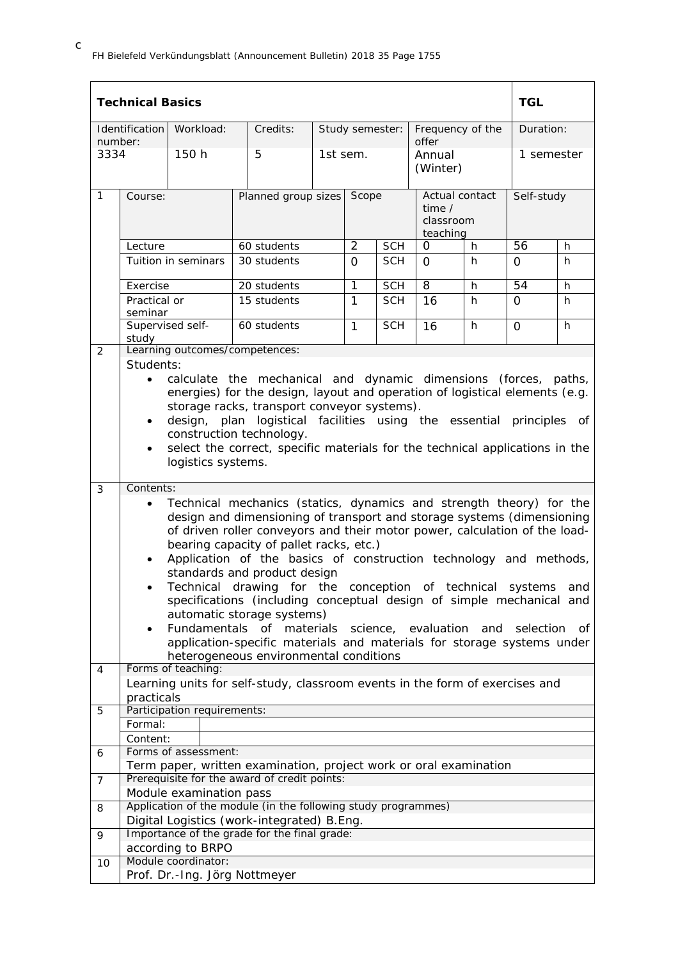|                | <b>Technical Basics</b>                                                                                                                                                                                                                                                                                                                                                                                                                                                                                                                                                                                                                                                                                                                                                                     |                             |                                                                                                                   |                           |                |                 |                                                          |    | <b>TGL</b>      |    |
|----------------|---------------------------------------------------------------------------------------------------------------------------------------------------------------------------------------------------------------------------------------------------------------------------------------------------------------------------------------------------------------------------------------------------------------------------------------------------------------------------------------------------------------------------------------------------------------------------------------------------------------------------------------------------------------------------------------------------------------------------------------------------------------------------------------------|-----------------------------|-------------------------------------------------------------------------------------------------------------------|---------------------------|----------------|-----------------|----------------------------------------------------------|----|-----------------|----|
| number:        | Identification                                                                                                                                                                                                                                                                                                                                                                                                                                                                                                                                                                                                                                                                                                                                                                              | Workload:                   | Credits:                                                                                                          |                           |                | Study semester: | Frequency of the<br>offer                                |    | Duration:       |    |
| 3334           |                                                                                                                                                                                                                                                                                                                                                                                                                                                                                                                                                                                                                                                                                                                                                                                             | 150 h                       | 5                                                                                                                 | 1st sem.                  |                |                 | Annual<br>(Winter)                                       |    | 1 semester      |    |
| $\mathbf{1}$   | Course:                                                                                                                                                                                                                                                                                                                                                                                                                                                                                                                                                                                                                                                                                                                                                                                     |                             |                                                                                                                   | Planned group sizes Scope |                |                 | Actual contact<br>time $\prime$<br>classroom<br>teaching |    | Self-study      |    |
|                | Lecture                                                                                                                                                                                                                                                                                                                                                                                                                                                                                                                                                                                                                                                                                                                                                                                     |                             | 60 students                                                                                                       |                           | $\overline{2}$ | <b>SCH</b>      | 0                                                        | h. | 56              | h  |
|                |                                                                                                                                                                                                                                                                                                                                                                                                                                                                                                                                                                                                                                                                                                                                                                                             | Tuition in seminars         | 30 students                                                                                                       |                           | $\Omega$       | <b>SCH</b>      | $\Omega$                                                 | h. | $\Omega$        | h  |
|                | Exercise                                                                                                                                                                                                                                                                                                                                                                                                                                                                                                                                                                                                                                                                                                                                                                                    |                             | 20 students                                                                                                       |                           | $\overline{1}$ | <b>SCH</b>      | $\overline{8}$                                           | h  | $\overline{54}$ | h  |
|                | Practical or<br>seminar                                                                                                                                                                                                                                                                                                                                                                                                                                                                                                                                                                                                                                                                                                                                                                     |                             | 15 students                                                                                                       |                           | $\mathbf{1}$   | <b>SCH</b>      | 16                                                       | h. | $\Omega$        | h. |
|                | Supervised self-<br>study                                                                                                                                                                                                                                                                                                                                                                                                                                                                                                                                                                                                                                                                                                                                                                   |                             | 60 students                                                                                                       |                           | $\mathbf{1}$   | <b>SCH</b>      | 16                                                       | h. | 0               | h  |
| 2              |                                                                                                                                                                                                                                                                                                                                                                                                                                                                                                                                                                                                                                                                                                                                                                                             |                             | Learning outcomes/competences:                                                                                    |                           |                |                 |                                                          |    |                 |    |
|                | Students:<br>calculate the mechanical and dynamic dimensions (forces, paths,<br>$\bullet$<br>energies) for the design, layout and operation of logistical elements (e.g.<br>storage racks, transport conveyor systems).<br>design, plan logistical facilities using the essential principles of<br>$\bullet$<br>construction technology.<br>select the correct, specific materials for the technical applications in the<br>$\bullet$<br>logistics systems.                                                                                                                                                                                                                                                                                                                                 |                             |                                                                                                                   |                           |                |                 |                                                          |    |                 |    |
| 3              | Contents:                                                                                                                                                                                                                                                                                                                                                                                                                                                                                                                                                                                                                                                                                                                                                                                   |                             |                                                                                                                   |                           |                |                 |                                                          |    |                 |    |
| 4              | Technical mechanics (statics, dynamics and strength theory) for the<br>$\bullet$<br>design and dimensioning of transport and storage systems (dimensioning<br>of driven roller conveyors and their motor power, calculation of the load-<br>bearing capacity of pallet racks, etc.)<br>Application of the basics of construction technology and methods,<br>$\bullet$<br>standards and product design<br>Technical drawing for the conception of technical<br>systems<br>and<br>specifications (including conceptual design of simple mechanical and<br>automatic storage systems)<br>Fundamentals of materials<br>science, evaluation and selection<br>Οf<br>$\bullet$<br>application-specific materials and materials for storage systems under<br>heterogeneous environmental conditions |                             |                                                                                                                   |                           |                |                 |                                                          |    |                 |    |
|                | practicals                                                                                                                                                                                                                                                                                                                                                                                                                                                                                                                                                                                                                                                                                                                                                                                  | Forms of teaching:          | Learning units for self-study, classroom events in the form of exercises and                                      |                           |                |                 |                                                          |    |                 |    |
| 5              |                                                                                                                                                                                                                                                                                                                                                                                                                                                                                                                                                                                                                                                                                                                                                                                             | Participation requirements: |                                                                                                                   |                           |                |                 |                                                          |    |                 |    |
|                | Formal:                                                                                                                                                                                                                                                                                                                                                                                                                                                                                                                                                                                                                                                                                                                                                                                     |                             |                                                                                                                   |                           |                |                 |                                                          |    |                 |    |
|                | Content:                                                                                                                                                                                                                                                                                                                                                                                                                                                                                                                                                                                                                                                                                                                                                                                    |                             |                                                                                                                   |                           |                |                 |                                                          |    |                 |    |
| 6              |                                                                                                                                                                                                                                                                                                                                                                                                                                                                                                                                                                                                                                                                                                                                                                                             | Forms of assessment:        |                                                                                                                   |                           |                |                 |                                                          |    |                 |    |
|                |                                                                                                                                                                                                                                                                                                                                                                                                                                                                                                                                                                                                                                                                                                                                                                                             |                             | Term paper, written examination, project work or oral examination<br>Prerequisite for the award of credit points: |                           |                |                 |                                                          |    |                 |    |
| $\overline{7}$ |                                                                                                                                                                                                                                                                                                                                                                                                                                                                                                                                                                                                                                                                                                                                                                                             | Module examination pass     |                                                                                                                   |                           |                |                 |                                                          |    |                 |    |
| 8              |                                                                                                                                                                                                                                                                                                                                                                                                                                                                                                                                                                                                                                                                                                                                                                                             |                             | Application of the module (in the following study programmes)                                                     |                           |                |                 |                                                          |    |                 |    |
|                |                                                                                                                                                                                                                                                                                                                                                                                                                                                                                                                                                                                                                                                                                                                                                                                             |                             | Digital Logistics (work-integrated) B.Eng.                                                                        |                           |                |                 |                                                          |    |                 |    |
| 9              |                                                                                                                                                                                                                                                                                                                                                                                                                                                                                                                                                                                                                                                                                                                                                                                             |                             | Importance of the grade for the final grade:                                                                      |                           |                |                 |                                                          |    |                 |    |
|                |                                                                                                                                                                                                                                                                                                                                                                                                                                                                                                                                                                                                                                                                                                                                                                                             | according to BRPO           |                                                                                                                   |                           |                |                 |                                                          |    |                 |    |
| 10             |                                                                                                                                                                                                                                                                                                                                                                                                                                                                                                                                                                                                                                                                                                                                                                                             | Module coordinator:         |                                                                                                                   |                           |                |                 |                                                          |    |                 |    |
|                |                                                                                                                                                                                                                                                                                                                                                                                                                                                                                                                                                                                                                                                                                                                                                                                             |                             | Prof. Dr.-Ing. Jörg Nottmeyer                                                                                     |                           |                |                 |                                                          |    |                 |    |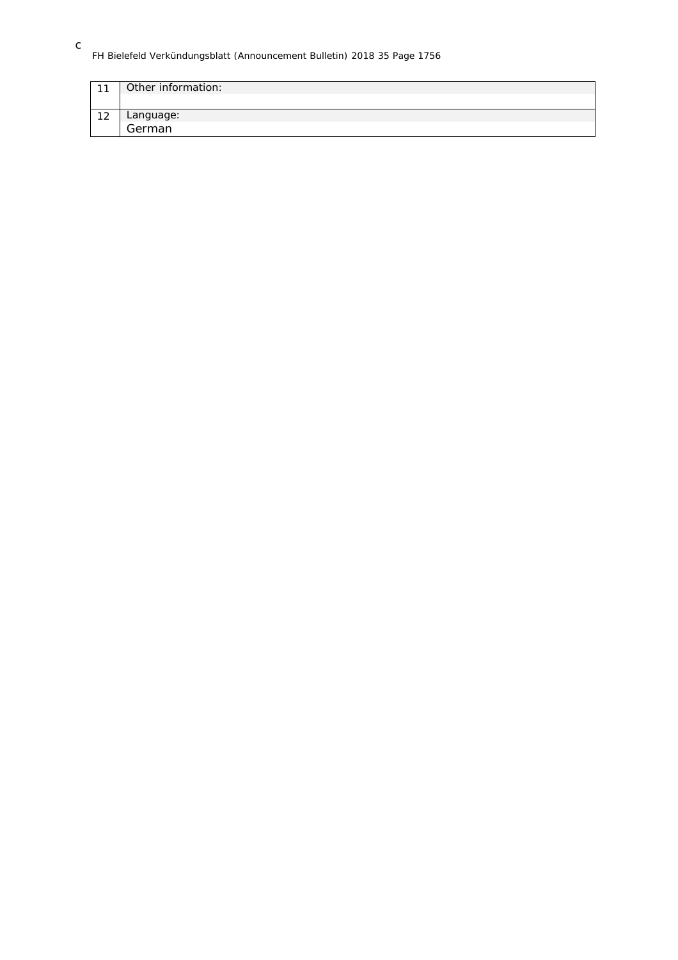## FH Bielefeld Verkündungsblatt (Announcement Bulletin) 2018 35 Page 1756

| 11 | Other information: |
|----|--------------------|
|    |                    |
| 12 | Language:          |
|    | German             |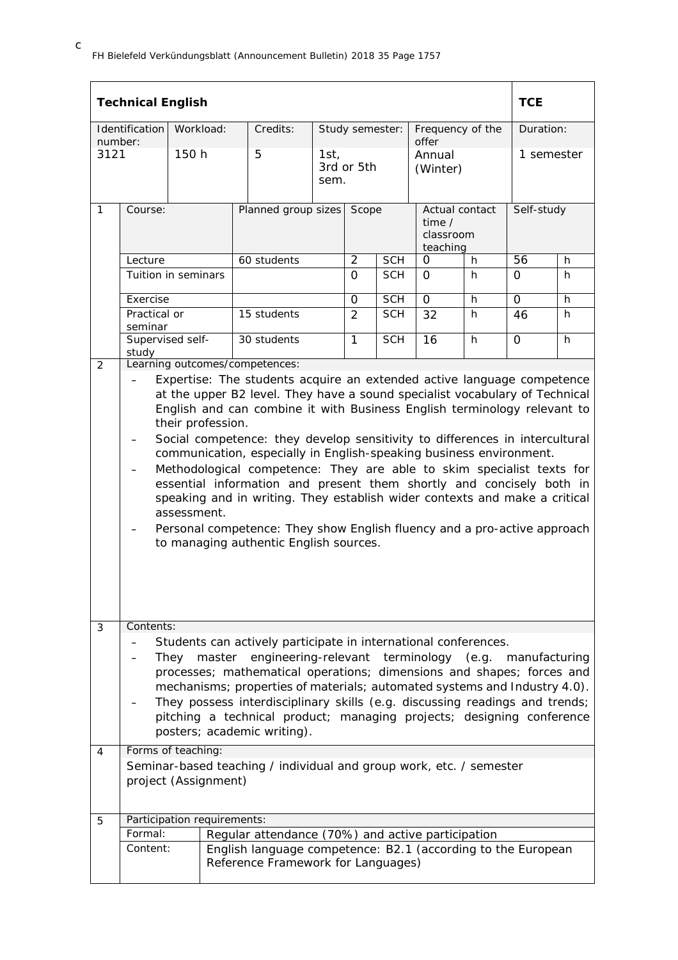|             | <b>Technical English</b>                                                                                                                                                                                                                                                                                                                                                                                                                                                                                                                                                                                                                                                                                                                                                         |                                                                                          |  |                                                                                                                                                                                                                                                                                                                                                                                                                                                                                                                                                                                                  |              |                |                 |  |                                                          |    | <b>TCE</b>      |            |  |
|-------------|----------------------------------------------------------------------------------------------------------------------------------------------------------------------------------------------------------------------------------------------------------------------------------------------------------------------------------------------------------------------------------------------------------------------------------------------------------------------------------------------------------------------------------------------------------------------------------------------------------------------------------------------------------------------------------------------------------------------------------------------------------------------------------|------------------------------------------------------------------------------------------|--|--------------------------------------------------------------------------------------------------------------------------------------------------------------------------------------------------------------------------------------------------------------------------------------------------------------------------------------------------------------------------------------------------------------------------------------------------------------------------------------------------------------------------------------------------------------------------------------------------|--------------|----------------|-----------------|--|----------------------------------------------------------|----|-----------------|------------|--|
| number:     | <b>Identification</b>                                                                                                                                                                                                                                                                                                                                                                                                                                                                                                                                                                                                                                                                                                                                                            | Workload:                                                                                |  | Credits:                                                                                                                                                                                                                                                                                                                                                                                                                                                                                                                                                                                         |              |                | Study semester: |  | Frequency of the<br>offer                                |    | Duration:       |            |  |
| 3121        |                                                                                                                                                                                                                                                                                                                                                                                                                                                                                                                                                                                                                                                                                                                                                                                  | 150 h                                                                                    |  | 5                                                                                                                                                                                                                                                                                                                                                                                                                                                                                                                                                                                                | 1st,<br>sem. | 3rd or 5th     |                 |  | Annual<br>(Winter)                                       |    | 1 semester      |            |  |
| 1           | Course:                                                                                                                                                                                                                                                                                                                                                                                                                                                                                                                                                                                                                                                                                                                                                                          |                                                                                          |  | Planned group sizes                                                                                                                                                                                                                                                                                                                                                                                                                                                                                                                                                                              |              | Scope          |                 |  | Actual contact<br>time $\prime$<br>classroom<br>teaching |    |                 | Self-study |  |
|             | Lecture                                                                                                                                                                                                                                                                                                                                                                                                                                                                                                                                                                                                                                                                                                                                                                          |                                                                                          |  | 60 students                                                                                                                                                                                                                                                                                                                                                                                                                                                                                                                                                                                      |              | $\overline{2}$ | <b>SCH</b>      |  | $\Omega$                                                 | h. | $\overline{56}$ | h.         |  |
|             |                                                                                                                                                                                                                                                                                                                                                                                                                                                                                                                                                                                                                                                                                                                                                                                  | Tuition in seminars                                                                      |  |                                                                                                                                                                                                                                                                                                                                                                                                                                                                                                                                                                                                  |              | $\Omega$       | <b>SCH</b>      |  | $\Omega$                                                 | h. | $\Omega$        | h.         |  |
|             | Exercise                                                                                                                                                                                                                                                                                                                                                                                                                                                                                                                                                                                                                                                                                                                                                                         |                                                                                          |  |                                                                                                                                                                                                                                                                                                                                                                                                                                                                                                                                                                                                  |              | $\Omega$       | <b>SCH</b>      |  | $\Omega$                                                 | h. | $\overline{0}$  | h          |  |
|             | Practical or<br>seminar                                                                                                                                                                                                                                                                                                                                                                                                                                                                                                                                                                                                                                                                                                                                                          |                                                                                          |  | 15 students                                                                                                                                                                                                                                                                                                                                                                                                                                                                                                                                                                                      |              | 2              | <b>SCH</b>      |  | 32                                                       | h. | 46              | h.         |  |
|             | study                                                                                                                                                                                                                                                                                                                                                                                                                                                                                                                                                                                                                                                                                                                                                                            | Supervised self-                                                                         |  | 30 students                                                                                                                                                                                                                                                                                                                                                                                                                                                                                                                                                                                      |              | $\mathbf{1}$   | <b>SCH</b>      |  | 16                                                       | h  | $\Omega$        | h          |  |
|             | Expertise: The students acquire an extended active language competence<br>at the upper B2 level. They have a sound specialist vocabulary of Technical<br>English and can combine it with Business English terminology relevant to<br>their profession.<br>Social competence: they develop sensitivity to differences in intercultural<br>communication, especially in English-speaking business environment.<br>Methodological competence: They are able to skim specialist texts for<br>essential information and present them shortly and concisely both in<br>speaking and in writing. They establish wider contexts and make a critical<br>assessment.<br>Personal competence: They show English fluency and a pro-active approach<br>to managing authentic English sources. |                                                                                          |  |                                                                                                                                                                                                                                                                                                                                                                                                                                                                                                                                                                                                  |              |                |                 |  |                                                          |    |                 |            |  |
| 3<br>4<br>5 | Contents:<br>Formal:                                                                                                                                                                                                                                                                                                                                                                                                                                                                                                                                                                                                                                                                                                                                                             | They master<br>Forms of teaching:<br>project (Assignment)<br>Participation requirements: |  | Students can actively participate in international conferences.<br>engineering-relevant terminology (e.g. manufacturing<br>processes; mathematical operations; dimensions and shapes; forces and<br>mechanisms; properties of materials; automated systems and Industry 4.0).<br>They possess interdisciplinary skills (e.g. discussing readings and trends;<br>pitching a technical product; managing projects; designing conference<br>posters; academic writing).<br>Seminar-based teaching / individual and group work, etc. / semester<br>Regular attendance (70%) and active participation |              |                |                 |  |                                                          |    |                 |            |  |
|             | Content:                                                                                                                                                                                                                                                                                                                                                                                                                                                                                                                                                                                                                                                                                                                                                                         |                                                                                          |  | English language competence: B2.1 (according to the European<br>Reference Framework for Languages)                                                                                                                                                                                                                                                                                                                                                                                                                                                                                               |              |                |                 |  |                                                          |    |                 |            |  |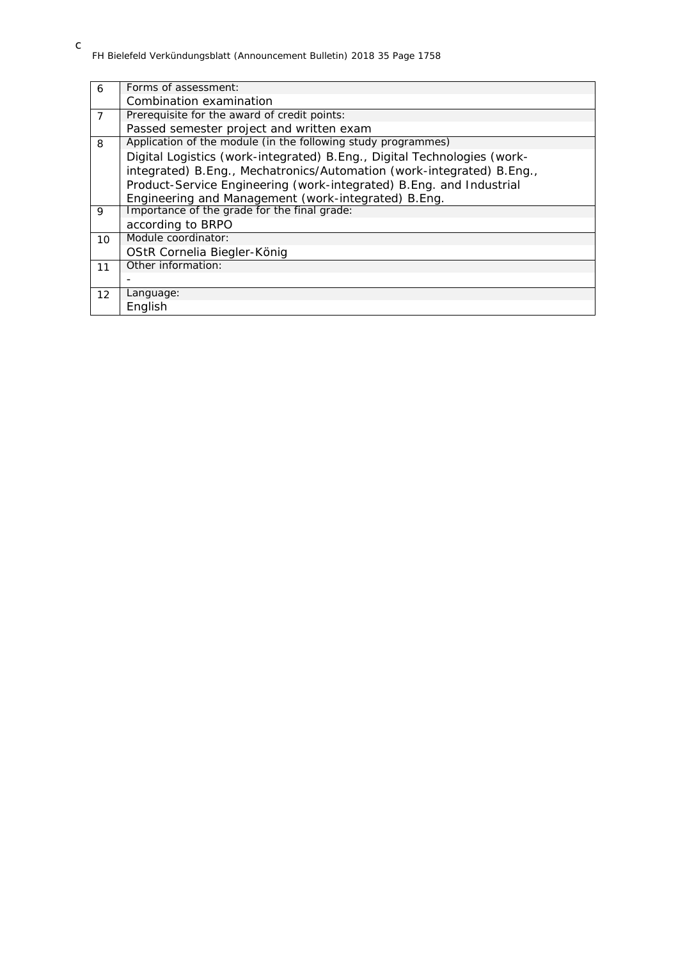| 6              | Forms of assessment:                                                     |
|----------------|--------------------------------------------------------------------------|
|                | Combination examination                                                  |
| $\overline{7}$ | Prerequisite for the award of credit points:                             |
|                | Passed semester project and written exam                                 |
| 8              | Application of the module (in the following study programmes)            |
|                | Digital Logistics (work-integrated) B. Eng., Digital Technologies (work- |
|                | integrated) B.Eng., Mechatronics/Automation (work-integrated) B.Eng.,    |
|                | Product-Service Engineering (work-integrated) B. Eng. and Industrial     |
|                | Engineering and Management (work-integrated) B.Eng.                      |
| 9              | Importance of the grade for the final grade:                             |
|                | according to BRPO                                                        |
| 10             | Module coordinator:                                                      |
|                | OStR Cornelia Biegler-König                                              |
| 11             | Other information:                                                       |
|                |                                                                          |
| 12             | Language:                                                                |
|                | English                                                                  |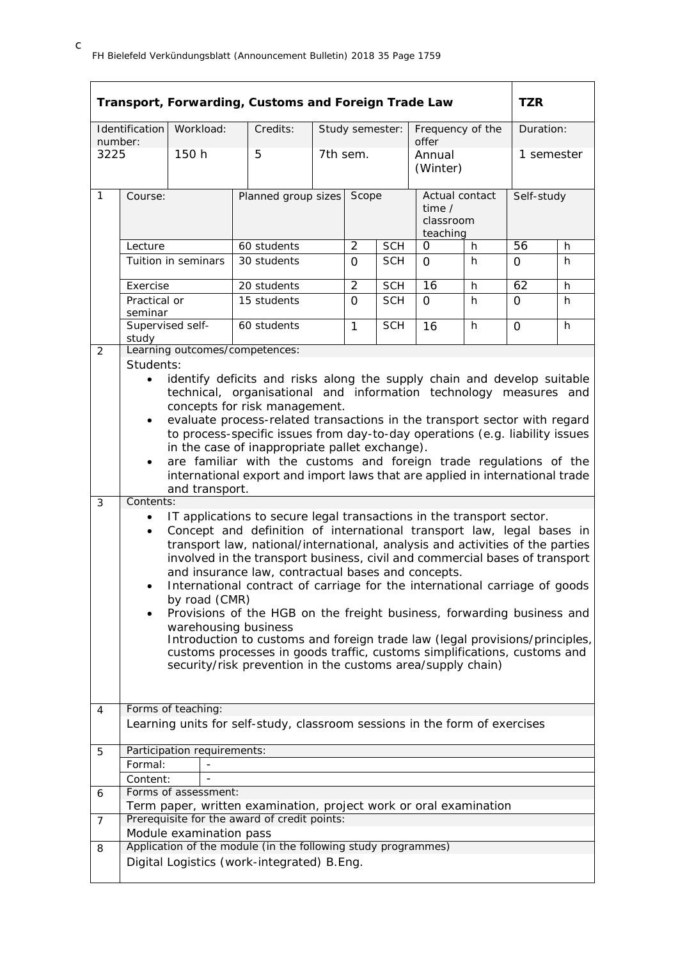|                 |                                                                                                                                                                                                                                                                                                                                                                                                                                                                                                                                                                                                             |                                                             | Transport, Forwarding, Customs and Foreign Trade Law                                                                                                                                                                                                                                                                                                                                                                                                                                                                                                                                                                                                                                                                                                  |                           |                |                 |                                                     |    | <b>TZR</b>   |   |
|-----------------|-------------------------------------------------------------------------------------------------------------------------------------------------------------------------------------------------------------------------------------------------------------------------------------------------------------------------------------------------------------------------------------------------------------------------------------------------------------------------------------------------------------------------------------------------------------------------------------------------------------|-------------------------------------------------------------|-------------------------------------------------------------------------------------------------------------------------------------------------------------------------------------------------------------------------------------------------------------------------------------------------------------------------------------------------------------------------------------------------------------------------------------------------------------------------------------------------------------------------------------------------------------------------------------------------------------------------------------------------------------------------------------------------------------------------------------------------------|---------------------------|----------------|-----------------|-----------------------------------------------------|----|--------------|---|
|                 | Identification                                                                                                                                                                                                                                                                                                                                                                                                                                                                                                                                                                                              | Workload:                                                   | Credits:                                                                                                                                                                                                                                                                                                                                                                                                                                                                                                                                                                                                                                                                                                                                              |                           |                | Study semester: | Frequency of the                                    |    | Duration:    |   |
| number:<br>3225 |                                                                                                                                                                                                                                                                                                                                                                                                                                                                                                                                                                                                             | 150 h                                                       | 5                                                                                                                                                                                                                                                                                                                                                                                                                                                                                                                                                                                                                                                                                                                                                     |                           | 7th sem.       |                 | offer<br>Annual<br>(Winter)                         |    | 1 semester   |   |
| $\mathbf{1}$    | Course:                                                                                                                                                                                                                                                                                                                                                                                                                                                                                                                                                                                                     |                                                             |                                                                                                                                                                                                                                                                                                                                                                                                                                                                                                                                                                                                                                                                                                                                                       | Planned group sizes Scope |                |                 | Actual contact<br>time $/$<br>classroom<br>teaching |    | Self-study   |   |
|                 | Lecture                                                                                                                                                                                                                                                                                                                                                                                                                                                                                                                                                                                                     |                                                             | 60 students                                                                                                                                                                                                                                                                                                                                                                                                                                                                                                                                                                                                                                                                                                                                           |                           | $\overline{2}$ | <b>SCH</b>      | 0                                                   | h. | 56           | h |
|                 |                                                                                                                                                                                                                                                                                                                                                                                                                                                                                                                                                                                                             | Tuition in seminars                                         | 30 students                                                                                                                                                                                                                                                                                                                                                                                                                                                                                                                                                                                                                                                                                                                                           |                           | $\Omega$       | <b>SCH</b>      | $\Omega$                                            | h  | 0            | h |
|                 | Exercise                                                                                                                                                                                                                                                                                                                                                                                                                                                                                                                                                                                                    |                                                             | 20 students                                                                                                                                                                                                                                                                                                                                                                                                                                                                                                                                                                                                                                                                                                                                           |                           | $\overline{2}$ | <b>SCH</b>      | 16                                                  | h  | 62           | h |
|                 | Practical or<br>seminar                                                                                                                                                                                                                                                                                                                                                                                                                                                                                                                                                                                     |                                                             | 15 students                                                                                                                                                                                                                                                                                                                                                                                                                                                                                                                                                                                                                                                                                                                                           |                           | $\Omega$       | <b>SCH</b>      | $\Omega$                                            | h  | $\mathbf{O}$ | h |
|                 | Supervised self-<br>study                                                                                                                                                                                                                                                                                                                                                                                                                                                                                                                                                                                   |                                                             | 60 students                                                                                                                                                                                                                                                                                                                                                                                                                                                                                                                                                                                                                                                                                                                                           |                           | $\mathbf{1}$   | <b>SCH</b>      | 16                                                  | h  | $\Omega$     | h |
| 2               | Students:                                                                                                                                                                                                                                                                                                                                                                                                                                                                                                                                                                                                   |                                                             | Learning outcomes/competences:                                                                                                                                                                                                                                                                                                                                                                                                                                                                                                                                                                                                                                                                                                                        |                           |                |                 |                                                     |    |              |   |
|                 | identify deficits and risks along the supply chain and develop suitable<br>$\bullet$<br>technical, organisational and information technology measures and<br>concepts for risk management.<br>evaluate process-related transactions in the transport sector with regard<br>$\bullet$<br>to process-specific issues from day-to-day operations (e.g. liability issues<br>in the case of inappropriate pallet exchange).<br>are familiar with the customs and foreign trade regulations of the<br>$\bullet$<br>international export and import laws that are applied in international trade<br>and transport. |                                                             |                                                                                                                                                                                                                                                                                                                                                                                                                                                                                                                                                                                                                                                                                                                                                       |                           |                |                 |                                                     |    |              |   |
| 3               | Contents:                                                                                                                                                                                                                                                                                                                                                                                                                                                                                                                                                                                                   |                                                             |                                                                                                                                                                                                                                                                                                                                                                                                                                                                                                                                                                                                                                                                                                                                                       |                           |                |                 |                                                     |    |              |   |
|                 | $\bullet$<br>$\bullet$<br>$\bullet$<br>$\bullet$                                                                                                                                                                                                                                                                                                                                                                                                                                                                                                                                                            | by road (CMR)<br>warehousing business<br>Forms of teaching: | IT applications to secure legal transactions in the transport sector.<br>Concept and definition of international transport law, legal bases in<br>transport law, national/international, analysis and activities of the parties<br>involved in the transport business, civil and commercial bases of transport<br>and insurance law, contractual bases and concepts.<br>International contract of carriage for the international carriage of goods<br>Provisions of the HGB on the freight business, forwarding business and<br>Introduction to customs and foreign trade law (legal provisions/principles,<br>customs processes in goods traffic, customs simplifications, customs and<br>security/risk prevention in the customs area/supply chain) |                           |                |                 |                                                     |    |              |   |
| 4               |                                                                                                                                                                                                                                                                                                                                                                                                                                                                                                                                                                                                             |                                                             | Learning units for self-study, classroom sessions in the form of exercises                                                                                                                                                                                                                                                                                                                                                                                                                                                                                                                                                                                                                                                                            |                           |                |                 |                                                     |    |              |   |
|                 |                                                                                                                                                                                                                                                                                                                                                                                                                                                                                                                                                                                                             |                                                             |                                                                                                                                                                                                                                                                                                                                                                                                                                                                                                                                                                                                                                                                                                                                                       |                           |                |                 |                                                     |    |              |   |
| 5               |                                                                                                                                                                                                                                                                                                                                                                                                                                                                                                                                                                                                             | Participation requirements:                                 |                                                                                                                                                                                                                                                                                                                                                                                                                                                                                                                                                                                                                                                                                                                                                       |                           |                |                 |                                                     |    |              |   |
|                 | Formal:                                                                                                                                                                                                                                                                                                                                                                                                                                                                                                                                                                                                     |                                                             |                                                                                                                                                                                                                                                                                                                                                                                                                                                                                                                                                                                                                                                                                                                                                       |                           |                |                 |                                                     |    |              |   |
|                 | Content:                                                                                                                                                                                                                                                                                                                                                                                                                                                                                                                                                                                                    |                                                             |                                                                                                                                                                                                                                                                                                                                                                                                                                                                                                                                                                                                                                                                                                                                                       |                           |                |                 |                                                     |    |              |   |
| 6               |                                                                                                                                                                                                                                                                                                                                                                                                                                                                                                                                                                                                             | Forms of assessment:                                        |                                                                                                                                                                                                                                                                                                                                                                                                                                                                                                                                                                                                                                                                                                                                                       |                           |                |                 |                                                     |    |              |   |
|                 |                                                                                                                                                                                                                                                                                                                                                                                                                                                                                                                                                                                                             |                                                             | Term paper, written examination, project work or oral examination<br>Prerequisite for the award of credit points:                                                                                                                                                                                                                                                                                                                                                                                                                                                                                                                                                                                                                                     |                           |                |                 |                                                     |    |              |   |
| 7               |                                                                                                                                                                                                                                                                                                                                                                                                                                                                                                                                                                                                             | Module examination pass                                     |                                                                                                                                                                                                                                                                                                                                                                                                                                                                                                                                                                                                                                                                                                                                                       |                           |                |                 |                                                     |    |              |   |
| 8               |                                                                                                                                                                                                                                                                                                                                                                                                                                                                                                                                                                                                             |                                                             | Application of the module (in the following study programmes)                                                                                                                                                                                                                                                                                                                                                                                                                                                                                                                                                                                                                                                                                         |                           |                |                 |                                                     |    |              |   |
|                 |                                                                                                                                                                                                                                                                                                                                                                                                                                                                                                                                                                                                             |                                                             | Digital Logistics (work-integrated) B.Eng.                                                                                                                                                                                                                                                                                                                                                                                                                                                                                                                                                                                                                                                                                                            |                           |                |                 |                                                     |    |              |   |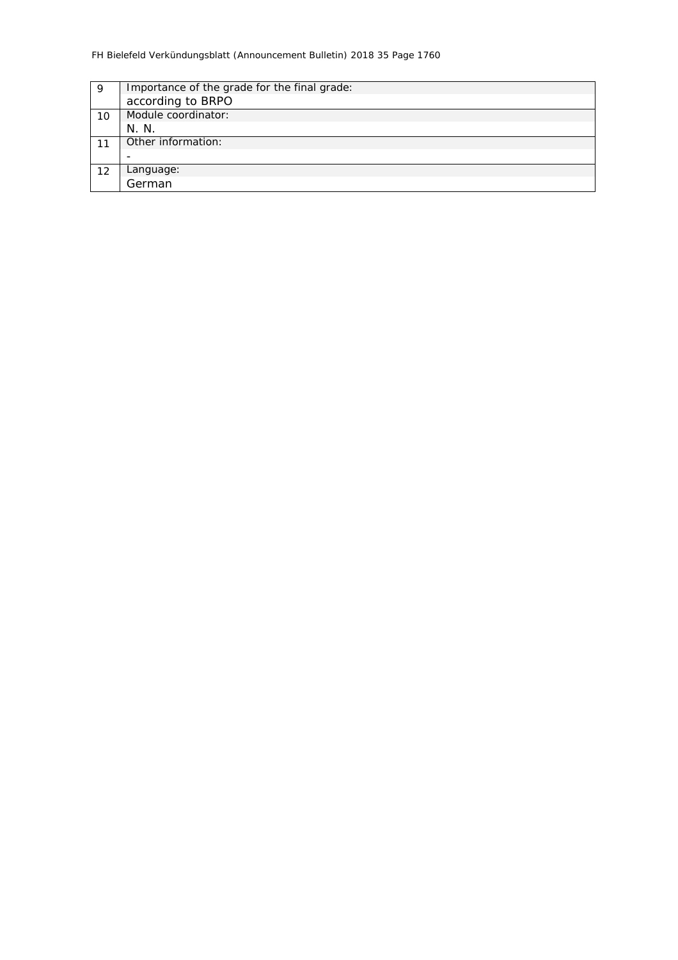| Importance of the grade for the final grade: |
|----------------------------------------------|
| according to BRPO                            |
| Module coordinator:                          |
| N. N.                                        |
| Other information:                           |
|                                              |
| Language:                                    |
| German                                       |
|                                              |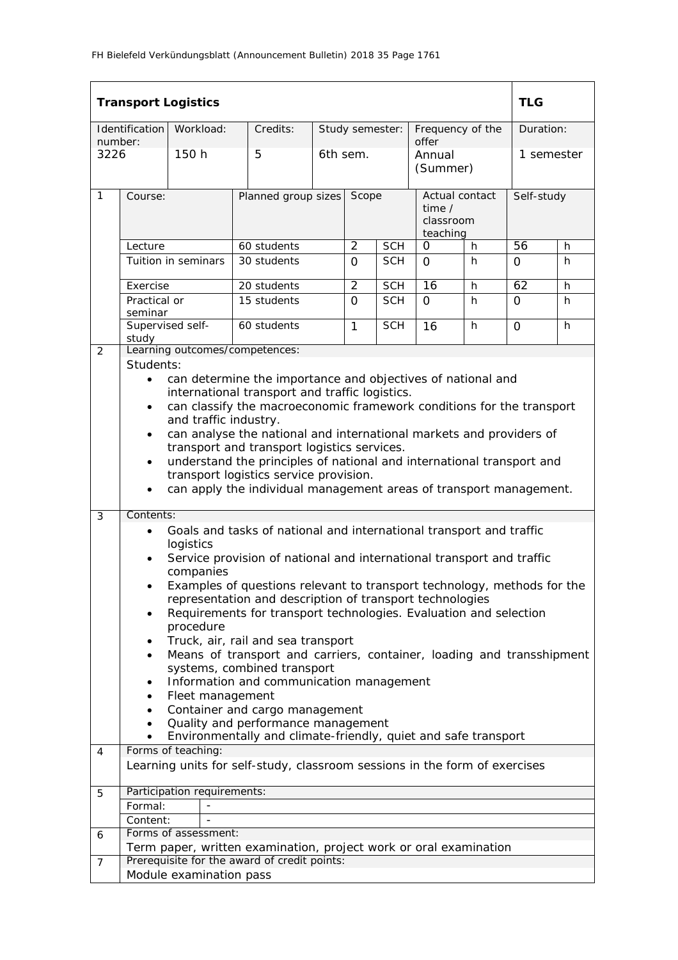|                |                                                                                                                                                                                                                                                                                                                                                                                                                                                                                                                                                                                                                                                                                                                                | <b>Transport Logistics</b>  |                                                                            |                     |                |                 |                                                     |    | <b>TLG</b> |           |  |
|----------------|--------------------------------------------------------------------------------------------------------------------------------------------------------------------------------------------------------------------------------------------------------------------------------------------------------------------------------------------------------------------------------------------------------------------------------------------------------------------------------------------------------------------------------------------------------------------------------------------------------------------------------------------------------------------------------------------------------------------------------|-----------------------------|----------------------------------------------------------------------------|---------------------|----------------|-----------------|-----------------------------------------------------|----|------------|-----------|--|
| number:        | Identification                                                                                                                                                                                                                                                                                                                                                                                                                                                                                                                                                                                                                                                                                                                 | Workload:                   | Credits:                                                                   |                     |                | Study semester: | Frequency of the<br>offer                           |    |            | Duration: |  |
| 3226           |                                                                                                                                                                                                                                                                                                                                                                                                                                                                                                                                                                                                                                                                                                                                | 150 h                       | 5                                                                          |                     | 6th sem.       |                 | Annual<br>(Summer)                                  |    | 1 semester |           |  |
| 1              | Course:                                                                                                                                                                                                                                                                                                                                                                                                                                                                                                                                                                                                                                                                                                                        |                             |                                                                            | Planned group sizes |                | Scope           | Actual contact<br>time $/$<br>classroom<br>teaching |    | Self-study |           |  |
|                | Lecture                                                                                                                                                                                                                                                                                                                                                                                                                                                                                                                                                                                                                                                                                                                        |                             | 60 students                                                                |                     | 2              | <b>SCH</b>      | O                                                   | h  | 56         | h.        |  |
|                |                                                                                                                                                                                                                                                                                                                                                                                                                                                                                                                                                                                                                                                                                                                                | Tuition in seminars         | 30 students                                                                |                     | $\Omega$       | <b>SCH</b>      | $\Omega$                                            | h  | $\Omega$   | h         |  |
|                | Exercise                                                                                                                                                                                                                                                                                                                                                                                                                                                                                                                                                                                                                                                                                                                       |                             | 20 students                                                                |                     | $\overline{2}$ | <b>SCH</b>      | 16                                                  | h. | 62         | h         |  |
|                | Practical or<br>seminar                                                                                                                                                                                                                                                                                                                                                                                                                                                                                                                                                                                                                                                                                                        |                             | 15 students                                                                |                     | $\Omega$       | <b>SCH</b>      | $\Omega$                                            | h. | $\Omega$   | h         |  |
|                | Supervised self-<br>study                                                                                                                                                                                                                                                                                                                                                                                                                                                                                                                                                                                                                                                                                                      |                             | 60 students                                                                |                     | $\mathbf{1}$   | <b>SCH</b>      | 16                                                  | h. | 0          | h.        |  |
| 2              | Students:                                                                                                                                                                                                                                                                                                                                                                                                                                                                                                                                                                                                                                                                                                                      |                             | Learning outcomes/competences:                                             |                     |                |                 |                                                     |    |            |           |  |
|                | can determine the importance and objectives of national and<br>$\bullet$<br>international transport and traffic logistics.<br>can classify the macroeconomic framework conditions for the transport<br>$\bullet$<br>and traffic industry.<br>can analyse the national and international markets and providers of<br>$\bullet$<br>transport and transport logistics services.<br>understand the principles of national and international transport and<br>$\bullet$<br>transport logistics service provision.<br>can apply the individual management areas of transport management.                                                                                                                                             |                             |                                                                            |                     |                |                 |                                                     |    |            |           |  |
| 3              | Contents:<br>Goals and tasks of national and international transport and traffic<br>$\bullet$<br>logistics<br>Service provision of national and international transport and traffic<br>٠<br>companies<br>Examples of questions relevant to transport technology, methods for the<br>representation and description of transport technologies<br>Requirements for transport technologies. Evaluation and selection<br>٠<br>procedure<br>Truck, air, rail and sea transport<br>٠<br>Means of transport and carriers, container, loading and transshipment<br>systems, combined transport<br>Information and communication management<br>Fleet management<br>Container and cargo management<br>Quality and performance management |                             |                                                                            |                     |                |                 |                                                     |    |            |           |  |
| 4              |                                                                                                                                                                                                                                                                                                                                                                                                                                                                                                                                                                                                                                                                                                                                | Forms of teaching:          | Environmentally and climate-friendly, quiet and safe transport             |                     |                |                 |                                                     |    |            |           |  |
|                |                                                                                                                                                                                                                                                                                                                                                                                                                                                                                                                                                                                                                                                                                                                                |                             | Learning units for self-study, classroom sessions in the form of exercises |                     |                |                 |                                                     |    |            |           |  |
| 5              |                                                                                                                                                                                                                                                                                                                                                                                                                                                                                                                                                                                                                                                                                                                                | Participation requirements: |                                                                            |                     |                |                 |                                                     |    |            |           |  |
|                | Formal:                                                                                                                                                                                                                                                                                                                                                                                                                                                                                                                                                                                                                                                                                                                        |                             |                                                                            |                     |                |                 |                                                     |    |            |           |  |
|                | Content:                                                                                                                                                                                                                                                                                                                                                                                                                                                                                                                                                                                                                                                                                                                       |                             |                                                                            |                     |                |                 |                                                     |    |            |           |  |
| 6              |                                                                                                                                                                                                                                                                                                                                                                                                                                                                                                                                                                                                                                                                                                                                | Forms of assessment:        |                                                                            |                     |                |                 |                                                     |    |            |           |  |
|                |                                                                                                                                                                                                                                                                                                                                                                                                                                                                                                                                                                                                                                                                                                                                |                             | Term paper, written examination, project work or oral examination          |                     |                |                 |                                                     |    |            |           |  |
| $\overline{7}$ |                                                                                                                                                                                                                                                                                                                                                                                                                                                                                                                                                                                                                                                                                                                                |                             | Prerequisite for the award of credit points:                               |                     |                |                 |                                                     |    |            |           |  |
|                |                                                                                                                                                                                                                                                                                                                                                                                                                                                                                                                                                                                                                                                                                                                                | Module examination pass     |                                                                            |                     |                |                 |                                                     |    |            |           |  |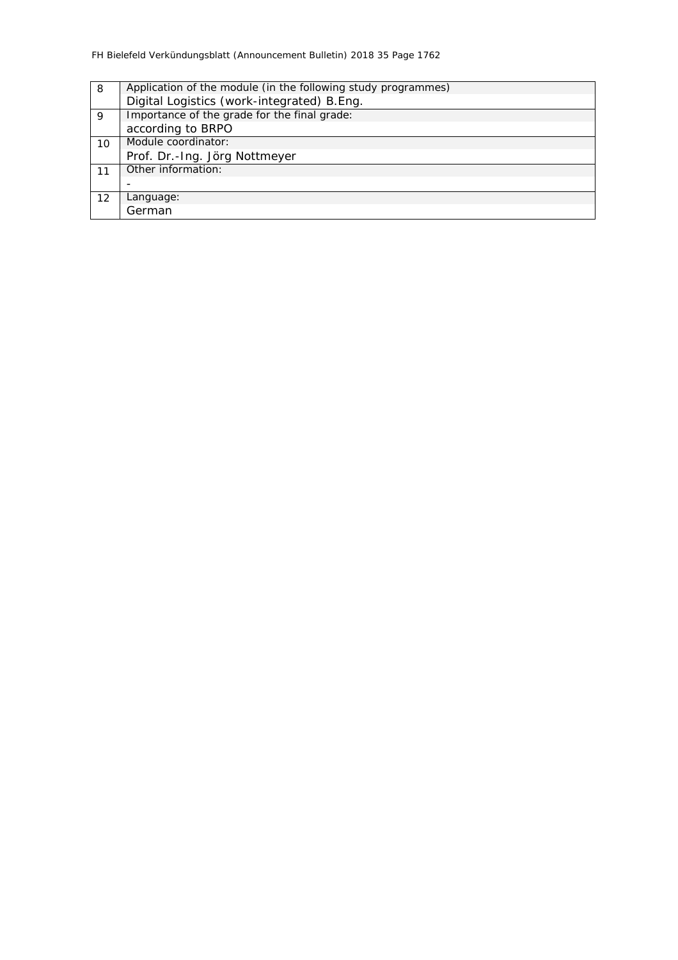| 8  | Application of the module (in the following study programmes) |
|----|---------------------------------------------------------------|
|    | Digital Logistics (work-integrated) B.Eng.                    |
| 9  | Importance of the grade for the final grade:                  |
|    | according to BRPO                                             |
| 10 | Module coordinator:                                           |
|    | Prof. Dr.-Ing. Jörg Nottmeyer                                 |
| 11 | Other information:                                            |
|    |                                                               |
| 12 | Language:                                                     |
|    | German                                                        |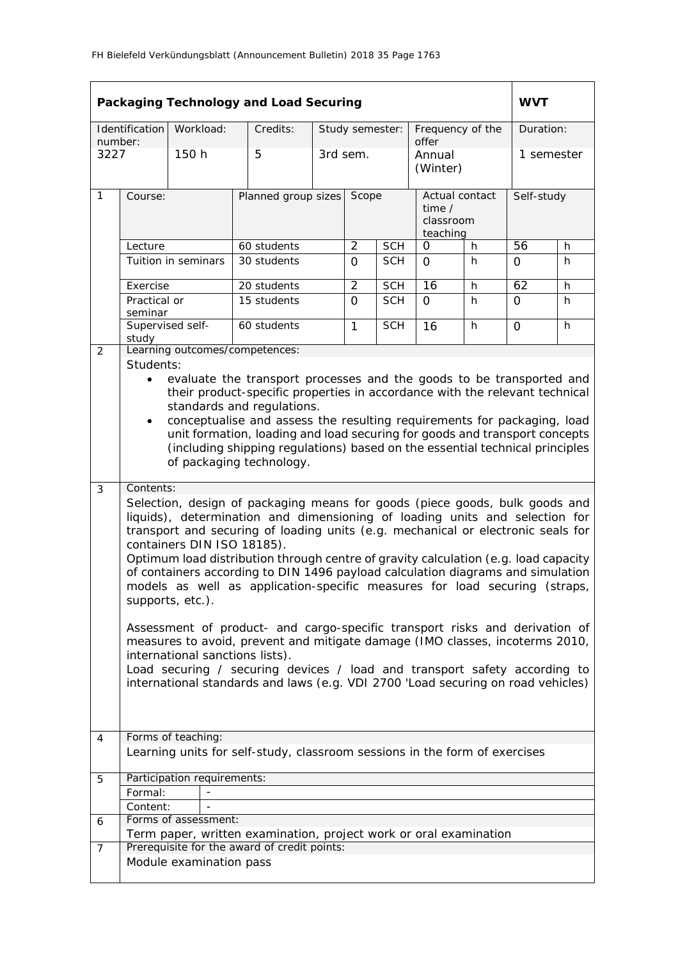|              | Packaging Technology and Load Securing<br><b>WVT</b>                                                                                                                                                                                                                                                                                                                                                                                                                                                                                                     |                                 |                                                                                                                                                                                                                                                                                                                              |                 |                |            |                                                          |   |            |            |  |
|--------------|----------------------------------------------------------------------------------------------------------------------------------------------------------------------------------------------------------------------------------------------------------------------------------------------------------------------------------------------------------------------------------------------------------------------------------------------------------------------------------------------------------------------------------------------------------|---------------------------------|------------------------------------------------------------------------------------------------------------------------------------------------------------------------------------------------------------------------------------------------------------------------------------------------------------------------------|-----------------|----------------|------------|----------------------------------------------------------|---|------------|------------|--|
| number:      | Identification                                                                                                                                                                                                                                                                                                                                                                                                                                                                                                                                           | Workload:                       | Credits:                                                                                                                                                                                                                                                                                                                     | Study semester: |                |            | Frequency of the<br>offer                                |   | Duration:  |            |  |
| 3227         |                                                                                                                                                                                                                                                                                                                                                                                                                                                                                                                                                          | 150 h                           | 5                                                                                                                                                                                                                                                                                                                            |                 | 3rd sem.       |            | Annual<br>(Winter)                                       |   | 1 semester |            |  |
| $\mathbf{1}$ | Course:                                                                                                                                                                                                                                                                                                                                                                                                                                                                                                                                                  |                                 | Planned group sizes                                                                                                                                                                                                                                                                                                          |                 | Scope          |            | Actual contact<br>time $\prime$<br>classroom<br>teaching |   |            | Self-study |  |
|              | Lecture                                                                                                                                                                                                                                                                                                                                                                                                                                                                                                                                                  |                                 | 60 students                                                                                                                                                                                                                                                                                                                  |                 | $\overline{2}$ | <b>SCH</b> | 0                                                        | h | 56         | h          |  |
|              |                                                                                                                                                                                                                                                                                                                                                                                                                                                                                                                                                          | Tuition in seminars             | 30 students                                                                                                                                                                                                                                                                                                                  |                 | $\Omega$       | <b>SCH</b> | $\Omega$                                                 | h | $\Omega$   | h          |  |
|              | Exercise                                                                                                                                                                                                                                                                                                                                                                                                                                                                                                                                                 |                                 | 20 students                                                                                                                                                                                                                                                                                                                  |                 | $\overline{2}$ | <b>SCH</b> | 16                                                       | h | 62         | h          |  |
|              | Practical or<br>seminar                                                                                                                                                                                                                                                                                                                                                                                                                                                                                                                                  |                                 | 15 students                                                                                                                                                                                                                                                                                                                  |                 | $\overline{O}$ | <b>SCH</b> | $\Omega$                                                 | h | $\Omega$   | h          |  |
|              | study                                                                                                                                                                                                                                                                                                                                                                                                                                                                                                                                                    | Supervised self-                | 60 students                                                                                                                                                                                                                                                                                                                  |                 | 1              | <b>SCH</b> | 16                                                       | h | $\Omega$   | h          |  |
| 2            |                                                                                                                                                                                                                                                                                                                                                                                                                                                                                                                                                          |                                 | Learning outcomes/competences:                                                                                                                                                                                                                                                                                               |                 |                |            |                                                          |   |            |            |  |
|              | Students:<br>evaluate the transport processes and the goods to be transported and<br>their product-specific properties in accordance with the relevant technical<br>standards and regulations.<br>conceptualise and assess the resulting requirements for packaging, load<br>$\bullet$<br>unit formation, loading and load securing for goods and transport concepts<br>(including shipping regulations) based on the essential technical principles<br>of packaging technology.                                                                         |                                 |                                                                                                                                                                                                                                                                                                                              |                 |                |            |                                                          |   |            |            |  |
| 3            | Contents:                                                                                                                                                                                                                                                                                                                                                                                                                                                                                                                                                |                                 |                                                                                                                                                                                                                                                                                                                              |                 |                |            |                                                          |   |            |            |  |
|              | Selection, design of packaging means for goods (piece goods, bulk goods and<br>liquids), determination and dimensioning of loading units and selection for<br>transport and securing of loading units (e.g. mechanical or electronic seals for<br>containers DIN ISO 18185).<br>Optimum load distribution through centre of gravity calculation (e.g. load capacity<br>of containers according to DIN 1496 payload calculation diagrams and simulation<br>models as well as application-specific measures for load securing (straps,<br>supports, etc.). |                                 |                                                                                                                                                                                                                                                                                                                              |                 |                |            |                                                          |   |            |            |  |
|              |                                                                                                                                                                                                                                                                                                                                                                                                                                                                                                                                                          | international sanctions lists). | Assessment of product- and cargo-specific transport risks and derivation of<br>measures to avoid, prevent and mitigate damage (IMO classes, incoterms 2010,<br>Load securing / securing devices / load and transport safety according to<br>international standards and laws (e.g. VDI 2700 'Load securing on road vehicles) |                 |                |            |                                                          |   |            |            |  |
| 4            |                                                                                                                                                                                                                                                                                                                                                                                                                                                                                                                                                          | Forms of teaching:              |                                                                                                                                                                                                                                                                                                                              |                 |                |            |                                                          |   |            |            |  |
|              |                                                                                                                                                                                                                                                                                                                                                                                                                                                                                                                                                          |                                 | Learning units for self-study, classroom sessions in the form of exercises                                                                                                                                                                                                                                                   |                 |                |            |                                                          |   |            |            |  |
| 5            |                                                                                                                                                                                                                                                                                                                                                                                                                                                                                                                                                          | Participation requirements:     |                                                                                                                                                                                                                                                                                                                              |                 |                |            |                                                          |   |            |            |  |
|              | Formal:                                                                                                                                                                                                                                                                                                                                                                                                                                                                                                                                                  |                                 |                                                                                                                                                                                                                                                                                                                              |                 |                |            |                                                          |   |            |            |  |
|              | Content:                                                                                                                                                                                                                                                                                                                                                                                                                                                                                                                                                 | Forms of assessment:            |                                                                                                                                                                                                                                                                                                                              |                 |                |            |                                                          |   |            |            |  |
| 6            |                                                                                                                                                                                                                                                                                                                                                                                                                                                                                                                                                          |                                 | Term paper, written examination, project work or oral examination                                                                                                                                                                                                                                                            |                 |                |            |                                                          |   |            |            |  |
| 7            |                                                                                                                                                                                                                                                                                                                                                                                                                                                                                                                                                          |                                 | Prerequisite for the award of credit points:                                                                                                                                                                                                                                                                                 |                 |                |            |                                                          |   |            |            |  |
|              |                                                                                                                                                                                                                                                                                                                                                                                                                                                                                                                                                          | Module examination pass         |                                                                                                                                                                                                                                                                                                                              |                 |                |            |                                                          |   |            |            |  |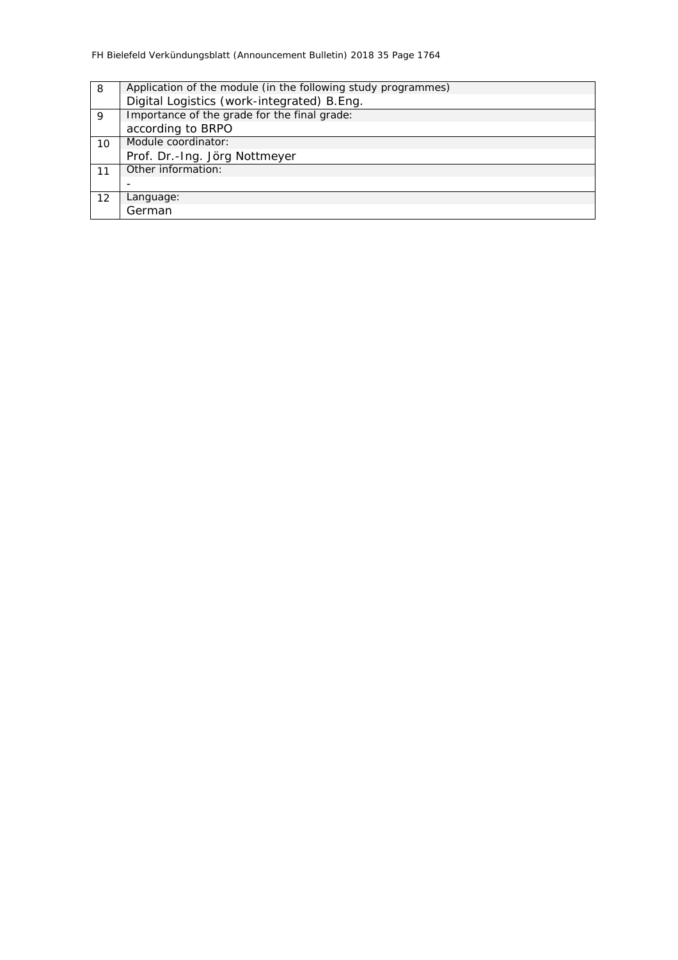| 8  | Application of the module (in the following study programmes) |
|----|---------------------------------------------------------------|
|    | Digital Logistics (work-integrated) B.Eng.                    |
| 9  | Importance of the grade for the final grade:                  |
|    | according to BRPO                                             |
| 10 | Module coordinator:                                           |
|    | Prof. Dr.-Ing. Jörg Nottmeyer                                 |
| 11 | Other information:                                            |
|    |                                                               |
| 12 | Language:                                                     |
|    | German                                                        |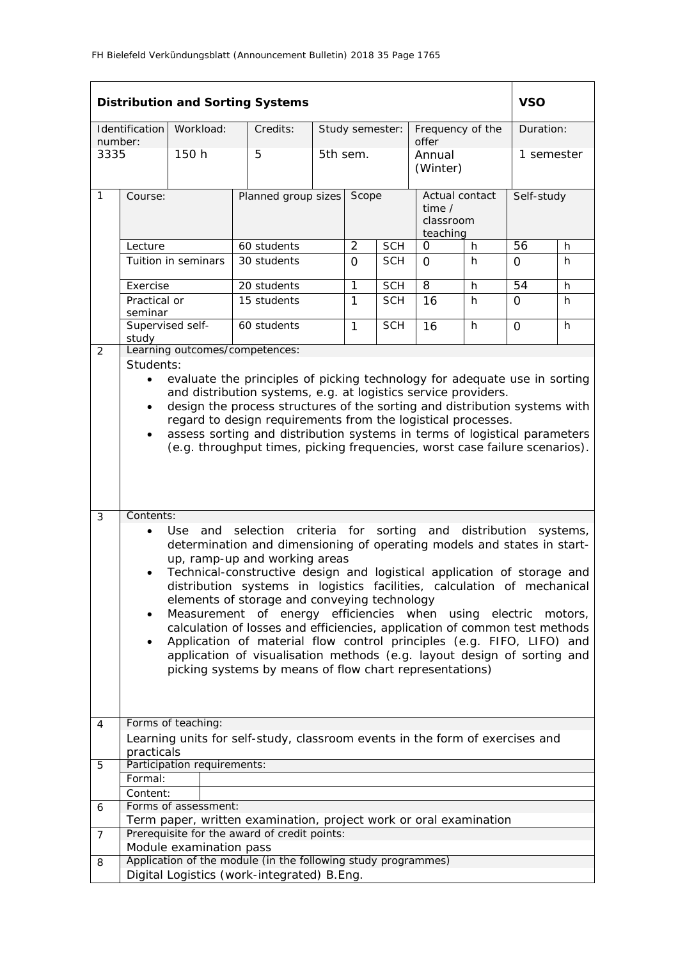|                             | <b>Distribution and Sorting Systems</b>                                                                                                                                                                                                                                                                                                                                                                                                                                                                                                                                                                                                                                                                                                                                                                                                                                                                                                                                                                                                                                                                                                                                                                                                                                                                       |                      |                                                                   |  |                 |                  |                                                   |           | <b>VSO</b>      |    |
|-----------------------------|---------------------------------------------------------------------------------------------------------------------------------------------------------------------------------------------------------------------------------------------------------------------------------------------------------------------------------------------------------------------------------------------------------------------------------------------------------------------------------------------------------------------------------------------------------------------------------------------------------------------------------------------------------------------------------------------------------------------------------------------------------------------------------------------------------------------------------------------------------------------------------------------------------------------------------------------------------------------------------------------------------------------------------------------------------------------------------------------------------------------------------------------------------------------------------------------------------------------------------------------------------------------------------------------------------------|----------------------|-------------------------------------------------------------------|--|-----------------|------------------|---------------------------------------------------|-----------|-----------------|----|
| Identification<br>Workload: |                                                                                                                                                                                                                                                                                                                                                                                                                                                                                                                                                                                                                                                                                                                                                                                                                                                                                                                                                                                                                                                                                                                                                                                                                                                                                                               | Credits:             |                                                                   |  | Study semester: | Frequency of the |                                                   | Duration: |                 |    |
| number:<br>3335             |                                                                                                                                                                                                                                                                                                                                                                                                                                                                                                                                                                                                                                                                                                                                                                                                                                                                                                                                                                                                                                                                                                                                                                                                                                                                                                               | 150 h                | 5                                                                 |  | 5th sem.        |                  | offer<br>Annual<br>(Winter)                       |           | 1 semester      |    |
| $\mathbf{1}$                | Course:                                                                                                                                                                                                                                                                                                                                                                                                                                                                                                                                                                                                                                                                                                                                                                                                                                                                                                                                                                                                                                                                                                                                                                                                                                                                                                       |                      | Planned group sizes                                               |  | Scope           |                  | Actual contact<br>time /<br>classroom<br>teaching |           | Self-study      |    |
|                             | Lecture                                                                                                                                                                                                                                                                                                                                                                                                                                                                                                                                                                                                                                                                                                                                                                                                                                                                                                                                                                                                                                                                                                                                                                                                                                                                                                       |                      | 60 students                                                       |  | $\overline{2}$  | <b>SCH</b>       | 0                                                 | h         | 56              | h  |
|                             |                                                                                                                                                                                                                                                                                                                                                                                                                                                                                                                                                                                                                                                                                                                                                                                                                                                                                                                                                                                                                                                                                                                                                                                                                                                                                                               | Tuition in seminars  | 30 students                                                       |  | $\Omega$        | <b>SCH</b>       | $\Omega$                                          | h         | $\Omega$        | h  |
|                             | Exercise                                                                                                                                                                                                                                                                                                                                                                                                                                                                                                                                                                                                                                                                                                                                                                                                                                                                                                                                                                                                                                                                                                                                                                                                                                                                                                      |                      | 20 students                                                       |  | 1               | <b>SCH</b>       | $\overline{8}$                                    | h         | $\overline{54}$ | h  |
|                             | Practical or<br>seminar                                                                                                                                                                                                                                                                                                                                                                                                                                                                                                                                                                                                                                                                                                                                                                                                                                                                                                                                                                                                                                                                                                                                                                                                                                                                                       |                      | 15 students                                                       |  | $\mathbf{1}$    | <b>SCH</b>       | 16                                                | h         | $\Omega$        | h. |
|                             | Supervised self-<br>study                                                                                                                                                                                                                                                                                                                                                                                                                                                                                                                                                                                                                                                                                                                                                                                                                                                                                                                                                                                                                                                                                                                                                                                                                                                                                     |                      | 60 students                                                       |  | 1               | <b>SCH</b>       | 16                                                | h         | 0               | h  |
| 2                           |                                                                                                                                                                                                                                                                                                                                                                                                                                                                                                                                                                                                                                                                                                                                                                                                                                                                                                                                                                                                                                                                                                                                                                                                                                                                                                               |                      | Learning outcomes/competences:                                    |  |                 |                  |                                                   |           |                 |    |
| 3                           | Students:<br>evaluate the principles of picking technology for adequate use in sorting<br>$\bullet$<br>and distribution systems, e.g. at logistics service providers.<br>design the process structures of the sorting and distribution systems with<br>$\bullet$<br>regard to design requirements from the logistical processes.<br>assess sorting and distribution systems in terms of logistical parameters<br>$\bullet$<br>(e.g. throughput times, picking frequencies, worst case failure scenarios).<br>Contents:<br>criteria for sorting and distribution<br>and<br>selection<br>systems,<br>Use.<br>determination and dimensioning of operating models and states in start-<br>up, ramp-up and working areas<br>Technical-constructive design and logistical application of storage and<br>distribution systems in logistics facilities, calculation of mechanical<br>elements of storage and conveying technology<br>Measurement of energy efficiencies when using<br>electric motors,<br>٠<br>calculation of losses and efficiencies, application of common test methods<br>Application of material flow control principles (e.g. FIFO, LIFO) and<br>$\bullet$<br>application of visualisation methods (e.g. layout design of sorting and<br>picking systems by means of flow chart representations) |                      |                                                                   |  |                 |                  |                                                   |           |                 |    |
| 4                           | Forms of teaching:<br>Learning units for self-study, classroom events in the form of exercises and                                                                                                                                                                                                                                                                                                                                                                                                                                                                                                                                                                                                                                                                                                                                                                                                                                                                                                                                                                                                                                                                                                                                                                                                            |                      |                                                                   |  |                 |                  |                                                   |           |                 |    |
|                             | practicals                                                                                                                                                                                                                                                                                                                                                                                                                                                                                                                                                                                                                                                                                                                                                                                                                                                                                                                                                                                                                                                                                                                                                                                                                                                                                                    |                      |                                                                   |  |                 |                  |                                                   |           |                 |    |
| 5                           | Participation requirements:                                                                                                                                                                                                                                                                                                                                                                                                                                                                                                                                                                                                                                                                                                                                                                                                                                                                                                                                                                                                                                                                                                                                                                                                                                                                                   |                      |                                                                   |  |                 |                  |                                                   |           |                 |    |
|                             | Formal:                                                                                                                                                                                                                                                                                                                                                                                                                                                                                                                                                                                                                                                                                                                                                                                                                                                                                                                                                                                                                                                                                                                                                                                                                                                                                                       |                      |                                                                   |  |                 |                  |                                                   |           |                 |    |
|                             | Content:                                                                                                                                                                                                                                                                                                                                                                                                                                                                                                                                                                                                                                                                                                                                                                                                                                                                                                                                                                                                                                                                                                                                                                                                                                                                                                      | Forms of assessment: |                                                                   |  |                 |                  |                                                   |           |                 |    |
| 6                           |                                                                                                                                                                                                                                                                                                                                                                                                                                                                                                                                                                                                                                                                                                                                                                                                                                                                                                                                                                                                                                                                                                                                                                                                                                                                                                               |                      | Term paper, written examination, project work or oral examination |  |                 |                  |                                                   |           |                 |    |
| $\overline{7}$              |                                                                                                                                                                                                                                                                                                                                                                                                                                                                                                                                                                                                                                                                                                                                                                                                                                                                                                                                                                                                                                                                                                                                                                                                                                                                                                               |                      | Prerequisite for the award of credit points:                      |  |                 |                  |                                                   |           |                 |    |
|                             | Module examination pass<br>Application of the module (in the following study programmes)                                                                                                                                                                                                                                                                                                                                                                                                                                                                                                                                                                                                                                                                                                                                                                                                                                                                                                                                                                                                                                                                                                                                                                                                                      |                      |                                                                   |  |                 |                  |                                                   |           |                 |    |
| 8                           | Digital Logistics (work-integrated) B.Eng.                                                                                                                                                                                                                                                                                                                                                                                                                                                                                                                                                                                                                                                                                                                                                                                                                                                                                                                                                                                                                                                                                                                                                                                                                                                                    |                      |                                                                   |  |                 |                  |                                                   |           |                 |    |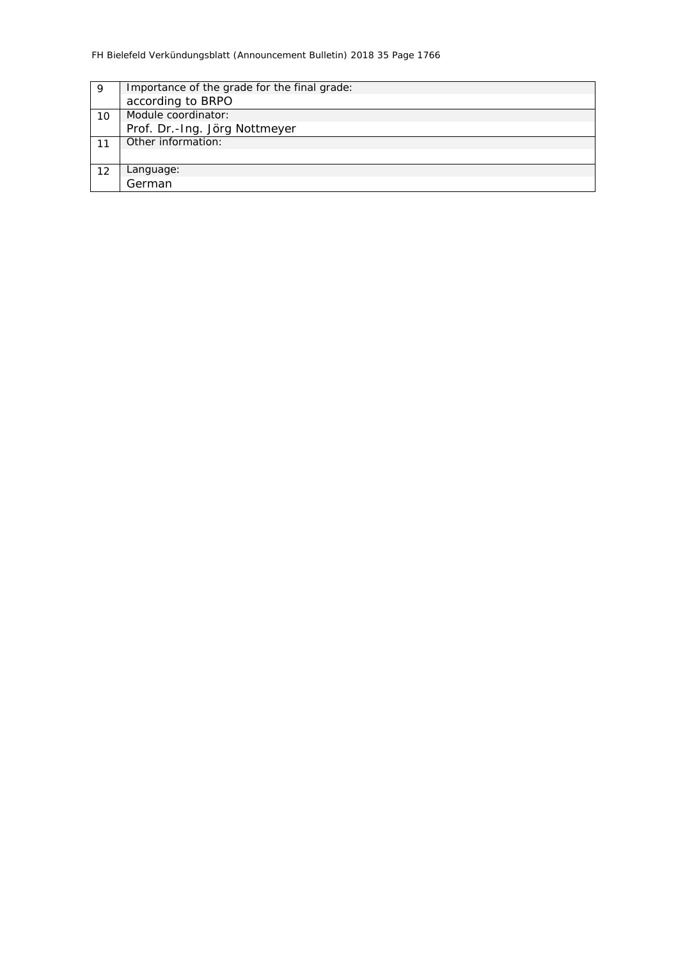| 9  | Importance of the grade for the final grade: |  |  |  |  |  |
|----|----------------------------------------------|--|--|--|--|--|
|    | according to BRPO                            |  |  |  |  |  |
| 10 | Module coordinator:                          |  |  |  |  |  |
|    | Prof. Dr.-Ing. Jörg Nottmeyer                |  |  |  |  |  |
|    | Other information:                           |  |  |  |  |  |
|    |                                              |  |  |  |  |  |
| 12 | Language:                                    |  |  |  |  |  |
|    | German                                       |  |  |  |  |  |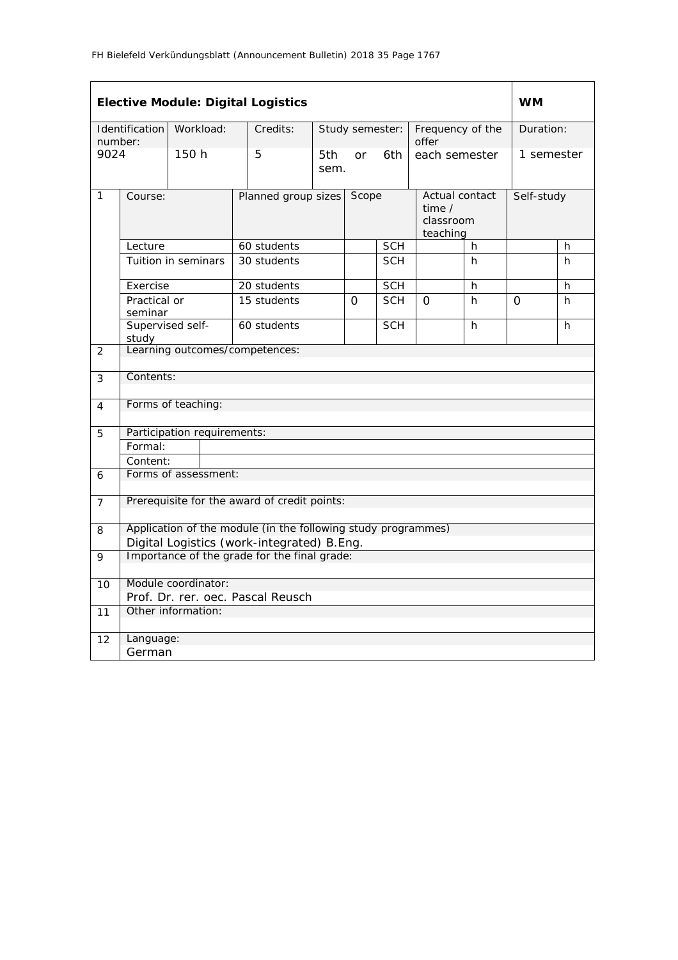| <b>Elective Module: Digital Logistics</b> |                                              |                       |                                                               |                 |                  |            |                                                          |   | <b>WM</b>  |   |
|-------------------------------------------|----------------------------------------------|-----------------------|---------------------------------------------------------------|-----------------|------------------|------------|----------------------------------------------------------|---|------------|---|
| Identification<br>number:                 |                                              | Workload:<br>Credits: |                                                               | Study semester: |                  |            | Frequency of the<br>offer                                |   | Duration:  |   |
| 9024                                      |                                              | 150h                  | 5                                                             | 5th<br>sem.     | <b>or</b><br>6th |            | each semester                                            |   | 1 semester |   |
| $\mathbf{1}$                              | Course:                                      |                       | Planned group sizes                                           |                 | Scope            |            | Actual contact<br>time $\prime$<br>classroom<br>teaching |   | Self-study |   |
|                                           | Lecture                                      |                       | 60 students                                                   |                 |                  | <b>SCH</b> |                                                          | h |            | h |
|                                           |                                              | Tuition in seminars   | 30 students                                                   |                 |                  | <b>SCH</b> |                                                          | h |            | h |
|                                           | Exercise                                     |                       | 20 students                                                   |                 |                  | <b>SCH</b> |                                                          | h |            | h |
|                                           | Practical or<br>seminar                      |                       | 15 students                                                   |                 | $\Omega$         | <b>SCH</b> | $\Omega$                                                 | h | $\Omega$   | h |
|                                           | Supervised self-<br>study                    |                       | 60 students                                                   |                 |                  | <b>SCH</b> |                                                          | h |            | h |
| $\overline{2}$                            |                                              |                       | Learning outcomes/competences:                                |                 |                  |            |                                                          |   |            |   |
|                                           |                                              |                       |                                                               |                 |                  |            |                                                          |   |            |   |
| 3                                         | Contents:                                    |                       |                                                               |                 |                  |            |                                                          |   |            |   |
| 4                                         | Forms of teaching:                           |                       |                                                               |                 |                  |            |                                                          |   |            |   |
| 5                                         | Participation requirements:                  |                       |                                                               |                 |                  |            |                                                          |   |            |   |
|                                           | Formal:                                      |                       |                                                               |                 |                  |            |                                                          |   |            |   |
|                                           | Content:                                     |                       |                                                               |                 |                  |            |                                                          |   |            |   |
| 6                                         | Forms of assessment:                         |                       |                                                               |                 |                  |            |                                                          |   |            |   |
| $\overline{7}$                            | Prerequisite for the award of credit points: |                       |                                                               |                 |                  |            |                                                          |   |            |   |
| 8                                         |                                              |                       | Application of the module (in the following study programmes) |                 |                  |            |                                                          |   |            |   |
|                                           |                                              |                       | Digital Logistics (work-integrated) B.Eng.                    |                 |                  |            |                                                          |   |            |   |
| 9                                         | Importance of the grade for the final grade: |                       |                                                               |                 |                  |            |                                                          |   |            |   |
| 10                                        |                                              | Module coordinator:   |                                                               |                 |                  |            |                                                          |   |            |   |
|                                           |                                              |                       | Prof. Dr. rer. oec. Pascal Reusch                             |                 |                  |            |                                                          |   |            |   |
| 11                                        | Other information:                           |                       |                                                               |                 |                  |            |                                                          |   |            |   |
| 12                                        | Language:                                    |                       |                                                               |                 |                  |            |                                                          |   |            |   |
|                                           | German                                       |                       |                                                               |                 |                  |            |                                                          |   |            |   |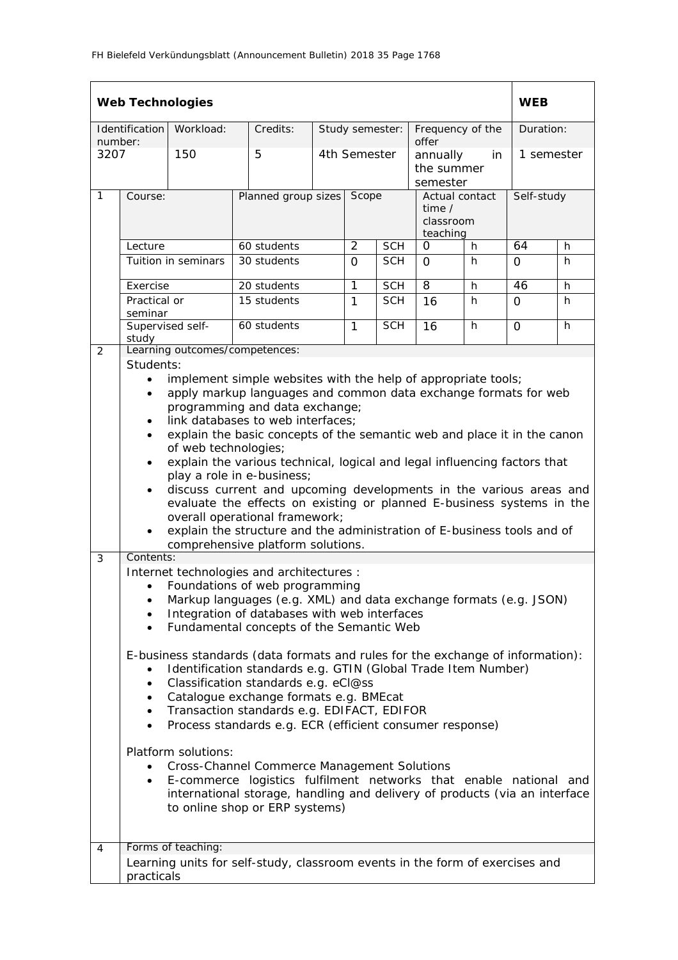| <b>Web Technologies</b>     |                                                                                                                                                                                                                                                                                                                                                                                                                                                                                                                                                                                                                                                                                                                                                                                                                                                                                                                   |                     |                                |                     |                              |                                                   |                                                          | <b>WEB</b>   |            |    |
|-----------------------------|-------------------------------------------------------------------------------------------------------------------------------------------------------------------------------------------------------------------------------------------------------------------------------------------------------------------------------------------------------------------------------------------------------------------------------------------------------------------------------------------------------------------------------------------------------------------------------------------------------------------------------------------------------------------------------------------------------------------------------------------------------------------------------------------------------------------------------------------------------------------------------------------------------------------|---------------------|--------------------------------|---------------------|------------------------------|---------------------------------------------------|----------------------------------------------------------|--------------|------------|----|
| Identification<br>Workload: |                                                                                                                                                                                                                                                                                                                                                                                                                                                                                                                                                                                                                                                                                                                                                                                                                                                                                                                   | Credits:            | Study semester:                |                     | Frequency of the             |                                                   | Duration:                                                |              |            |    |
| number:<br>3207             |                                                                                                                                                                                                                                                                                                                                                                                                                                                                                                                                                                                                                                                                                                                                                                                                                                                                                                                   | 150                 | 5                              | 4th Semester        |                              | offer<br>annually<br>in<br>the summer<br>semester |                                                          | 1 semester   |            |    |
| $\mathbf{1}$                | Course:                                                                                                                                                                                                                                                                                                                                                                                                                                                                                                                                                                                                                                                                                                                                                                                                                                                                                                           |                     |                                | Planned group sizes |                              | Scope                                             | Actual contact<br>time $\prime$<br>classroom<br>teaching |              | Self-study |    |
|                             | Lecture                                                                                                                                                                                                                                                                                                                                                                                                                                                                                                                                                                                                                                                                                                                                                                                                                                                                                                           |                     | 60 students                    |                     | $\overline{2}$<br><b>SCH</b> |                                                   | 0                                                        | h            | 64         | h  |
|                             |                                                                                                                                                                                                                                                                                                                                                                                                                                                                                                                                                                                                                                                                                                                                                                                                                                                                                                                   | Tuition in seminars | 30 students                    |                     | $\Omega$                     | <b>SCH</b>                                        | $\Omega$                                                 | h            | $\Omega$   | h  |
|                             | Exercise                                                                                                                                                                                                                                                                                                                                                                                                                                                                                                                                                                                                                                                                                                                                                                                                                                                                                                          |                     | 20 students                    |                     | 1                            | <b>SCH</b>                                        | 8                                                        | $\mathsf{h}$ | 46         | h  |
|                             | Practical or<br>seminar                                                                                                                                                                                                                                                                                                                                                                                                                                                                                                                                                                                                                                                                                                                                                                                                                                                                                           |                     | 15 students                    |                     | $\mathbf{1}$                 | <b>SCH</b>                                        | 16                                                       | h            | $\Omega$   | h  |
|                             | study                                                                                                                                                                                                                                                                                                                                                                                                                                                                                                                                                                                                                                                                                                                                                                                                                                                                                                             | Supervised self-    | 60 students                    |                     | 1                            | <b>SCH</b>                                        | 16                                                       | h            | 0          | h. |
| 2                           | Students:                                                                                                                                                                                                                                                                                                                                                                                                                                                                                                                                                                                                                                                                                                                                                                                                                                                                                                         |                     | Learning outcomes/competences: |                     |                              |                                                   |                                                          |              |            |    |
| 3                           | implement simple websites with the help of appropriate tools;<br>$\bullet$<br>apply markup languages and common data exchange formats for web<br>$\bullet$<br>programming and data exchange;<br>link databases to web interfaces;<br>$\bullet$<br>explain the basic concepts of the semantic web and place it in the canon<br>$\bullet$<br>of web technologies;<br>explain the various technical, logical and legal influencing factors that<br>$\bullet$<br>play a role in e-business;<br>discuss current and upcoming developments in the various areas and<br>$\bullet$<br>evaluate the effects on existing or planned E-business systems in the<br>overall operational framework;<br>explain the structure and the administration of E-business tools and of<br>comprehensive platform solutions.                                                                                                             |                     |                                |                     |                              |                                                   |                                                          |              |            |    |
|                             | Internet technologies and architectures :<br>Foundations of web programming<br>$\bullet$<br>Markup languages (e.g. XML) and data exchange formats (e.g. JSON)<br>Integration of databases with web interfaces<br>Fundamental concepts of the Semantic Web<br>$\bullet$<br>E-business standards (data formats and rules for the exchange of information):<br>Identification standards e.g. GTIN (Global Trade Item Number)<br>Classification standards e.g. eCl@ss<br>Catalogue exchange formats e.g. BMEcat<br>Transaction standards e.g. EDIFACT, EDIFOR<br>$\bullet$<br>Process standards e.g. ECR (efficient consumer response)<br>$\bullet$<br>Platform solutions:<br><b>Cross-Channel Commerce Management Solutions</b><br>E-commerce logistics fulfilment networks that enable national and<br>international storage, handling and delivery of products (via an interface<br>to online shop or ERP systems) |                     |                                |                     |                              |                                                   |                                                          |              |            |    |
| 4                           | Forms of teaching:<br>Learning units for self-study, classroom events in the form of exercises and<br>practicals                                                                                                                                                                                                                                                                                                                                                                                                                                                                                                                                                                                                                                                                                                                                                                                                  |                     |                                |                     |                              |                                                   |                                                          |              |            |    |